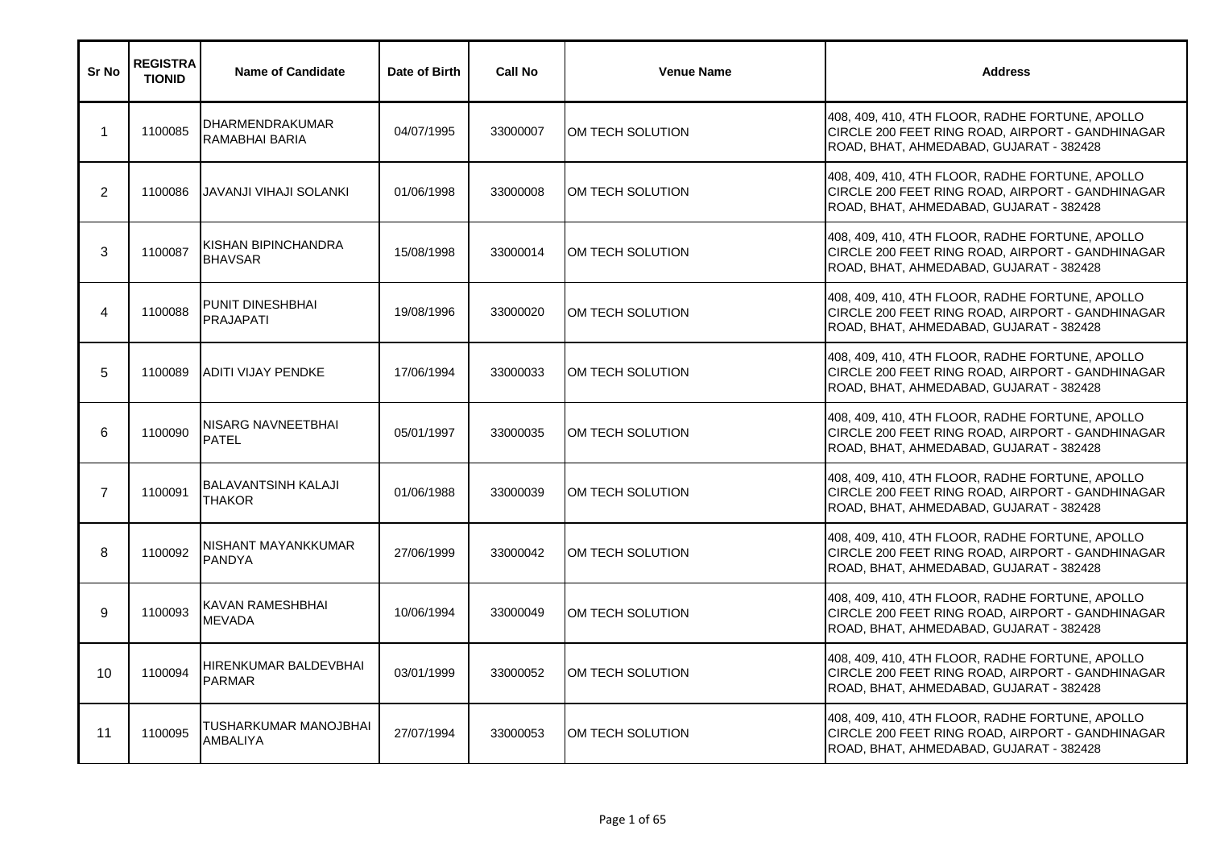| Sr No          | <b>REGISTRA</b><br><b>TIONID</b> | <b>Name of Candidate</b>                    | Date of Birth | <b>Call No</b> | <b>Venue Name</b> | <b>Address</b>                                                                                                                                 |
|----------------|----------------------------------|---------------------------------------------|---------------|----------------|-------------------|------------------------------------------------------------------------------------------------------------------------------------------------|
| $\mathbf 1$    | 1100085                          | <b>DHARMENDRAKUMAR</b><br>RAMABHAI BARIA    | 04/07/1995    | 33000007       | OM TECH SOLUTION  | 408, 409, 410, 4TH FLOOR, RADHE FORTUNE, APOLLO<br>CIRCLE 200 FEET RING ROAD, AIRPORT - GANDHINAGAR<br>ROAD, BHAT, AHMEDABAD, GUJARAT - 382428 |
| 2              | 1100086                          | <b>JAVANJI VIHAJI SOLANKI</b>               | 01/06/1998    | 33000008       | OM TECH SOLUTION  | 408, 409, 410, 4TH FLOOR, RADHE FORTUNE, APOLLO<br>CIRCLE 200 FEET RING ROAD, AIRPORT - GANDHINAGAR<br>ROAD, BHAT, AHMEDABAD, GUJARAT - 382428 |
| 3              | 1100087                          | KISHAN BIPINCHANDRA<br><b>BHAVSAR</b>       | 15/08/1998    | 33000014       | OM TECH SOLUTION  | 408, 409, 410, 4TH FLOOR, RADHE FORTUNE, APOLLO<br>CIRCLE 200 FEET RING ROAD, AIRPORT - GANDHINAGAR<br>ROAD, BHAT, AHMEDABAD, GUJARAT - 382428 |
| 4              | 1100088                          | PUNIT DINESHBHAI<br>PRAJAPATI               | 19/08/1996    | 33000020       | OM TECH SOLUTION  | 408, 409, 410, 4TH FLOOR, RADHE FORTUNE, APOLLO<br>CIRCLE 200 FEET RING ROAD, AIRPORT - GANDHINAGAR<br>ROAD, BHAT, AHMEDABAD, GUJARAT - 382428 |
| 5              | 1100089                          | <b>ADITI VIJAY PENDKE</b>                   | 17/06/1994    | 33000033       | OM TECH SOLUTION  | 408, 409, 410, 4TH FLOOR, RADHE FORTUNE, APOLLO<br>CIRCLE 200 FEET RING ROAD, AIRPORT - GANDHINAGAR<br>ROAD, BHAT, AHMEDABAD, GUJARAT - 382428 |
| 6              | 1100090                          | NISARG NAVNEETBHAI<br><b>PATEL</b>          | 05/01/1997    | 33000035       | OM TECH SOLUTION  | 408, 409, 410, 4TH FLOOR, RADHE FORTUNE, APOLLO<br>CIRCLE 200 FEET RING ROAD, AIRPORT - GANDHINAGAR<br>ROAD, BHAT, AHMEDABAD, GUJARAT - 382428 |
| $\overline{7}$ | 1100091                          | <b>BALAVANTSINH KALAJI</b><br><b>THAKOR</b> | 01/06/1988    | 33000039       | OM TECH SOLUTION  | 408, 409, 410, 4TH FLOOR, RADHE FORTUNE, APOLLO<br>CIRCLE 200 FEET RING ROAD, AIRPORT - GANDHINAGAR<br>ROAD, BHAT, AHMEDABAD, GUJARAT - 382428 |
| 8              | 1100092                          | NISHANT MAYANKKUMAR<br>PANDYA               | 27/06/1999    | 33000042       | OM TECH SOLUTION  | 408, 409, 410, 4TH FLOOR, RADHE FORTUNE, APOLLO<br>CIRCLE 200 FEET RING ROAD, AIRPORT - GANDHINAGAR<br>ROAD, BHAT, AHMEDABAD, GUJARAT - 382428 |
| 9              | 1100093                          | KAVAN RAMESHBHAI<br>MEVADA                  | 10/06/1994    | 33000049       | OM TECH SOLUTION  | 408, 409, 410, 4TH FLOOR, RADHE FORTUNE, APOLLO<br>CIRCLE 200 FEET RING ROAD, AIRPORT - GANDHINAGAR<br>ROAD, BHAT, AHMEDABAD, GUJARAT - 382428 |
| 10             | 1100094                          | HIRENKUMAR BALDEVBHAI<br><b>PARMAR</b>      | 03/01/1999    | 33000052       | OM TECH SOLUTION  | 408, 409, 410, 4TH FLOOR, RADHE FORTUNE, APOLLO<br>CIRCLE 200 FEET RING ROAD, AIRPORT - GANDHINAGAR<br>ROAD, BHAT, AHMEDABAD, GUJARAT - 382428 |
| 11             | 1100095                          | TUSHARKUMAR MANOJBHAI<br>AMBALIYA           | 27/07/1994    | 33000053       | OM TECH SOLUTION  | 408, 409, 410, 4TH FLOOR, RADHE FORTUNE, APOLLO<br>CIRCLE 200 FEET RING ROAD, AIRPORT - GANDHINAGAR<br>ROAD, BHAT, AHMEDABAD, GUJARAT - 382428 |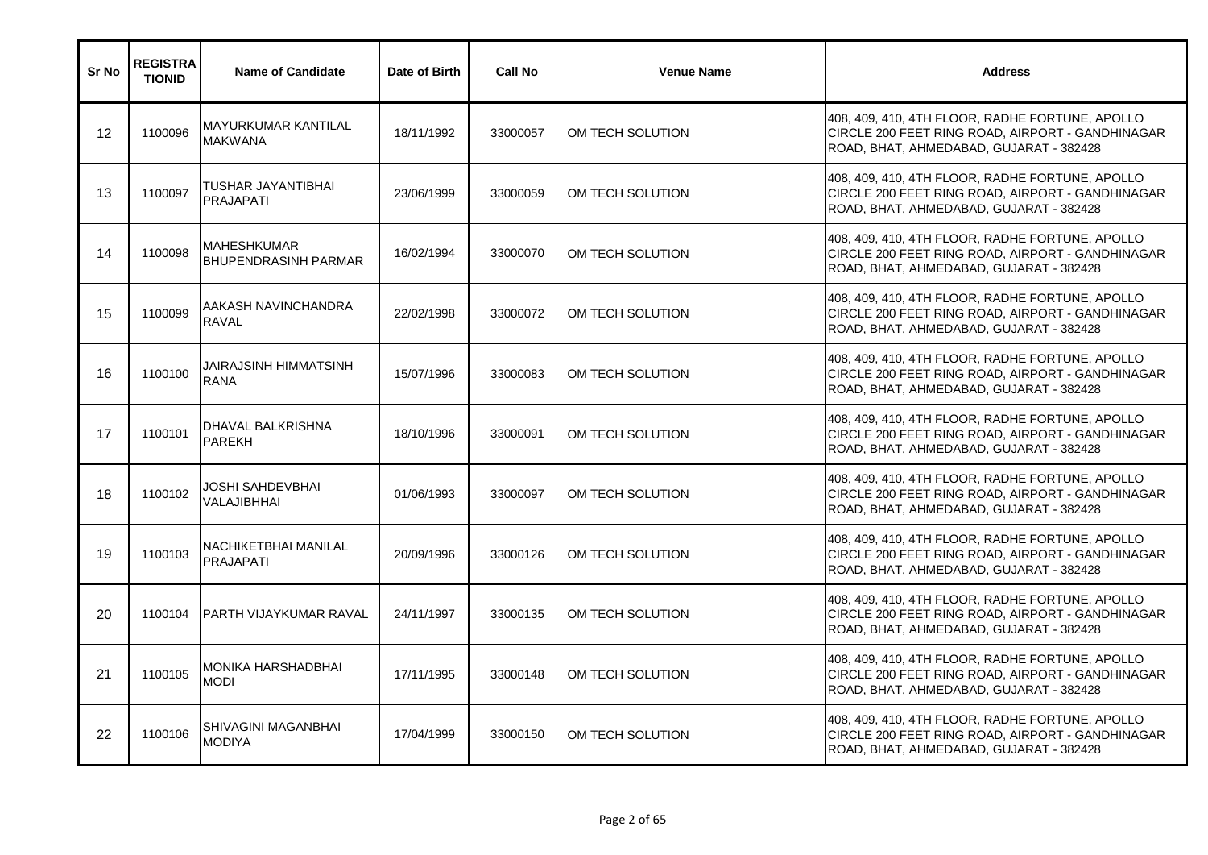| Sr No | <b>REGISTRA</b><br><b>TIONID</b> | <b>Name of Candidate</b>                     | Date of Birth | <b>Call No</b> | <b>Venue Name</b> | <b>Address</b>                                                                                                                                 |
|-------|----------------------------------|----------------------------------------------|---------------|----------------|-------------------|------------------------------------------------------------------------------------------------------------------------------------------------|
| 12    | 1100096                          | <b>MAYURKUMAR KANTILAL</b><br><b>MAKWANA</b> | 18/11/1992    | 33000057       | OM TECH SOLUTION  | 408, 409, 410, 4TH FLOOR, RADHE FORTUNE, APOLLO<br>CIRCLE 200 FEET RING ROAD, AIRPORT - GANDHINAGAR<br>ROAD, BHAT, AHMEDABAD, GUJARAT - 382428 |
| 13    | 1100097                          | TUSHAR JAYANTIBHAI<br><b>PRAJAPATI</b>       | 23/06/1999    | 33000059       | OM TECH SOLUTION  | 408, 409, 410, 4TH FLOOR, RADHE FORTUNE, APOLLO<br>CIRCLE 200 FEET RING ROAD, AIRPORT - GANDHINAGAR<br>ROAD, BHAT, AHMEDABAD, GUJARAT - 382428 |
| 14    | 1100098                          | <b>MAHESHKUMAR</b><br>BHUPENDRASINH PARMAR   | 16/02/1994    | 33000070       | OM TECH SOLUTION  | 408, 409, 410, 4TH FLOOR, RADHE FORTUNE, APOLLO<br>CIRCLE 200 FEET RING ROAD, AIRPORT - GANDHINAGAR<br>ROAD, BHAT, AHMEDABAD, GUJARAT - 382428 |
| 15    | 1100099                          | AAKASH NAVINCHANDRA<br><b>RAVAL</b>          | 22/02/1998    | 33000072       | OM TECH SOLUTION  | 408, 409, 410, 4TH FLOOR, RADHE FORTUNE, APOLLO<br>CIRCLE 200 FEET RING ROAD, AIRPORT - GANDHINAGAR<br>ROAD, BHAT, AHMEDABAD, GUJARAT - 382428 |
| 16    | 1100100                          | JAIRAJSINH HIMMATSINH<br><b>RANA</b>         | 15/07/1996    | 33000083       | OM TECH SOLUTION  | 408, 409, 410, 4TH FLOOR, RADHE FORTUNE, APOLLO<br>CIRCLE 200 FEET RING ROAD, AIRPORT - GANDHINAGAR<br>ROAD, BHAT, AHMEDABAD, GUJARAT - 382428 |
| 17    | 1100101                          | DHAVAL BALKRISHNA<br><b>PAREKH</b>           | 18/10/1996    | 33000091       | OM TECH SOLUTION  | 408, 409, 410, 4TH FLOOR, RADHE FORTUNE, APOLLO<br>CIRCLE 200 FEET RING ROAD, AIRPORT - GANDHINAGAR<br>ROAD, BHAT, AHMEDABAD, GUJARAT - 382428 |
| 18    | 1100102                          | JOSHI SAHDEVBHAI<br>VALAJIBHHAI              | 01/06/1993    | 33000097       | OM TECH SOLUTION  | 408, 409, 410, 4TH FLOOR, RADHE FORTUNE, APOLLO<br>CIRCLE 200 FEET RING ROAD, AIRPORT - GANDHINAGAR<br>ROAD, BHAT, AHMEDABAD, GUJARAT - 382428 |
| 19    | 1100103                          | NACHIKETBHAI MANILAL<br><b>PRAJAPATI</b>     | 20/09/1996    | 33000126       | OM TECH SOLUTION  | 408, 409, 410, 4TH FLOOR, RADHE FORTUNE, APOLLO<br>CIRCLE 200 FEET RING ROAD, AIRPORT - GANDHINAGAR<br>ROAD, BHAT, AHMEDABAD, GUJARAT - 382428 |
| 20    | 1100104                          | <b>PARTH VIJAYKUMAR RAVAL</b>                | 24/11/1997    | 33000135       | OM TECH SOLUTION  | 408, 409, 410, 4TH FLOOR, RADHE FORTUNE, APOLLO<br>CIRCLE 200 FEET RING ROAD, AIRPORT - GANDHINAGAR<br>ROAD, BHAT, AHMEDABAD, GUJARAT - 382428 |
| 21    | 1100105                          | MONIKA HARSHADBHAI<br><b>MODI</b>            | 17/11/1995    | 33000148       | OM TECH SOLUTION  | 408, 409, 410, 4TH FLOOR, RADHE FORTUNE, APOLLO<br>CIRCLE 200 FEET RING ROAD, AIRPORT - GANDHINAGAR<br>ROAD, BHAT, AHMEDABAD, GUJARAT - 382428 |
| 22    | 1100106                          | SHIVAGINI MAGANBHAI<br><b>MODIYA</b>         | 17/04/1999    | 33000150       | OM TECH SOLUTION  | 408, 409, 410, 4TH FLOOR, RADHE FORTUNE, APOLLO<br>CIRCLE 200 FEET RING ROAD, AIRPORT - GANDHINAGAR<br>ROAD, BHAT, AHMEDABAD, GUJARAT - 382428 |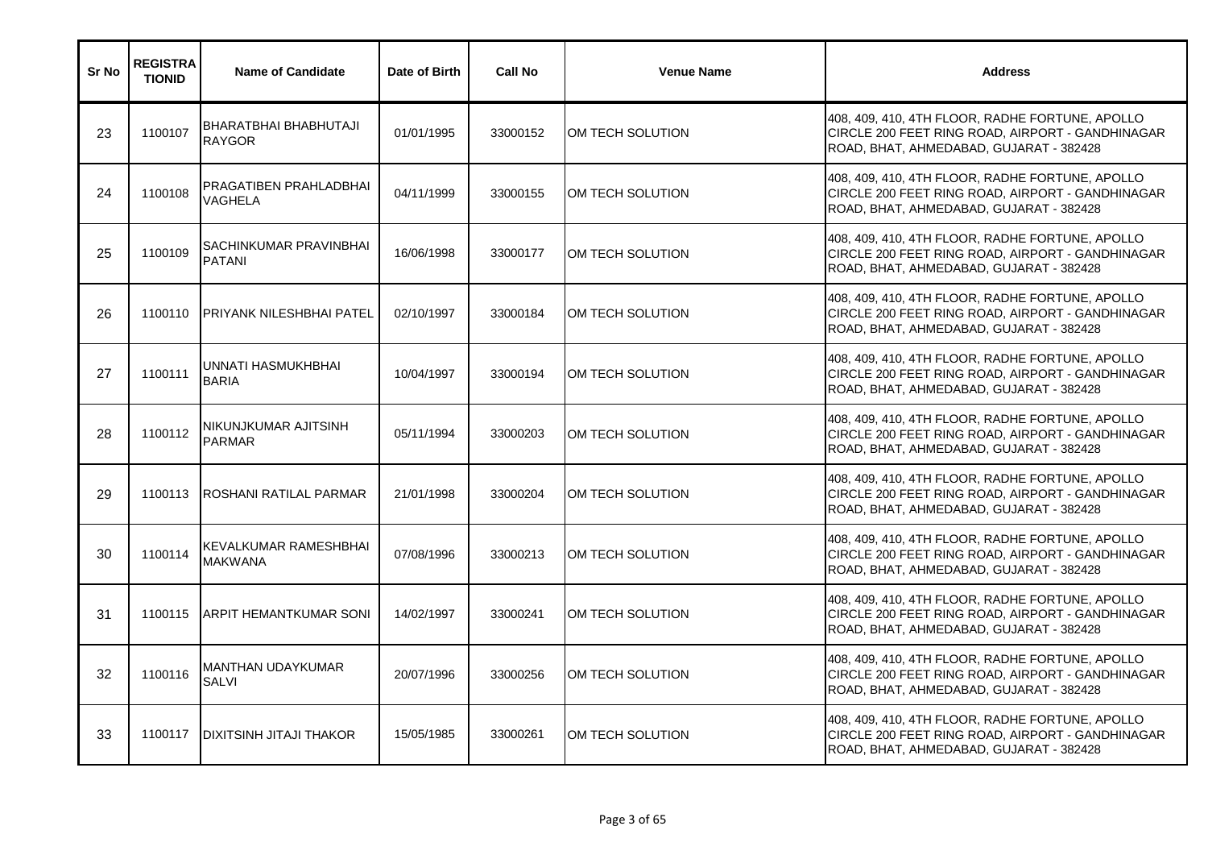| Sr No | <b>REGISTRA</b><br><b>TIONID</b> | <b>Name of Candidate</b>                | Date of Birth | <b>Call No</b> | <b>Venue Name</b> | <b>Address</b>                                                                                                                                 |
|-------|----------------------------------|-----------------------------------------|---------------|----------------|-------------------|------------------------------------------------------------------------------------------------------------------------------------------------|
| 23    | 1100107                          | BHARATBHAI BHABHUTAJI<br><b>RAYGOR</b>  | 01/01/1995    | 33000152       | OM TECH SOLUTION  | 408, 409, 410, 4TH FLOOR, RADHE FORTUNE, APOLLO<br>CIRCLE 200 FEET RING ROAD, AIRPORT - GANDHINAGAR<br>ROAD, BHAT, AHMEDABAD, GUJARAT - 382428 |
| 24    | 1100108                          | PRAGATIBEN PRAHLADBHAI<br>VAGHELA       | 04/11/1999    | 33000155       | OM TECH SOLUTION  | 408, 409, 410, 4TH FLOOR, RADHE FORTUNE, APOLLO<br>CIRCLE 200 FEET RING ROAD, AIRPORT - GANDHINAGAR<br>ROAD, BHAT, AHMEDABAD, GUJARAT - 382428 |
| 25    | 1100109                          | SACHINKUMAR PRAVINBHAI<br><b>PATANI</b> | 16/06/1998    | 33000177       | OM TECH SOLUTION  | 408, 409, 410, 4TH FLOOR, RADHE FORTUNE, APOLLO<br>CIRCLE 200 FEET RING ROAD, AIRPORT - GANDHINAGAR<br>ROAD, BHAT, AHMEDABAD, GUJARAT - 382428 |
| 26    | 1100110                          | PRIYANK NILESHBHAI PATEL                | 02/10/1997    | 33000184       | OM TECH SOLUTION  | 408, 409, 410, 4TH FLOOR, RADHE FORTUNE, APOLLO<br>CIRCLE 200 FEET RING ROAD, AIRPORT - GANDHINAGAR<br>ROAD, BHAT, AHMEDABAD, GUJARAT - 382428 |
| 27    | 1100111                          | UNNATI HASMUKHBHAI<br><b>BARIA</b>      | 10/04/1997    | 33000194       | OM TECH SOLUTION  | 408, 409, 410, 4TH FLOOR, RADHE FORTUNE, APOLLO<br>CIRCLE 200 FEET RING ROAD, AIRPORT - GANDHINAGAR<br>ROAD, BHAT, AHMEDABAD, GUJARAT - 382428 |
| 28    | 1100112                          | NIKUNJKUMAR AJITSINH<br><b>PARMAR</b>   | 05/11/1994    | 33000203       | OM TECH SOLUTION  | 408, 409, 410, 4TH FLOOR, RADHE FORTUNE, APOLLO<br>CIRCLE 200 FEET RING ROAD, AIRPORT - GANDHINAGAR<br>ROAD, BHAT, AHMEDABAD, GUJARAT - 382428 |
| 29    | 1100113                          | ROSHANI RATILAL PARMAR                  | 21/01/1998    | 33000204       | OM TECH SOLUTION  | 408, 409, 410, 4TH FLOOR, RADHE FORTUNE, APOLLO<br>CIRCLE 200 FEET RING ROAD, AIRPORT - GANDHINAGAR<br>ROAD, BHAT, AHMEDABAD, GUJARAT - 382428 |
| 30    | 1100114                          | KEVALKUMAR RAMESHBHAI<br><b>MAKWANA</b> | 07/08/1996    | 33000213       | OM TECH SOLUTION  | 408, 409, 410, 4TH FLOOR, RADHE FORTUNE, APOLLO<br>CIRCLE 200 FEET RING ROAD, AIRPORT - GANDHINAGAR<br>ROAD, BHAT, AHMEDABAD, GUJARAT - 382428 |
| 31    | 1100115                          | ARPIT HEMANTKUMAR SONI                  | 14/02/1997    | 33000241       | OM TECH SOLUTION  | 408, 409, 410, 4TH FLOOR, RADHE FORTUNE, APOLLO<br>CIRCLE 200 FEET RING ROAD, AIRPORT - GANDHINAGAR<br>ROAD, BHAT, AHMEDABAD, GUJARAT - 382428 |
| 32    | 1100116                          | MANTHAN UDAYKUMAR<br>SALVI              | 20/07/1996    | 33000256       | OM TECH SOLUTION  | 408, 409, 410, 4TH FLOOR, RADHE FORTUNE, APOLLO<br>CIRCLE 200 FEET RING ROAD, AIRPORT - GANDHINAGAR<br>ROAD, BHAT, AHMEDABAD, GUJARAT - 382428 |
| 33    | 1100117                          | <b>DIXITSINH JITAJI THAKOR</b>          | 15/05/1985    | 33000261       | OM TECH SOLUTION  | 408, 409, 410, 4TH FLOOR, RADHE FORTUNE, APOLLO<br>CIRCLE 200 FEET RING ROAD, AIRPORT - GANDHINAGAR<br>ROAD, BHAT, AHMEDABAD, GUJARAT - 382428 |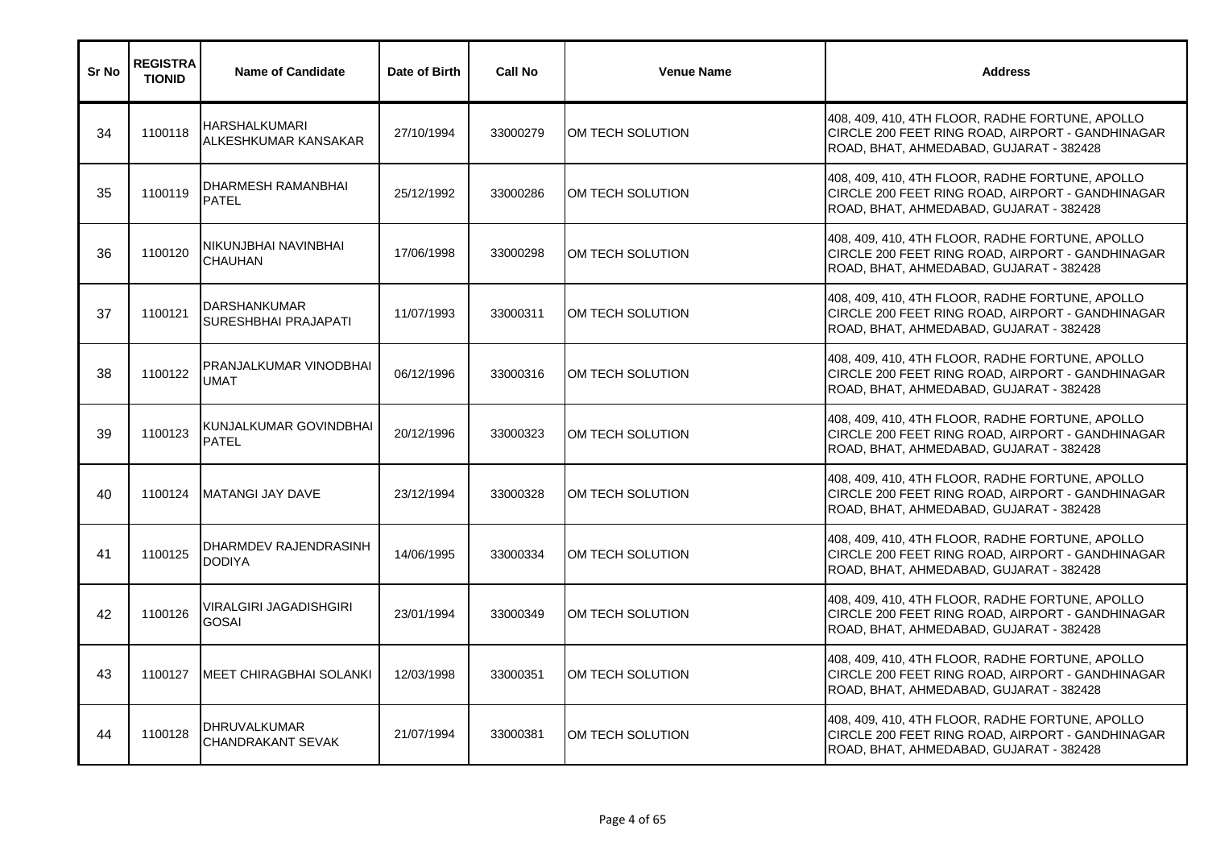| Sr No | <b>REGISTRA</b><br><b>TIONID</b> | <b>Name of Candidate</b>                        | Date of Birth | <b>Call No</b> | <b>Venue Name</b> | <b>Address</b>                                                                                                                                 |
|-------|----------------------------------|-------------------------------------------------|---------------|----------------|-------------------|------------------------------------------------------------------------------------------------------------------------------------------------|
| 34    | 1100118                          | <b>HARSHALKUMARI</b><br>ALKESHKUMAR KANSAKAR    | 27/10/1994    | 33000279       | OM TECH SOLUTION  | 408, 409, 410, 4TH FLOOR, RADHE FORTUNE, APOLLO<br>CIRCLE 200 FEET RING ROAD, AIRPORT - GANDHINAGAR<br>ROAD, BHAT, AHMEDABAD, GUJARAT - 382428 |
| 35    | 1100119                          | DHARMESH RAMANBHAI<br><b>PATEL</b>              | 25/12/1992    | 33000286       | OM TECH SOLUTION  | 408, 409, 410, 4TH FLOOR, RADHE FORTUNE, APOLLO<br>CIRCLE 200 FEET RING ROAD, AIRPORT - GANDHINAGAR<br>ROAD, BHAT, AHMEDABAD, GUJARAT - 382428 |
| 36    | 1100120                          | NIKUNJBHAI NAVINBHAI<br>CHAUHAN                 | 17/06/1998    | 33000298       | OM TECH SOLUTION  | 408, 409, 410, 4TH FLOOR, RADHE FORTUNE, APOLLO<br>CIRCLE 200 FEET RING ROAD, AIRPORT - GANDHINAGAR<br>ROAD, BHAT, AHMEDABAD, GUJARAT - 382428 |
| 37    | 1100121                          | <b>DARSHANKUMAR</b><br>SURESHBHAI PRAJAPATI     | 11/07/1993    | 33000311       | OM TECH SOLUTION  | 408, 409, 410, 4TH FLOOR, RADHE FORTUNE, APOLLO<br>CIRCLE 200 FEET RING ROAD, AIRPORT - GANDHINAGAR<br>ROAD, BHAT, AHMEDABAD, GUJARAT - 382428 |
| 38    | 1100122                          | PRANJALKUMAR VINODBHAI<br><b>UMAT</b>           | 06/12/1996    | 33000316       | OM TECH SOLUTION  | 408, 409, 410, 4TH FLOOR, RADHE FORTUNE, APOLLO<br>CIRCLE 200 FEET RING ROAD, AIRPORT - GANDHINAGAR<br>ROAD, BHAT, AHMEDABAD, GUJARAT - 382428 |
| 39    | 1100123                          | KUNJALKUMAR GOVINDBHAI<br><b>PATEL</b>          | 20/12/1996    | 33000323       | OM TECH SOLUTION  | 408, 409, 410, 4TH FLOOR, RADHE FORTUNE, APOLLO<br>CIRCLE 200 FEET RING ROAD, AIRPORT - GANDHINAGAR<br>ROAD, BHAT, AHMEDABAD, GUJARAT - 382428 |
| 40    | 1100124                          | <b>MATANGI JAY DAVE</b>                         | 23/12/1994    | 33000328       | OM TECH SOLUTION  | 408, 409, 410, 4TH FLOOR, RADHE FORTUNE, APOLLO<br>CIRCLE 200 FEET RING ROAD, AIRPORT - GANDHINAGAR<br>ROAD, BHAT, AHMEDABAD, GUJARAT - 382428 |
| 41    | 1100125                          | DHARMDEV RAJENDRASINH<br><b>DODIYA</b>          | 14/06/1995    | 33000334       | OM TECH SOLUTION  | 408, 409, 410, 4TH FLOOR, RADHE FORTUNE, APOLLO<br>CIRCLE 200 FEET RING ROAD, AIRPORT - GANDHINAGAR<br>ROAD, BHAT, AHMEDABAD, GUJARAT - 382428 |
| 42    | 1100126                          | VIRALGIRI JAGADISHGIRI<br><b>GOSAI</b>          | 23/01/1994    | 33000349       | OM TECH SOLUTION  | 408, 409, 410, 4TH FLOOR, RADHE FORTUNE, APOLLO<br>CIRCLE 200 FEET RING ROAD, AIRPORT - GANDHINAGAR<br>ROAD, BHAT, AHMEDABAD, GUJARAT - 382428 |
| 43    | 1100127                          | <b>MEET CHIRAGBHAI SOLANKI</b>                  | 12/03/1998    | 33000351       | OM TECH SOLUTION  | 408, 409, 410, 4TH FLOOR, RADHE FORTUNE, APOLLO<br>CIRCLE 200 FEET RING ROAD, AIRPORT - GANDHINAGAR<br>ROAD, BHAT, AHMEDABAD, GUJARAT - 382428 |
| 44    | 1100128                          | <b>DHRUVALKUMAR</b><br><b>CHANDRAKANT SEVAK</b> | 21/07/1994    | 33000381       | OM TECH SOLUTION  | 408, 409, 410, 4TH FLOOR, RADHE FORTUNE, APOLLO<br>CIRCLE 200 FEET RING ROAD, AIRPORT - GANDHINAGAR<br>ROAD, BHAT, AHMEDABAD, GUJARAT - 382428 |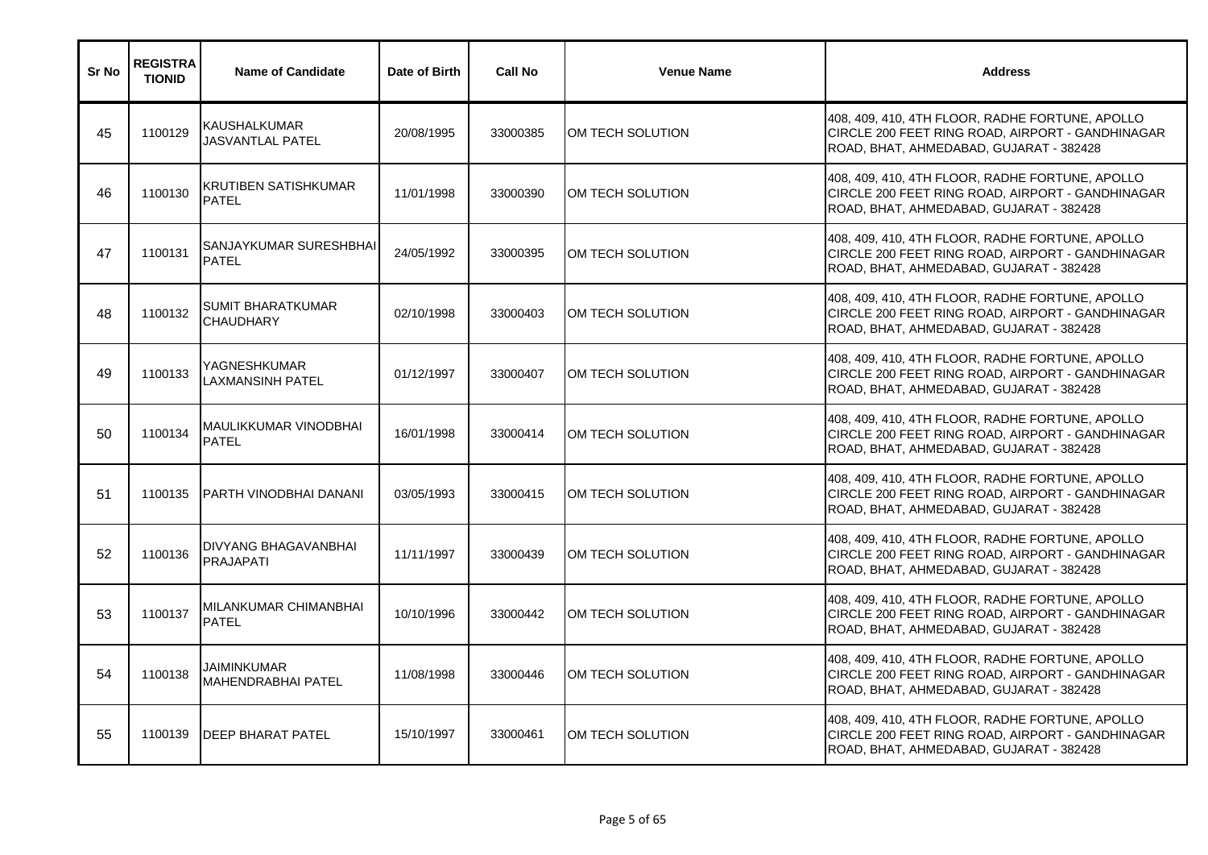| Sr No | <b>REGISTRA</b><br><b>TIONID</b> | <b>Name of Candidate</b>                     | Date of Birth | <b>Call No</b> | <b>Venue Name</b> | <b>Address</b>                                                                                                                                 |
|-------|----------------------------------|----------------------------------------------|---------------|----------------|-------------------|------------------------------------------------------------------------------------------------------------------------------------------------|
| 45    | 1100129                          | KAUSHALKUMAR<br><b>JASVANTLAL PATEL</b>      | 20/08/1995    | 33000385       | OM TECH SOLUTION  | 408, 409, 410, 4TH FLOOR, RADHE FORTUNE, APOLLO<br>CIRCLE 200 FEET RING ROAD, AIRPORT - GANDHINAGAR<br>ROAD, BHAT, AHMEDABAD, GUJARAT - 382428 |
| 46    | 1100130                          | KRUTIBEN SATISHKUMAR<br><b>PATEL</b>         | 11/01/1998    | 33000390       | OM TECH SOLUTION  | 408, 409, 410, 4TH FLOOR, RADHE FORTUNE, APOLLO<br>CIRCLE 200 FEET RING ROAD, AIRPORT - GANDHINAGAR<br>ROAD, BHAT, AHMEDABAD, GUJARAT - 382428 |
| 47    | 1100131                          | SANJAYKUMAR SURESHBHAI<br><b>PATEL</b>       | 24/05/1992    | 33000395       | OM TECH SOLUTION  | 408, 409, 410, 4TH FLOOR, RADHE FORTUNE, APOLLO<br>CIRCLE 200 FEET RING ROAD, AIRPORT - GANDHINAGAR<br>ROAD, BHAT, AHMEDABAD, GUJARAT - 382428 |
| 48    | 1100132                          | <b>SUMIT BHARATKUMAR</b><br><b>CHAUDHARY</b> | 02/10/1998    | 33000403       | OM TECH SOLUTION  | 408, 409, 410, 4TH FLOOR, RADHE FORTUNE, APOLLO<br>CIRCLE 200 FEET RING ROAD, AIRPORT - GANDHINAGAR<br>ROAD, BHAT, AHMEDABAD, GUJARAT - 382428 |
| 49    | 1100133                          | YAGNESHKUMAR<br>LAXMANSINH PATEL             | 01/12/1997    | 33000407       | OM TECH SOLUTION  | 408, 409, 410, 4TH FLOOR, RADHE FORTUNE, APOLLO<br>CIRCLE 200 FEET RING ROAD, AIRPORT - GANDHINAGAR<br>ROAD, BHAT, AHMEDABAD, GUJARAT - 382428 |
| 50    | 1100134                          | <b>MAULIKKUMAR VINODBHAI</b><br><b>PATEL</b> | 16/01/1998    | 33000414       | OM TECH SOLUTION  | 408, 409, 410, 4TH FLOOR, RADHE FORTUNE, APOLLO<br>CIRCLE 200 FEET RING ROAD, AIRPORT - GANDHINAGAR<br>ROAD, BHAT, AHMEDABAD, GUJARAT - 382428 |
| 51    | 1100135                          | PARTH VINODBHAI DANANI                       | 03/05/1993    | 33000415       | OM TECH SOLUTION  | 408, 409, 410, 4TH FLOOR, RADHE FORTUNE, APOLLO<br>CIRCLE 200 FEET RING ROAD, AIRPORT - GANDHINAGAR<br>ROAD, BHAT, AHMEDABAD, GUJARAT - 382428 |
| 52    | 1100136                          | <b>DIVYANG BHAGAVANBHAI</b><br>PRAJAPATI     | 11/11/1997    | 33000439       | OM TECH SOLUTION  | 408, 409, 410, 4TH FLOOR, RADHE FORTUNE, APOLLO<br>CIRCLE 200 FEET RING ROAD, AIRPORT - GANDHINAGAR<br>ROAD, BHAT, AHMEDABAD, GUJARAT - 382428 |
| 53    | 1100137                          | MILANKUMAR CHIMANBHAI<br><b>PATEL</b>        | 10/10/1996    | 33000442       | OM TECH SOLUTION  | 408, 409, 410, 4TH FLOOR, RADHE FORTUNE, APOLLO<br>CIRCLE 200 FEET RING ROAD, AIRPORT - GANDHINAGAR<br>ROAD, BHAT, AHMEDABAD, GUJARAT - 382428 |
| 54    | 1100138                          | JAIMINKUMAR<br><b>MAHENDRABHAI PATEL</b>     | 11/08/1998    | 33000446       | OM TECH SOLUTION  | 408, 409, 410, 4TH FLOOR, RADHE FORTUNE, APOLLO<br>CIRCLE 200 FEET RING ROAD, AIRPORT - GANDHINAGAR<br>ROAD, BHAT, AHMEDABAD, GUJARAT - 382428 |
| 55    | 1100139                          | <b>DEEP BHARAT PATEL</b>                     | 15/10/1997    | 33000461       | OM TECH SOLUTION  | 408, 409, 410, 4TH FLOOR, RADHE FORTUNE, APOLLO<br>CIRCLE 200 FEET RING ROAD, AIRPORT - GANDHINAGAR<br>ROAD, BHAT, AHMEDABAD, GUJARAT - 382428 |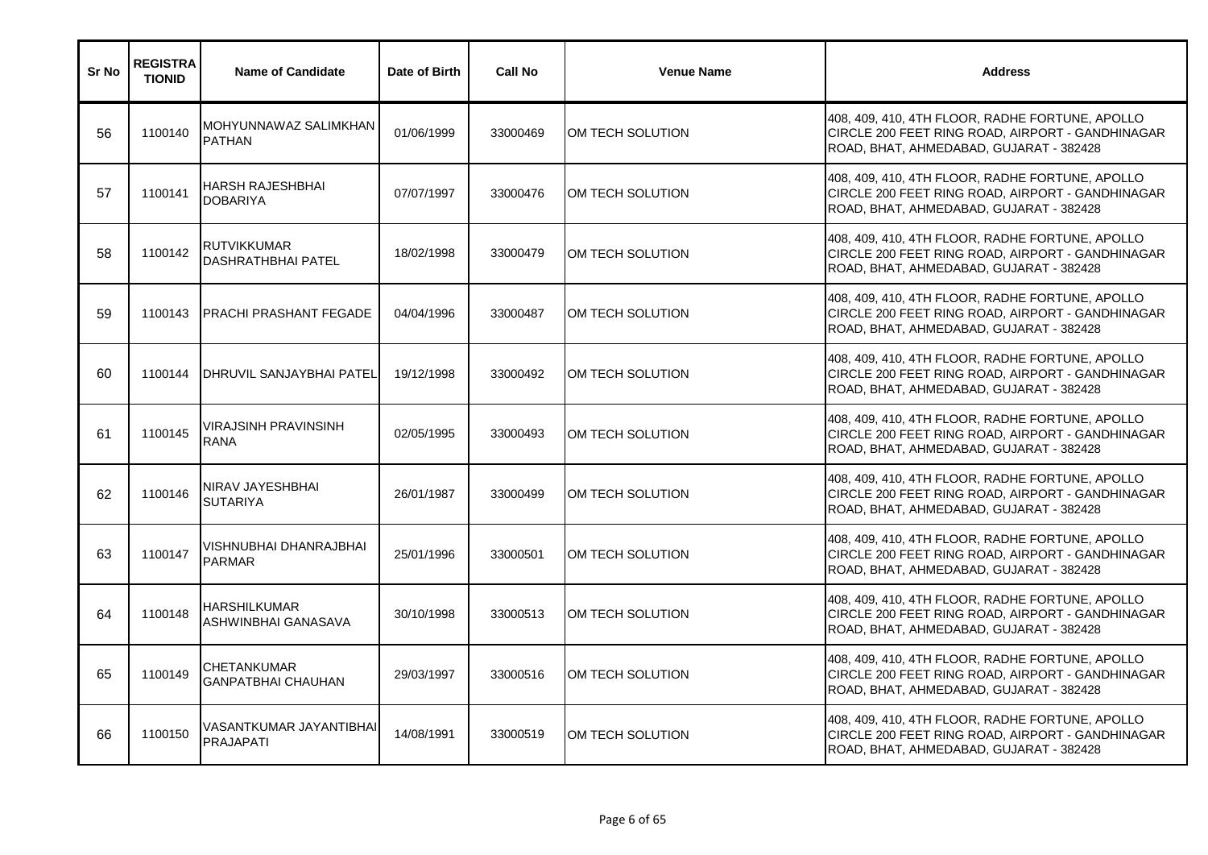| Sr No | <b>REGISTRA</b><br><b>TIONID</b> | <b>Name of Candidate</b>                         | Date of Birth | <b>Call No</b> | <b>Venue Name</b> | <b>Address</b>                                                                                                                                 |
|-------|----------------------------------|--------------------------------------------------|---------------|----------------|-------------------|------------------------------------------------------------------------------------------------------------------------------------------------|
| 56    | 1100140                          | MOHYUNNAWAZ SALIMKHAN<br><b>PATHAN</b>           | 01/06/1999    | 33000469       | IOM TECH SOLUTION | 408, 409, 410, 4TH FLOOR, RADHE FORTUNE, APOLLO<br>CIRCLE 200 FEET RING ROAD, AIRPORT - GANDHINAGAR<br>ROAD, BHAT, AHMEDABAD, GUJARAT - 382428 |
| 57    | 1100141                          | <b>HARSH RAJESHBHAI</b><br><b>DOBARIYA</b>       | 07/07/1997    | 33000476       | OM TECH SOLUTION  | 408, 409, 410, 4TH FLOOR, RADHE FORTUNE, APOLLO<br>CIRCLE 200 FEET RING ROAD, AIRPORT - GANDHINAGAR<br>ROAD, BHAT, AHMEDABAD, GUJARAT - 382428 |
| 58    | 1100142                          | RUTVIKKUMAR<br>DASHRATHBHAI PATEL                | 18/02/1998    | 33000479       | OM TECH SOLUTION  | 408, 409, 410, 4TH FLOOR, RADHE FORTUNE, APOLLO<br>CIRCLE 200 FEET RING ROAD, AIRPORT - GANDHINAGAR<br>ROAD, BHAT, AHMEDABAD, GUJARAT - 382428 |
| 59    | 1100143                          | <b>PRACHI PRASHANT FEGADE</b>                    | 04/04/1996    | 33000487       | OM TECH SOLUTION  | 408, 409, 410, 4TH FLOOR, RADHE FORTUNE, APOLLO<br>CIRCLE 200 FEET RING ROAD, AIRPORT - GANDHINAGAR<br>ROAD, BHAT, AHMEDABAD, GUJARAT - 382428 |
| 60    | 1100144                          | <b>DHRUVIL SANJAYBHAI PATEL</b>                  | 19/12/1998    | 33000492       | OM TECH SOLUTION  | 408, 409, 410, 4TH FLOOR, RADHE FORTUNE, APOLLO<br>CIRCLE 200 FEET RING ROAD, AIRPORT - GANDHINAGAR<br>ROAD, BHAT, AHMEDABAD, GUJARAT - 382428 |
| 61    | 1100145                          | <b>VIRAJSINH PRAVINSINH</b><br><b>RANA</b>       | 02/05/1995    | 33000493       | OM TECH SOLUTION  | 408, 409, 410, 4TH FLOOR, RADHE FORTUNE, APOLLO<br>CIRCLE 200 FEET RING ROAD, AIRPORT - GANDHINAGAR<br>ROAD, BHAT, AHMEDABAD, GUJARAT - 382428 |
| 62    | 1100146                          | NIRAV JAYESHBHAI<br><b>SUTARIYA</b>              | 26/01/1987    | 33000499       | OM TECH SOLUTION  | 408, 409, 410, 4TH FLOOR, RADHE FORTUNE, APOLLO<br>CIRCLE 200 FEET RING ROAD, AIRPORT - GANDHINAGAR<br>ROAD, BHAT, AHMEDABAD, GUJARAT - 382428 |
| 63    | 1100147                          | VISHNUBHAI DHANRAJBHAI<br><b>PARMAR</b>          | 25/01/1996    | 33000501       | OM TECH SOLUTION  | 408, 409, 410, 4TH FLOOR, RADHE FORTUNE, APOLLO<br>CIRCLE 200 FEET RING ROAD, AIRPORT - GANDHINAGAR<br>ROAD, BHAT, AHMEDABAD, GUJARAT - 382428 |
| 64    | 1100148                          | <b>HARSHILKUMAR</b><br>ASHWINBHAI GANASAVA       | 30/10/1998    | 33000513       | OM TECH SOLUTION  | 408, 409, 410, 4TH FLOOR, RADHE FORTUNE, APOLLO<br>CIRCLE 200 FEET RING ROAD, AIRPORT - GANDHINAGAR<br>ROAD, BHAT, AHMEDABAD, GUJARAT - 382428 |
| 65    | 1100149                          | <b>ICHETANKUMAR</b><br><b>GANPATBHAI CHAUHAN</b> | 29/03/1997    | 33000516       | OM TECH SOLUTION  | 408, 409, 410, 4TH FLOOR, RADHE FORTUNE, APOLLO<br>CIRCLE 200 FEET RING ROAD, AIRPORT - GANDHINAGAR<br>ROAD, BHAT, AHMEDABAD, GUJARAT - 382428 |
| 66    | 1100150                          | VASANTKUMAR JAYANTIBHAI<br><b>PRAJAPATI</b>      | 14/08/1991    | 33000519       | OM TECH SOLUTION  | 408, 409, 410, 4TH FLOOR, RADHE FORTUNE, APOLLO<br>CIRCLE 200 FEET RING ROAD, AIRPORT - GANDHINAGAR<br>ROAD, BHAT, AHMEDABAD, GUJARAT - 382428 |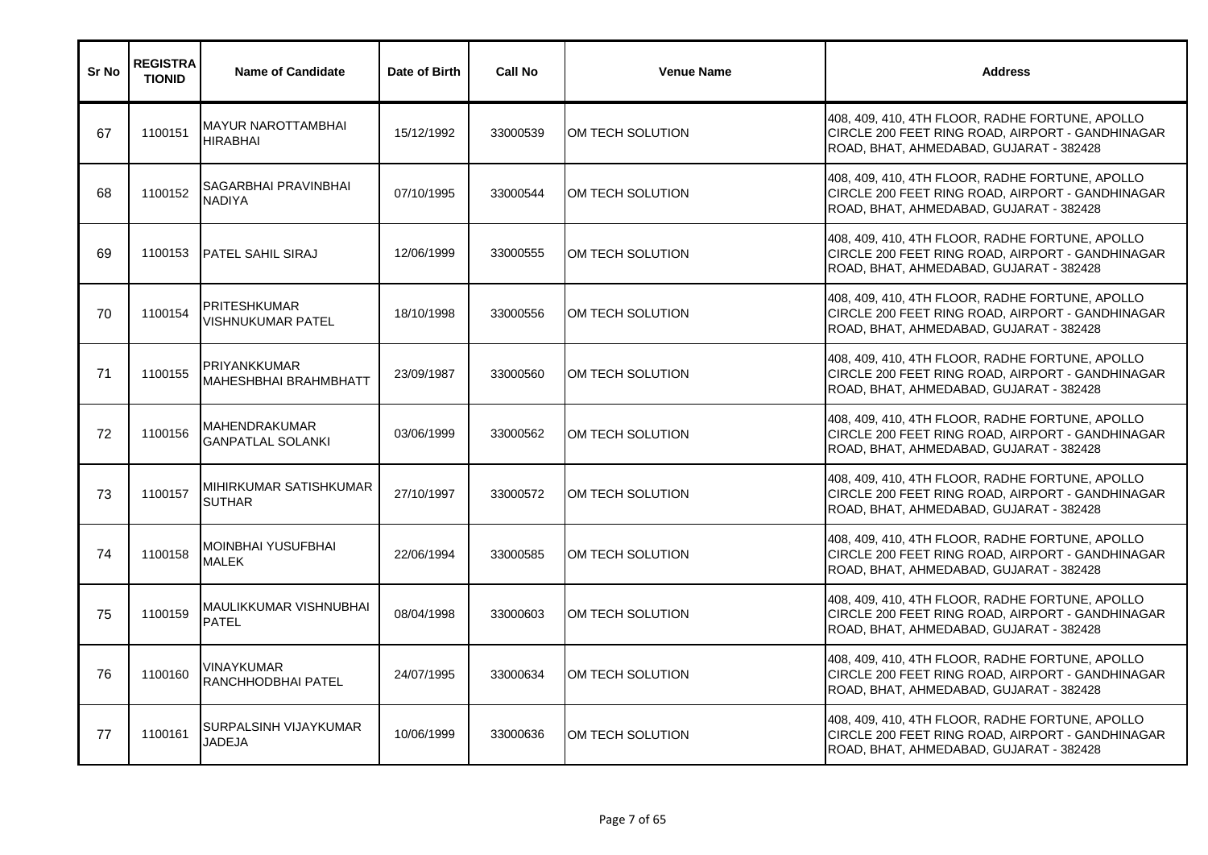| Sr No | <b>REGISTRA</b><br><b>TIONID</b> | <b>Name of Candidate</b>                            | Date of Birth | <b>Call No</b> | <b>Venue Name</b> | <b>Address</b>                                                                                                                                 |
|-------|----------------------------------|-----------------------------------------------------|---------------|----------------|-------------------|------------------------------------------------------------------------------------------------------------------------------------------------|
| 67    | 1100151                          | <b>MAYUR NAROTTAMBHAI</b><br><b>HIRABHAI</b>        | 15/12/1992    | 33000539       | OM TECH SOLUTION  | 408, 409, 410, 4TH FLOOR, RADHE FORTUNE, APOLLO<br>CIRCLE 200 FEET RING ROAD, AIRPORT - GANDHINAGAR<br>ROAD, BHAT, AHMEDABAD, GUJARAT - 382428 |
| 68    | 1100152                          | SAGARBHAI PRAVINBHAI<br><b>NADIYA</b>               | 07/10/1995    | 33000544       | OM TECH SOLUTION  | 408, 409, 410, 4TH FLOOR, RADHE FORTUNE, APOLLO<br>CIRCLE 200 FEET RING ROAD, AIRPORT - GANDHINAGAR<br>ROAD, BHAT, AHMEDABAD, GUJARAT - 382428 |
| 69    | 1100153                          | <b>PATEL SAHIL SIRAJ</b>                            | 12/06/1999    | 33000555       | OM TECH SOLUTION  | 408, 409, 410, 4TH FLOOR, RADHE FORTUNE, APOLLO<br>CIRCLE 200 FEET RING ROAD, AIRPORT - GANDHINAGAR<br>ROAD, BHAT, AHMEDABAD, GUJARAT - 382428 |
| 70    | 1100154                          | <b>PRITESHKUMAR</b><br><b>VISHNUKUMAR PATEL</b>     | 18/10/1998    | 33000556       | OM TECH SOLUTION  | 408, 409, 410, 4TH FLOOR, RADHE FORTUNE, APOLLO<br>CIRCLE 200 FEET RING ROAD, AIRPORT - GANDHINAGAR<br>ROAD, BHAT, AHMEDABAD, GUJARAT - 382428 |
| 71    | 1100155                          | <b>PRIYANKKUMAR</b><br><b>MAHESHBHAI BRAHMBHATT</b> | 23/09/1987    | 33000560       | OM TECH SOLUTION  | 408, 409, 410, 4TH FLOOR, RADHE FORTUNE, APOLLO<br>CIRCLE 200 FEET RING ROAD, AIRPORT - GANDHINAGAR<br>ROAD, BHAT, AHMEDABAD, GUJARAT - 382428 |
| 72    | 1100156                          | MAHENDRAKUMAR<br><b>GANPATLAL SOLANKI</b>           | 03/06/1999    | 33000562       | OM TECH SOLUTION  | 408, 409, 410, 4TH FLOOR, RADHE FORTUNE, APOLLO<br>CIRCLE 200 FEET RING ROAD, AIRPORT - GANDHINAGAR<br>ROAD, BHAT, AHMEDABAD, GUJARAT - 382428 |
| 73    | 1100157                          | MIHIRKUMAR SATISHKUMAR<br><b>SUTHAR</b>             | 27/10/1997    | 33000572       | OM TECH SOLUTION  | 408, 409, 410, 4TH FLOOR, RADHE FORTUNE, APOLLO<br>CIRCLE 200 FEET RING ROAD, AIRPORT - GANDHINAGAR<br>ROAD, BHAT, AHMEDABAD, GUJARAT - 382428 |
| 74    | 1100158                          | <b>MOINBHAI YUSUFBHAI</b><br><b>MALEK</b>           | 22/06/1994    | 33000585       | OM TECH SOLUTION  | 408, 409, 410, 4TH FLOOR, RADHE FORTUNE, APOLLO<br>CIRCLE 200 FEET RING ROAD, AIRPORT - GANDHINAGAR<br>ROAD, BHAT, AHMEDABAD, GUJARAT - 382428 |
| 75    | 1100159                          | <b>MAULIKKUMAR VISHNUBHAI</b><br><b>PATEL</b>       | 08/04/1998    | 33000603       | OM TECH SOLUTION  | 408, 409, 410, 4TH FLOOR, RADHE FORTUNE, APOLLO<br>CIRCLE 200 FEET RING ROAD, AIRPORT - GANDHINAGAR<br>ROAD, BHAT, AHMEDABAD, GUJARAT - 382428 |
| 76    | 1100160                          | <b>VINAYKUMAR</b><br>RANCHHODBHAI PATEL             | 24/07/1995    | 33000634       | OM TECH SOLUTION  | 408, 409, 410, 4TH FLOOR, RADHE FORTUNE, APOLLO<br>CIRCLE 200 FEET RING ROAD, AIRPORT - GANDHINAGAR<br>ROAD, BHAT, AHMEDABAD, GUJARAT - 382428 |
| 77    | 1100161                          | <b>SURPALSINH VIJAYKUMAR</b><br><b>JADEJA</b>       | 10/06/1999    | 33000636       | OM TECH SOLUTION  | 408, 409, 410, 4TH FLOOR, RADHE FORTUNE, APOLLO<br>CIRCLE 200 FEET RING ROAD, AIRPORT - GANDHINAGAR<br>ROAD, BHAT, AHMEDABAD, GUJARAT - 382428 |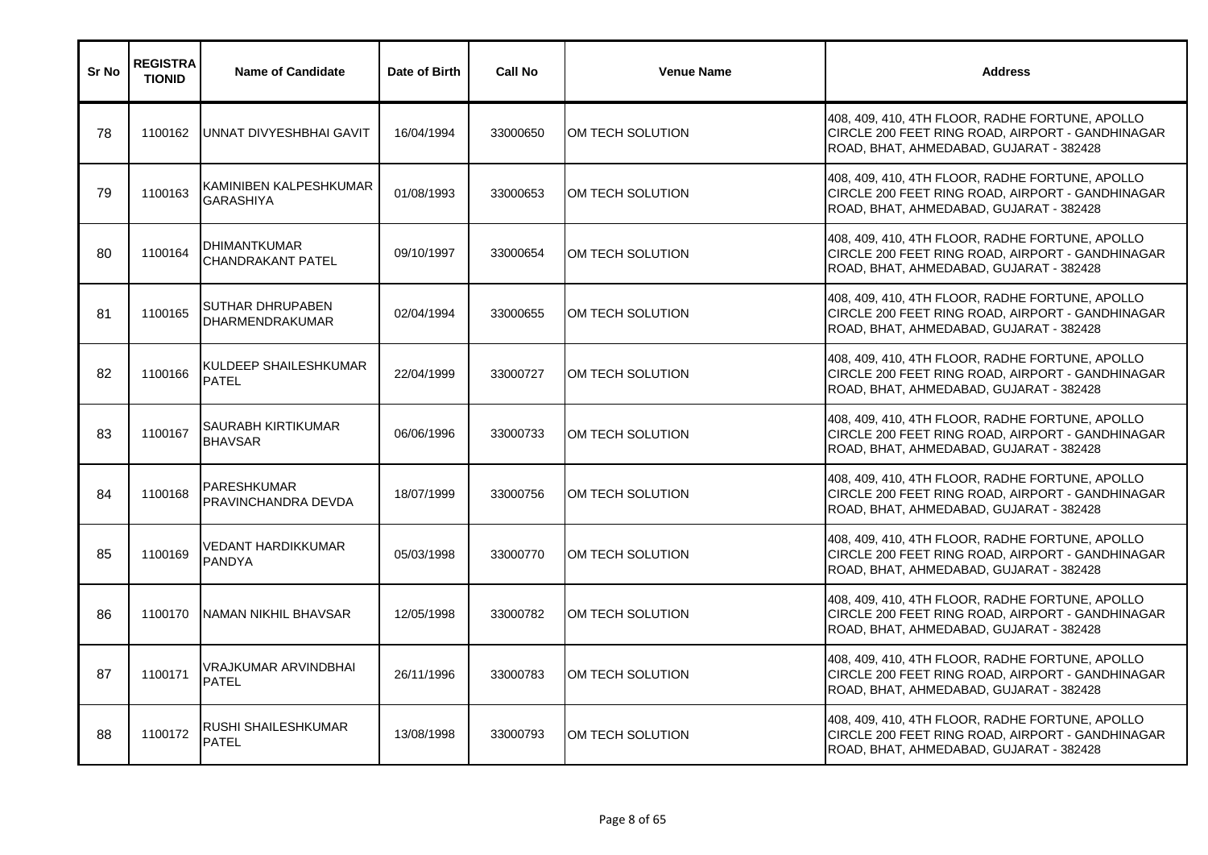| Sr No | <b>REGISTRA</b><br><b>TIONID</b> | <b>Name of Candidate</b>                          | Date of Birth | <b>Call No</b> | <b>Venue Name</b> | <b>Address</b>                                                                                                                                 |
|-------|----------------------------------|---------------------------------------------------|---------------|----------------|-------------------|------------------------------------------------------------------------------------------------------------------------------------------------|
| 78    | 1100162                          | UNNAT DIVYESHBHAI GAVIT                           | 16/04/1994    | 33000650       | IOM TECH SOLUTION | 408, 409, 410, 4TH FLOOR, RADHE FORTUNE, APOLLO<br>CIRCLE 200 FEET RING ROAD, AIRPORT - GANDHINAGAR<br>ROAD, BHAT, AHMEDABAD, GUJARAT - 382428 |
| 79    | 1100163                          | KAMINIBEN KALPESHKUMAR<br><b>GARASHIYA</b>        | 01/08/1993    | 33000653       | OM TECH SOLUTION  | 408, 409, 410, 4TH FLOOR, RADHE FORTUNE, APOLLO<br>CIRCLE 200 FEET RING ROAD, AIRPORT - GANDHINAGAR<br>ROAD, BHAT, AHMEDABAD, GUJARAT - 382428 |
| 80    | 1100164                          | <b>DHIMANTKUMAR</b><br><b>CHANDRAKANT PATEL</b>   | 09/10/1997    | 33000654       | OM TECH SOLUTION  | 408, 409, 410, 4TH FLOOR, RADHE FORTUNE, APOLLO<br>CIRCLE 200 FEET RING ROAD, AIRPORT - GANDHINAGAR<br>ROAD, BHAT, AHMEDABAD, GUJARAT - 382428 |
| 81    | 1100165                          | <b>SUTHAR DHRUPABEN</b><br><b>DHARMENDRAKUMAR</b> | 02/04/1994    | 33000655       | OM TECH SOLUTION  | 408, 409, 410, 4TH FLOOR, RADHE FORTUNE, APOLLO<br>CIRCLE 200 FEET RING ROAD, AIRPORT - GANDHINAGAR<br>ROAD, BHAT, AHMEDABAD, GUJARAT - 382428 |
| 82    | 1100166                          | KULDEEP SHAILESHKUMAR<br><b>PATEL</b>             | 22/04/1999    | 33000727       | OM TECH SOLUTION  | 408, 409, 410, 4TH FLOOR, RADHE FORTUNE, APOLLO<br>CIRCLE 200 FEET RING ROAD, AIRPORT - GANDHINAGAR<br>ROAD, BHAT, AHMEDABAD, GUJARAT - 382428 |
| 83    | 1100167                          | <b>SAURABH KIRTIKUMAR</b><br><b>BHAVSAR</b>       | 06/06/1996    | 33000733       | OM TECH SOLUTION  | 408, 409, 410, 4TH FLOOR, RADHE FORTUNE, APOLLO<br>CIRCLE 200 FEET RING ROAD, AIRPORT - GANDHINAGAR<br>ROAD, BHAT, AHMEDABAD, GUJARAT - 382428 |
| 84    | 1100168                          | <b>PARESHKUMAR</b><br>PRAVINCHANDRA DEVDA         | 18/07/1999    | 33000756       | OM TECH SOLUTION  | 408, 409, 410, 4TH FLOOR, RADHE FORTUNE, APOLLO<br>CIRCLE 200 FEET RING ROAD, AIRPORT - GANDHINAGAR<br>ROAD, BHAT, AHMEDABAD, GUJARAT - 382428 |
| 85    | 1100169                          | VEDANT HARDIKKUMAR<br><b>PANDYA</b>               | 05/03/1998    | 33000770       | OM TECH SOLUTION  | 408, 409, 410, 4TH FLOOR, RADHE FORTUNE, APOLLO<br>CIRCLE 200 FEET RING ROAD, AIRPORT - GANDHINAGAR<br>ROAD, BHAT, AHMEDABAD, GUJARAT - 382428 |
| 86    | 1100170                          | <b>NAMAN NIKHIL BHAVSAR</b>                       | 12/05/1998    | 33000782       | OM TECH SOLUTION  | 408, 409, 410, 4TH FLOOR, RADHE FORTUNE, APOLLO<br>CIRCLE 200 FEET RING ROAD, AIRPORT - GANDHINAGAR<br>ROAD, BHAT, AHMEDABAD, GUJARAT - 382428 |
| 87    | 1100171                          | <b>VRAJKUMAR ARVINDBHAI</b><br><b>PATEL</b>       | 26/11/1996    | 33000783       | OM TECH SOLUTION  | 408, 409, 410, 4TH FLOOR, RADHE FORTUNE, APOLLO<br>CIRCLE 200 FEET RING ROAD, AIRPORT - GANDHINAGAR<br>ROAD, BHAT, AHMEDABAD, GUJARAT - 382428 |
| 88    | 1100172                          | <b>RUSHI SHAILESHKUMAR</b><br><b>PATEL</b>        | 13/08/1998    | 33000793       | OM TECH SOLUTION  | 408, 409, 410, 4TH FLOOR, RADHE FORTUNE, APOLLO<br>CIRCLE 200 FEET RING ROAD, AIRPORT - GANDHINAGAR<br>ROAD, BHAT, AHMEDABAD, GUJARAT - 382428 |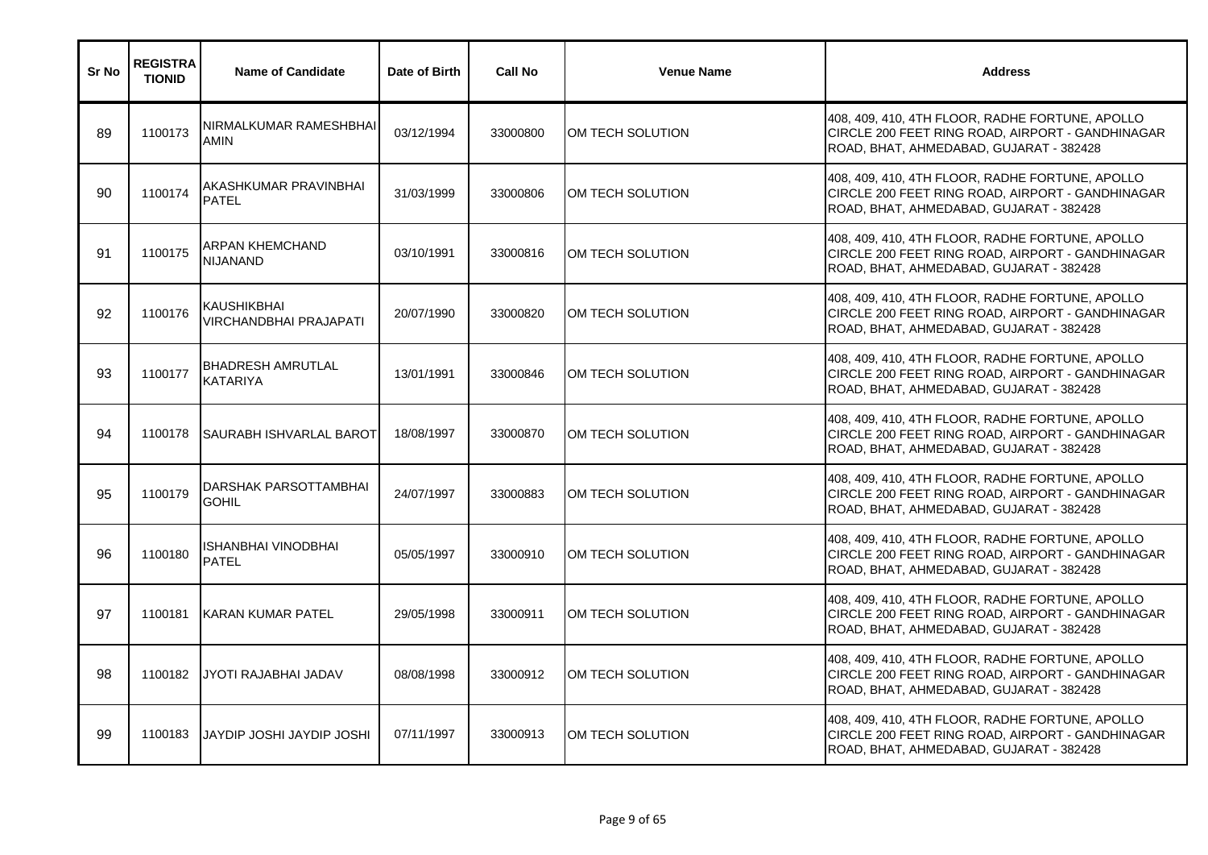| Sr No | <b>REGISTRA</b><br><b>TIONID</b> | <b>Name of Candidate</b>              | Date of Birth | <b>Call No</b> | <b>Venue Name</b> | <b>Address</b>                                                                                                                                 |
|-------|----------------------------------|---------------------------------------|---------------|----------------|-------------------|------------------------------------------------------------------------------------------------------------------------------------------------|
| 89    | 1100173                          | NIRMALKUMAR RAMESHBHAI<br><b>AMIN</b> | 03/12/1994    | 33000800       | OM TECH SOLUTION  | 408, 409, 410, 4TH FLOOR, RADHE FORTUNE, APOLLO<br>CIRCLE 200 FEET RING ROAD, AIRPORT - GANDHINAGAR<br>ROAD, BHAT, AHMEDABAD, GUJARAT - 382428 |
| 90    | 1100174                          | AKASHKUMAR PRAVINBHAI<br><b>PATEL</b> | 31/03/1999    | 33000806       | OM TECH SOLUTION  | 408, 409, 410, 4TH FLOOR, RADHE FORTUNE, APOLLO<br>CIRCLE 200 FEET RING ROAD, AIRPORT - GANDHINAGAR<br>ROAD, BHAT, AHMEDABAD, GUJARAT - 382428 |
| 91    | 1100175                          | ARPAN KHEMCHAND<br>NIJANAND           | 03/10/1991    | 33000816       | OM TECH SOLUTION  | 408, 409, 410, 4TH FLOOR, RADHE FORTUNE, APOLLO<br>CIRCLE 200 FEET RING ROAD, AIRPORT - GANDHINAGAR<br>ROAD, BHAT, AHMEDABAD, GUJARAT - 382428 |
| 92    | 1100176                          | KAUSHIKBHAI<br>VIRCHANDBHAI PRAJAPATI | 20/07/1990    | 33000820       | OM TECH SOLUTION  | 408, 409, 410, 4TH FLOOR, RADHE FORTUNE, APOLLO<br>CIRCLE 200 FEET RING ROAD, AIRPORT - GANDHINAGAR<br>ROAD, BHAT, AHMEDABAD, GUJARAT - 382428 |
| 93    | 1100177                          | BHADRESH AMRUTLAL<br><b>KATARIYA</b>  | 13/01/1991    | 33000846       | OM TECH SOLUTION  | 408, 409, 410, 4TH FLOOR, RADHE FORTUNE, APOLLO<br>CIRCLE 200 FEET RING ROAD, AIRPORT - GANDHINAGAR<br>ROAD, BHAT, AHMEDABAD, GUJARAT - 382428 |
| 94    | 1100178                          | SAURABH ISHVARLAL BAROT               | 18/08/1997    | 33000870       | OM TECH SOLUTION  | 408, 409, 410, 4TH FLOOR, RADHE FORTUNE, APOLLO<br>CIRCLE 200 FEET RING ROAD, AIRPORT - GANDHINAGAR<br>ROAD, BHAT, AHMEDABAD, GUJARAT - 382428 |
| 95    | 1100179                          | DARSHAK PARSOTTAMBHAI<br><b>GOHIL</b> | 24/07/1997    | 33000883       | OM TECH SOLUTION  | 408, 409, 410, 4TH FLOOR, RADHE FORTUNE, APOLLO<br>CIRCLE 200 FEET RING ROAD, AIRPORT - GANDHINAGAR<br>ROAD, BHAT, AHMEDABAD, GUJARAT - 382428 |
| 96    | 1100180                          | ISHANBHAI VINODBHAI<br><b>PATEL</b>   | 05/05/1997    | 33000910       | OM TECH SOLUTION  | 408, 409, 410, 4TH FLOOR, RADHE FORTUNE, APOLLO<br>CIRCLE 200 FEET RING ROAD, AIRPORT - GANDHINAGAR<br>ROAD, BHAT, AHMEDABAD, GUJARAT - 382428 |
| 97    | 1100181                          | KARAN KUMAR PATEL                     | 29/05/1998    | 33000911       | OM TECH SOLUTION  | 408, 409, 410, 4TH FLOOR, RADHE FORTUNE, APOLLO<br>CIRCLE 200 FEET RING ROAD, AIRPORT - GANDHINAGAR<br>ROAD, BHAT, AHMEDABAD, GUJARAT - 382428 |
| 98    | 1100182                          | <b>JYOTI RAJABHAI JADAV</b>           | 08/08/1998    | 33000912       | OM TECH SOLUTION  | 408, 409, 410, 4TH FLOOR, RADHE FORTUNE, APOLLO<br>CIRCLE 200 FEET RING ROAD, AIRPORT - GANDHINAGAR<br>ROAD, BHAT, AHMEDABAD, GUJARAT - 382428 |
| 99    | 1100183                          | JAYDIP JOSHI JAYDIP JOSHI             | 07/11/1997    | 33000913       | OM TECH SOLUTION  | 408, 409, 410, 4TH FLOOR, RADHE FORTUNE, APOLLO<br>CIRCLE 200 FEET RING ROAD, AIRPORT - GANDHINAGAR<br>ROAD, BHAT, AHMEDABAD, GUJARAT - 382428 |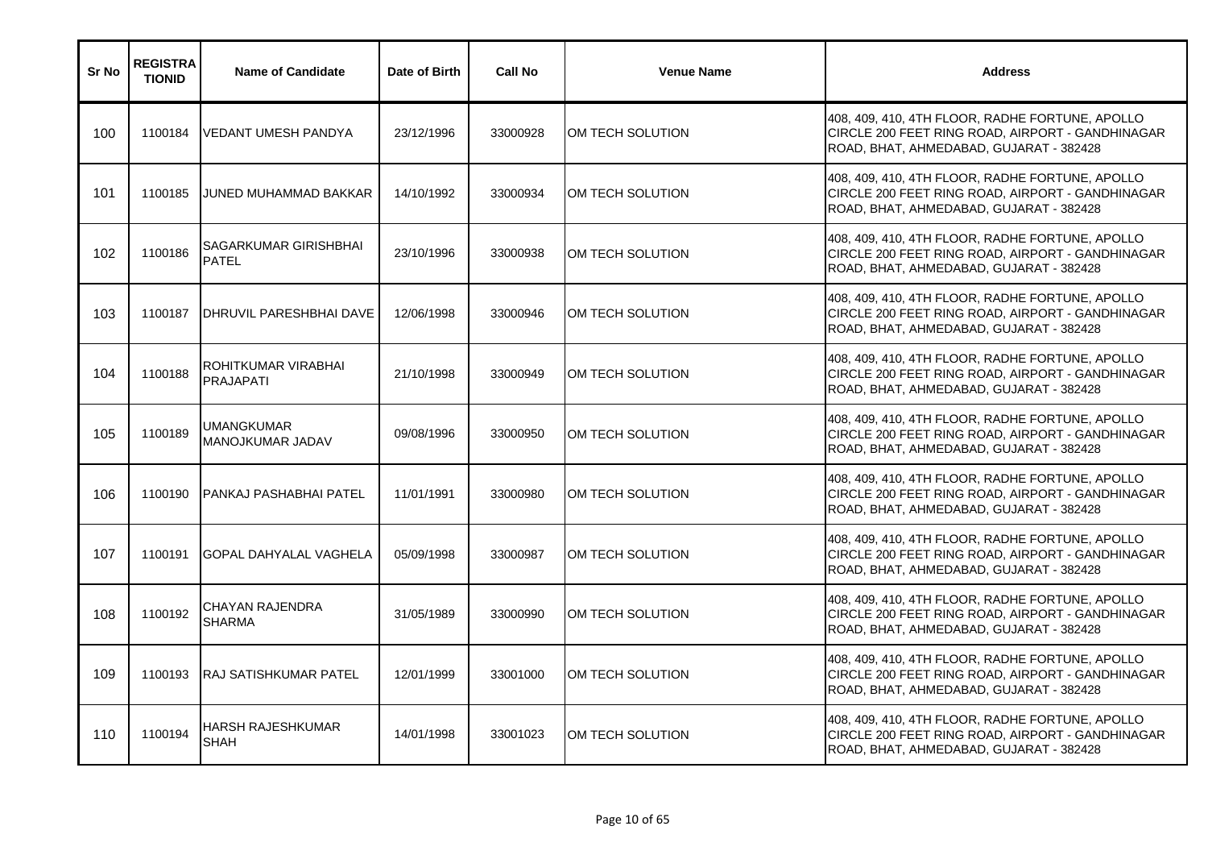| Sr No | <b>REGISTRA</b><br><b>TIONID</b> | <b>Name of Candidate</b>                | Date of Birth | <b>Call No</b> | <b>Venue Name</b> | <b>Address</b>                                                                                                                                 |
|-------|----------------------------------|-----------------------------------------|---------------|----------------|-------------------|------------------------------------------------------------------------------------------------------------------------------------------------|
| 100   | 1100184                          | VEDANT UMESH PANDYA                     | 23/12/1996    | 33000928       | OM TECH SOLUTION  | 408, 409, 410, 4TH FLOOR, RADHE FORTUNE, APOLLO<br>CIRCLE 200 FEET RING ROAD, AIRPORT - GANDHINAGAR<br>ROAD, BHAT, AHMEDABAD, GUJARAT - 382428 |
| 101   | 1100185                          | JUNED MUHAMMAD BAKKAR                   | 14/10/1992    | 33000934       | OM TECH SOLUTION  | 408, 409, 410, 4TH FLOOR, RADHE FORTUNE, APOLLO<br>CIRCLE 200 FEET RING ROAD, AIRPORT - GANDHINAGAR<br>ROAD, BHAT, AHMEDABAD, GUJARAT - 382428 |
| 102   | 1100186                          | SAGARKUMAR GIRISHBHAI<br><b>PATEL</b>   | 23/10/1996    | 33000938       | OM TECH SOLUTION  | 408, 409, 410, 4TH FLOOR, RADHE FORTUNE, APOLLO<br>CIRCLE 200 FEET RING ROAD, AIRPORT - GANDHINAGAR<br>ROAD, BHAT, AHMEDABAD, GUJARAT - 382428 |
| 103   | 1100187                          | DHRUVIL PARESHBHAI DAVE                 | 12/06/1998    | 33000946       | OM TECH SOLUTION  | 408, 409, 410, 4TH FLOOR, RADHE FORTUNE, APOLLO<br>CIRCLE 200 FEET RING ROAD, AIRPORT - GANDHINAGAR<br>ROAD, BHAT, AHMEDABAD, GUJARAT - 382428 |
| 104   | 1100188                          | ROHITKUMAR VIRABHAI<br><b>PRAJAPATI</b> | 21/10/1998    | 33000949       | OM TECH SOLUTION  | 408, 409, 410, 4TH FLOOR, RADHE FORTUNE, APOLLO<br>CIRCLE 200 FEET RING ROAD, AIRPORT - GANDHINAGAR<br>ROAD, BHAT, AHMEDABAD, GUJARAT - 382428 |
| 105   | 1100189                          | UMANGKUMAR<br>MANOJKUMAR JADAV          | 09/08/1996    | 33000950       | OM TECH SOLUTION  | 408, 409, 410, 4TH FLOOR, RADHE FORTUNE, APOLLO<br>CIRCLE 200 FEET RING ROAD, AIRPORT - GANDHINAGAR<br>ROAD, BHAT, AHMEDABAD, GUJARAT - 382428 |
| 106   | 1100190                          | PANKAJ PASHABHAI PATEL                  | 11/01/1991    | 33000980       | OM TECH SOLUTION  | 408, 409, 410, 4TH FLOOR, RADHE FORTUNE, APOLLO<br>CIRCLE 200 FEET RING ROAD, AIRPORT - GANDHINAGAR<br>ROAD, BHAT, AHMEDABAD, GUJARAT - 382428 |
| 107   | 1100191                          | <b>I</b> GOPAL DAHYALAL VAGHELA         | 05/09/1998    | 33000987       | OM TECH SOLUTION  | 408, 409, 410, 4TH FLOOR, RADHE FORTUNE, APOLLO<br>CIRCLE 200 FEET RING ROAD, AIRPORT - GANDHINAGAR<br>ROAD, BHAT, AHMEDABAD, GUJARAT - 382428 |
| 108   | 1100192                          | CHAYAN RAJENDRA<br><b>SHARMA</b>        | 31/05/1989    | 33000990       | OM TECH SOLUTION  | 408, 409, 410, 4TH FLOOR, RADHE FORTUNE, APOLLO<br>CIRCLE 200 FEET RING ROAD, AIRPORT - GANDHINAGAR<br>ROAD, BHAT, AHMEDABAD, GUJARAT - 382428 |
| 109   | 1100193                          | <b>RAJ SATISHKUMAR PATEL</b>            | 12/01/1999    | 33001000       | OM TECH SOLUTION  | 408, 409, 410, 4TH FLOOR, RADHE FORTUNE, APOLLO<br>CIRCLE 200 FEET RING ROAD, AIRPORT - GANDHINAGAR<br>ROAD, BHAT, AHMEDABAD, GUJARAT - 382428 |
| 110   | 1100194                          | HARSH RAJESHKUMAR<br><b>SHAH</b>        | 14/01/1998    | 33001023       | OM TECH SOLUTION  | 408, 409, 410, 4TH FLOOR, RADHE FORTUNE, APOLLO<br>CIRCLE 200 FEET RING ROAD, AIRPORT - GANDHINAGAR<br>ROAD, BHAT, AHMEDABAD, GUJARAT - 382428 |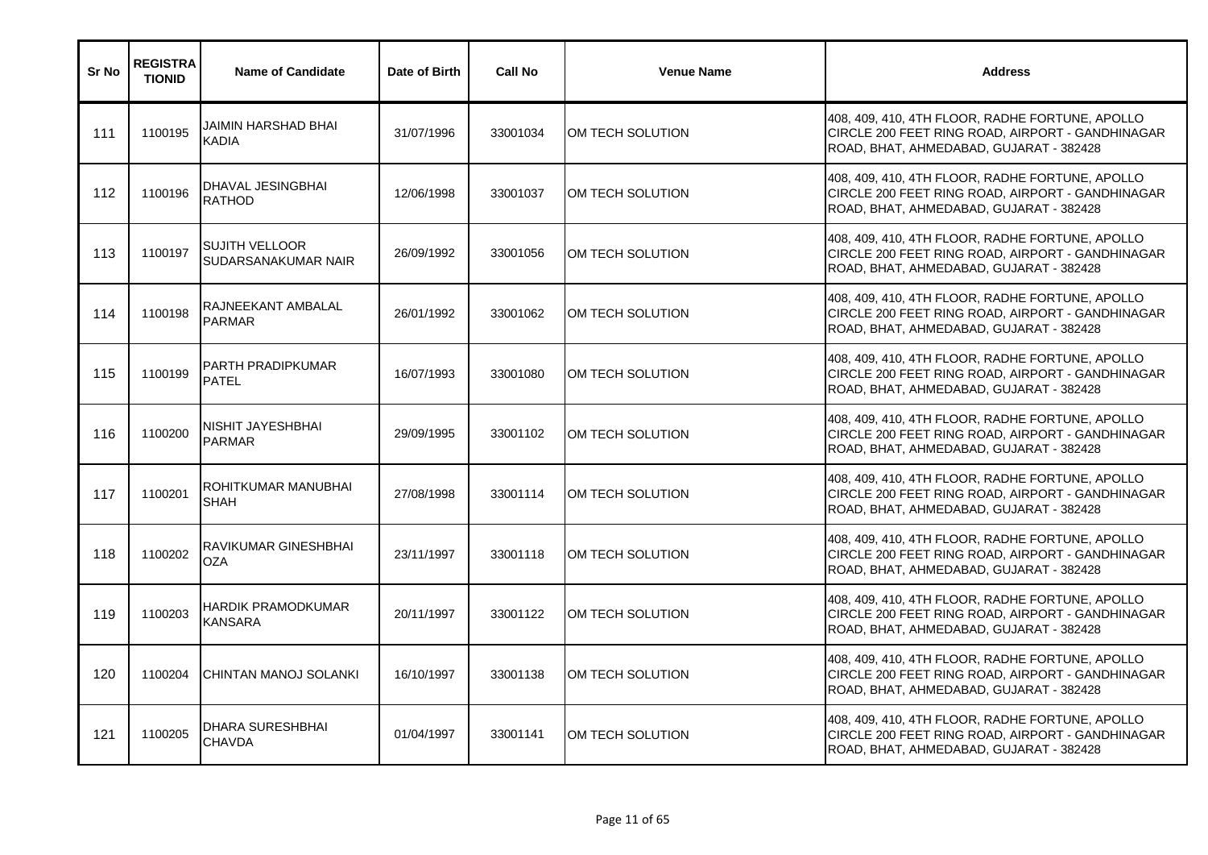| Sr No | <b>REGISTRA</b><br><b>TIONID</b> | <b>Name of Candidate</b>                     | Date of Birth | <b>Call No</b> | <b>Venue Name</b> | <b>Address</b>                                                                                                                                 |
|-------|----------------------------------|----------------------------------------------|---------------|----------------|-------------------|------------------------------------------------------------------------------------------------------------------------------------------------|
| 111   | 1100195                          | JAIMIN HARSHAD BHAI<br><b>KADIA</b>          | 31/07/1996    | 33001034       | IOM TECH SOLUTION | 408, 409, 410, 4TH FLOOR, RADHE FORTUNE, APOLLO<br>CIRCLE 200 FEET RING ROAD, AIRPORT - GANDHINAGAR<br>ROAD, BHAT, AHMEDABAD, GUJARAT - 382428 |
| 112   | 1100196                          | DHAVAL JESINGBHAI<br><b>RATHOD</b>           | 12/06/1998    | 33001037       | OM TECH SOLUTION  | 408, 409, 410, 4TH FLOOR, RADHE FORTUNE, APOLLO<br>CIRCLE 200 FEET RING ROAD, AIRPORT - GANDHINAGAR<br>ROAD, BHAT, AHMEDABAD, GUJARAT - 382428 |
| 113   | 1100197                          | <b>SUJITH VELLOOR</b><br>SUDARSANAKUMAR NAIR | 26/09/1992    | 33001056       | OM TECH SOLUTION  | 408, 409, 410, 4TH FLOOR, RADHE FORTUNE, APOLLO<br>CIRCLE 200 FEET RING ROAD, AIRPORT - GANDHINAGAR<br>ROAD, BHAT, AHMEDABAD, GUJARAT - 382428 |
| 114   | 1100198                          | RAJNEEKANT AMBALAL<br><b>PARMAR</b>          | 26/01/1992    | 33001062       | OM TECH SOLUTION  | 408, 409, 410, 4TH FLOOR, RADHE FORTUNE, APOLLO<br>CIRCLE 200 FEET RING ROAD, AIRPORT - GANDHINAGAR<br>ROAD, BHAT, AHMEDABAD, GUJARAT - 382428 |
| 115   | 1100199                          | <b>PARTH PRADIPKUMAR</b><br><b>PATEL</b>     | 16/07/1993    | 33001080       | OM TECH SOLUTION  | 408, 409, 410, 4TH FLOOR, RADHE FORTUNE, APOLLO<br>CIRCLE 200 FEET RING ROAD, AIRPORT - GANDHINAGAR<br>ROAD, BHAT, AHMEDABAD, GUJARAT - 382428 |
| 116   | 1100200                          | NISHIT JAYESHBHAI<br><b>PARMAR</b>           | 29/09/1995    | 33001102       | OM TECH SOLUTION  | 408, 409, 410, 4TH FLOOR, RADHE FORTUNE, APOLLO<br>CIRCLE 200 FEET RING ROAD, AIRPORT - GANDHINAGAR<br>ROAD, BHAT, AHMEDABAD, GUJARAT - 382428 |
| 117   | 1100201                          | ROHITKUMAR MANUBHAI<br><b>SHAH</b>           | 27/08/1998    | 33001114       | OM TECH SOLUTION  | 408, 409, 410, 4TH FLOOR, RADHE FORTUNE, APOLLO<br>CIRCLE 200 FEET RING ROAD, AIRPORT - GANDHINAGAR<br>ROAD, BHAT, AHMEDABAD, GUJARAT - 382428 |
| 118   | 1100202                          | <b>RAVIKUMAR GINESHBHAI</b><br><b>OZA</b>    | 23/11/1997    | 33001118       | OM TECH SOLUTION  | 408, 409, 410, 4TH FLOOR, RADHE FORTUNE, APOLLO<br>CIRCLE 200 FEET RING ROAD, AIRPORT - GANDHINAGAR<br>ROAD, BHAT, AHMEDABAD, GUJARAT - 382428 |
| 119   | 1100203                          | <b>HARDIK PRAMODKUMAR</b><br><b>KANSARA</b>  | 20/11/1997    | 33001122       | OM TECH SOLUTION  | 408, 409, 410, 4TH FLOOR, RADHE FORTUNE, APOLLO<br>CIRCLE 200 FEET RING ROAD, AIRPORT - GANDHINAGAR<br>ROAD, BHAT, AHMEDABAD, GUJARAT - 382428 |
| 120   | 1100204                          | CHINTAN MANOJ SOLANKI                        | 16/10/1997    | 33001138       | OM TECH SOLUTION  | 408, 409, 410, 4TH FLOOR, RADHE FORTUNE, APOLLO<br>CIRCLE 200 FEET RING ROAD, AIRPORT - GANDHINAGAR<br>ROAD, BHAT, AHMEDABAD, GUJARAT - 382428 |
| 121   | 1100205                          | <b>DHARA SURESHBHAI</b><br><b>CHAVDA</b>     | 01/04/1997    | 33001141       | OM TECH SOLUTION  | 408, 409, 410, 4TH FLOOR, RADHE FORTUNE, APOLLO<br>CIRCLE 200 FEET RING ROAD, AIRPORT - GANDHINAGAR<br>ROAD, BHAT, AHMEDABAD, GUJARAT - 382428 |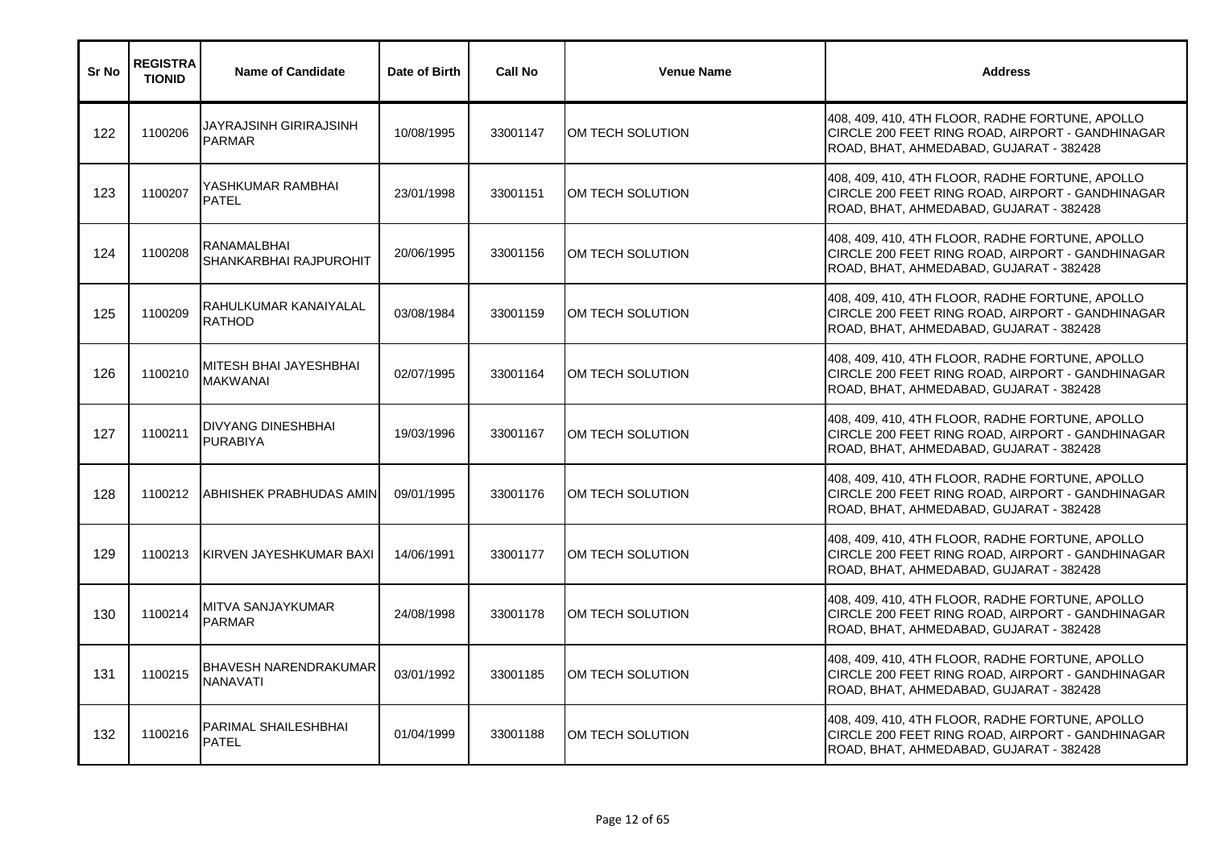| Sr No | <b>REGISTRA</b><br><b>TIONID</b> | <b>Name of Candidate</b>                        | Date of Birth | <b>Call No</b> | <b>Venue Name</b> | <b>Address</b>                                                                                                                                 |
|-------|----------------------------------|-------------------------------------------------|---------------|----------------|-------------------|------------------------------------------------------------------------------------------------------------------------------------------------|
| 122   | 1100206                          | JAYRAJSINH GIRIRAJSINH<br><b>PARMAR</b>         | 10/08/1995    | 33001147       | IOM TECH SOLUTION | 408, 409, 410, 4TH FLOOR, RADHE FORTUNE, APOLLO<br>CIRCLE 200 FEET RING ROAD, AIRPORT - GANDHINAGAR<br>ROAD, BHAT, AHMEDABAD, GUJARAT - 382428 |
| 123   | 1100207                          | YASHKUMAR RAMBHAI<br><b>PATEL</b>               | 23/01/1998    | 33001151       | OM TECH SOLUTION  | 408, 409, 410, 4TH FLOOR, RADHE FORTUNE, APOLLO<br>CIRCLE 200 FEET RING ROAD, AIRPORT - GANDHINAGAR<br>ROAD, BHAT, AHMEDABAD, GUJARAT - 382428 |
| 124   | 1100208                          | RANAMALBHAI<br>SHANKARBHAI RAJPUROHIT           | 20/06/1995    | 33001156       | OM TECH SOLUTION  | 408, 409, 410, 4TH FLOOR, RADHE FORTUNE, APOLLO<br>CIRCLE 200 FEET RING ROAD, AIRPORT - GANDHINAGAR<br>ROAD, BHAT, AHMEDABAD, GUJARAT - 382428 |
| 125   | 1100209                          | RAHULKUMAR KANAIYALAL<br><b>RATHOD</b>          | 03/08/1984    | 33001159       | OM TECH SOLUTION  | 408, 409, 410, 4TH FLOOR, RADHE FORTUNE, APOLLO<br>CIRCLE 200 FEET RING ROAD, AIRPORT - GANDHINAGAR<br>ROAD, BHAT, AHMEDABAD, GUJARAT - 382428 |
| 126   | 1100210                          | MITESH BHAI JAYESHBHAI<br><b>MAKWANAI</b>       | 02/07/1995    | 33001164       | OM TECH SOLUTION  | 408, 409, 410, 4TH FLOOR, RADHE FORTUNE, APOLLO<br>CIRCLE 200 FEET RING ROAD, AIRPORT - GANDHINAGAR<br>ROAD, BHAT, AHMEDABAD, GUJARAT - 382428 |
| 127   | 1100211                          | <b>DIVYANG DINESHBHAI</b><br><b>PURABIYA</b>    | 19/03/1996    | 33001167       | OM TECH SOLUTION  | 408, 409, 410, 4TH FLOOR, RADHE FORTUNE, APOLLO<br>CIRCLE 200 FEET RING ROAD, AIRPORT - GANDHINAGAR<br>ROAD, BHAT, AHMEDABAD, GUJARAT - 382428 |
| 128   | 1100212                          | <b>ABHISHEK PRABHUDAS AMIN</b>                  | 09/01/1995    | 33001176       | OM TECH SOLUTION  | 408, 409, 410, 4TH FLOOR, RADHE FORTUNE, APOLLO<br>CIRCLE 200 FEET RING ROAD, AIRPORT - GANDHINAGAR<br>ROAD, BHAT, AHMEDABAD, GUJARAT - 382428 |
| 129   | 1100213                          | <b>KIRVEN JAYESHKUMAR BAXI</b>                  | 14/06/1991    | 33001177       | OM TECH SOLUTION  | 408, 409, 410, 4TH FLOOR, RADHE FORTUNE, APOLLO<br>CIRCLE 200 FEET RING ROAD, AIRPORT - GANDHINAGAR<br>ROAD, BHAT, AHMEDABAD, GUJARAT - 382428 |
| 130   | 1100214                          | MITVA SANJAYKUMAR<br><b>PARMAR</b>              | 24/08/1998    | 33001178       | OM TECH SOLUTION  | 408, 409, 410, 4TH FLOOR, RADHE FORTUNE, APOLLO<br>CIRCLE 200 FEET RING ROAD, AIRPORT - GANDHINAGAR<br>ROAD, BHAT, AHMEDABAD, GUJARAT - 382428 |
| 131   | 1100215                          | <b>BHAVESH NARENDRAKUMAR</b><br><b>NANAVATI</b> | 03/01/1992    | 33001185       | OM TECH SOLUTION  | 408, 409, 410, 4TH FLOOR, RADHE FORTUNE, APOLLO<br>CIRCLE 200 FEET RING ROAD, AIRPORT - GANDHINAGAR<br>ROAD, BHAT, AHMEDABAD, GUJARAT - 382428 |
| 132   | 1100216                          | PARIMAL SHAILESHBHAI<br><b>PATEL</b>            | 01/04/1999    | 33001188       | OM TECH SOLUTION  | 408, 409, 410, 4TH FLOOR, RADHE FORTUNE, APOLLO<br>CIRCLE 200 FEET RING ROAD, AIRPORT - GANDHINAGAR<br>ROAD, BHAT, AHMEDABAD, GUJARAT - 382428 |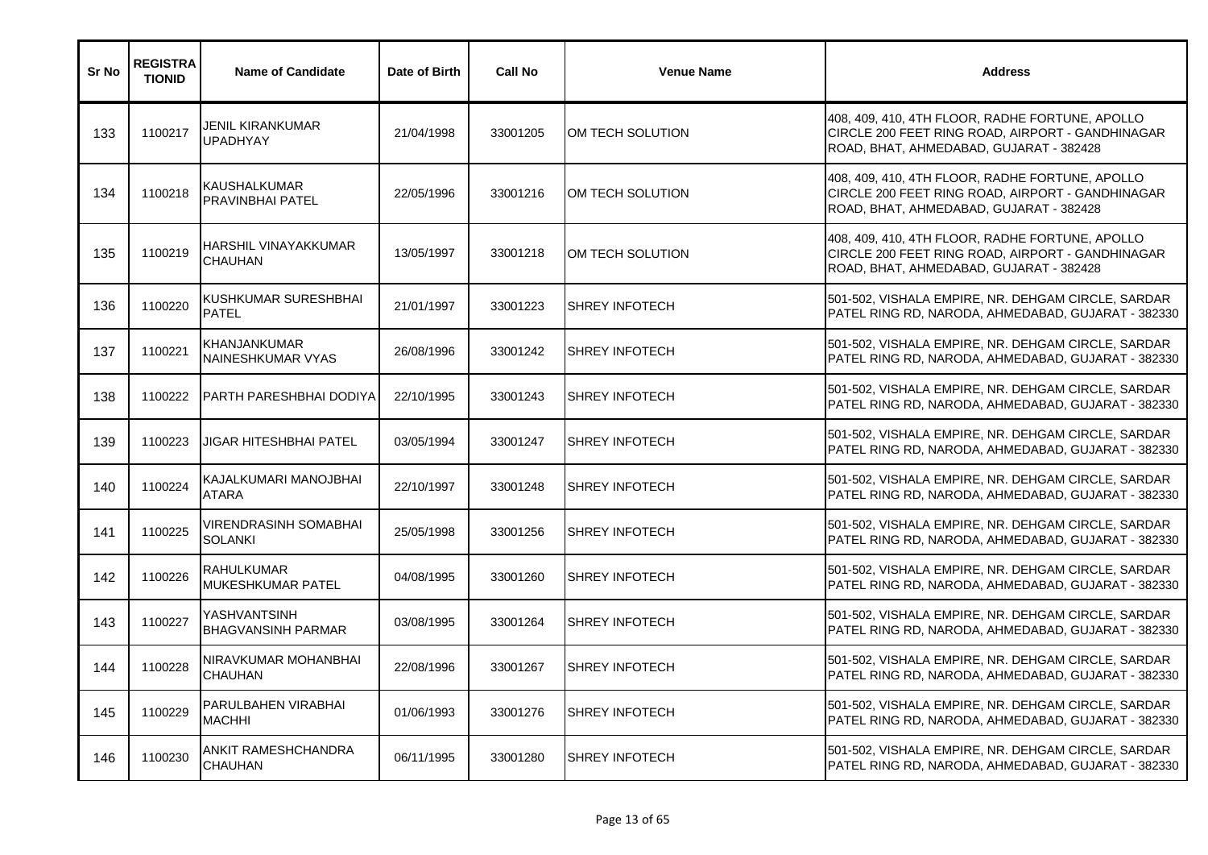| Sr No | <b>REGISTRA</b><br><b>TIONID</b> | <b>Name of Candidate</b>                       | Date of Birth | <b>Call No</b> | <b>Venue Name</b>      | <b>Address</b>                                                                                                                                 |
|-------|----------------------------------|------------------------------------------------|---------------|----------------|------------------------|------------------------------------------------------------------------------------------------------------------------------------------------|
| 133   | 1100217                          | JENIL KIRANKUMAR<br><b>UPADHYAY</b>            | 21/04/1998    | 33001205       | OM TECH SOLUTION       | 408, 409, 410, 4TH FLOOR, RADHE FORTUNE, APOLLO<br>CIRCLE 200 FEET RING ROAD, AIRPORT - GANDHINAGAR<br>ROAD, BHAT, AHMEDABAD, GUJARAT - 382428 |
| 134   | 1100218                          | <b>KAUSHALKUMAR</b><br><b>PRAVINBHAI PATEL</b> | 22/05/1996    | 33001216       | OM TECH SOLUTION       | 408, 409, 410, 4TH FLOOR, RADHE FORTUNE, APOLLO<br>CIRCLE 200 FEET RING ROAD, AIRPORT - GANDHINAGAR<br>ROAD, BHAT, AHMEDABAD, GUJARAT - 382428 |
| 135   | 1100219                          | HARSHIL VINAYAKKUMAR<br><b>CHAUHAN</b>         | 13/05/1997    | 33001218       | OM TECH SOLUTION       | 408, 409, 410, 4TH FLOOR, RADHE FORTUNE, APOLLO<br>CIRCLE 200 FEET RING ROAD, AIRPORT - GANDHINAGAR<br>ROAD, BHAT, AHMEDABAD, GUJARAT - 382428 |
| 136   | 1100220                          | KUSHKUMAR SURESHBHAI<br><b>PATEL</b>           | 21/01/1997    | 33001223       | ISHREY INFOTECH        | 501-502, VISHALA EMPIRE, NR. DEHGAM CIRCLE, SARDAR<br>PATEL RING RD, NARODA, AHMEDABAD, GUJARAT - 382330                                       |
| 137   | 1100221                          | KHANJANKUMAR<br>NAINESHKUMAR VYAS              | 26/08/1996    | 33001242       | <b>SHREY INFOTECH</b>  | 501-502, VISHALA EMPIRE, NR. DEHGAM CIRCLE, SARDAR<br>PATEL RING RD, NARODA, AHMEDABAD, GUJARAT - 382330                                       |
| 138   | 1100222                          | <b>PARTH PARESHBHAI DODIYA</b>                 | 22/10/1995    | 33001243       | <b>SHREY INFOTECH</b>  | 501-502, VISHALA EMPIRE, NR. DEHGAM CIRCLE, SARDAR<br>PATEL RING RD, NARODA, AHMEDABAD, GUJARAT - 382330                                       |
| 139   | 1100223                          | JIGAR HITESHBHAI PATEL                         | 03/05/1994    | 33001247       | <b>ISHREY INFOTECH</b> | 501-502, VISHALA EMPIRE, NR. DEHGAM CIRCLE, SARDAR<br>PATEL RING RD, NARODA, AHMEDABAD, GUJARAT - 382330                                       |
| 140   | 1100224                          | KAJALKUMARI MANOJBHAI<br><b>ATARA</b>          | 22/10/1997    | 33001248       | <b>SHREY INFOTECH</b>  | 501-502, VISHALA EMPIRE, NR. DEHGAM CIRCLE, SARDAR<br>PATEL RING RD, NARODA, AHMEDABAD, GUJARAT - 382330                                       |
| 141   | 1100225                          | VIRENDRASINH SOMABHAI<br><b>SOLANKI</b>        | 25/05/1998    | 33001256       | <b>ISHREY INFOTECH</b> | 501-502, VISHALA EMPIRE, NR. DEHGAM CIRCLE, SARDAR<br>PATEL RING RD, NARODA, AHMEDABAD, GUJARAT - 382330                                       |
| 142   | 1100226                          | <b>RAHULKUMAR</b><br>MUKESHKUMAR PATEL         | 04/08/1995    | 33001260       | <b>SHREY INFOTECH</b>  | 501-502, VISHALA EMPIRE, NR. DEHGAM CIRCLE, SARDAR<br>PATEL RING RD, NARODA, AHMEDABAD, GUJARAT - 382330                                       |
| 143   | 1100227                          | YASHVANTSINH<br><b>BHAGVANSINH PARMAR</b>      | 03/08/1995    | 33001264       | <b>ISHREY INFOTECH</b> | 501-502, VISHALA EMPIRE, NR. DEHGAM CIRCLE, SARDAR<br>PATEL RING RD, NARODA, AHMEDABAD, GUJARAT - 382330                                       |
| 144   | 1100228                          | NIRAVKUMAR MOHANBHAI<br><b>CHAUHAN</b>         | 22/08/1996    | 33001267       | <b>SHREY INFOTECH</b>  | 501-502, VISHALA EMPIRE, NR. DEHGAM CIRCLE, SARDAR<br>PATEL RING RD, NARODA, AHMEDABAD, GUJARAT - 382330                                       |
| 145   | 1100229                          | PARULBAHEN VIRABHAI<br><b>MACHHI</b>           | 01/06/1993    | 33001276       | <b>SHREY INFOTECH</b>  | 501-502, VISHALA EMPIRE, NR. DEHGAM CIRCLE, SARDAR<br>PATEL RING RD, NARODA, AHMEDABAD, GUJARAT - 382330                                       |
| 146   | 1100230                          | ANKIT RAMESHCHANDRA<br><b>CHAUHAN</b>          | 06/11/1995    | 33001280       | <b>SHREY INFOTECH</b>  | 501-502, VISHALA EMPIRE, NR. DEHGAM CIRCLE, SARDAR<br>PATEL RING RD, NARODA, AHMEDABAD, GUJARAT - 382330                                       |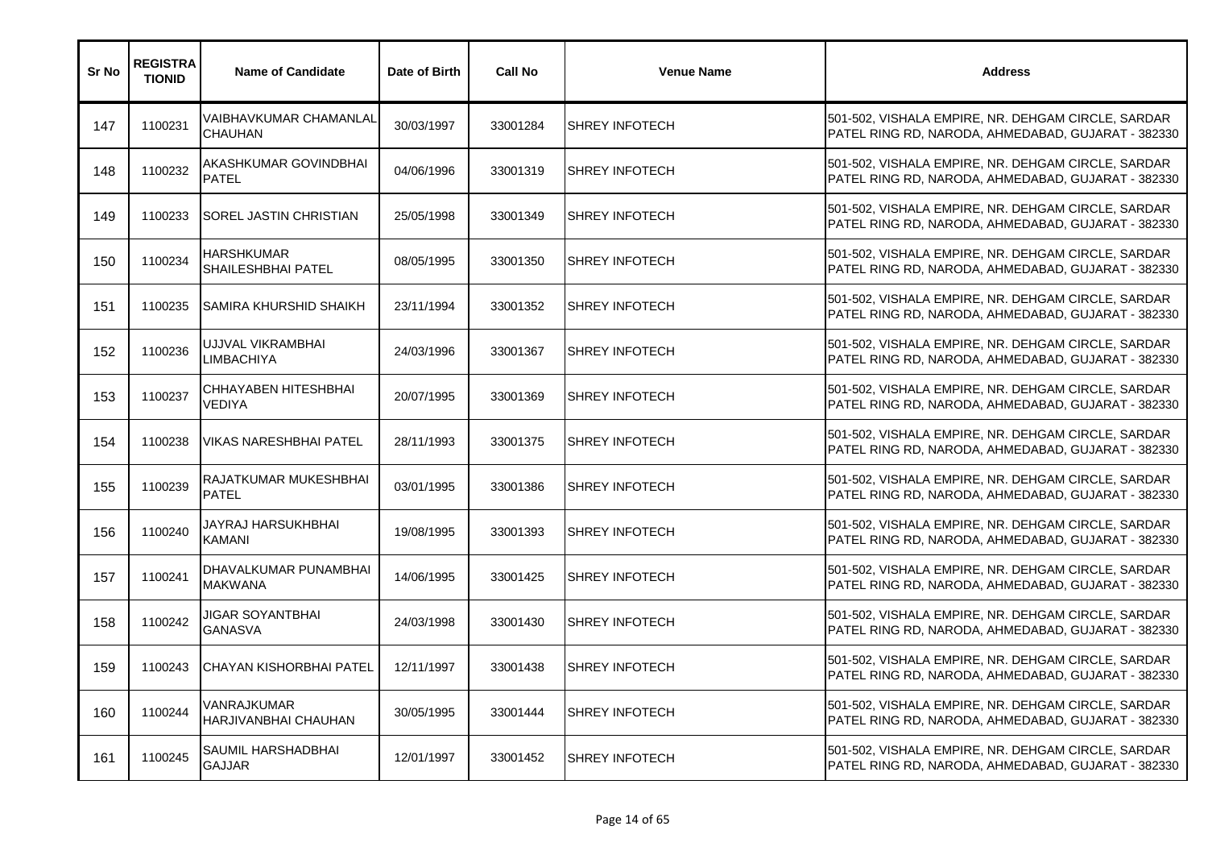| Sr No | <b>REGISTRA</b><br><b>TIONID</b> | <b>Name of Candidate</b>                   | Date of Birth | <b>Call No</b> | <b>Venue Name</b>     | <b>Address</b>                                                                                           |
|-------|----------------------------------|--------------------------------------------|---------------|----------------|-----------------------|----------------------------------------------------------------------------------------------------------|
| 147   | 1100231                          | VAIBHAVKUMAR CHAMANLAL<br><b>CHAUHAN</b>   | 30/03/1997    | 33001284       | <b>SHREY INFOTECH</b> | 501-502, VISHALA EMPIRE, NR. DEHGAM CIRCLE, SARDAR<br>PATEL RING RD, NARODA, AHMEDABAD, GUJARAT - 382330 |
| 148   | 1100232                          | AKASHKUMAR GOVINDBHAI<br><b>PATEL</b>      | 04/06/1996    | 33001319       | <b>SHREY INFOTECH</b> | 501-502, VISHALA EMPIRE, NR. DEHGAM CIRCLE, SARDAR<br>PATEL RING RD, NARODA, AHMEDABAD, GUJARAT - 382330 |
| 149   | 1100233                          | <b>SOREL JASTIN CHRISTIAN</b>              | 25/05/1998    | 33001349       | <b>SHREY INFOTECH</b> | 501-502, VISHALA EMPIRE, NR. DEHGAM CIRCLE, SARDAR<br>PATEL RING RD, NARODA, AHMEDABAD, GUJARAT - 382330 |
| 150   | 1100234                          | <b>HARSHKUMAR</b><br>SHAILESHBHAI PATEL    | 08/05/1995    | 33001350       | <b>SHREY INFOTECH</b> | 501-502, VISHALA EMPIRE, NR. DEHGAM CIRCLE, SARDAR<br>PATEL RING RD, NARODA, AHMEDABAD, GUJARAT - 382330 |
| 151   | 1100235                          | ISAMIRA KHURSHID SHAIKH                    | 23/11/1994    | 33001352       | <b>SHREY INFOTECH</b> | 501-502, VISHALA EMPIRE, NR. DEHGAM CIRCLE, SARDAR<br>PATEL RING RD, NARODA, AHMEDABAD, GUJARAT - 382330 |
| 152   | 1100236                          | UJJVAL VIKRAMBHAI<br><b>_IMBACHIYA</b>     | 24/03/1996    | 33001367       | <b>SHREY INFOTECH</b> | 501-502, VISHALA EMPIRE, NR. DEHGAM CIRCLE, SARDAR<br>PATEL RING RD, NARODA, AHMEDABAD, GUJARAT - 382330 |
| 153   | 1100237                          | CHHAYABEN HITESHBHAI<br>VEDIYA             | 20/07/1995    | 33001369       | <b>SHREY INFOTECH</b> | 501-502, VISHALA EMPIRE, NR. DEHGAM CIRCLE, SARDAR<br>PATEL RING RD, NARODA, AHMEDABAD, GUJARAT - 382330 |
| 154   | 1100238                          | VIKAS NARESHBHAI PATEL                     | 28/11/1993    | 33001375       | <b>SHREY INFOTECH</b> | 501-502, VISHALA EMPIRE, NR. DEHGAM CIRCLE, SARDAR<br>PATEL RING RD, NARODA, AHMEDABAD, GUJARAT - 382330 |
| 155   | 1100239                          | RAJATKUMAR MUKESHBHAI<br><b>PATEL</b>      | 03/01/1995    | 33001386       | <b>SHREY INFOTECH</b> | 501-502, VISHALA EMPIRE, NR. DEHGAM CIRCLE, SARDAR<br>PATEL RING RD, NARODA, AHMEDABAD, GUJARAT - 382330 |
| 156   | 1100240                          | JAYRAJ HARSUKHBHAI<br><b>KAMANI</b>        | 19/08/1995    | 33001393       | <b>SHREY INFOTECH</b> | 501-502, VISHALA EMPIRE, NR. DEHGAM CIRCLE, SARDAR<br>PATEL RING RD, NARODA, AHMEDABAD, GUJARAT - 382330 |
| 157   | 1100241                          | DHAVALKUMAR PUNAMBHAI<br><b>MAKWANA</b>    | 14/06/1995    | 33001425       | <b>SHREY INFOTECH</b> | 501-502, VISHALA EMPIRE, NR. DEHGAM CIRCLE, SARDAR<br>PATEL RING RD, NARODA, AHMEDABAD, GUJARAT - 382330 |
| 158   | 1100242                          | JIGAR SOYANTBHAI<br><b>GANASVA</b>         | 24/03/1998    | 33001430       | <b>SHREY INFOTECH</b> | 501-502, VISHALA EMPIRE, NR. DEHGAM CIRCLE, SARDAR<br>PATEL RING RD, NARODA, AHMEDABAD, GUJARAT - 382330 |
| 159   | 1100243                          | ICHAYAN KISHORBHAI PATEL                   | 12/11/1997    | 33001438       | <b>SHREY INFOTECH</b> | 501-502, VISHALA EMPIRE, NR. DEHGAM CIRCLE, SARDAR<br>PATEL RING RD, NARODA, AHMEDABAD, GUJARAT - 382330 |
| 160   | 1100244                          | VANRAJKUMAR<br><b>HARJIVANBHAI CHAUHAN</b> | 30/05/1995    | 33001444       | <b>SHREY INFOTECH</b> | 501-502, VISHALA EMPIRE, NR. DEHGAM CIRCLE, SARDAR<br>PATEL RING RD, NARODA, AHMEDABAD, GUJARAT - 382330 |
| 161   | 1100245                          | SAUMIL HARSHADBHAI<br><b>GAJJAR</b>        | 12/01/1997    | 33001452       | <b>SHREY INFOTECH</b> | 501-502, VISHALA EMPIRE, NR. DEHGAM CIRCLE, SARDAR<br>PATEL RING RD, NARODA, AHMEDABAD, GUJARAT - 382330 |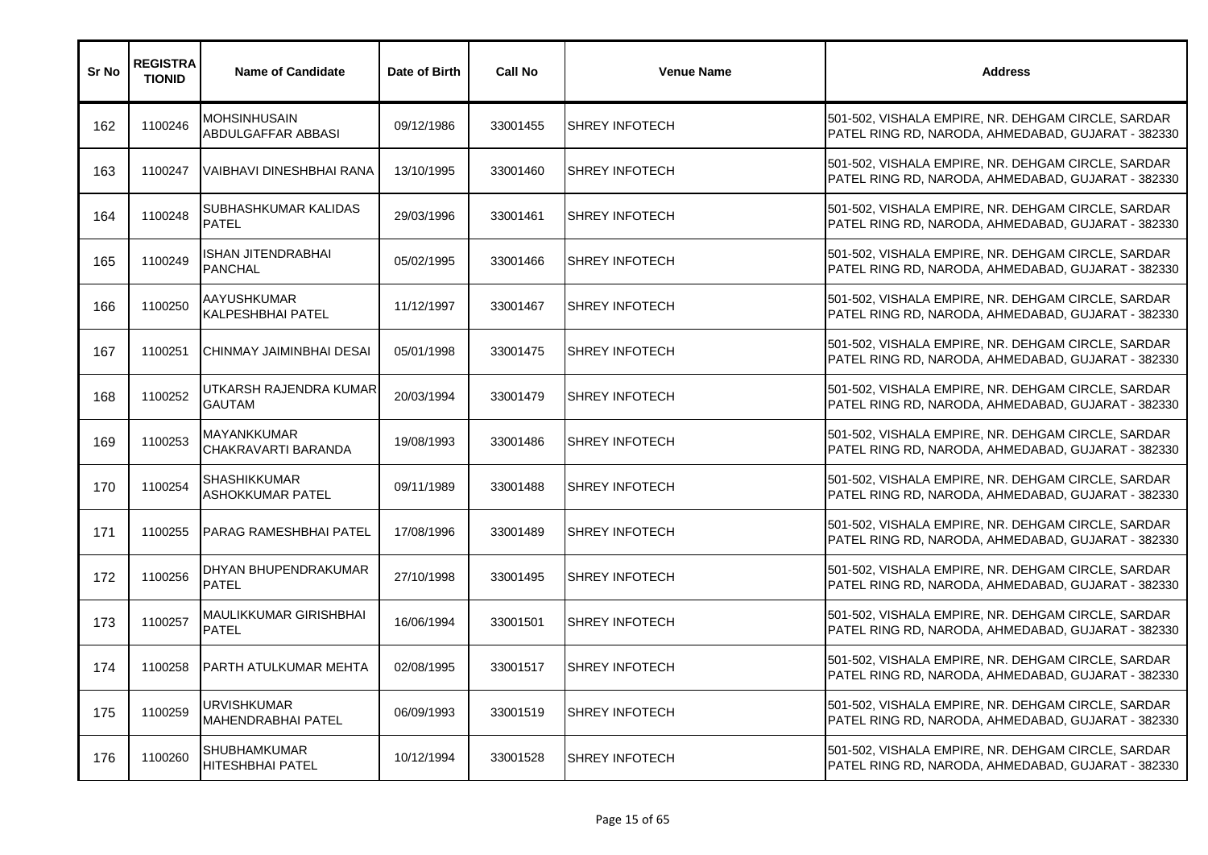| Sr No | <b>REGISTRA</b><br><b>TIONID</b> | <b>Name of Candidate</b>                       | Date of Birth | <b>Call No</b> | <b>Venue Name</b>     | <b>Address</b>                                                                                           |
|-------|----------------------------------|------------------------------------------------|---------------|----------------|-----------------------|----------------------------------------------------------------------------------------------------------|
| 162   | 1100246                          | MOHSINHUSAIN<br>ABDULGAFFAR ABBASI             | 09/12/1986    | 33001455       | <b>SHREY INFOTECH</b> | 501-502, VISHALA EMPIRE, NR. DEHGAM CIRCLE, SARDAR<br>PATEL RING RD, NARODA, AHMEDABAD, GUJARAT - 382330 |
| 163   | 1100247                          | VAIBHAVI DINESHBHAI RANA                       | 13/10/1995    | 33001460       | <b>SHREY INFOTECH</b> | 501-502, VISHALA EMPIRE, NR. DEHGAM CIRCLE, SARDAR<br>PATEL RING RD, NARODA, AHMEDABAD, GUJARAT - 382330 |
| 164   | 1100248                          | SUBHASHKUMAR KALIDAS<br><b>PATEL</b>           | 29/03/1996    | 33001461       | <b>SHREY INFOTECH</b> | 501-502, VISHALA EMPIRE, NR. DEHGAM CIRCLE, SARDAR<br>PATEL RING RD, NARODA, AHMEDABAD, GUJARAT - 382330 |
| 165   | 1100249                          | <b>ISHAN JITENDRABHAI</b><br><b>PANCHAL</b>    | 05/02/1995    | 33001466       | <b>SHREY INFOTECH</b> | 501-502, VISHALA EMPIRE, NR. DEHGAM CIRCLE, SARDAR<br>PATEL RING RD, NARODA, AHMEDABAD, GUJARAT - 382330 |
| 166   | 1100250                          | AAYUSHKUMAR<br><b>KALPESHBHAI PATEL</b>        | 11/12/1997    | 33001467       | <b>SHREY INFOTECH</b> | 501-502, VISHALA EMPIRE, NR. DEHGAM CIRCLE, SARDAR<br>PATEL RING RD, NARODA, AHMEDABAD, GUJARAT - 382330 |
| 167   | 1100251                          | CHINMAY JAIMINBHAI DESAI                       | 05/01/1998    | 33001475       | <b>SHREY INFOTECH</b> | 501-502, VISHALA EMPIRE, NR. DEHGAM CIRCLE, SARDAR<br>PATEL RING RD, NARODA, AHMEDABAD, GUJARAT - 382330 |
| 168   | 1100252                          | UTKARSH RAJENDRA KUMAR<br><b>GAUTAM</b>        | 20/03/1994    | 33001479       | <b>SHREY INFOTECH</b> | 501-502, VISHALA EMPIRE, NR. DEHGAM CIRCLE, SARDAR<br>PATEL RING RD, NARODA, AHMEDABAD, GUJARAT - 382330 |
| 169   | 1100253                          | <b>MAYANKKUMAR</b><br>CHAKRAVARTI BARANDA      | 19/08/1993    | 33001486       | <b>SHREY INFOTECH</b> | 501-502, VISHALA EMPIRE, NR. DEHGAM CIRCLE, SARDAR<br>PATEL RING RD, NARODA, AHMEDABAD, GUJARAT - 382330 |
| 170   | 1100254                          | SHASHIKKUMAR<br>ASHOKKUMAR PATEL               | 09/11/1989    | 33001488       | <b>SHREY INFOTECH</b> | 501-502, VISHALA EMPIRE, NR. DEHGAM CIRCLE, SARDAR<br>PATEL RING RD, NARODA, AHMEDABAD, GUJARAT - 382330 |
| 171   | 1100255                          | PARAG RAMESHBHAI PATEL                         | 17/08/1996    | 33001489       | <b>SHREY INFOTECH</b> | 501-502, VISHALA EMPIRE, NR. DEHGAM CIRCLE, SARDAR<br>PATEL RING RD, NARODA, AHMEDABAD, GUJARAT - 382330 |
| 172   | 1100256                          | DHYAN BHUPENDRAKUMAR<br><b>PATEL</b>           | 27/10/1998    | 33001495       | <b>SHREY INFOTECH</b> | 501-502, VISHALA EMPIRE, NR. DEHGAM CIRCLE, SARDAR<br>PATEL RING RD, NARODA, AHMEDABAD, GUJARAT - 382330 |
| 173   | 1100257                          | <b>MAULIKKUMAR GIRISHBHAI</b><br><b>PATEL</b>  | 16/06/1994    | 33001501       | <b>SHREY INFOTECH</b> | 501-502, VISHALA EMPIRE, NR. DEHGAM CIRCLE, SARDAR<br>PATEL RING RD, NARODA, AHMEDABAD, GUJARAT - 382330 |
| 174   | 1100258                          | IPARTH ATULKUMAR MEHTA                         | 02/08/1995    | 33001517       | <b>SHREY INFOTECH</b> | 501-502, VISHALA EMPIRE, NR. DEHGAM CIRCLE, SARDAR<br>PATEL RING RD, NARODA, AHMEDABAD, GUJARAT - 382330 |
| 175   | 1100259                          | URVISHKUMAR<br><b>MAHENDRABHAI PATEL</b>       | 06/09/1993    | 33001519       | <b>SHREY INFOTECH</b> | 501-502, VISHALA EMPIRE, NR. DEHGAM CIRCLE, SARDAR<br>PATEL RING RD, NARODA, AHMEDABAD, GUJARAT - 382330 |
| 176   | 1100260                          | <b>SHUBHAMKUMAR</b><br><b>HITESHBHAI PATEL</b> | 10/12/1994    | 33001528       | <b>SHREY INFOTECH</b> | 501-502, VISHALA EMPIRE, NR. DEHGAM CIRCLE, SARDAR<br>PATEL RING RD, NARODA, AHMEDABAD, GUJARAT - 382330 |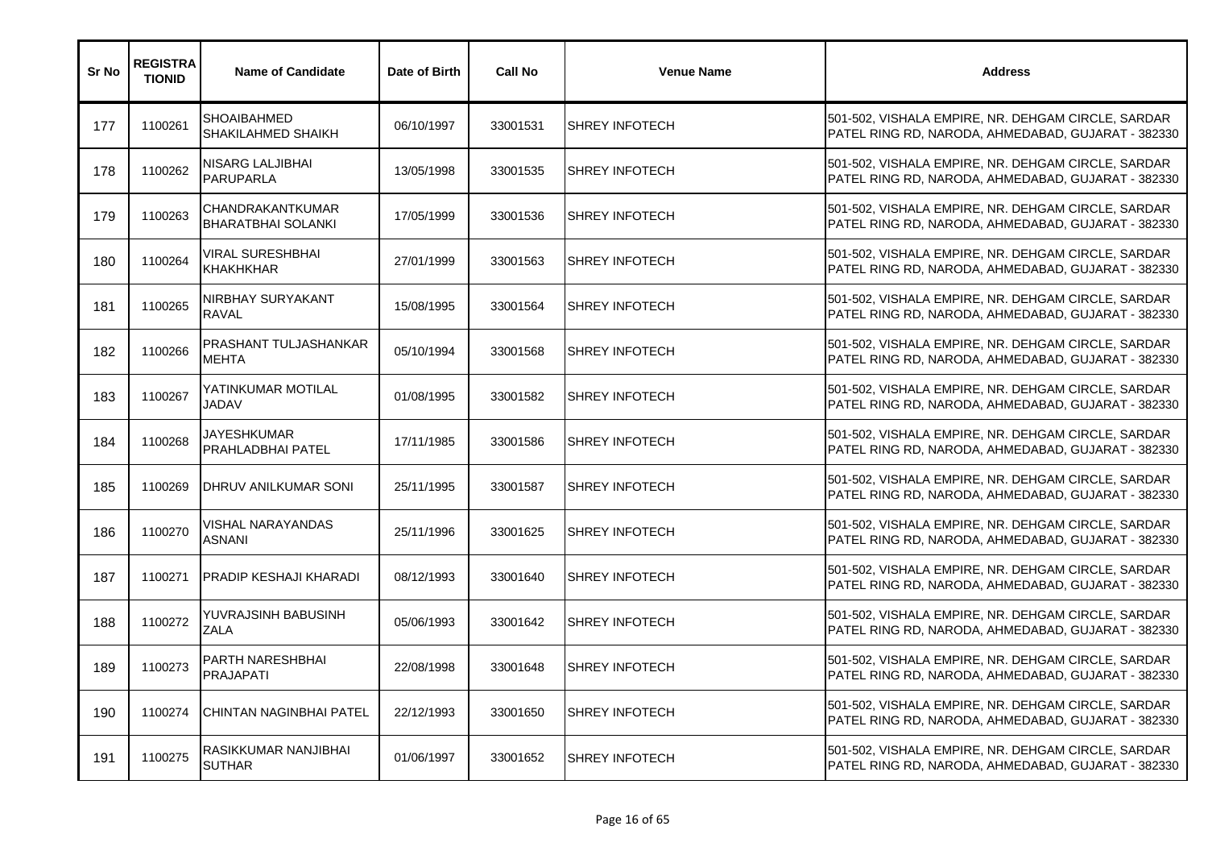| Sr No | <b>REGISTRA</b><br><b>TIONID</b> | <b>Name of Candidate</b>                      | Date of Birth | <b>Call No</b> | <b>Venue Name</b>     | <b>Address</b>                                                                                           |
|-------|----------------------------------|-----------------------------------------------|---------------|----------------|-----------------------|----------------------------------------------------------------------------------------------------------|
| 177   | 1100261                          | <b>SHOAIBAHMED</b><br>SHAKILAHMED SHAIKH      | 06/10/1997    | 33001531       | <b>SHREY INFOTECH</b> | 501-502, VISHALA EMPIRE, NR. DEHGAM CIRCLE, SARDAR<br>PATEL RING RD, NARODA, AHMEDABAD, GUJARAT - 382330 |
| 178   | 1100262                          | <b>NISARG LALJIBHAI</b><br><b>PARUPARLA</b>   | 13/05/1998    | 33001535       | <b>SHREY INFOTECH</b> | 501-502, VISHALA EMPIRE, NR. DEHGAM CIRCLE, SARDAR<br>PATEL RING RD, NARODA, AHMEDABAD, GUJARAT - 382330 |
| 179   | 1100263                          | CHANDRAKANTKUMAR<br><b>BHARATBHAI SOLANKI</b> | 17/05/1999    | 33001536       | <b>SHREY INFOTECH</b> | 501-502, VISHALA EMPIRE, NR. DEHGAM CIRCLE, SARDAR<br>PATEL RING RD, NARODA, AHMEDABAD, GUJARAT - 382330 |
| 180   | 1100264                          | VIRAL SURESHBHAI<br><b>KHAKHKHAR</b>          | 27/01/1999    | 33001563       | <b>SHREY INFOTECH</b> | 501-502, VISHALA EMPIRE, NR. DEHGAM CIRCLE, SARDAR<br>PATEL RING RD, NARODA, AHMEDABAD, GUJARAT - 382330 |
| 181   | 1100265                          | NIRBHAY SURYAKANT<br><b>RAVAL</b>             | 15/08/1995    | 33001564       | <b>SHREY INFOTECH</b> | 501-502, VISHALA EMPIRE, NR. DEHGAM CIRCLE, SARDAR<br>PATEL RING RD, NARODA, AHMEDABAD, GUJARAT - 382330 |
| 182   | 1100266                          | PRASHANT TULJASHANKAR<br><b>MEHTA</b>         | 05/10/1994    | 33001568       | <b>SHREY INFOTECH</b> | 501-502, VISHALA EMPIRE, NR. DEHGAM CIRCLE, SARDAR<br>PATEL RING RD, NARODA, AHMEDABAD, GUJARAT - 382330 |
| 183   | 1100267                          | YATINKUMAR MOTILAL<br><b>JADAV</b>            | 01/08/1995    | 33001582       | <b>SHREY INFOTECH</b> | 501-502, VISHALA EMPIRE, NR. DEHGAM CIRCLE, SARDAR<br>PATEL RING RD, NARODA, AHMEDABAD, GUJARAT - 382330 |
| 184   | 1100268                          | JAYESHKUMAR<br>PRAHLADBHAI PATEL              | 17/11/1985    | 33001586       | <b>SHREY INFOTECH</b> | 501-502, VISHALA EMPIRE, NR. DEHGAM CIRCLE, SARDAR<br>PATEL RING RD, NARODA, AHMEDABAD, GUJARAT - 382330 |
| 185   | 1100269                          | DHRUV ANILKUMAR SONI                          | 25/11/1995    | 33001587       | <b>SHREY INFOTECH</b> | 501-502, VISHALA EMPIRE, NR. DEHGAM CIRCLE, SARDAR<br>PATEL RING RD, NARODA, AHMEDABAD, GUJARAT - 382330 |
| 186   | 1100270                          | VISHAL NARAYANDAS<br>ASNANI                   | 25/11/1996    | 33001625       | <b>SHREY INFOTECH</b> | 501-502, VISHALA EMPIRE, NR. DEHGAM CIRCLE, SARDAR<br>PATEL RING RD, NARODA, AHMEDABAD, GUJARAT - 382330 |
| 187   | 1100271                          | <b>PRADIP KESHAJI KHARADI</b>                 | 08/12/1993    | 33001640       | <b>SHREY INFOTECH</b> | 501-502, VISHALA EMPIRE, NR. DEHGAM CIRCLE, SARDAR<br>PATEL RING RD, NARODA, AHMEDABAD, GUJARAT - 382330 |
| 188   | 1100272                          | YUVRAJSINH BABUSINH<br><b>ZALA</b>            | 05/06/1993    | 33001642       | <b>SHREY INFOTECH</b> | 501-502, VISHALA EMPIRE, NR. DEHGAM CIRCLE, SARDAR<br>PATEL RING RD, NARODA, AHMEDABAD, GUJARAT - 382330 |
| 189   | 1100273                          | <b>PARTH NARESHBHAI</b><br><b>PRAJAPATI</b>   | 22/08/1998    | 33001648       | <b>SHREY INFOTECH</b> | 501-502, VISHALA EMPIRE, NR. DEHGAM CIRCLE, SARDAR<br>PATEL RING RD, NARODA, AHMEDABAD, GUJARAT - 382330 |
| 190   | 1100274                          | <b>CHINTAN NAGINBHAI PATEL</b>                | 22/12/1993    | 33001650       | <b>SHREY INFOTECH</b> | 501-502, VISHALA EMPIRE, NR. DEHGAM CIRCLE, SARDAR<br>PATEL RING RD, NARODA, AHMEDABAD, GUJARAT - 382330 |
| 191   | 1100275                          | RASIKKUMAR NANJIBHAI<br><b>SUTHAR</b>         | 01/06/1997    | 33001652       | <b>SHREY INFOTECH</b> | 501-502, VISHALA EMPIRE, NR. DEHGAM CIRCLE, SARDAR<br>PATEL RING RD, NARODA, AHMEDABAD, GUJARAT - 382330 |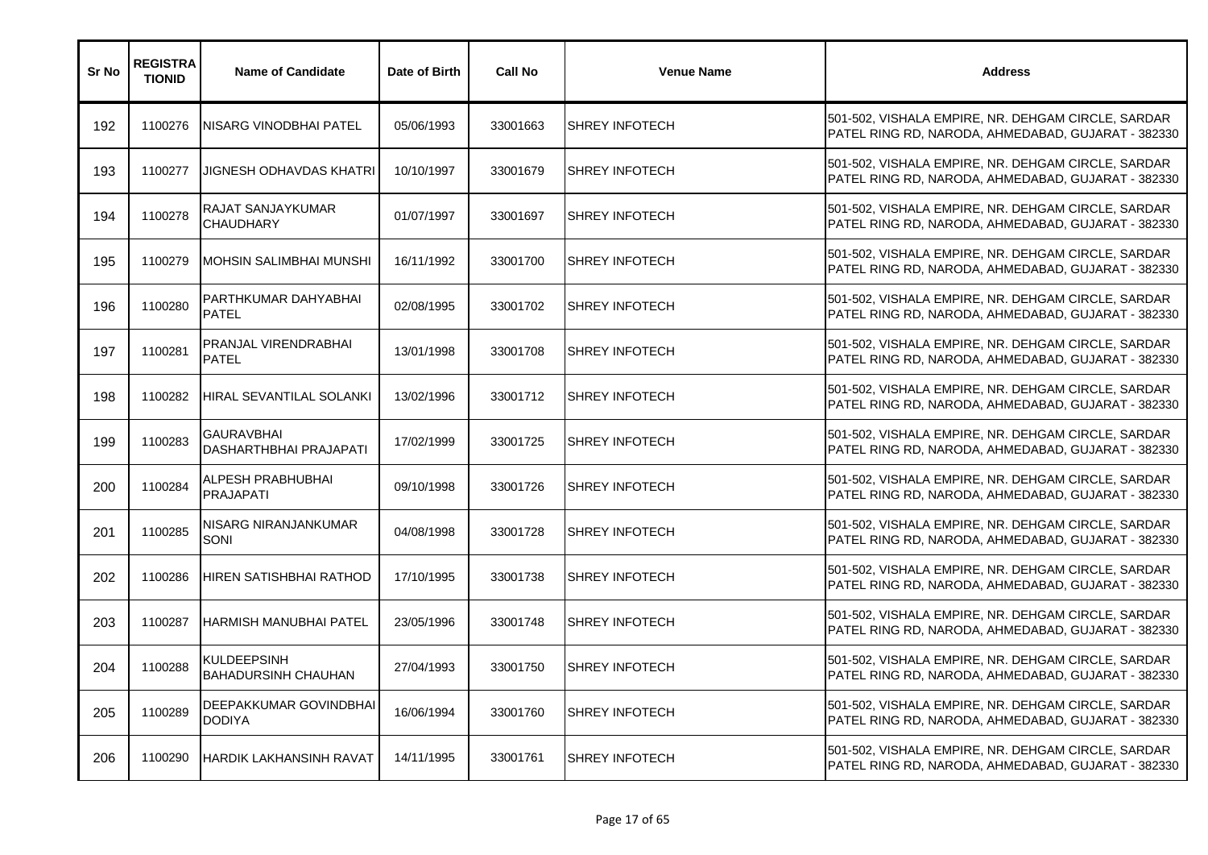| Sr No | <b>REGISTRA</b><br><b>TIONID</b> | <b>Name of Candidate</b>                           | Date of Birth | <b>Call No</b> | <b>Venue Name</b>     | <b>Address</b>                                                                                           |
|-------|----------------------------------|----------------------------------------------------|---------------|----------------|-----------------------|----------------------------------------------------------------------------------------------------------|
| 192   | 1100276                          | NISARG VINODBHAI PATEL                             | 05/06/1993    | 33001663       | <b>SHREY INFOTECH</b> | 501-502, VISHALA EMPIRE, NR. DEHGAM CIRCLE, SARDAR<br>PATEL RING RD, NARODA, AHMEDABAD, GUJARAT - 382330 |
| 193   | 1100277                          | JIGNESH ODHAVDAS KHATRI                            | 10/10/1997    | 33001679       | <b>SHREY INFOTECH</b> | 501-502, VISHALA EMPIRE, NR. DEHGAM CIRCLE, SARDAR<br>PATEL RING RD, NARODA, AHMEDABAD, GUJARAT - 382330 |
| 194   | 1100278                          | RAJAT SANJAYKUMAR<br><b>CHAUDHARY</b>              | 01/07/1997    | 33001697       | <b>SHREY INFOTECH</b> | 501-502, VISHALA EMPIRE, NR. DEHGAM CIRCLE, SARDAR<br>PATEL RING RD, NARODA, AHMEDABAD, GUJARAT - 382330 |
| 195   | 1100279                          | MOHSIN SALIMBHAI MUNSHI                            | 16/11/1992    | 33001700       | <b>SHREY INFOTECH</b> | 501-502, VISHALA EMPIRE, NR. DEHGAM CIRCLE, SARDAR<br>PATEL RING RD, NARODA, AHMEDABAD, GUJARAT - 382330 |
| 196   | 1100280                          | PARTHKUMAR DAHYABHAI<br><b>PATEL</b>               | 02/08/1995    | 33001702       | <b>SHREY INFOTECH</b> | 501-502, VISHALA EMPIRE, NR. DEHGAM CIRCLE, SARDAR<br>PATEL RING RD, NARODA, AHMEDABAD, GUJARAT - 382330 |
| 197   | 1100281                          | PRANJAL VIRENDRABHAI<br><b>PATEL</b>               | 13/01/1998    | 33001708       | <b>SHREY INFOTECH</b> | 501-502, VISHALA EMPIRE, NR. DEHGAM CIRCLE, SARDAR<br>PATEL RING RD, NARODA, AHMEDABAD, GUJARAT - 382330 |
| 198   | 1100282                          | <b>HIRAL SEVANTILAL SOLANKI</b>                    | 13/02/1996    | 33001712       | <b>SHREY INFOTECH</b> | 501-502, VISHALA EMPIRE, NR. DEHGAM CIRCLE, SARDAR<br>PATEL RING RD, NARODA, AHMEDABAD, GUJARAT - 382330 |
| 199   | 1100283                          | <b>GAURAVBHAI</b><br><b>DASHARTHBHAI PRAJAPATI</b> | 17/02/1999    | 33001725       | <b>SHREY INFOTECH</b> | 501-502, VISHALA EMPIRE, NR. DEHGAM CIRCLE, SARDAR<br>PATEL RING RD, NARODA, AHMEDABAD, GUJARAT - 382330 |
| 200   | 1100284                          | ALPESH PRABHUBHAI<br><b>PRAJAPATI</b>              | 09/10/1998    | 33001726       | <b>SHREY INFOTECH</b> | 501-502, VISHALA EMPIRE, NR. DEHGAM CIRCLE, SARDAR<br>PATEL RING RD, NARODA, AHMEDABAD, GUJARAT - 382330 |
| 201   | 1100285                          | NISARG NIRANJANKUMAR<br>SONI                       | 04/08/1998    | 33001728       | <b>SHREY INFOTECH</b> | 501-502, VISHALA EMPIRE, NR. DEHGAM CIRCLE, SARDAR<br>PATEL RING RD, NARODA, AHMEDABAD, GUJARAT - 382330 |
| 202   | 1100286                          | HIREN SATISHBHAI RATHOD                            | 17/10/1995    | 33001738       | <b>SHREY INFOTECH</b> | 501-502, VISHALA EMPIRE, NR. DEHGAM CIRCLE, SARDAR<br>PATEL RING RD, NARODA, AHMEDABAD, GUJARAT - 382330 |
| 203   | 1100287                          | IHARMISH MANUBHAI PATEL                            | 23/05/1996    | 33001748       | <b>SHREY INFOTECH</b> | 501-502, VISHALA EMPIRE, NR. DEHGAM CIRCLE, SARDAR<br>PATEL RING RD, NARODA, AHMEDABAD, GUJARAT - 382330 |
| 204   | 1100288                          | <b>KULDEEPSINH</b><br><b>BAHADURSINH CHAUHAN</b>   | 27/04/1993    | 33001750       | <b>SHREY INFOTECH</b> | 501-502, VISHALA EMPIRE, NR. DEHGAM CIRCLE, SARDAR<br>PATEL RING RD, NARODA, AHMEDABAD, GUJARAT - 382330 |
| 205   | 1100289                          | DEEPAKKUMAR GOVINDBHAI<br><b>DODIYA</b>            | 16/06/1994    | 33001760       | <b>SHREY INFOTECH</b> | 501-502, VISHALA EMPIRE, NR. DEHGAM CIRCLE, SARDAR<br>PATEL RING RD, NARODA, AHMEDABAD, GUJARAT - 382330 |
| 206   | 1100290                          | <b>HARDIK LAKHANSINH RAVAT</b>                     | 14/11/1995    | 33001761       | <b>SHREY INFOTECH</b> | 501-502, VISHALA EMPIRE, NR. DEHGAM CIRCLE, SARDAR<br>PATEL RING RD, NARODA, AHMEDABAD, GUJARAT - 382330 |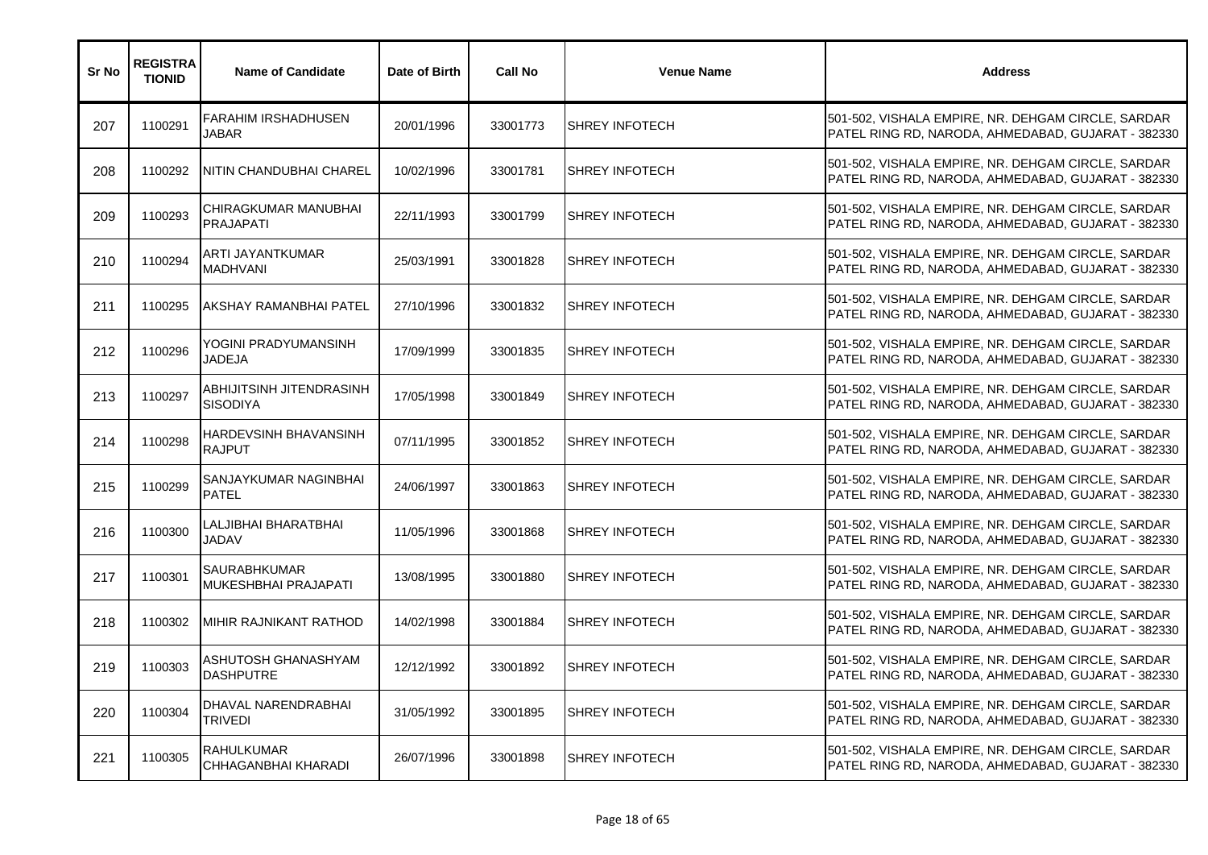| Sr No | <b>REGISTRA</b><br><b>TIONID</b> | <b>Name of Candidate</b>                    | Date of Birth | <b>Call No</b> | <b>Venue Name</b>     | <b>Address</b>                                                                                           |
|-------|----------------------------------|---------------------------------------------|---------------|----------------|-----------------------|----------------------------------------------------------------------------------------------------------|
| 207   | 1100291                          | <b>FARAHIM IRSHADHUSEN</b><br><b>JABAR</b>  | 20/01/1996    | 33001773       | <b>SHREY INFOTECH</b> | 501-502, VISHALA EMPIRE, NR. DEHGAM CIRCLE, SARDAR<br>PATEL RING RD, NARODA, AHMEDABAD, GUJARAT - 382330 |
| 208   | 1100292                          | NITIN CHANDUBHAI CHAREL                     | 10/02/1996    | 33001781       | <b>SHREY INFOTECH</b> | 501-502, VISHALA EMPIRE, NR. DEHGAM CIRCLE, SARDAR<br>PATEL RING RD, NARODA, AHMEDABAD, GUJARAT - 382330 |
| 209   | 1100293                          | CHIRAGKUMAR MANUBHAI<br><b>PRAJAPATI</b>    | 22/11/1993    | 33001799       | <b>SHREY INFOTECH</b> | 501-502, VISHALA EMPIRE, NR. DEHGAM CIRCLE, SARDAR<br>PATEL RING RD, NARODA, AHMEDABAD, GUJARAT - 382330 |
| 210   | 1100294                          | ARTI JAYANTKUMAR<br><b>MADHVANI</b>         | 25/03/1991    | 33001828       | <b>SHREY INFOTECH</b> | 501-502, VISHALA EMPIRE, NR. DEHGAM CIRCLE, SARDAR<br>PATEL RING RD, NARODA, AHMEDABAD, GUJARAT - 382330 |
| 211   | 1100295                          | AKSHAY RAMANBHAI PATEL                      | 27/10/1996    | 33001832       | <b>SHREY INFOTECH</b> | 501-502, VISHALA EMPIRE, NR. DEHGAM CIRCLE, SARDAR<br>PATEL RING RD, NARODA, AHMEDABAD, GUJARAT - 382330 |
| 212   | 1100296                          | YOGINI PRADYUMANSINH<br>JADEJA              | 17/09/1999    | 33001835       | <b>SHREY INFOTECH</b> | 501-502, VISHALA EMPIRE, NR. DEHGAM CIRCLE, SARDAR<br>PATEL RING RD, NARODA, AHMEDABAD, GUJARAT - 382330 |
| 213   | 1100297                          | ABHIJITSINH JITENDRASINH<br><b>SISODIYA</b> | 17/05/1998    | 33001849       | <b>SHREY INFOTECH</b> | 501-502, VISHALA EMPIRE, NR. DEHGAM CIRCLE, SARDAR<br>PATEL RING RD, NARODA, AHMEDABAD, GUJARAT - 382330 |
| 214   | 1100298                          | HARDEVSINH BHAVANSINH<br><b>RAJPUT</b>      | 07/11/1995    | 33001852       | <b>SHREY INFOTECH</b> | 501-502, VISHALA EMPIRE, NR. DEHGAM CIRCLE, SARDAR<br>PATEL RING RD, NARODA, AHMEDABAD, GUJARAT - 382330 |
| 215   | 1100299                          | SANJAYKUMAR NAGINBHAI<br><b>PATEL</b>       | 24/06/1997    | 33001863       | <b>SHREY INFOTECH</b> | 501-502, VISHALA EMPIRE, NR. DEHGAM CIRCLE, SARDAR<br>PATEL RING RD, NARODA, AHMEDABAD, GUJARAT - 382330 |
| 216   | 1100300                          | ALJIBHAI BHARATBHAI<br><b>JADAV</b>         | 11/05/1996    | 33001868       | <b>SHREY INFOTECH</b> | 501-502, VISHALA EMPIRE, NR. DEHGAM CIRCLE, SARDAR<br>PATEL RING RD, NARODA, AHMEDABAD, GUJARAT - 382330 |
| 217   | 1100301                          | <b>SAURABHKUMAR</b><br>MUKESHBHAI PRAJAPATI | 13/08/1995    | 33001880       | <b>SHREY INFOTECH</b> | 501-502, VISHALA EMPIRE, NR. DEHGAM CIRCLE, SARDAR<br>PATEL RING RD, NARODA, AHMEDABAD, GUJARAT - 382330 |
| 218   | 1100302                          | MIHIR RAJNIKANT RATHOD                      | 14/02/1998    | 33001884       | <b>SHREY INFOTECH</b> | 501-502, VISHALA EMPIRE, NR. DEHGAM CIRCLE, SARDAR<br>PATEL RING RD, NARODA, AHMEDABAD, GUJARAT - 382330 |
| 219   | 1100303                          | ASHUTOSH GHANASHYAM<br><b>DASHPUTRE</b>     | 12/12/1992    | 33001892       | <b>SHREY INFOTECH</b> | 501-502, VISHALA EMPIRE, NR. DEHGAM CIRCLE, SARDAR<br>PATEL RING RD, NARODA, AHMEDABAD, GUJARAT - 382330 |
| 220   | 1100304                          | DHAVAL NARENDRABHAI<br>TRIVEDI              | 31/05/1992    | 33001895       | <b>SHREY INFOTECH</b> | 501-502, VISHALA EMPIRE, NR. DEHGAM CIRCLE, SARDAR<br>PATEL RING RD, NARODA, AHMEDABAD, GUJARAT - 382330 |
| 221   | 1100305                          | <b>RAHULKUMAR</b><br>CHHAGANBHAI KHARADI    | 26/07/1996    | 33001898       | <b>SHREY INFOTECH</b> | 501-502, VISHALA EMPIRE, NR. DEHGAM CIRCLE, SARDAR<br>PATEL RING RD, NARODA, AHMEDABAD, GUJARAT - 382330 |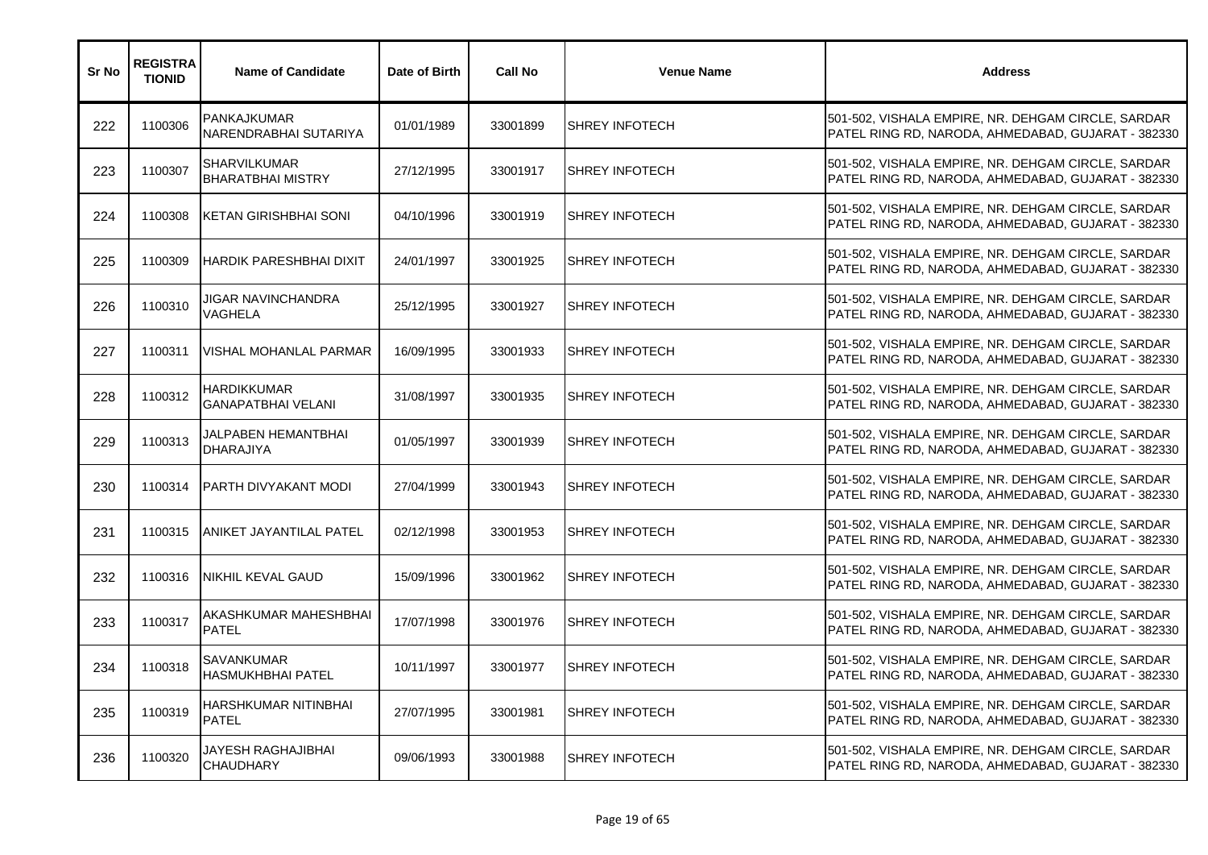| Sr No | <b>REGISTRA</b><br><b>TIONID</b> | <b>Name of Candidate</b>                      | Date of Birth | <b>Call No</b> | <b>Venue Name</b>     | <b>Address</b>                                                                                           |
|-------|----------------------------------|-----------------------------------------------|---------------|----------------|-----------------------|----------------------------------------------------------------------------------------------------------|
| 222   | 1100306                          | <b>PANKAJKUMAR</b><br>NARENDRABHAI SUTARIYA   | 01/01/1989    | 33001899       | <b>SHREY INFOTECH</b> | 501-502, VISHALA EMPIRE, NR. DEHGAM CIRCLE, SARDAR<br>PATEL RING RD, NARODA, AHMEDABAD, GUJARAT - 382330 |
| 223   | 1100307                          | SHARVILKUMAR<br><b>BHARATBHAI MISTRY</b>      | 27/12/1995    | 33001917       | <b>SHREY INFOTECH</b> | 501-502, VISHALA EMPIRE, NR. DEHGAM CIRCLE, SARDAR<br>PATEL RING RD, NARODA, AHMEDABAD, GUJARAT - 382330 |
| 224   | 1100308                          | <b>KETAN GIRISHBHAI SONI</b>                  | 04/10/1996    | 33001919       | <b>SHREY INFOTECH</b> | 501-502, VISHALA EMPIRE, NR. DEHGAM CIRCLE, SARDAR<br>PATEL RING RD, NARODA, AHMEDABAD, GUJARAT - 382330 |
| 225   | 1100309                          | <b>HARDIK PARESHBHAI DIXIT</b>                | 24/01/1997    | 33001925       | <b>SHREY INFOTECH</b> | 501-502, VISHALA EMPIRE, NR. DEHGAM CIRCLE, SARDAR<br>PATEL RING RD, NARODA, AHMEDABAD, GUJARAT - 382330 |
| 226   | 1100310                          | JIGAR NAVINCHANDRA<br>VAGHELA                 | 25/12/1995    | 33001927       | <b>SHREY INFOTECH</b> | 501-502, VISHALA EMPIRE, NR. DEHGAM CIRCLE, SARDAR<br>PATEL RING RD, NARODA, AHMEDABAD, GUJARAT - 382330 |
| 227   | 1100311                          | VISHAL MOHANLAL PARMAR                        | 16/09/1995    | 33001933       | <b>SHREY INFOTECH</b> | 501-502, VISHALA EMPIRE, NR. DEHGAM CIRCLE, SARDAR<br>PATEL RING RD, NARODA, AHMEDABAD, GUJARAT - 382330 |
| 228   | 1100312                          | HARDIKKUMAR<br><b>GANAPATBHAI VELANI</b>      | 31/08/1997    | 33001935       | <b>SHREY INFOTECH</b> | 501-502, VISHALA EMPIRE, NR. DEHGAM CIRCLE, SARDAR<br>PATEL RING RD, NARODA, AHMEDABAD, GUJARAT - 382330 |
| 229   | 1100313                          | JALPABEN HEMANTBHAI<br><b>DHARAJIYA</b>       | 01/05/1997    | 33001939       | <b>SHREY INFOTECH</b> | 501-502, VISHALA EMPIRE, NR. DEHGAM CIRCLE, SARDAR<br>PATEL RING RD, NARODA, AHMEDABAD, GUJARAT - 382330 |
| 230   | 1100314                          | <b>PARTH DIVYAKANT MODI</b>                   | 27/04/1999    | 33001943       | <b>SHREY INFOTECH</b> | 501-502, VISHALA EMPIRE, NR. DEHGAM CIRCLE, SARDAR<br>PATEL RING RD, NARODA, AHMEDABAD, GUJARAT - 382330 |
| 231   | 1100315                          | <b>ANIKET JAYANTILAL PATEL</b>                | 02/12/1998    | 33001953       | <b>SHREY INFOTECH</b> | 501-502, VISHALA EMPIRE, NR. DEHGAM CIRCLE, SARDAR<br>PATEL RING RD, NARODA, AHMEDABAD, GUJARAT - 382330 |
| 232   | 1100316                          | NIKHIL KEVAL GAUD                             | 15/09/1996    | 33001962       | <b>SHREY INFOTECH</b> | 501-502, VISHALA EMPIRE, NR. DEHGAM CIRCLE, SARDAR<br>PATEL RING RD, NARODA, AHMEDABAD, GUJARAT - 382330 |
| 233   | 1100317                          | AKASHKUMAR MAHESHBHAI<br><b>PATEL</b>         | 17/07/1998    | 33001976       | <b>SHREY INFOTECH</b> | 501-502, VISHALA EMPIRE, NR. DEHGAM CIRCLE, SARDAR<br>PATEL RING RD, NARODA, AHMEDABAD, GUJARAT - 382330 |
| 234   | 1100318                          | <b>SAVANKUMAR</b><br><b>HASMUKHBHAI PATEL</b> | 10/11/1997    | 33001977       | <b>SHREY INFOTECH</b> | 501-502, VISHALA EMPIRE, NR. DEHGAM CIRCLE, SARDAR<br>PATEL RING RD, NARODA, AHMEDABAD, GUJARAT - 382330 |
| 235   | 1100319                          | HARSHKUMAR NITINBHAI<br><b>PATEL</b>          | 27/07/1995    | 33001981       | <b>SHREY INFOTECH</b> | 501-502, VISHALA EMPIRE, NR. DEHGAM CIRCLE, SARDAR<br>PATEL RING RD, NARODA, AHMEDABAD, GUJARAT - 382330 |
| 236   | 1100320                          | JAYESH RAGHAJIBHAI<br><b>CHAUDHARY</b>        | 09/06/1993    | 33001988       | <b>SHREY INFOTECH</b> | 501-502, VISHALA EMPIRE, NR. DEHGAM CIRCLE, SARDAR<br>PATEL RING RD, NARODA, AHMEDABAD, GUJARAT - 382330 |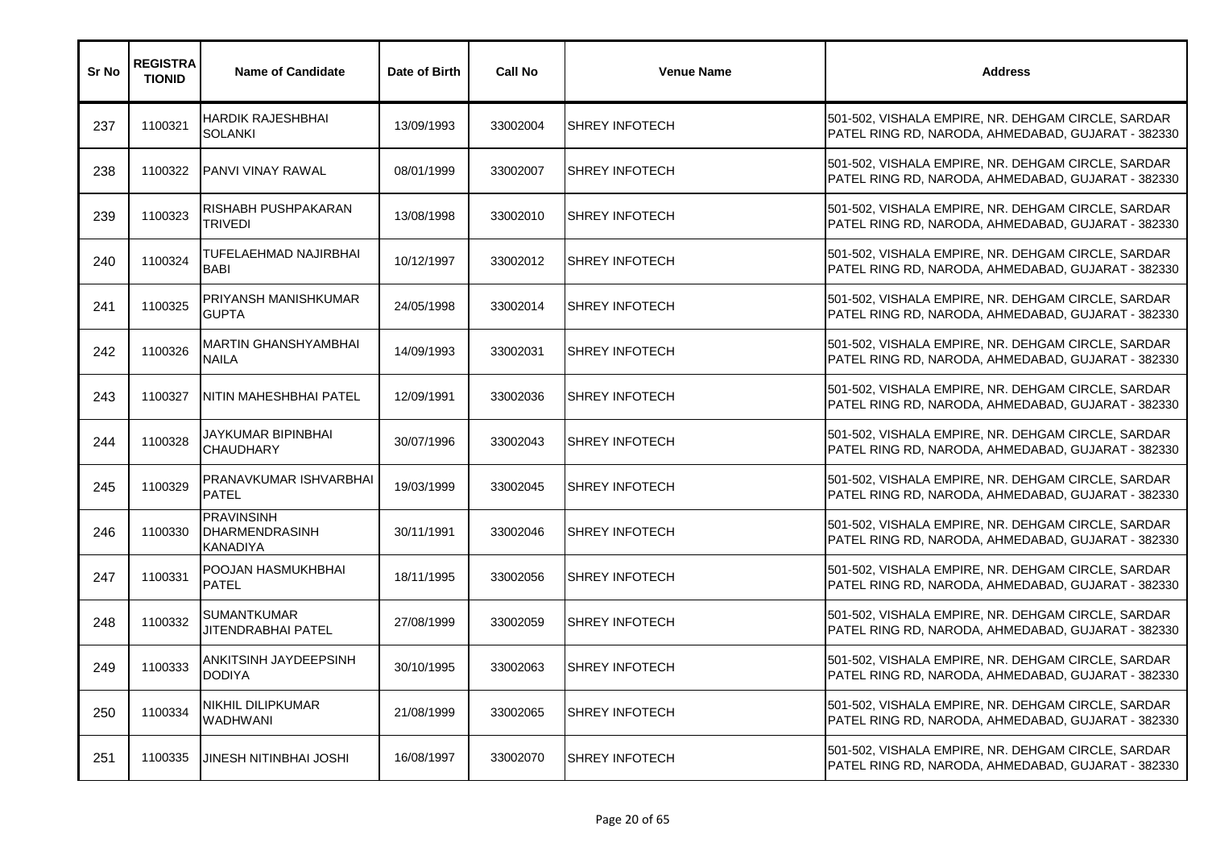| Sr No | <b>REGISTRA</b><br><b>TIONID</b> | <b>Name of Candidate</b>                                      | Date of Birth | <b>Call No</b> | <b>Venue Name</b>     | <b>Address</b>                                                                                           |
|-------|----------------------------------|---------------------------------------------------------------|---------------|----------------|-----------------------|----------------------------------------------------------------------------------------------------------|
| 237   | 1100321                          | HARDIK RAJESHBHAI<br><b>SOLANKI</b>                           | 13/09/1993    | 33002004       | <b>SHREY INFOTECH</b> | 501-502, VISHALA EMPIRE, NR. DEHGAM CIRCLE, SARDAR<br>PATEL RING RD, NARODA, AHMEDABAD, GUJARAT - 382330 |
| 238   | 1100322                          | <b>PANVI VINAY RAWAL</b>                                      | 08/01/1999    | 33002007       | <b>SHREY INFOTECH</b> | 501-502, VISHALA EMPIRE, NR. DEHGAM CIRCLE, SARDAR<br>PATEL RING RD, NARODA, AHMEDABAD, GUJARAT - 382330 |
| 239   | 1100323                          | RISHABH PUSHPAKARAN<br>TRIVEDI                                | 13/08/1998    | 33002010       | <b>SHREY INFOTECH</b> | 501-502, VISHALA EMPIRE, NR. DEHGAM CIRCLE, SARDAR<br>PATEL RING RD, NARODA, AHMEDABAD, GUJARAT - 382330 |
| 240   | 1100324                          | TUFELAEHMAD NAJIRBHAI<br><b>BABI</b>                          | 10/12/1997    | 33002012       | <b>SHREY INFOTECH</b> | 501-502, VISHALA EMPIRE, NR. DEHGAM CIRCLE, SARDAR<br>PATEL RING RD, NARODA, AHMEDABAD, GUJARAT - 382330 |
| 241   | 1100325                          | PRIYANSH MANISHKUMAR<br><b>GUPTA</b>                          | 24/05/1998    | 33002014       | <b>SHREY INFOTECH</b> | 501-502, VISHALA EMPIRE, NR. DEHGAM CIRCLE, SARDAR<br>PATEL RING RD, NARODA, AHMEDABAD, GUJARAT - 382330 |
| 242   | 1100326                          | <b>MARTIN GHANSHYAMBHAI</b><br><b>NAILA</b>                   | 14/09/1993    | 33002031       | <b>SHREY INFOTECH</b> | 501-502, VISHALA EMPIRE, NR. DEHGAM CIRCLE, SARDAR<br>PATEL RING RD, NARODA, AHMEDABAD, GUJARAT - 382330 |
| 243   | 1100327                          | NITIN MAHESHBHAI PATEL                                        | 12/09/1991    | 33002036       | <b>SHREY INFOTECH</b> | 501-502, VISHALA EMPIRE, NR. DEHGAM CIRCLE, SARDAR<br>PATEL RING RD, NARODA, AHMEDABAD, GUJARAT - 382330 |
| 244   | 1100328                          | JAYKUMAR BIPINBHAI<br><b>CHAUDHARY</b>                        | 30/07/1996    | 33002043       | <b>SHREY INFOTECH</b> | 501-502, VISHALA EMPIRE, NR. DEHGAM CIRCLE, SARDAR<br>PATEL RING RD, NARODA, AHMEDABAD, GUJARAT - 382330 |
| 245   | 1100329                          | PRANAVKUMAR ISHVARBHAI<br><b>PATEL</b>                        | 19/03/1999    | 33002045       | <b>SHREY INFOTECH</b> | 501-502, VISHALA EMPIRE, NR. DEHGAM CIRCLE, SARDAR<br>PATEL RING RD, NARODA, AHMEDABAD, GUJARAT - 382330 |
| 246   | 1100330                          | <b>PRAVINSINH</b><br><b>DHARMENDRASINH</b><br><b>KANADIYA</b> | 30/11/1991    | 33002046       | <b>SHREY INFOTECH</b> | 501-502, VISHALA EMPIRE, NR. DEHGAM CIRCLE, SARDAR<br>PATEL RING RD, NARODA, AHMEDABAD, GUJARAT - 382330 |
| 247   | 1100331                          | POOJAN HASMUKHBHAI<br><b>PATEL</b>                            | 18/11/1995    | 33002056       | <b>SHREY INFOTECH</b> | 501-502, VISHALA EMPIRE, NR. DEHGAM CIRCLE, SARDAR<br>PATEL RING RD, NARODA, AHMEDABAD, GUJARAT - 382330 |
| 248   | 1100332                          | SUMANTKUMAR<br>JITENDRABHAI PATEL                             | 27/08/1999    | 33002059       | <b>SHREY INFOTECH</b> | 501-502, VISHALA EMPIRE, NR. DEHGAM CIRCLE, SARDAR<br>PATEL RING RD, NARODA, AHMEDABAD, GUJARAT - 382330 |
| 249   | 1100333                          | ANKITSINH JAYDEEPSINH<br><b>DODIYA</b>                        | 30/10/1995    | 33002063       | <b>SHREY INFOTECH</b> | 501-502, VISHALA EMPIRE, NR. DEHGAM CIRCLE, SARDAR<br>PATEL RING RD, NARODA, AHMEDABAD, GUJARAT - 382330 |
| 250   | 1100334                          | NIKHIL DILIPKUMAR<br><b>WADHWANI</b>                          | 21/08/1999    | 33002065       | <b>SHREY INFOTECH</b> | 501-502, VISHALA EMPIRE, NR. DEHGAM CIRCLE, SARDAR<br>PATEL RING RD, NARODA, AHMEDABAD, GUJARAT - 382330 |
| 251   | 1100335                          | JINESH NITINBHAI JOSHI                                        | 16/08/1997    | 33002070       | <b>SHREY INFOTECH</b> | 501-502, VISHALA EMPIRE, NR. DEHGAM CIRCLE, SARDAR<br>PATEL RING RD, NARODA, AHMEDABAD, GUJARAT - 382330 |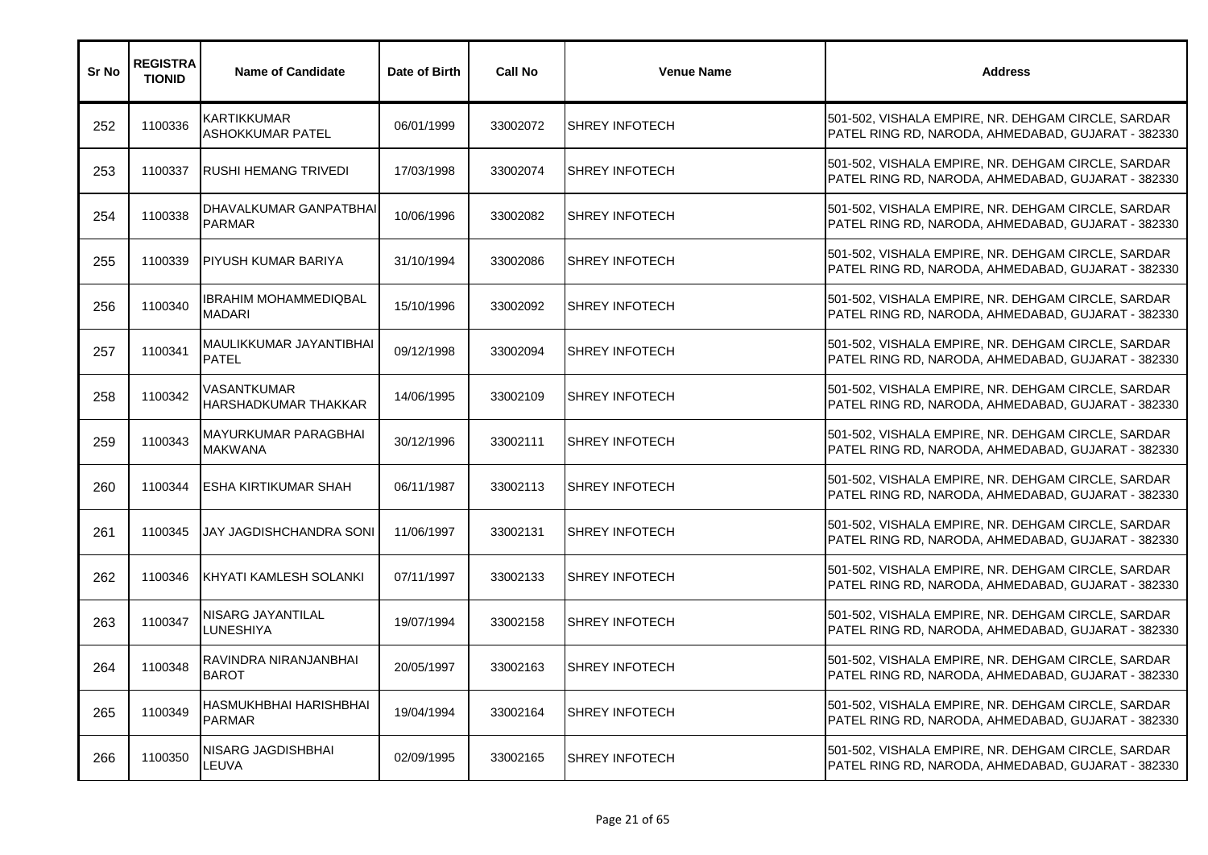| Sr No | <b>REGISTRA</b><br><b>TIONID</b> | <b>Name of Candidate</b>                 | Date of Birth | <b>Call No</b> | <b>Venue Name</b>     | <b>Address</b>                                                                                           |
|-------|----------------------------------|------------------------------------------|---------------|----------------|-----------------------|----------------------------------------------------------------------------------------------------------|
| 252   | 1100336                          | <b>KARTIKKUMAR</b><br>ASHOKKUMAR PATEL   | 06/01/1999    | 33002072       | <b>SHREY INFOTECH</b> | 501-502, VISHALA EMPIRE, NR. DEHGAM CIRCLE, SARDAR<br>PATEL RING RD, NARODA, AHMEDABAD, GUJARAT - 382330 |
| 253   | 1100337                          | RUSHI HEMANG TRIVEDI                     | 17/03/1998    | 33002074       | <b>SHREY INFOTECH</b> | 501-502, VISHALA EMPIRE, NR. DEHGAM CIRCLE, SARDAR<br>PATEL RING RD, NARODA, AHMEDABAD, GUJARAT - 382330 |
| 254   | 1100338                          | DHAVALKUMAR GANPATBHAI<br><b>PARMAR</b>  | 10/06/1996    | 33002082       | <b>SHREY INFOTECH</b> | 501-502, VISHALA EMPIRE, NR. DEHGAM CIRCLE, SARDAR<br>PATEL RING RD, NARODA, AHMEDABAD, GUJARAT - 382330 |
| 255   | 1100339                          | <b>PIYUSH KUMAR BARIYA</b>               | 31/10/1994    | 33002086       | <b>SHREY INFOTECH</b> | 501-502, VISHALA EMPIRE, NR. DEHGAM CIRCLE, SARDAR<br>PATEL RING RD, NARODA, AHMEDABAD, GUJARAT - 382330 |
| 256   | 1100340                          | IBRAHIM MOHAMMEDIQBAL<br><b>MADARI</b>   | 15/10/1996    | 33002092       | <b>SHREY INFOTECH</b> | 501-502, VISHALA EMPIRE, NR. DEHGAM CIRCLE, SARDAR<br>PATEL RING RD, NARODA, AHMEDABAD, GUJARAT - 382330 |
| 257   | 1100341                          | MAULIKKUMAR JAYANTIBHAI<br><b>PATEL</b>  | 09/12/1998    | 33002094       | <b>SHREY INFOTECH</b> | 501-502, VISHALA EMPIRE, NR. DEHGAM CIRCLE, SARDAR<br>PATEL RING RD, NARODA, AHMEDABAD, GUJARAT - 382330 |
| 258   | 1100342                          | VASANTKUMAR<br>HARSHADKUMAR THAKKAR      | 14/06/1995    | 33002109       | <b>SHREY INFOTECH</b> | 501-502, VISHALA EMPIRE, NR. DEHGAM CIRCLE, SARDAR<br>PATEL RING RD, NARODA, AHMEDABAD, GUJARAT - 382330 |
| 259   | 1100343                          | MAYURKUMAR PARAGBHAI<br><b>MAKWANA</b>   | 30/12/1996    | 33002111       | <b>SHREY INFOTECH</b> | 501-502, VISHALA EMPIRE, NR. DEHGAM CIRCLE, SARDAR<br>PATEL RING RD, NARODA, AHMEDABAD, GUJARAT - 382330 |
| 260   | 1100344                          | <b>ESHA KIRTIKUMAR SHAH</b>              | 06/11/1987    | 33002113       | <b>SHREY INFOTECH</b> | 501-502, VISHALA EMPIRE, NR. DEHGAM CIRCLE, SARDAR<br>PATEL RING RD, NARODA, AHMEDABAD, GUJARAT - 382330 |
| 261   | 1100345                          | JAY JAGDISHCHANDRA SONI                  | 11/06/1997    | 33002131       | <b>SHREY INFOTECH</b> | 501-502, VISHALA EMPIRE, NR. DEHGAM CIRCLE, SARDAR<br>PATEL RING RD, NARODA, AHMEDABAD, GUJARAT - 382330 |
| 262   | 1100346                          | KHYATI KAMLESH SOLANKI                   | 07/11/1997    | 33002133       | <b>SHREY INFOTECH</b> | 501-502, VISHALA EMPIRE, NR. DEHGAM CIRCLE, SARDAR<br>PATEL RING RD, NARODA, AHMEDABAD, GUJARAT - 382330 |
| 263   | 1100347                          | NISARG JAYANTILAL<br>LUNESHIYA           | 19/07/1994    | 33002158       | <b>SHREY INFOTECH</b> | 501-502, VISHALA EMPIRE, NR. DEHGAM CIRCLE, SARDAR<br>PATEL RING RD, NARODA, AHMEDABAD, GUJARAT - 382330 |
| 264   | 1100348                          | RAVINDRA NIRANJANBHAI<br><b>BAROT</b>    | 20/05/1997    | 33002163       | <b>SHREY INFOTECH</b> | 501-502, VISHALA EMPIRE, NR. DEHGAM CIRCLE, SARDAR<br>PATEL RING RD, NARODA, AHMEDABAD, GUJARAT - 382330 |
| 265   | 1100349                          | HASMUKHBHAI HARISHBHAI<br><b>PARMAR</b>  | 19/04/1994    | 33002164       | <b>SHREY INFOTECH</b> | 501-502, VISHALA EMPIRE, NR. DEHGAM CIRCLE, SARDAR<br>PATEL RING RD, NARODA, AHMEDABAD, GUJARAT - 382330 |
| 266   | 1100350                          | <b>NISARG JAGDISHBHAI</b><br><b>EUVA</b> | 02/09/1995    | 33002165       | <b>SHREY INFOTECH</b> | 501-502, VISHALA EMPIRE, NR. DEHGAM CIRCLE, SARDAR<br>PATEL RING RD, NARODA, AHMEDABAD, GUJARAT - 382330 |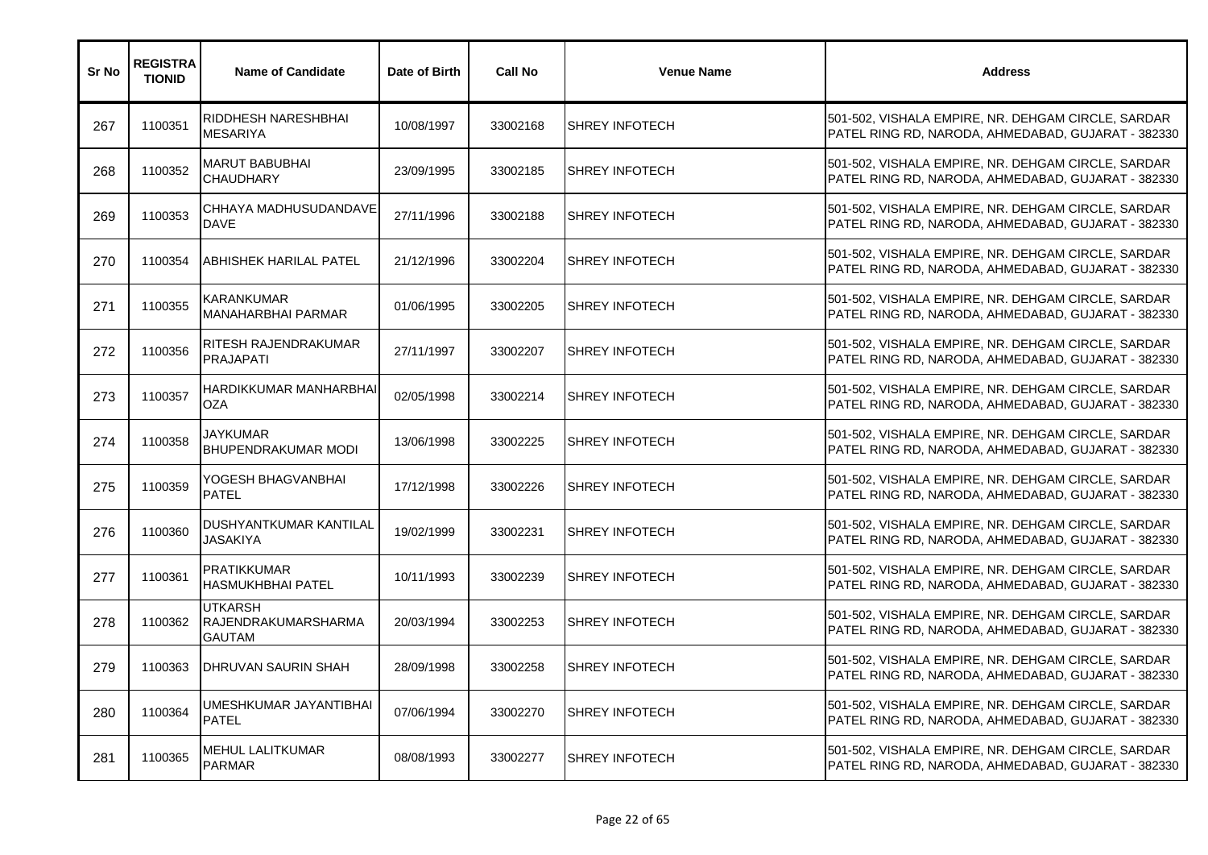| Sr No | <b>REGISTRA</b><br><b>TIONID</b> | <b>Name of Candidate</b>                               | Date of Birth | <b>Call No</b> | <b>Venue Name</b>     | <b>Address</b>                                                                                           |
|-------|----------------------------------|--------------------------------------------------------|---------------|----------------|-----------------------|----------------------------------------------------------------------------------------------------------|
| 267   | 1100351                          | RIDDHESH NARESHBHAI<br><b>MESARIYA</b>                 | 10/08/1997    | 33002168       | <b>SHREY INFOTECH</b> | 501-502, VISHALA EMPIRE, NR. DEHGAM CIRCLE, SARDAR<br>PATEL RING RD, NARODA, AHMEDABAD, GUJARAT - 382330 |
| 268   | 1100352                          | <b>MARUT BABUBHAI</b><br><b>CHAUDHARY</b>              | 23/09/1995    | 33002185       | <b>SHREY INFOTECH</b> | 501-502, VISHALA EMPIRE, NR. DEHGAM CIRCLE, SARDAR<br>PATEL RING RD, NARODA, AHMEDABAD, GUJARAT - 382330 |
| 269   | 1100353                          | CHHAYA MADHUSUDANDAVE<br><b>DAVE</b>                   | 27/11/1996    | 33002188       | <b>SHREY INFOTECH</b> | 501-502, VISHALA EMPIRE, NR. DEHGAM CIRCLE, SARDAR<br>PATEL RING RD, NARODA, AHMEDABAD, GUJARAT - 382330 |
| 270   | 1100354                          | ABHISHEK HARILAL PATEL                                 | 21/12/1996    | 33002204       | <b>SHREY INFOTECH</b> | 501-502, VISHALA EMPIRE, NR. DEHGAM CIRCLE, SARDAR<br>PATEL RING RD, NARODA, AHMEDABAD, GUJARAT - 382330 |
| 271   | 1100355                          | KARANKUMAR<br><b>MANAHARBHAI PARMAR</b>                | 01/06/1995    | 33002205       | <b>SHREY INFOTECH</b> | 501-502, VISHALA EMPIRE, NR. DEHGAM CIRCLE, SARDAR<br>PATEL RING RD, NARODA, AHMEDABAD, GUJARAT - 382330 |
| 272   | 1100356                          | RITESH RAJENDRAKUMAR<br><b>PRAJAPATI</b>               | 27/11/1997    | 33002207       | <b>SHREY INFOTECH</b> | 501-502, VISHALA EMPIRE, NR. DEHGAM CIRCLE, SARDAR<br>PATEL RING RD, NARODA, AHMEDABAD, GUJARAT - 382330 |
| 273   | 1100357                          | HARDIKKUMAR MANHARBHAI<br><b>OZA</b>                   | 02/05/1998    | 33002214       | <b>SHREY INFOTECH</b> | 501-502, VISHALA EMPIRE, NR. DEHGAM CIRCLE, SARDAR<br>PATEL RING RD, NARODA, AHMEDABAD, GUJARAT - 382330 |
| 274   | 1100358                          | JAYKUMAR<br>BHUPENDRAKUMAR MODI                        | 13/06/1998    | 33002225       | <b>SHREY INFOTECH</b> | 501-502, VISHALA EMPIRE, NR. DEHGAM CIRCLE, SARDAR<br>PATEL RING RD, NARODA, AHMEDABAD, GUJARAT - 382330 |
| 275   | 1100359                          | YOGESH BHAGVANBHAI<br><b>PATEL</b>                     | 17/12/1998    | 33002226       | SHREY INFOTECH        | 501-502, VISHALA EMPIRE, NR. DEHGAM CIRCLE, SARDAR<br>PATEL RING RD, NARODA, AHMEDABAD, GUJARAT - 382330 |
| 276   | 1100360                          | DUSHYANTKUMAR KANTILAL<br><b>JASAKIYA</b>              | 19/02/1999    | 33002231       | <b>SHREY INFOTECH</b> | 501-502, VISHALA EMPIRE, NR. DEHGAM CIRCLE, SARDAR<br>PATEL RING RD, NARODA, AHMEDABAD, GUJARAT - 382330 |
| 277   | 1100361                          | <b>PRATIKKUMAR</b><br><b>HASMUKHBHAI PATEL</b>         | 10/11/1993    | 33002239       | <b>SHREY INFOTECH</b> | 501-502, VISHALA EMPIRE, NR. DEHGAM CIRCLE, SARDAR<br>PATEL RING RD, NARODA, AHMEDABAD, GUJARAT - 382330 |
| 278   | 1100362                          | <b>UTKARSH</b><br>RAJENDRAKUMARSHARMA<br><b>GAUTAM</b> | 20/03/1994    | 33002253       | <b>SHREY INFOTECH</b> | 501-502, VISHALA EMPIRE, NR. DEHGAM CIRCLE, SARDAR<br>PATEL RING RD, NARODA, AHMEDABAD, GUJARAT - 382330 |
| 279   | 1100363                          | <b>DHRUVAN SAURIN SHAH</b>                             | 28/09/1998    | 33002258       | <b>SHREY INFOTECH</b> | 501-502, VISHALA EMPIRE, NR. DEHGAM CIRCLE, SARDAR<br>PATEL RING RD, NARODA, AHMEDABAD, GUJARAT - 382330 |
| 280   | 1100364                          | UMESHKUMAR JAYANTIBHAI<br><b>PATEL</b>                 | 07/06/1994    | 33002270       | <b>SHREY INFOTECH</b> | 501-502, VISHALA EMPIRE, NR. DEHGAM CIRCLE, SARDAR<br>PATEL RING RD, NARODA, AHMEDABAD, GUJARAT - 382330 |
| 281   | 1100365                          | <b>MEHUL LALITKUMAR</b><br><b>PARMAR</b>               | 08/08/1993    | 33002277       | <b>SHREY INFOTECH</b> | 501-502, VISHALA EMPIRE, NR. DEHGAM CIRCLE, SARDAR<br>PATEL RING RD, NARODA, AHMEDABAD, GUJARAT - 382330 |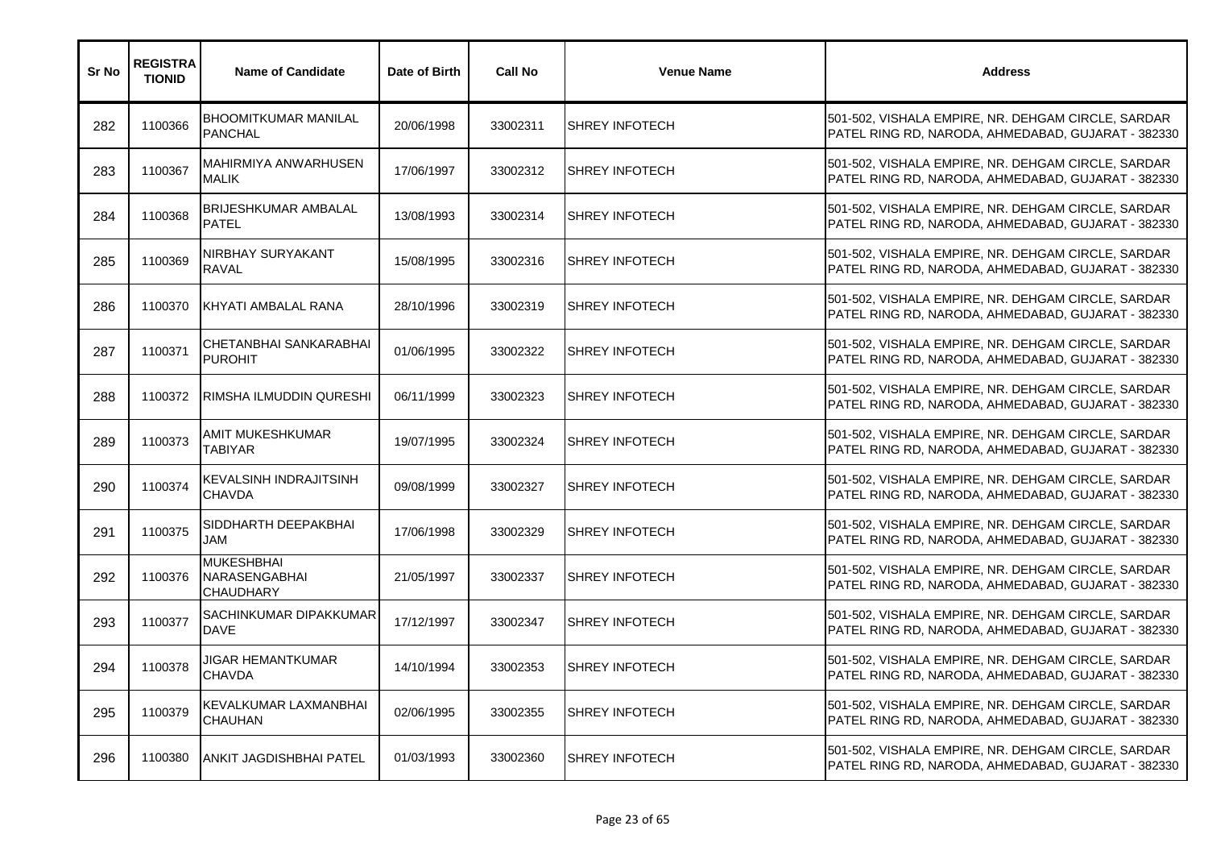| Sr No | <b>REGISTRA</b><br><b>TIONID</b> | <b>Name of Candidate</b>                               | Date of Birth | <b>Call No</b> | <b>Venue Name</b>     | <b>Address</b>                                                                                           |
|-------|----------------------------------|--------------------------------------------------------|---------------|----------------|-----------------------|----------------------------------------------------------------------------------------------------------|
| 282   | 1100366                          | <b>BHOOMITKUMAR MANILAL</b><br><b>PANCHAL</b>          | 20/06/1998    | 33002311       | <b>SHREY INFOTECH</b> | 501-502, VISHALA EMPIRE, NR. DEHGAM CIRCLE, SARDAR<br>PATEL RING RD, NARODA, AHMEDABAD, GUJARAT - 382330 |
| 283   | 1100367                          | MAHIRMIYA ANWARHUSEN<br><b>MALIK</b>                   | 17/06/1997    | 33002312       | <b>SHREY INFOTECH</b> | 501-502, VISHALA EMPIRE, NR. DEHGAM CIRCLE, SARDAR<br>PATEL RING RD, NARODA, AHMEDABAD, GUJARAT - 382330 |
| 284   | 1100368                          | <b>BRIJESHKUMAR AMBALAL</b><br><b>PATEL</b>            | 13/08/1993    | 33002314       | <b>SHREY INFOTECH</b> | 501-502, VISHALA EMPIRE, NR. DEHGAM CIRCLE, SARDAR<br>PATEL RING RD, NARODA, AHMEDABAD, GUJARAT - 382330 |
| 285   | 1100369                          | NIRBHAY SURYAKANT<br><b>RAVAL</b>                      | 15/08/1995    | 33002316       | <b>SHREY INFOTECH</b> | 501-502, VISHALA EMPIRE, NR. DEHGAM CIRCLE, SARDAR<br>PATEL RING RD, NARODA, AHMEDABAD, GUJARAT - 382330 |
| 286   | 1100370                          | KHYATI AMBALAL RANA                                    | 28/10/1996    | 33002319       | <b>SHREY INFOTECH</b> | 501-502, VISHALA EMPIRE, NR. DEHGAM CIRCLE, SARDAR<br>PATEL RING RD, NARODA, AHMEDABAD, GUJARAT - 382330 |
| 287   | 1100371                          | CHETANBHAI SANKARABHAI<br><b>PUROHIT</b>               | 01/06/1995    | 33002322       | <b>SHREY INFOTECH</b> | 501-502, VISHALA EMPIRE, NR. DEHGAM CIRCLE, SARDAR<br>PATEL RING RD, NARODA, AHMEDABAD, GUJARAT - 382330 |
| 288   | 1100372                          | <b>RIMSHA ILMUDDIN QURESHI</b>                         | 06/11/1999    | 33002323       | SHREY INFOTECH        | 501-502, VISHALA EMPIRE, NR. DEHGAM CIRCLE, SARDAR<br>PATEL RING RD, NARODA, AHMEDABAD, GUJARAT - 382330 |
| 289   | 1100373                          | AMIT MUKESHKUMAR<br><b>TABIYAR</b>                     | 19/07/1995    | 33002324       | <b>SHREY INFOTECH</b> | 501-502, VISHALA EMPIRE, NR. DEHGAM CIRCLE, SARDAR<br>PATEL RING RD, NARODA, AHMEDABAD, GUJARAT - 382330 |
| 290   | 1100374                          | <b>KEVALSINH INDRAJITSINH</b><br><b>CHAVDA</b>         | 09/08/1999    | 33002327       | SHREY INFOTECH        | 501-502, VISHALA EMPIRE, NR. DEHGAM CIRCLE, SARDAR<br>PATEL RING RD, NARODA, AHMEDABAD, GUJARAT - 382330 |
| 291   | 1100375                          | SIDDHARTH DEEPAKBHAI<br>JAM                            | 17/06/1998    | 33002329       | <b>SHREY INFOTECH</b> | 501-502, VISHALA EMPIRE, NR. DEHGAM CIRCLE, SARDAR<br>PATEL RING RD, NARODA, AHMEDABAD, GUJARAT - 382330 |
| 292   | 1100376                          | <b>MUKESHBHAI</b><br>NARASENGABHAI<br><b>CHAUDHARY</b> | 21/05/1997    | 33002337       | <b>SHREY INFOTECH</b> | 501-502, VISHALA EMPIRE, NR. DEHGAM CIRCLE, SARDAR<br>PATEL RING RD, NARODA, AHMEDABAD, GUJARAT - 382330 |
| 293   | 1100377                          | SACHINKUMAR DIPAKKUMAR<br><b>DAVE</b>                  | 17/12/1997    | 33002347       | <b>SHREY INFOTECH</b> | 501-502, VISHALA EMPIRE, NR. DEHGAM CIRCLE, SARDAR<br>PATEL RING RD, NARODA, AHMEDABAD, GUJARAT - 382330 |
| 294   | 1100378                          | JIGAR HEMANTKUMAR<br><b>CHAVDA</b>                     | 14/10/1994    | 33002353       | <b>SHREY INFOTECH</b> | 501-502, VISHALA EMPIRE, NR. DEHGAM CIRCLE, SARDAR<br>PATEL RING RD, NARODA, AHMEDABAD, GUJARAT - 382330 |
| 295   | 1100379                          | KEVALKUMAR LAXMANBHAI<br><b>CHAUHAN</b>                | 02/06/1995    | 33002355       | <b>SHREY INFOTECH</b> | 501-502, VISHALA EMPIRE, NR. DEHGAM CIRCLE, SARDAR<br>PATEL RING RD, NARODA, AHMEDABAD, GUJARAT - 382330 |
| 296   | 1100380                          | <b>ANKIT JAGDISHBHAI PATEL</b>                         | 01/03/1993    | 33002360       | <b>SHREY INFOTECH</b> | 501-502, VISHALA EMPIRE, NR. DEHGAM CIRCLE, SARDAR<br>PATEL RING RD, NARODA, AHMEDABAD, GUJARAT - 382330 |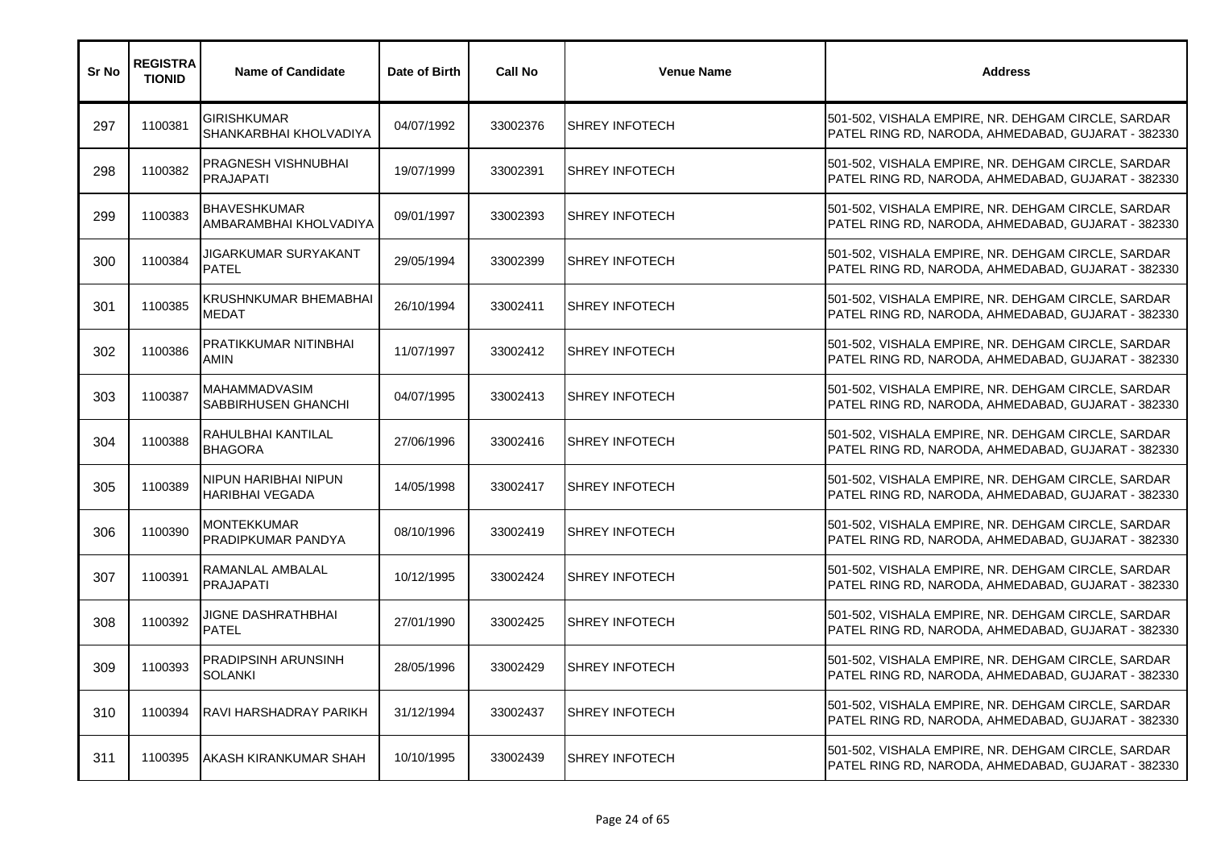| Sr No | <b>REGISTRA</b><br><b>TIONID</b> | <b>Name of Candidate</b>                       | Date of Birth | <b>Call No</b> | <b>Venue Name</b>     | <b>Address</b>                                                                                           |
|-------|----------------------------------|------------------------------------------------|---------------|----------------|-----------------------|----------------------------------------------------------------------------------------------------------|
| 297   | 1100381                          | GIRISHKUMAR<br>SHANKARBHAI KHOLVADIYA          | 04/07/1992    | 33002376       | <b>SHREY INFOTECH</b> | 501-502, VISHALA EMPIRE, NR. DEHGAM CIRCLE, SARDAR<br>PATEL RING RD, NARODA, AHMEDABAD, GUJARAT - 382330 |
| 298   | 1100382                          | PRAGNESH VISHNUBHAI<br><b>PRAJAPATI</b>        | 19/07/1999    | 33002391       | <b>SHREY INFOTECH</b> | 501-502, VISHALA EMPIRE, NR. DEHGAM CIRCLE, SARDAR<br>PATEL RING RD, NARODA, AHMEDABAD, GUJARAT - 382330 |
| 299   | 1100383                          | <b>BHAVESHKUMAR</b><br>AMBARAMBHAI KHOLVADIYA  | 09/01/1997    | 33002393       | <b>SHREY INFOTECH</b> | 501-502, VISHALA EMPIRE, NR. DEHGAM CIRCLE, SARDAR<br>PATEL RING RD, NARODA, AHMEDABAD, GUJARAT - 382330 |
| 300   | 1100384                          | JIGARKUMAR SURYAKANT<br><b>PATEL</b>           | 29/05/1994    | 33002399       | <b>SHREY INFOTECH</b> | 501-502, VISHALA EMPIRE, NR. DEHGAM CIRCLE, SARDAR<br>PATEL RING RD, NARODA, AHMEDABAD, GUJARAT - 382330 |
| 301   | 1100385                          | KRUSHNKUMAR BHEMABHAI<br><b>MEDAT</b>          | 26/10/1994    | 33002411       | <b>SHREY INFOTECH</b> | 501-502, VISHALA EMPIRE, NR. DEHGAM CIRCLE, SARDAR<br>PATEL RING RD, NARODA, AHMEDABAD, GUJARAT - 382330 |
| 302   | 1100386                          | PRATIKKUMAR NITINBHAI<br>AMIN                  | 11/07/1997    | 33002412       | SHREY INFOTECH        | 501-502, VISHALA EMPIRE, NR. DEHGAM CIRCLE, SARDAR<br>PATEL RING RD, NARODA, AHMEDABAD, GUJARAT - 382330 |
| 303   | 1100387                          | MAHAMMADVASIM<br>SABBIRHUSEN GHANCHI           | 04/07/1995    | 33002413       | <b>SHREY INFOTECH</b> | 501-502, VISHALA EMPIRE, NR. DEHGAM CIRCLE, SARDAR<br>PATEL RING RD, NARODA, AHMEDABAD, GUJARAT - 382330 |
| 304   | 1100388                          | RAHULBHAI KANTILAL<br><b>BHAGORA</b>           | 27/06/1996    | 33002416       | <b>SHREY INFOTECH</b> | 501-502, VISHALA EMPIRE, NR. DEHGAM CIRCLE, SARDAR<br>PATEL RING RD, NARODA, AHMEDABAD, GUJARAT - 382330 |
| 305   | 1100389                          | NIPUN HARIBHAI NIPUN<br><b>HARIBHAI VEGADA</b> | 14/05/1998    | 33002417       | <b>SHREY INFOTECH</b> | 501-502, VISHALA EMPIRE, NR. DEHGAM CIRCLE, SARDAR<br>PATEL RING RD, NARODA, AHMEDABAD, GUJARAT - 382330 |
| 306   | 1100390                          | <b>MONTEKKUMAR</b><br>PRADIPKUMAR PANDYA       | 08/10/1996    | 33002419       | <b>SHREY INFOTECH</b> | 501-502, VISHALA EMPIRE, NR. DEHGAM CIRCLE, SARDAR<br>PATEL RING RD, NARODA, AHMEDABAD, GUJARAT - 382330 |
| 307   | 1100391                          | RAMANLAL AMBALAL<br><b>PRAJAPATI</b>           | 10/12/1995    | 33002424       | <b>SHREY INFOTECH</b> | 501-502, VISHALA EMPIRE, NR. DEHGAM CIRCLE, SARDAR<br>PATEL RING RD, NARODA, AHMEDABAD, GUJARAT - 382330 |
| 308   | 1100392                          | JIGNE DASHRATHBHAI<br><b>PATEL</b>             | 27/01/1990    | 33002425       | <b>SHREY INFOTECH</b> | 501-502, VISHALA EMPIRE, NR. DEHGAM CIRCLE, SARDAR<br>PATEL RING RD, NARODA, AHMEDABAD, GUJARAT - 382330 |
| 309   | 1100393                          | PRADIPSINH ARUNSINH<br>SOLANKI                 | 28/05/1996    | 33002429       | <b>SHREY INFOTECH</b> | 501-502, VISHALA EMPIRE, NR. DEHGAM CIRCLE, SARDAR<br>PATEL RING RD, NARODA, AHMEDABAD, GUJARAT - 382330 |
| 310   | 1100394                          | RAVI HARSHADRAY PARIKH                         | 31/12/1994    | 33002437       | <b>SHREY INFOTECH</b> | 501-502, VISHALA EMPIRE, NR. DEHGAM CIRCLE, SARDAR<br>PATEL RING RD, NARODA, AHMEDABAD, GUJARAT - 382330 |
| 311   | 1100395                          | AKASH KIRANKUMAR SHAH                          | 10/10/1995    | 33002439       | <b>SHREY INFOTECH</b> | 501-502, VISHALA EMPIRE, NR. DEHGAM CIRCLE, SARDAR<br>PATEL RING RD, NARODA, AHMEDABAD, GUJARAT - 382330 |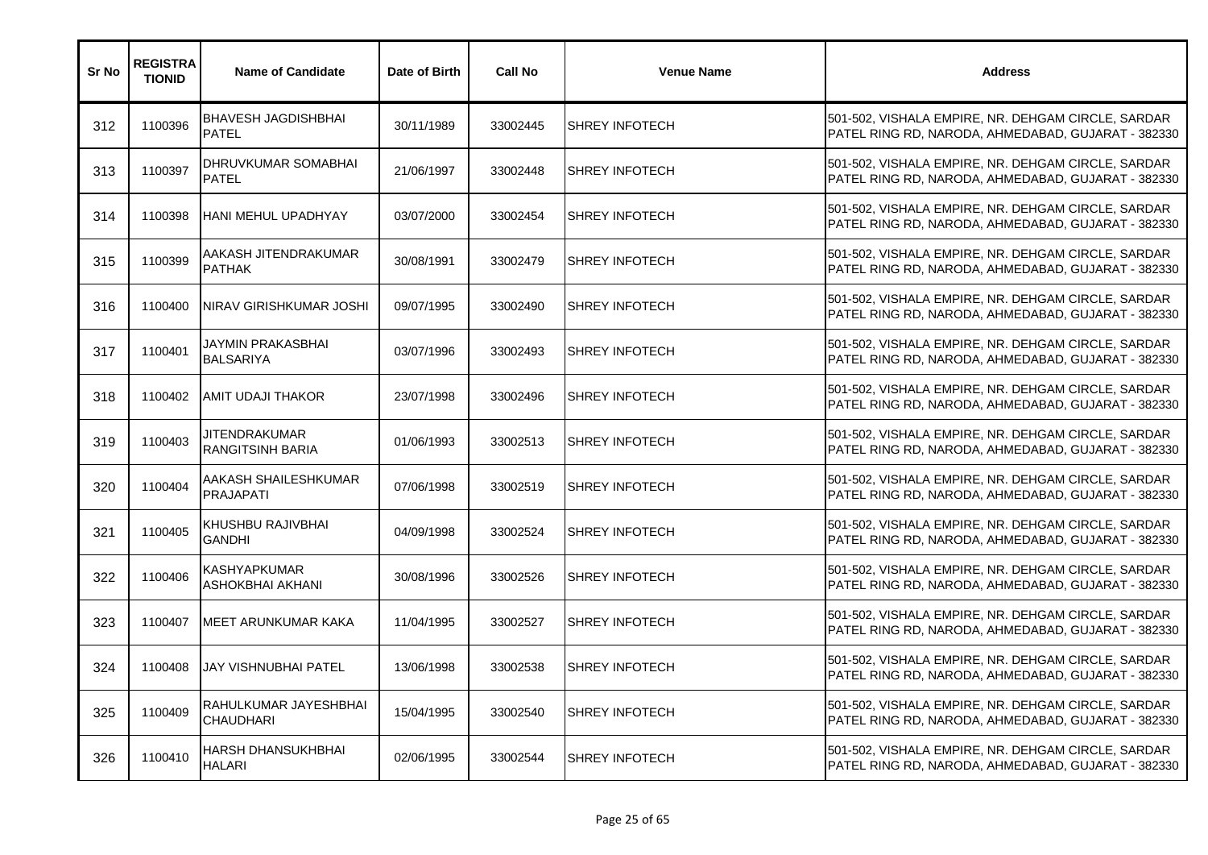| Sr No | <b>REGISTRA</b><br><b>TIONID</b> | <b>Name of Candidate</b>                   | Date of Birth | <b>Call No</b> | <b>Venue Name</b>     | <b>Address</b>                                                                                           |
|-------|----------------------------------|--------------------------------------------|---------------|----------------|-----------------------|----------------------------------------------------------------------------------------------------------|
| 312   | 1100396                          | <b>BHAVESH JAGDISHBHAI</b><br><b>PATEL</b> | 30/11/1989    | 33002445       | <b>SHREY INFOTECH</b> | 501-502, VISHALA EMPIRE, NR. DEHGAM CIRCLE, SARDAR<br>PATEL RING RD, NARODA, AHMEDABAD, GUJARAT - 382330 |
| 313   | 1100397                          | DHRUVKUMAR SOMABHAI<br><b>PATEL</b>        | 21/06/1997    | 33002448       | <b>SHREY INFOTECH</b> | 501-502, VISHALA EMPIRE, NR. DEHGAM CIRCLE, SARDAR<br>PATEL RING RD, NARODA, AHMEDABAD, GUJARAT - 382330 |
| 314   | 1100398                          | <b>HANI MEHUL UPADHYAY</b>                 | 03/07/2000    | 33002454       | <b>SHREY INFOTECH</b> | 501-502, VISHALA EMPIRE, NR. DEHGAM CIRCLE, SARDAR<br>PATEL RING RD, NARODA, AHMEDABAD, GUJARAT - 382330 |
| 315   | 1100399                          | AAKASH JITENDRAKUMAR<br><b>PATHAK</b>      | 30/08/1991    | 33002479       | <b>SHREY INFOTECH</b> | 501-502, VISHALA EMPIRE, NR. DEHGAM CIRCLE, SARDAR<br>PATEL RING RD, NARODA, AHMEDABAD, GUJARAT - 382330 |
| 316   | 1100400                          | INIRAV GIRISHKUMAR JOSHI                   | 09/07/1995    | 33002490       | <b>SHREY INFOTECH</b> | 501-502, VISHALA EMPIRE, NR. DEHGAM CIRCLE, SARDAR<br>PATEL RING RD, NARODA, AHMEDABAD, GUJARAT - 382330 |
| 317   | 1100401                          | JAYMIN PRAKASBHAI<br><b>BALSARIYA</b>      | 03/07/1996    | 33002493       | <b>SHREY INFOTECH</b> | 501-502, VISHALA EMPIRE, NR. DEHGAM CIRCLE, SARDAR<br>PATEL RING RD, NARODA, AHMEDABAD, GUJARAT - 382330 |
| 318   | 1100402                          | AMIT UDAJI THAKOR                          | 23/07/1998    | 33002496       | <b>SHREY INFOTECH</b> | 501-502, VISHALA EMPIRE, NR. DEHGAM CIRCLE, SARDAR<br>PATEL RING RD, NARODA, AHMEDABAD, GUJARAT - 382330 |
| 319   | 1100403                          | JITENDRAKUMAR<br><b>RANGITSINH BARIA</b>   | 01/06/1993    | 33002513       | <b>SHREY INFOTECH</b> | 501-502, VISHALA EMPIRE, NR. DEHGAM CIRCLE, SARDAR<br>PATEL RING RD, NARODA, AHMEDABAD, GUJARAT - 382330 |
| 320   | 1100404                          | AAKASH SHAILESHKUMAR<br><b>PRAJAPATI</b>   | 07/06/1998    | 33002519       | <b>SHREY INFOTECH</b> | 501-502, VISHALA EMPIRE, NR. DEHGAM CIRCLE, SARDAR<br>PATEL RING RD, NARODA, AHMEDABAD, GUJARAT - 382330 |
| 321   | 1100405                          | KHUSHBU RAJIVBHAI<br><b>GANDHI</b>         | 04/09/1998    | 33002524       | <b>SHREY INFOTECH</b> | 501-502, VISHALA EMPIRE, NR. DEHGAM CIRCLE, SARDAR<br>PATEL RING RD, NARODA, AHMEDABAD, GUJARAT - 382330 |
| 322   | 1100406                          | <b>KASHYAPKUMAR</b><br>ASHOKBHAI AKHANI    | 30/08/1996    | 33002526       | <b>SHREY INFOTECH</b> | 501-502, VISHALA EMPIRE, NR. DEHGAM CIRCLE, SARDAR<br>PATEL RING RD, NARODA, AHMEDABAD, GUJARAT - 382330 |
| 323   | 1100407                          | MEET ARUNKUMAR KAKA                        | 11/04/1995    | 33002527       | <b>SHREY INFOTECH</b> | 501-502, VISHALA EMPIRE, NR. DEHGAM CIRCLE, SARDAR<br>PATEL RING RD, NARODA, AHMEDABAD, GUJARAT - 382330 |
| 324   | 1100408                          | JAY VISHNUBHAI PATEL                       | 13/06/1998    | 33002538       | <b>SHREY INFOTECH</b> | 501-502, VISHALA EMPIRE, NR. DEHGAM CIRCLE, SARDAR<br>PATEL RING RD, NARODA, AHMEDABAD, GUJARAT - 382330 |
| 325   | 1100409                          | RAHULKUMAR JAYESHBHAI<br><b>CHAUDHARI</b>  | 15/04/1995    | 33002540       | <b>SHREY INFOTECH</b> | 501-502, VISHALA EMPIRE, NR. DEHGAM CIRCLE, SARDAR<br>PATEL RING RD, NARODA, AHMEDABAD, GUJARAT - 382330 |
| 326   | 1100410                          | HARSH DHANSUKHBHAI<br><b>HALARI</b>        | 02/06/1995    | 33002544       | <b>SHREY INFOTECH</b> | 501-502, VISHALA EMPIRE, NR. DEHGAM CIRCLE, SARDAR<br>PATEL RING RD, NARODA, AHMEDABAD, GUJARAT - 382330 |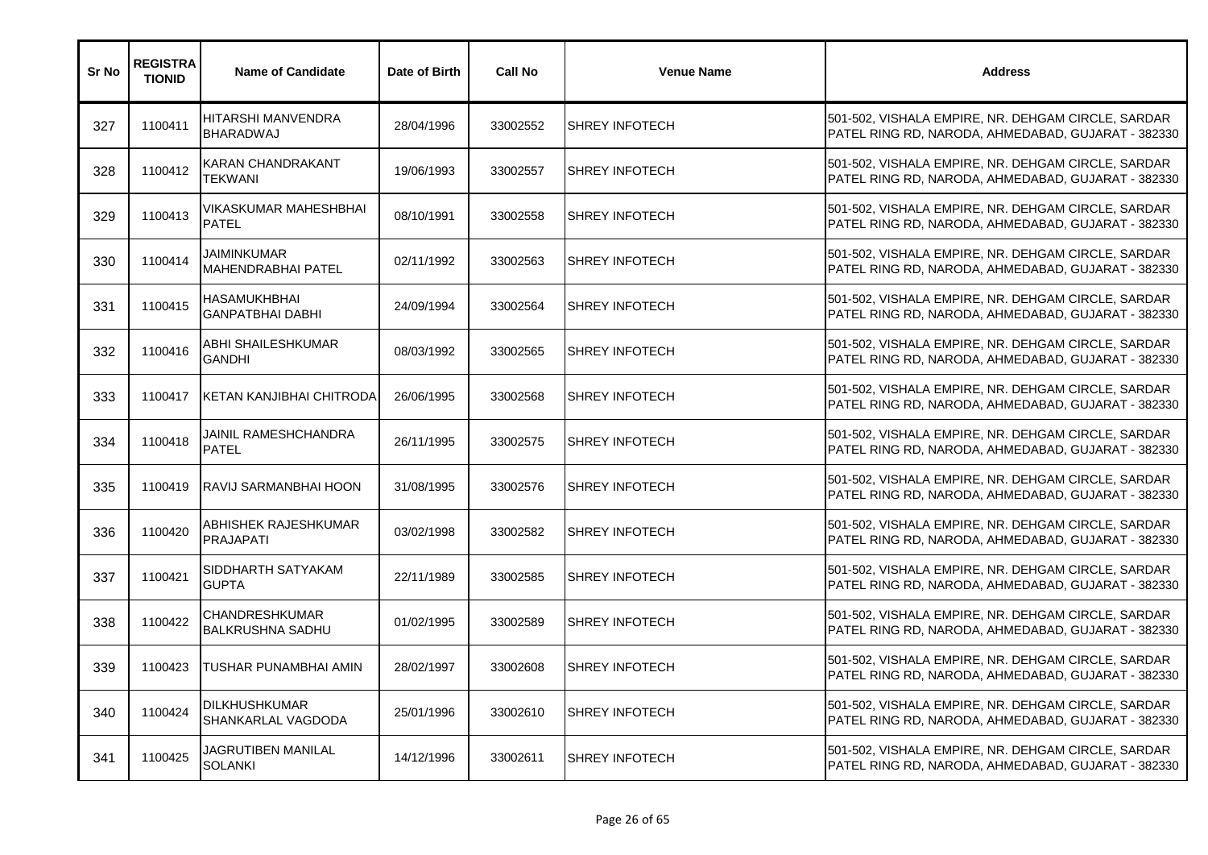| Sr No | <b>REGISTRA</b><br><b>TIONID</b> | <b>Name of Candidate</b>                          | Date of Birth | <b>Call No</b> | <b>Venue Name</b>     | <b>Address</b>                                                                                           |
|-------|----------------------------------|---------------------------------------------------|---------------|----------------|-----------------------|----------------------------------------------------------------------------------------------------------|
| 327   | 1100411                          | HITARSHI MANVENDRA<br>BHARADWAJ                   | 28/04/1996    | 33002552       | <b>SHREY INFOTECH</b> | 501-502, VISHALA EMPIRE, NR. DEHGAM CIRCLE, SARDAR<br>PATEL RING RD, NARODA, AHMEDABAD, GUJARAT - 382330 |
| 328   | 1100412                          | KARAN CHANDRAKANT<br>TEKWANI                      | 19/06/1993    | 33002557       | <b>SHREY INFOTECH</b> | 501-502, VISHALA EMPIRE, NR. DEHGAM CIRCLE, SARDAR<br>PATEL RING RD, NARODA, AHMEDABAD, GUJARAT - 382330 |
| 329   | 1100413                          | VIKASKUMAR MAHESHBHAI<br><b>PATEL</b>             | 08/10/1991    | 33002558       | <b>SHREY INFOTECH</b> | 501-502, VISHALA EMPIRE, NR. DEHGAM CIRCLE, SARDAR<br>PATEL RING RD, NARODA, AHMEDABAD, GUJARAT - 382330 |
| 330   | 1100414                          | <b>JAIMINKUMAR</b><br><b>MAHENDRABHAI PATEL</b>   | 02/11/1992    | 33002563       | <b>SHREY INFOTECH</b> | 501-502, VISHALA EMPIRE, NR. DEHGAM CIRCLE, SARDAR<br>PATEL RING RD, NARODA, AHMEDABAD, GUJARAT - 382330 |
| 331   | 1100415                          | HASAMUKHBHAI<br><b>GANPATBHAI DABHI</b>           | 24/09/1994    | 33002564       | <b>SHREY INFOTECH</b> | 501-502, VISHALA EMPIRE, NR. DEHGAM CIRCLE, SARDAR<br>PATEL RING RD, NARODA, AHMEDABAD, GUJARAT - 382330 |
| 332   | 1100416                          | ABHI SHAILESHKUMAR<br>GANDHI                      | 08/03/1992    | 33002565       | <b>SHREY INFOTECH</b> | 501-502, VISHALA EMPIRE, NR. DEHGAM CIRCLE, SARDAR<br>PATEL RING RD, NARODA, AHMEDABAD, GUJARAT - 382330 |
| 333   | 1100417                          | KETAN KANJIBHAI CHITRODA                          | 26/06/1995    | 33002568       | <b>SHREY INFOTECH</b> | 501-502, VISHALA EMPIRE, NR. DEHGAM CIRCLE, SARDAR<br>PATEL RING RD, NARODA, AHMEDABAD, GUJARAT - 382330 |
| 334   | 1100418                          | JAINIL RAMESHCHANDRA<br><b>PATEL</b>              | 26/11/1995    | 33002575       | <b>SHREY INFOTECH</b> | 501-502, VISHALA EMPIRE, NR. DEHGAM CIRCLE, SARDAR<br>PATEL RING RD, NARODA, AHMEDABAD, GUJARAT - 382330 |
| 335   | 1100419                          | RAVIJ SARMANBHAI HOON                             | 31/08/1995    | 33002576       | <b>SHREY INFOTECH</b> | 501-502, VISHALA EMPIRE, NR. DEHGAM CIRCLE, SARDAR<br>PATEL RING RD, NARODA, AHMEDABAD, GUJARAT - 382330 |
| 336   | 1100420                          | ABHISHEK RAJESHKUMAR<br><b>PRAJAPATI</b>          | 03/02/1998    | 33002582       | <b>SHREY INFOTECH</b> | 501-502, VISHALA EMPIRE, NR. DEHGAM CIRCLE, SARDAR<br>PATEL RING RD, NARODA, AHMEDABAD, GUJARAT - 382330 |
| 337   | 1100421                          | SIDDHARTH SATYAKAM<br><b>GUPTA</b>                | 22/11/1989    | 33002585       | <b>SHREY INFOTECH</b> | 501-502, VISHALA EMPIRE, NR. DEHGAM CIRCLE, SARDAR<br>PATEL RING RD, NARODA, AHMEDABAD, GUJARAT - 382330 |
| 338   | 1100422                          | <b>CHANDRESHKUMAR</b><br><b>BALKRUSHNA SADHU</b>  | 01/02/1995    | 33002589       | <b>SHREY INFOTECH</b> | 501-502, VISHALA EMPIRE, NR. DEHGAM CIRCLE, SARDAR<br>PATEL RING RD, NARODA, AHMEDABAD, GUJARAT - 382330 |
| 339   | 1100423                          | TUSHAR PUNAMBHAI AMIN                             | 28/02/1997    | 33002608       | <b>SHREY INFOTECH</b> | 501-502, VISHALA EMPIRE, NR. DEHGAM CIRCLE, SARDAR<br>PATEL RING RD, NARODA, AHMEDABAD, GUJARAT - 382330 |
| 340   | 1100424                          | <b>DILKHUSHKUMAR</b><br><b>SHANKARLAL VAGDODA</b> | 25/01/1996    | 33002610       | <b>SHREY INFOTECH</b> | 501-502, VISHALA EMPIRE, NR. DEHGAM CIRCLE, SARDAR<br>PATEL RING RD, NARODA, AHMEDABAD, GUJARAT - 382330 |
| 341   | 1100425                          | JAGRUTIBEN MANILAL<br><b>SOLANKI</b>              | 14/12/1996    | 33002611       | <b>SHREY INFOTECH</b> | 501-502, VISHALA EMPIRE, NR. DEHGAM CIRCLE, SARDAR<br>PATEL RING RD, NARODA, AHMEDABAD, GUJARAT - 382330 |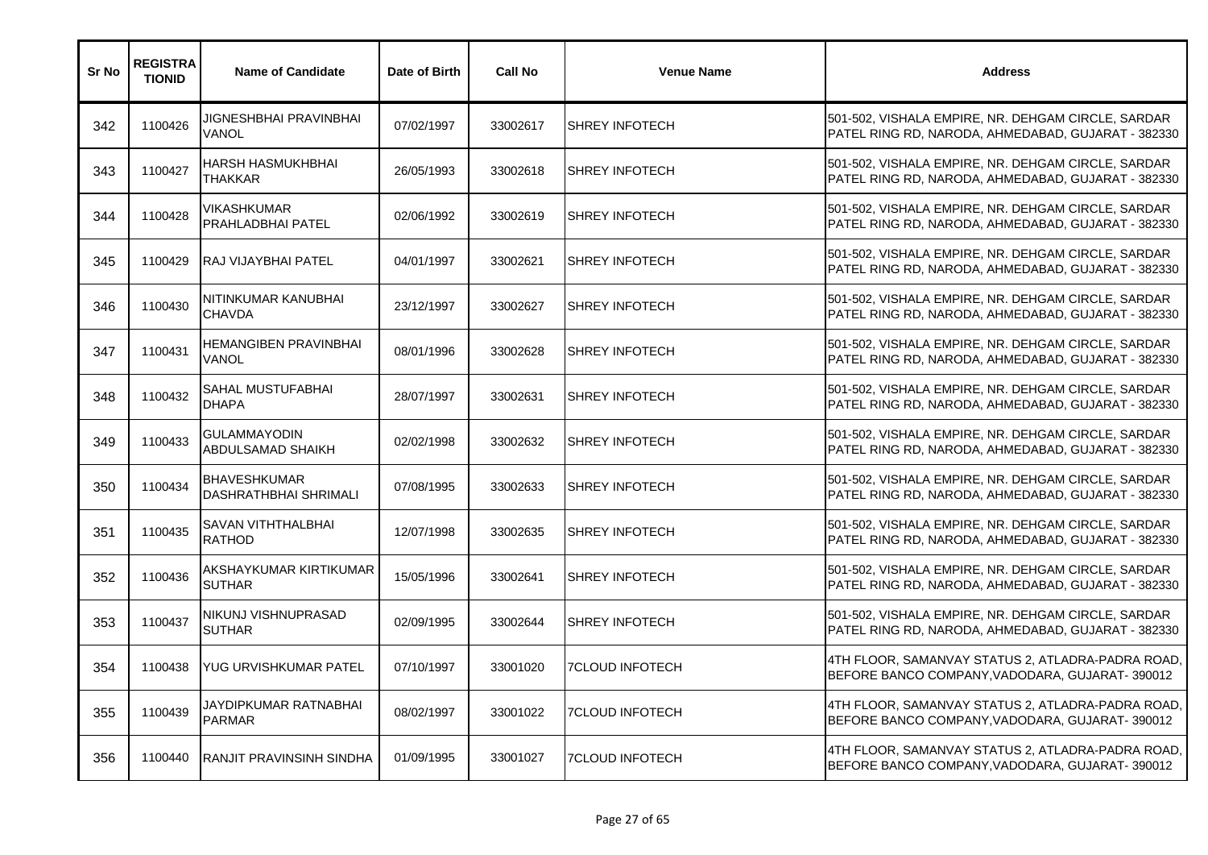| Sr No | <b>REGISTRA</b><br><b>TIONID</b> | <b>Name of Candidate</b>                            | Date of Birth | <b>Call No</b> | <b>Venue Name</b>      | <b>Address</b>                                                                                           |
|-------|----------------------------------|-----------------------------------------------------|---------------|----------------|------------------------|----------------------------------------------------------------------------------------------------------|
| 342   | 1100426                          | JIGNESHBHAI PRAVINBHAI<br>VANOL                     | 07/02/1997    | 33002617       | <b>SHREY INFOTECH</b>  | 501-502, VISHALA EMPIRE, NR. DEHGAM CIRCLE, SARDAR<br>PATEL RING RD, NARODA, AHMEDABAD, GUJARAT - 382330 |
| 343   | 1100427                          | HARSH HASMUKHBHAI<br>THAKKAR                        | 26/05/1993    | 33002618       | <b>SHREY INFOTECH</b>  | 501-502, VISHALA EMPIRE, NR. DEHGAM CIRCLE, SARDAR<br>PATEL RING RD, NARODA, AHMEDABAD, GUJARAT - 382330 |
| 344   | 1100428                          | VIKASHKUMAR<br>PRAHLADBHAI PATEL                    | 02/06/1992    | 33002619       | <b>SHREY INFOTECH</b>  | 501-502, VISHALA EMPIRE, NR. DEHGAM CIRCLE, SARDAR<br>PATEL RING RD, NARODA, AHMEDABAD, GUJARAT - 382330 |
| 345   | 1100429                          | <b>RAJ VIJAYBHAI PATEL</b>                          | 04/01/1997    | 33002621       | <b>SHREY INFOTECH</b>  | 501-502, VISHALA EMPIRE, NR. DEHGAM CIRCLE, SARDAR<br>PATEL RING RD, NARODA, AHMEDABAD, GUJARAT - 382330 |
| 346   | 1100430                          | NITINKUMAR KANUBHAI<br><b>CHAVDA</b>                | 23/12/1997    | 33002627       | <b>SHREY INFOTECH</b>  | 501-502, VISHALA EMPIRE, NR. DEHGAM CIRCLE, SARDAR<br>PATEL RING RD, NARODA, AHMEDABAD, GUJARAT - 382330 |
| 347   | 1100431                          | HEMANGIBEN PRAVINBHAI<br>VANOL                      | 08/01/1996    | 33002628       | <b>SHREY INFOTECH</b>  | 501-502, VISHALA EMPIRE, NR. DEHGAM CIRCLE, SARDAR<br>PATEL RING RD, NARODA, AHMEDABAD, GUJARAT - 382330 |
| 348   | 1100432                          | SAHAL MUSTUFABHAI<br><b>DHAPA</b>                   | 28/07/1997    | 33002631       | <b>SHREY INFOTECH</b>  | 501-502, VISHALA EMPIRE, NR. DEHGAM CIRCLE, SARDAR<br>PATEL RING RD, NARODA, AHMEDABAD, GUJARAT - 382330 |
| 349   | 1100433                          | GULAMMAYODIN<br>ABDULSAMAD SHAIKH                   | 02/02/1998    | 33002632       | <b>SHREY INFOTECH</b>  | 501-502, VISHALA EMPIRE, NR. DEHGAM CIRCLE, SARDAR<br>PATEL RING RD, NARODA, AHMEDABAD, GUJARAT - 382330 |
| 350   | 1100434                          | <b>BHAVESHKUMAR</b><br><b>DASHRATHBHAI SHRIMALI</b> | 07/08/1995    | 33002633       | <b>SHREY INFOTECH</b>  | 501-502, VISHALA EMPIRE, NR. DEHGAM CIRCLE, SARDAR<br>PATEL RING RD, NARODA, AHMEDABAD, GUJARAT - 382330 |
| 351   | 1100435                          | SAVAN VITHTHALBHAI<br><b>RATHOD</b>                 | 12/07/1998    | 33002635       | <b>SHREY INFOTECH</b>  | 501-502, VISHALA EMPIRE, NR. DEHGAM CIRCLE, SARDAR<br>PATEL RING RD, NARODA, AHMEDABAD, GUJARAT - 382330 |
| 352   | 1100436                          | AKSHAYKUMAR KIRTIKUMAR<br><b>SUTHAR</b>             | 15/05/1996    | 33002641       | <b>SHREY INFOTECH</b>  | 501-502, VISHALA EMPIRE, NR. DEHGAM CIRCLE, SARDAR<br>PATEL RING RD, NARODA, AHMEDABAD, GUJARAT - 382330 |
| 353   | 1100437                          | NIKUNJ VISHNUPRASAD<br><b>SUTHAR</b>                | 02/09/1995    | 33002644       | <b>SHREY INFOTECH</b>  | 501-502, VISHALA EMPIRE, NR. DEHGAM CIRCLE, SARDAR<br>PATEL RING RD, NARODA, AHMEDABAD, GUJARAT - 382330 |
| 354   | 1100438                          | YUG URVISHKUMAR PATEL                               | 07/10/1997    | 33001020       | <b>7CLOUD INFOTECH</b> | 4TH FLOOR, SAMANVAY STATUS 2, ATLADRA-PADRA ROAD,<br>BEFORE BANCO COMPANY, VADODARA, GUJARAT-390012      |
| 355   | 1100439                          | JAYDIPKUMAR RATNABHAI<br><b>PARMAR</b>              | 08/02/1997    | 33001022       | <b>7CLOUD INFOTECH</b> | 4TH FLOOR, SAMANVAY STATUS 2, ATLADRA-PADRA ROAD,<br>BEFORE BANCO COMPANY, VADODARA, GUJARAT-390012      |
| 356   | 1100440                          | RANJIT PRAVINSINH SINDHA                            | 01/09/1995    | 33001027       | <b>7CLOUD INFOTECH</b> | 4TH FLOOR, SAMANVAY STATUS 2, ATLADRA-PADRA ROAD,<br>BEFORE BANCO COMPANY, VADODARA, GUJARAT-390012      |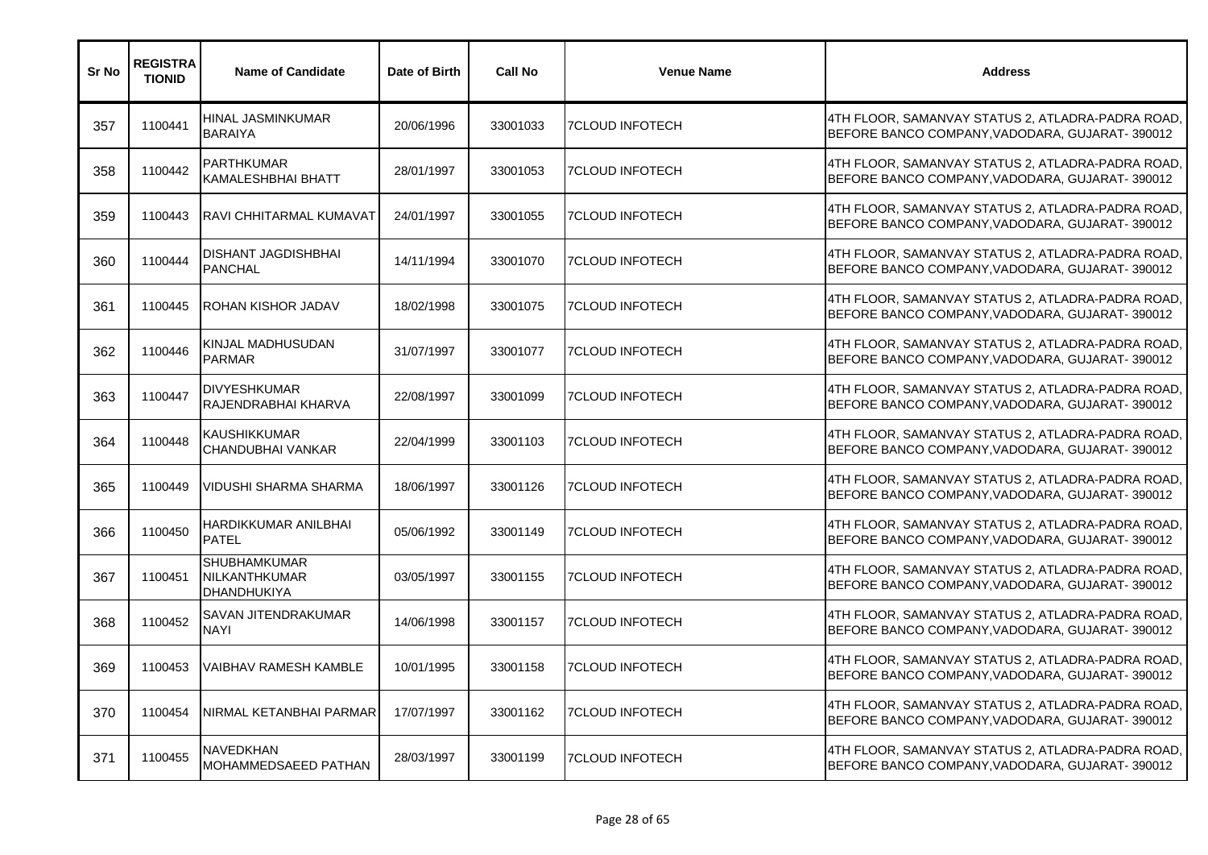| Sr No | <b>REGISTRA</b><br><b>TIONID</b> | <b>Name of Candidate</b>                                   | Date of Birth | <b>Call No</b> | <b>Venue Name</b>      | <b>Address</b>                                                                                      |
|-------|----------------------------------|------------------------------------------------------------|---------------|----------------|------------------------|-----------------------------------------------------------------------------------------------------|
| 357   | 1100441                          | HINAL JASMINKUMAR<br><b>BARAIYA</b>                        | 20/06/1996    | 33001033       | 7CLOUD INFOTECH        | 4TH FLOOR, SAMANVAY STATUS 2, ATLADRA-PADRA ROAD,<br>BEFORE BANCO COMPANY, VADODARA, GUJARAT-390012 |
| 358   | 1100442                          | <b>PARTHKUMAR</b><br><b>KAMALESHBHAI BHATT</b>             | 28/01/1997    | 33001053       | <b>7CLOUD INFOTECH</b> | 4TH FLOOR, SAMANVAY STATUS 2, ATLADRA-PADRA ROAD,<br>BEFORE BANCO COMPANY, VADODARA, GUJARAT-390012 |
| 359   | 1100443                          | <b>RAVI CHHITARMAL KUMAVAT</b>                             | 24/01/1997    | 33001055       | <b>7CLOUD INFOTECH</b> | 4TH FLOOR, SAMANVAY STATUS 2, ATLADRA-PADRA ROAD,<br>BEFORE BANCO COMPANY, VADODARA, GUJARAT-390012 |
| 360   | 1100444                          | <b>DISHANT JAGDISHBHAI</b><br><b>PANCHAL</b>               | 14/11/1994    | 33001070       | <b>7CLOUD INFOTECH</b> | 4TH FLOOR, SAMANVAY STATUS 2, ATLADRA-PADRA ROAD,<br>BEFORE BANCO COMPANY, VADODARA, GUJARAT-390012 |
| 361   | 1100445                          | <b>ROHAN KISHOR JADAV</b>                                  | 18/02/1998    | 33001075       | <b>7CLOUD INFOTECH</b> | 4TH FLOOR, SAMANVAY STATUS 2, ATLADRA-PADRA ROAD,<br>BEFORE BANCO COMPANY, VADODARA, GUJARAT-390012 |
| 362   | 1100446                          | KINJAL MADHUSUDAN<br><b>PARMAR</b>                         | 31/07/1997    | 33001077       | <b>7CLOUD INFOTECH</b> | 4TH FLOOR, SAMANVAY STATUS 2, ATLADRA-PADRA ROAD,<br>BEFORE BANCO COMPANY, VADODARA, GUJARAT-390012 |
| 363   | 1100447                          | <b>DIVYESHKUMAR</b><br>RAJENDRABHAI KHARVA                 | 22/08/1997    | 33001099       | 7CLOUD INFOTECH        | 4TH FLOOR, SAMANVAY STATUS 2, ATLADRA-PADRA ROAD,<br>BEFORE BANCO COMPANY, VADODARA, GUJARAT-390012 |
| 364   | 1100448                          | <b>KAUSHIKKUMAR</b><br>CHANDUBHAI VANKAR                   | 22/04/1999    | 33001103       | <b>7CLOUD INFOTECH</b> | 4TH FLOOR, SAMANVAY STATUS 2, ATLADRA-PADRA ROAD,<br>BEFORE BANCO COMPANY, VADODARA, GUJARAT-390012 |
| 365   | 1100449                          | <b>VIDUSHI SHARMA SHARMA</b>                               | 18/06/1997    | 33001126       | <b>7CLOUD INFOTECH</b> | 4TH FLOOR, SAMANVAY STATUS 2, ATLADRA-PADRA ROAD<br>BEFORE BANCO COMPANY, VADODARA, GUJARAT-390012  |
| 366   | 1100450                          | HARDIKKUMAR ANILBHAI<br><b>PATEL</b>                       | 05/06/1992    | 33001149       | <b>7CLOUD INFOTECH</b> | 4TH FLOOR, SAMANVAY STATUS 2, ATLADRA-PADRA ROAD,<br>BEFORE BANCO COMPANY, VADODARA, GUJARAT-390012 |
| 367   | 1100451                          | <b>SHUBHAMKUMAR</b><br>NILKANTHKUMAR<br><b>DHANDHUKIYA</b> | 03/05/1997    | 33001155       | <b>7CLOUD INFOTECH</b> | 4TH FLOOR, SAMANVAY STATUS 2, ATLADRA-PADRA ROAD,<br>BEFORE BANCO COMPANY, VADODARA, GUJARAT-390012 |
| 368   | 1100452                          | SAVAN JITENDRAKUMAR<br><b>NAYI</b>                         | 14/06/1998    | 33001157       | <b>7CLOUD INFOTECH</b> | 4TH FLOOR, SAMANVAY STATUS 2, ATLADRA-PADRA ROAD,<br>BEFORE BANCO COMPANY, VADODARA, GUJARAT-390012 |
| 369   | 1100453                          | VAIBHAV RAMESH KAMBLE                                      | 10/01/1995    | 33001158       | <b>7CLOUD INFOTECH</b> | 4TH FLOOR, SAMANVAY STATUS 2, ATLADRA-PADRA ROAD,<br>BEFORE BANCO COMPANY, VADODARA, GUJARAT-390012 |
| 370   | 1100454                          | NIRMAL KETANBHAI PARMAR                                    | 17/07/1997    | 33001162       | <b>7CLOUD INFOTECH</b> | 4TH FLOOR, SAMANVAY STATUS 2, ATLADRA-PADRA ROAD,<br>BEFORE BANCO COMPANY, VADODARA, GUJARAT-390012 |
| 371   | 1100455                          | <b>NAVEDKHAN</b><br><b>MOHAMMEDSAEED PATHAN</b>            | 28/03/1997    | 33001199       | <b>7CLOUD INFOTECH</b> | 4TH FLOOR, SAMANVAY STATUS 2, ATLADRA-PADRA ROAD,<br>BEFORE BANCO COMPANY, VADODARA, GUJARAT-390012 |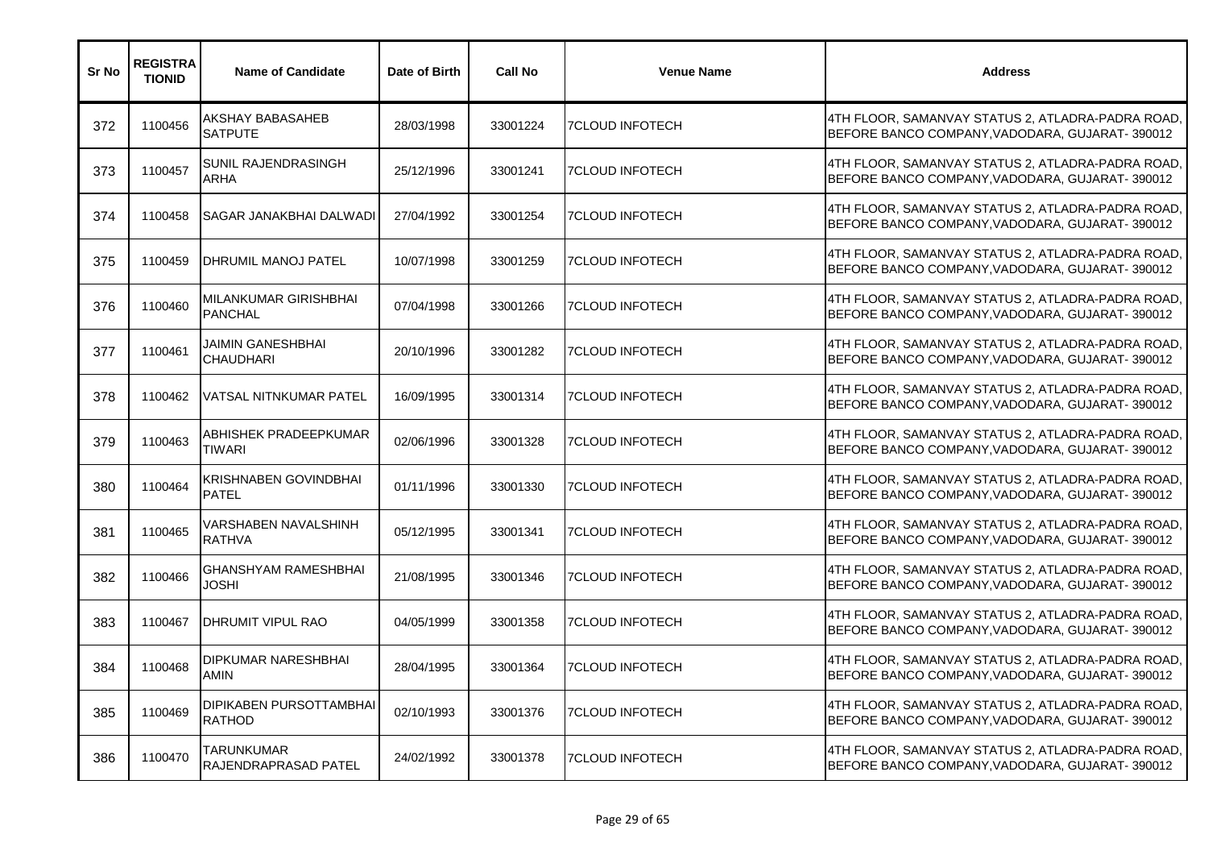| Sr No | <b>REGISTRA</b><br><b>TIONID</b> | <b>Name of Candidate</b>                  | Date of Birth | <b>Call No</b> | <b>Venue Name</b>      | <b>Address</b>                                                                                      |
|-------|----------------------------------|-------------------------------------------|---------------|----------------|------------------------|-----------------------------------------------------------------------------------------------------|
| 372   | 1100456                          | AKSHAY BABASAHEB<br><b>SATPUTE</b>        | 28/03/1998    | 33001224       | <b>7CLOUD INFOTECH</b> | 4TH FLOOR, SAMANVAY STATUS 2, ATLADRA-PADRA ROAD,<br>BEFORE BANCO COMPANY, VADODARA, GUJARAT-390012 |
| 373   | 1100457                          | <b>SUNIL RAJENDRASINGH</b><br>ARHA        | 25/12/1996    | 33001241       | <b>7CLOUD INFOTECH</b> | 4TH FLOOR, SAMANVAY STATUS 2, ATLADRA-PADRA ROAD,<br>BEFORE BANCO COMPANY, VADODARA, GUJARAT-390012 |
| 374   | 1100458                          | ISAGAR JANAKBHAI DALWADI                  | 27/04/1992    | 33001254       | <b>7CLOUD INFOTECH</b> | 4TH FLOOR, SAMANVAY STATUS 2, ATLADRA-PADRA ROAD,<br>BEFORE BANCO COMPANY, VADODARA, GUJARAT-390012 |
| 375   | 1100459                          | <b>IDHRUMIL MANOJ PATEL</b>               | 10/07/1998    | 33001259       | <b>7CLOUD INFOTECH</b> | 4TH FLOOR, SAMANVAY STATUS 2, ATLADRA-PADRA ROAD,<br>BEFORE BANCO COMPANY, VADODARA, GUJARAT-390012 |
| 376   | 1100460                          | MILANKUMAR GIRISHBHAI<br><b>PANCHAL</b>   | 07/04/1998    | 33001266       | <b>7CLOUD INFOTECH</b> | 4TH FLOOR, SAMANVAY STATUS 2, ATLADRA-PADRA ROAD,<br>BEFORE BANCO COMPANY, VADODARA, GUJARAT-390012 |
| 377   | 1100461                          | JAIMIN GANESHBHAI<br>CHAUDHARI            | 20/10/1996    | 33001282       | <b>7CLOUD INFOTECH</b> | 4TH FLOOR, SAMANVAY STATUS 2, ATLADRA-PADRA ROAD,<br>BEFORE BANCO COMPANY, VADODARA, GUJARAT-390012 |
| 378   | 1100462                          | VATSAL NITNKUMAR PATEL                    | 16/09/1995    | 33001314       | <b>7CLOUD INFOTECH</b> | 4TH FLOOR, SAMANVAY STATUS 2, ATLADRA-PADRA ROAD,<br>BEFORE BANCO COMPANY, VADODARA, GUJARAT-390012 |
| 379   | 1100463                          | ABHISHEK PRADEEPKUMAR<br>TIWARI           | 02/06/1996    | 33001328       | <b>7CLOUD INFOTECH</b> | 4TH FLOOR, SAMANVAY STATUS 2, ATLADRA-PADRA ROAD<br>BEFORE BANCO COMPANY, VADODARA, GUJARAT-390012  |
| 380   | 1100464                          | KRISHNABEN GOVINDBHAI<br><b>PATEL</b>     | 01/11/1996    | 33001330       | <b>7CLOUD INFOTECH</b> | 4TH FLOOR, SAMANVAY STATUS 2, ATLADRA-PADRA ROAD<br>BEFORE BANCO COMPANY, VADODARA, GUJARAT-390012  |
| 381   | 1100465                          | VARSHABEN NAVALSHINH<br><b>RATHVA</b>     | 05/12/1995    | 33001341       | <b>7CLOUD INFOTECH</b> | 4TH FLOOR, SAMANVAY STATUS 2, ATLADRA-PADRA ROAD,<br>BEFORE BANCO COMPANY, VADODARA, GUJARAT-390012 |
| 382   | 1100466                          | <b>GHANSHYAM RAMESHBHAI</b><br>JOSHI      | 21/08/1995    | 33001346       | <b>7CLOUD INFOTECH</b> | 4TH FLOOR, SAMANVAY STATUS 2, ATLADRA-PADRA ROAD,<br>BEFORE BANCO COMPANY, VADODARA, GUJARAT-390012 |
| 383   | 1100467                          | <b>DHRUMIT VIPUL RAO</b>                  | 04/05/1999    | 33001358       | <b>7CLOUD INFOTECH</b> | 4TH FLOOR, SAMANVAY STATUS 2, ATLADRA-PADRA ROAD,<br>BEFORE BANCO COMPANY, VADODARA, GUJARAT-390012 |
| 384   | 1100468                          | <b>DIPKUMAR NARESHBHAI</b><br><b>AMIN</b> | 28/04/1995    | 33001364       | <b>7CLOUD INFOTECH</b> | 4TH FLOOR, SAMANVAY STATUS 2, ATLADRA-PADRA ROAD,<br>BEFORE BANCO COMPANY, VADODARA, GUJARAT-390012 |
| 385   | 1100469                          | DIPIKABEN PURSOTTAMBHAI<br><b>RATHOD</b>  | 02/10/1993    | 33001376       | <b>7CLOUD INFOTECH</b> | 4TH FLOOR, SAMANVAY STATUS 2, ATLADRA-PADRA ROAD,<br>BEFORE BANCO COMPANY, VADODARA, GUJARAT-390012 |
| 386   | 1100470                          | TARUNKUMAR<br><b>RAJENDRAPRASAD PATEL</b> | 24/02/1992    | 33001378       | <b>7CLOUD INFOTECH</b> | 4TH FLOOR, SAMANVAY STATUS 2, ATLADRA-PADRA ROAD,<br>BEFORE BANCO COMPANY, VADODARA, GUJARAT-390012 |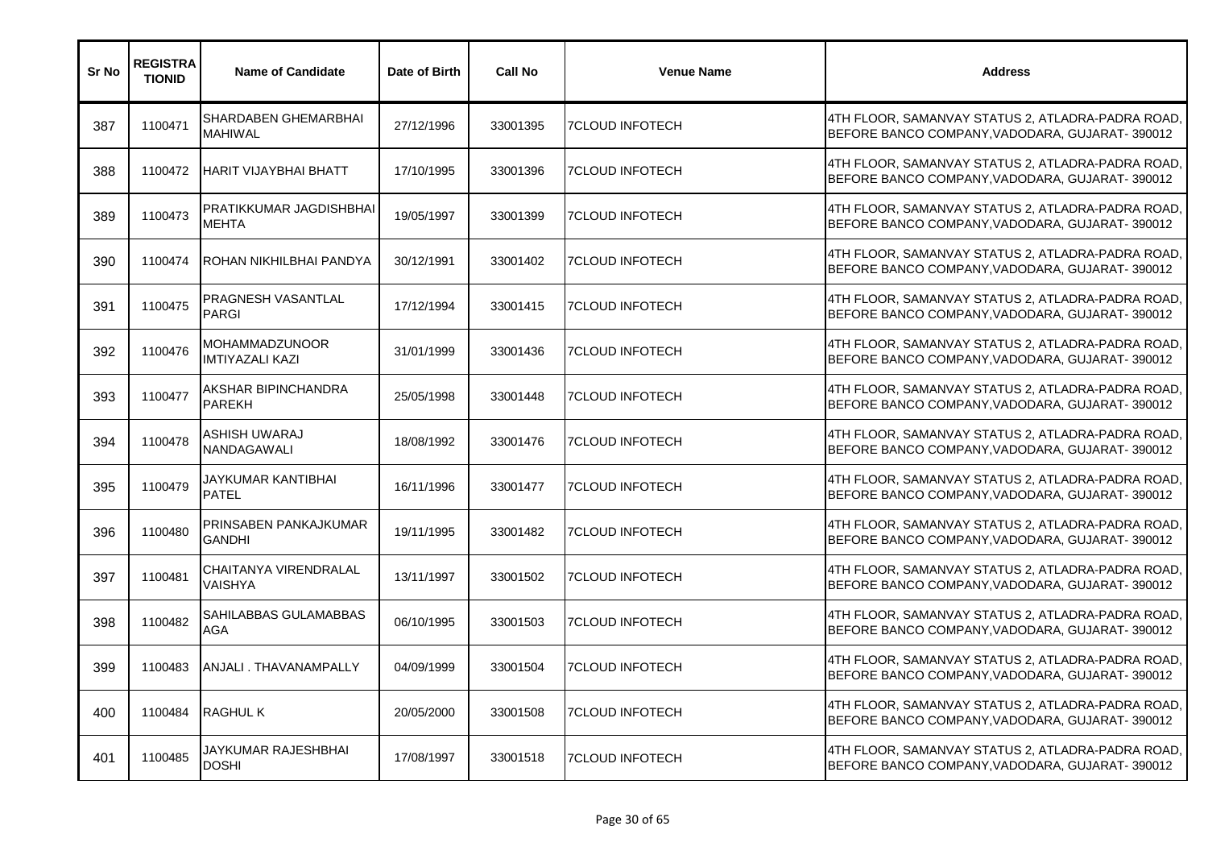| Sr No | <b>REGISTRA</b><br><b>TIONID</b> | <b>Name of Candidate</b>                        | Date of Birth | <b>Call No</b> | <b>Venue Name</b>      | <b>Address</b>                                                                                      |
|-------|----------------------------------|-------------------------------------------------|---------------|----------------|------------------------|-----------------------------------------------------------------------------------------------------|
| 387   | 1100471                          | SHARDABEN GHEMARBHAI<br><b>MAHIWAL</b>          | 27/12/1996    | 33001395       | <b>7CLOUD INFOTECH</b> | 4TH FLOOR, SAMANVAY STATUS 2, ATLADRA-PADRA ROAD,<br>BEFORE BANCO COMPANY, VADODARA, GUJARAT-390012 |
| 388   | 1100472                          | <b>HARIT VIJAYBHAI BHATT</b>                    | 17/10/1995    | 33001396       | <b>7CLOUD INFOTECH</b> | 4TH FLOOR, SAMANVAY STATUS 2, ATLADRA-PADRA ROAD,<br>BEFORE BANCO COMPANY, VADODARA, GUJARAT-390012 |
| 389   | 1100473                          | PRATIKKUMAR JAGDISHBHAI<br><b>MEHTA</b>         | 19/05/1997    | 33001399       | <b>7CLOUD INFOTECH</b> | 4TH FLOOR, SAMANVAY STATUS 2, ATLADRA-PADRA ROAD,<br>BEFORE BANCO COMPANY, VADODARA, GUJARAT-390012 |
| 390   | 1100474                          | ROHAN NIKHILBHAI PANDYA                         | 30/12/1991    | 33001402       | <b>7CLOUD INFOTECH</b> | 4TH FLOOR, SAMANVAY STATUS 2, ATLADRA-PADRA ROAD,<br>BEFORE BANCO COMPANY, VADODARA, GUJARAT-390012 |
| 391   | 1100475                          | PRAGNESH VASANTLAL<br><b>PARGI</b>              | 17/12/1994    | 33001415       | <b>7CLOUD INFOTECH</b> | 4TH FLOOR, SAMANVAY STATUS 2, ATLADRA-PADRA ROAD,<br>BEFORE BANCO COMPANY, VADODARA, GUJARAT-390012 |
| 392   | 1100476                          | <b>MOHAMMADZUNOOR</b><br><b>IMTIYAZALI KAZI</b> | 31/01/1999    | 33001436       | <b>7CLOUD INFOTECH</b> | 4TH FLOOR, SAMANVAY STATUS 2, ATLADRA-PADRA ROAD,<br>BEFORE BANCO COMPANY, VADODARA, GUJARAT-390012 |
| 393   | 1100477                          | AKSHAR BIPINCHANDRA<br><b>PAREKH</b>            | 25/05/1998    | 33001448       | <b>7CLOUD INFOTECH</b> | 4TH FLOOR, SAMANVAY STATUS 2, ATLADRA-PADRA ROAD,<br>BEFORE BANCO COMPANY, VADODARA, GUJARAT-390012 |
| 394   | 1100478                          | ASHISH UWARAJ<br>NANDAGAWALI                    | 18/08/1992    | 33001476       | <b>7CLOUD INFOTECH</b> | 4TH FLOOR, SAMANVAY STATUS 2, ATLADRA-PADRA ROAD,<br>BEFORE BANCO COMPANY, VADODARA, GUJARAT-390012 |
| 395   | 1100479                          | JAYKUMAR KANTIBHAI<br><b>PATEL</b>              | 16/11/1996    | 33001477       | <b>7CLOUD INFOTECH</b> | 4TH FLOOR, SAMANVAY STATUS 2, ATLADRA-PADRA ROAD<br>BEFORE BANCO COMPANY, VADODARA, GUJARAT-390012  |
| 396   | 1100480                          | PRINSABEN PANKAJKUMAR<br><b>GANDHI</b>          | 19/11/1995    | 33001482       | 7CLOUD INFOTECH        | 4TH FLOOR, SAMANVAY STATUS 2, ATLADRA-PADRA ROAD,<br>BEFORE BANCO COMPANY, VADODARA, GUJARAT-390012 |
| 397   | 1100481                          | CHAITANYA VIRENDRALAL<br>VAISHYA                | 13/11/1997    | 33001502       | <b>7CLOUD INFOTECH</b> | 4TH FLOOR, SAMANVAY STATUS 2, ATLADRA-PADRA ROAD,<br>BEFORE BANCO COMPANY, VADODARA, GUJARAT-390012 |
| 398   | 1100482                          | SAHILABBAS GULAMABBAS<br>AGA                    | 06/10/1995    | 33001503       | <b>7CLOUD INFOTECH</b> | 4TH FLOOR, SAMANVAY STATUS 2, ATLADRA-PADRA ROAD,<br>BEFORE BANCO COMPANY, VADODARA, GUJARAT-390012 |
| 399   | 1100483                          | ANJALI . THAVANAMPALLY                          | 04/09/1999    | 33001504       | <b>7CLOUD INFOTECH</b> | 4TH FLOOR, SAMANVAY STATUS 2, ATLADRA-PADRA ROAD,<br>BEFORE BANCO COMPANY, VADODARA, GUJARAT-390012 |
| 400   | 1100484                          | <b>RAGHUL K</b>                                 | 20/05/2000    | 33001508       | <b>7CLOUD INFOTECH</b> | 4TH FLOOR, SAMANVAY STATUS 2, ATLADRA-PADRA ROAD,<br>BEFORE BANCO COMPANY, VADODARA, GUJARAT-390012 |
| 401   | 1100485                          | JAYKUMAR RAJESHBHAI<br><b>DOSHI</b>             | 17/08/1997    | 33001518       | <b>7CLOUD INFOTECH</b> | 4TH FLOOR, SAMANVAY STATUS 2, ATLADRA-PADRA ROAD,<br>BEFORE BANCO COMPANY, VADODARA, GUJARAT-390012 |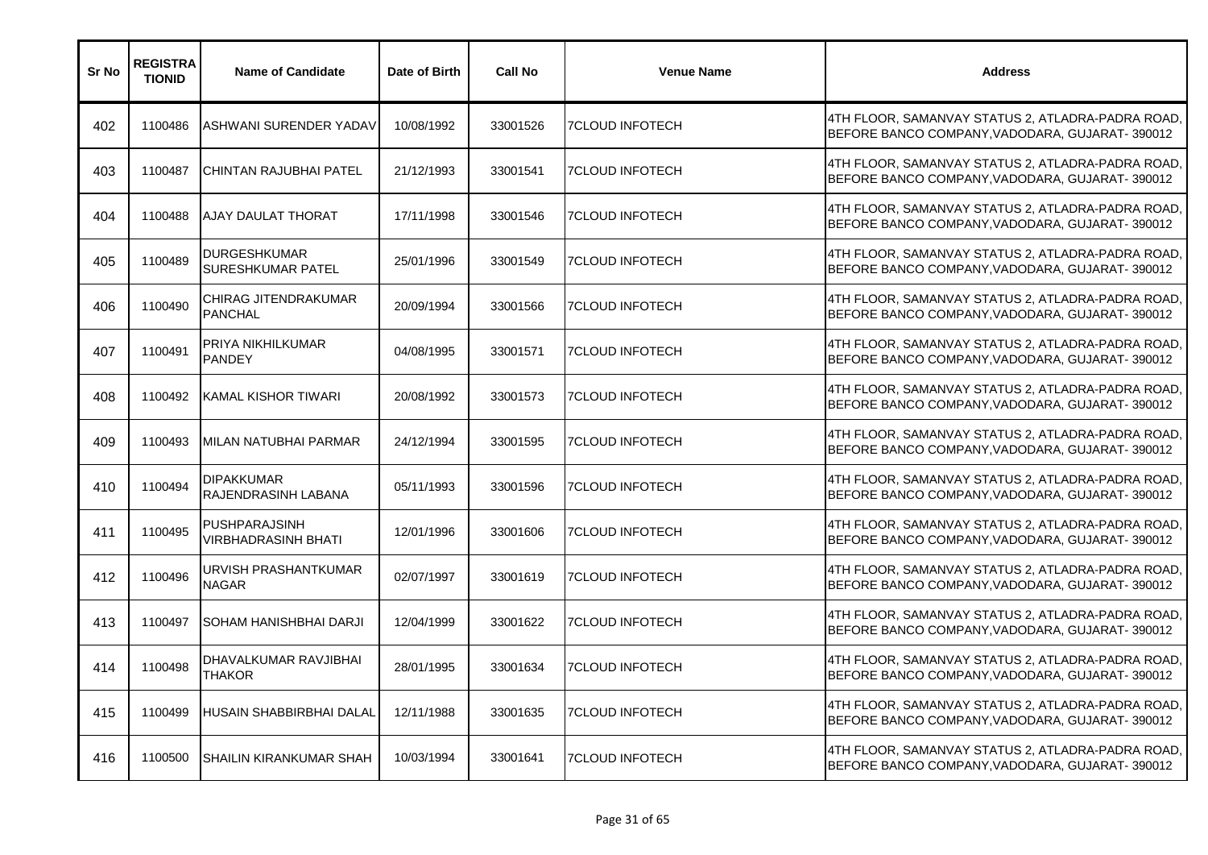| Sr No | <b>REGISTRA</b><br><b>TIONID</b> | <b>Name of Candidate</b>                        | Date of Birth | <b>Call No</b> | <b>Venue Name</b>      | <b>Address</b>                                                                                      |
|-------|----------------------------------|-------------------------------------------------|---------------|----------------|------------------------|-----------------------------------------------------------------------------------------------------|
| 402   | 1100486                          | ASHWANI SURENDER YADAV                          | 10/08/1992    | 33001526       | 7CLOUD INFOTECH        | 4TH FLOOR, SAMANVAY STATUS 2, ATLADRA-PADRA ROAD,<br>BEFORE BANCO COMPANY, VADODARA, GUJARAT-390012 |
| 403   | 1100487                          | CHINTAN RAJUBHAI PATEL                          | 21/12/1993    | 33001541       | <b>7CLOUD INFOTECH</b> | 4TH FLOOR, SAMANVAY STATUS 2, ATLADRA-PADRA ROAD,<br>BEFORE BANCO COMPANY, VADODARA, GUJARAT-390012 |
| 404   | 1100488                          | <b>AJAY DAULAT THORAT</b>                       | 17/11/1998    | 33001546       | <b>7CLOUD INFOTECH</b> | 4TH FLOOR, SAMANVAY STATUS 2, ATLADRA-PADRA ROAD,<br>BEFORE BANCO COMPANY, VADODARA, GUJARAT-390012 |
| 405   | 1100489                          | <b>DURGESHKUMAR</b><br><b>SURESHKUMAR PATEL</b> | 25/01/1996    | 33001549       | <b>7CLOUD INFOTECH</b> | 4TH FLOOR, SAMANVAY STATUS 2, ATLADRA-PADRA ROAD,<br>BEFORE BANCO COMPANY, VADODARA, GUJARAT-390012 |
| 406   | 1100490                          | CHIRAG JITENDRAKUMAR<br><b>PANCHAL</b>          | 20/09/1994    | 33001566       | 7CLOUD INFOTECH        | 4TH FLOOR, SAMANVAY STATUS 2, ATLADRA-PADRA ROAD,<br>BEFORE BANCO COMPANY, VADODARA, GUJARAT-390012 |
| 407   | 1100491                          | PRIYA NIKHILKUMAR<br><b>PANDEY</b>              | 04/08/1995    | 33001571       | <b>7CLOUD INFOTECH</b> | 4TH FLOOR, SAMANVAY STATUS 2, ATLADRA-PADRA ROAD,<br>BEFORE BANCO COMPANY, VADODARA, GUJARAT-390012 |
| 408   | 1100492                          | KAMAL KISHOR TIWARI                             | 20/08/1992    | 33001573       | 7CLOUD INFOTECH        | 4TH FLOOR, SAMANVAY STATUS 2, ATLADRA-PADRA ROAD,<br>BEFORE BANCO COMPANY, VADODARA, GUJARAT-390012 |
| 409   | 1100493                          | MILAN NATUBHAI PARMAR                           | 24/12/1994    | 33001595       | 7CLOUD INFOTECH        | 4TH FLOOR, SAMANVAY STATUS 2, ATLADRA-PADRA ROAD,<br>BEFORE BANCO COMPANY, VADODARA, GUJARAT-390012 |
| 410   | 1100494                          | <b>DIPAKKUMAR</b><br><b>RAJENDRASINH LABANA</b> | 05/11/1993    | 33001596       | <b>7CLOUD INFOTECH</b> | 4TH FLOOR, SAMANVAY STATUS 2, ATLADRA-PADRA ROAD<br>BEFORE BANCO COMPANY, VADODARA, GUJARAT-390012  |
| 411   | 1100495                          | PUSHPARAJSINH<br><b>VIRBHADRASINH BHATI</b>     | 12/01/1996    | 33001606       | <b>7CLOUD INFOTECH</b> | 4TH FLOOR, SAMANVAY STATUS 2, ATLADRA-PADRA ROAD,<br>BEFORE BANCO COMPANY, VADODARA, GUJARAT-390012 |
| 412   | 1100496                          | URVISH PRASHANTKUMAR<br><b>NAGAR</b>            | 02/07/1997    | 33001619       | <b>7CLOUD INFOTECH</b> | 4TH FLOOR, SAMANVAY STATUS 2, ATLADRA-PADRA ROAD,<br>BEFORE BANCO COMPANY, VADODARA, GUJARAT-390012 |
| 413   | 1100497                          | <b>SOHAM HANISHBHAI DARJI</b>                   | 12/04/1999    | 33001622       | <b>7CLOUD INFOTECH</b> | 4TH FLOOR, SAMANVAY STATUS 2, ATLADRA-PADRA ROAD,<br>BEFORE BANCO COMPANY, VADODARA, GUJARAT-390012 |
| 414   | 1100498                          | DHAVALKUMAR RAVJIBHAI<br>THAKOR                 | 28/01/1995    | 33001634       | <b>7CLOUD INFOTECH</b> | 4TH FLOOR, SAMANVAY STATUS 2, ATLADRA-PADRA ROAD,<br>BEFORE BANCO COMPANY, VADODARA, GUJARAT-390012 |
| 415   | 1100499                          | HUSAIN SHABBIRBHAI DALAL                        | 12/11/1988    | 33001635       | <b>7CLOUD INFOTECH</b> | 4TH FLOOR, SAMANVAY STATUS 2, ATLADRA-PADRA ROAD,<br>BEFORE BANCO COMPANY, VADODARA, GUJARAT-390012 |
| 416   | 1100500                          | <b>SHAILIN KIRANKUMAR SHAH</b>                  | 10/03/1994    | 33001641       | <b>7CLOUD INFOTECH</b> | 4TH FLOOR, SAMANVAY STATUS 2, ATLADRA-PADRA ROAD,<br>BEFORE BANCO COMPANY, VADODARA, GUJARAT-390012 |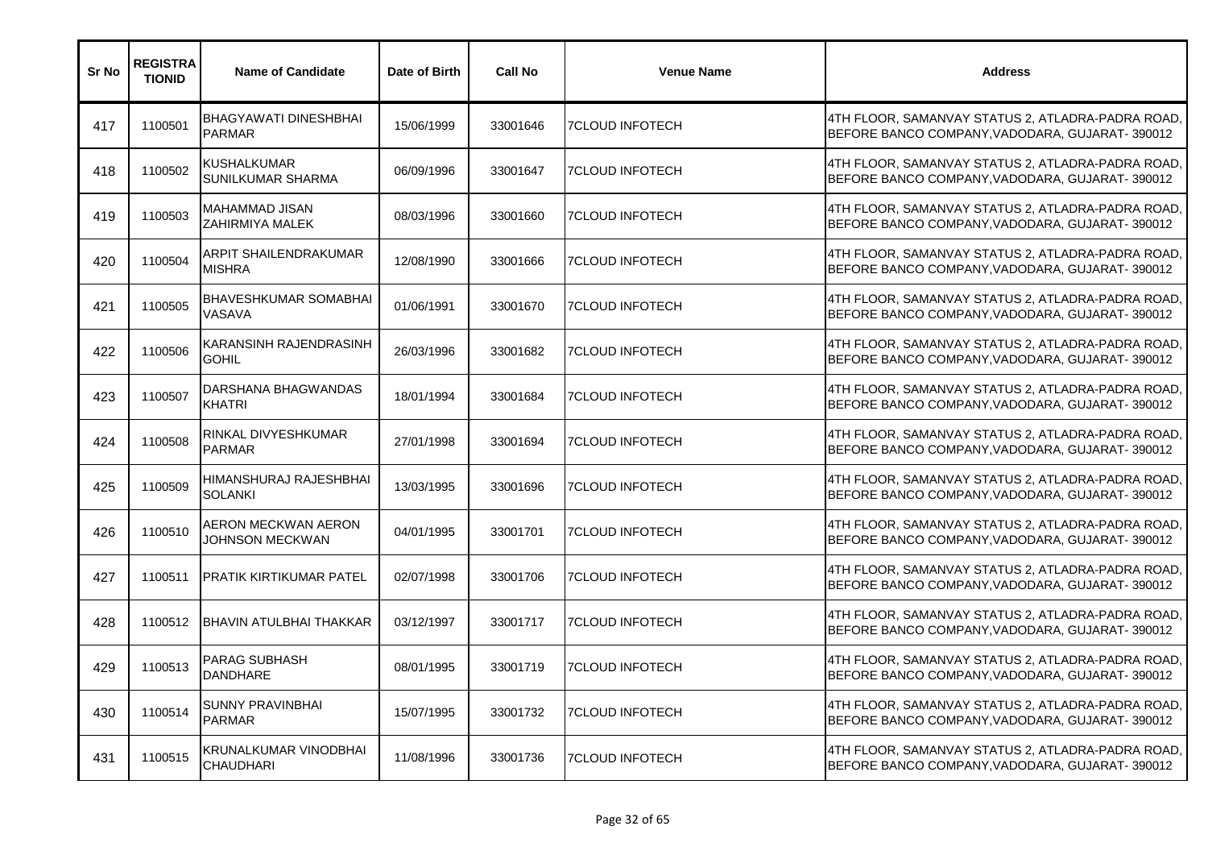| Sr No | <b>REGISTRA</b><br><b>TIONID</b> | <b>Name of Candidate</b>                         | Date of Birth | <b>Call No</b> | <b>Venue Name</b>      | <b>Address</b>                                                                                      |
|-------|----------------------------------|--------------------------------------------------|---------------|----------------|------------------------|-----------------------------------------------------------------------------------------------------|
| 417   | 1100501                          | <b>BHAGYAWATI DINESHBHAI</b><br><b>PARMAR</b>    | 15/06/1999    | 33001646       | <b>7CLOUD INFOTECH</b> | 4TH FLOOR, SAMANVAY STATUS 2, ATLADRA-PADRA ROAD,<br>BEFORE BANCO COMPANY, VADODARA, GUJARAT-390012 |
| 418   | 1100502                          | <b>KUSHALKUMAR</b><br>SUNILKUMAR SHARMA          | 06/09/1996    | 33001647       | <b>7CLOUD INFOTECH</b> | 4TH FLOOR, SAMANVAY STATUS 2, ATLADRA-PADRA ROAD,<br>BEFORE BANCO COMPANY, VADODARA, GUJARAT-390012 |
| 419   | 1100503                          | MAHAMMAD JISAN<br><b>ZAHIRMIYA MALEK</b>         | 08/03/1996    | 33001660       | <b>7CLOUD INFOTECH</b> | 4TH FLOOR, SAMANVAY STATUS 2, ATLADRA-PADRA ROAD,<br>BEFORE BANCO COMPANY, VADODARA, GUJARAT-390012 |
| 420   | 1100504                          | ARPIT SHAILENDRAKUMAR<br><b>MISHRA</b>           | 12/08/1990    | 33001666       | <b>7CLOUD INFOTECH</b> | 4TH FLOOR, SAMANVAY STATUS 2, ATLADRA-PADRA ROAD,<br>BEFORE BANCO COMPANY, VADODARA, GUJARAT-390012 |
| 421   | 1100505                          | <b>BHAVESHKUMAR SOMABHAI</b><br>VASAVA           | 01/06/1991    | 33001670       | <b>7CLOUD INFOTECH</b> | 4TH FLOOR, SAMANVAY STATUS 2, ATLADRA-PADRA ROAD,<br>BEFORE BANCO COMPANY, VADODARA, GUJARAT-390012 |
| 422   | 1100506                          | KARANSINH RAJENDRASINH<br><b>GOHIL</b>           | 26/03/1996    | 33001682       | <b>7CLOUD INFOTECH</b> | 4TH FLOOR, SAMANVAY STATUS 2, ATLADRA-PADRA ROAD,<br>BEFORE BANCO COMPANY, VADODARA, GUJARAT-390012 |
| 423   | 1100507                          | DARSHANA BHAGWANDAS<br><b>KHATRI</b>             | 18/01/1994    | 33001684       | <b>7CLOUD INFOTECH</b> | 4TH FLOOR, SAMANVAY STATUS 2, ATLADRA-PADRA ROAD,<br>BEFORE BANCO COMPANY, VADODARA, GUJARAT-390012 |
| 424   | 1100508                          | RINKAL DIVYESHKUMAR<br><b>PARMAR</b>             | 27/01/1998    | 33001694       | <b>7CLOUD INFOTECH</b> | 4TH FLOOR, SAMANVAY STATUS 2, ATLADRA-PADRA ROAD,<br>BEFORE BANCO COMPANY, VADODARA, GUJARAT-390012 |
| 425   | 1100509                          | HIMANSHURAJ RAJESHBHAI<br><b>SOLANKI</b>         | 13/03/1995    | 33001696       | <b>7CLOUD INFOTECH</b> | 4TH FLOOR, SAMANVAY STATUS 2, ATLADRA-PADRA ROAD,<br>BEFORE BANCO COMPANY, VADODARA, GUJARAT-390012 |
| 426   | 1100510                          | AERON MECKWAN AERON<br>JOHNSON MECKWAN           | 04/01/1995    | 33001701       | <b>7CLOUD INFOTECH</b> | 4TH FLOOR, SAMANVAY STATUS 2, ATLADRA-PADRA ROAD,<br>BEFORE BANCO COMPANY, VADODARA, GUJARAT-390012 |
| 427   | 1100511                          | <b>PRATIK KIRTIKUMAR PATEL</b>                   | 02/07/1998    | 33001706       | <b>7CLOUD INFOTECH</b> | 4TH FLOOR, SAMANVAY STATUS 2, ATLADRA-PADRA ROAD,<br>BEFORE BANCO COMPANY, VADODARA, GUJARAT-390012 |
| 428   | 1100512                          | <b>BHAVIN ATULBHAI THAKKAR</b>                   | 03/12/1997    | 33001717       | <b>7CLOUD INFOTECH</b> | 4TH FLOOR, SAMANVAY STATUS 2, ATLADRA-PADRA ROAD,<br>BEFORE BANCO COMPANY, VADODARA, GUJARAT-390012 |
| 429   | 1100513                          | <b>PARAG SUBHASH</b><br><b>DANDHARE</b>          | 08/01/1995    | 33001719       | <b>7CLOUD INFOTECH</b> | 4TH FLOOR, SAMANVAY STATUS 2, ATLADRA-PADRA ROAD,<br>BEFORE BANCO COMPANY, VADODARA, GUJARAT-390012 |
| 430   | 1100514                          | SUNNY PRAVINBHAI<br><b>PARMAR</b>                | 15/07/1995    | 33001732       | <b>7CLOUD INFOTECH</b> | 4TH FLOOR, SAMANVAY STATUS 2, ATLADRA-PADRA ROAD,<br>BEFORE BANCO COMPANY, VADODARA, GUJARAT-390012 |
| 431   | 1100515                          | <b>KRUNALKUMAR VINODBHAI</b><br><b>CHAUDHARI</b> | 11/08/1996    | 33001736       | <b>7CLOUD INFOTECH</b> | 4TH FLOOR, SAMANVAY STATUS 2, ATLADRA-PADRA ROAD,<br>BEFORE BANCO COMPANY, VADODARA, GUJARAT-390012 |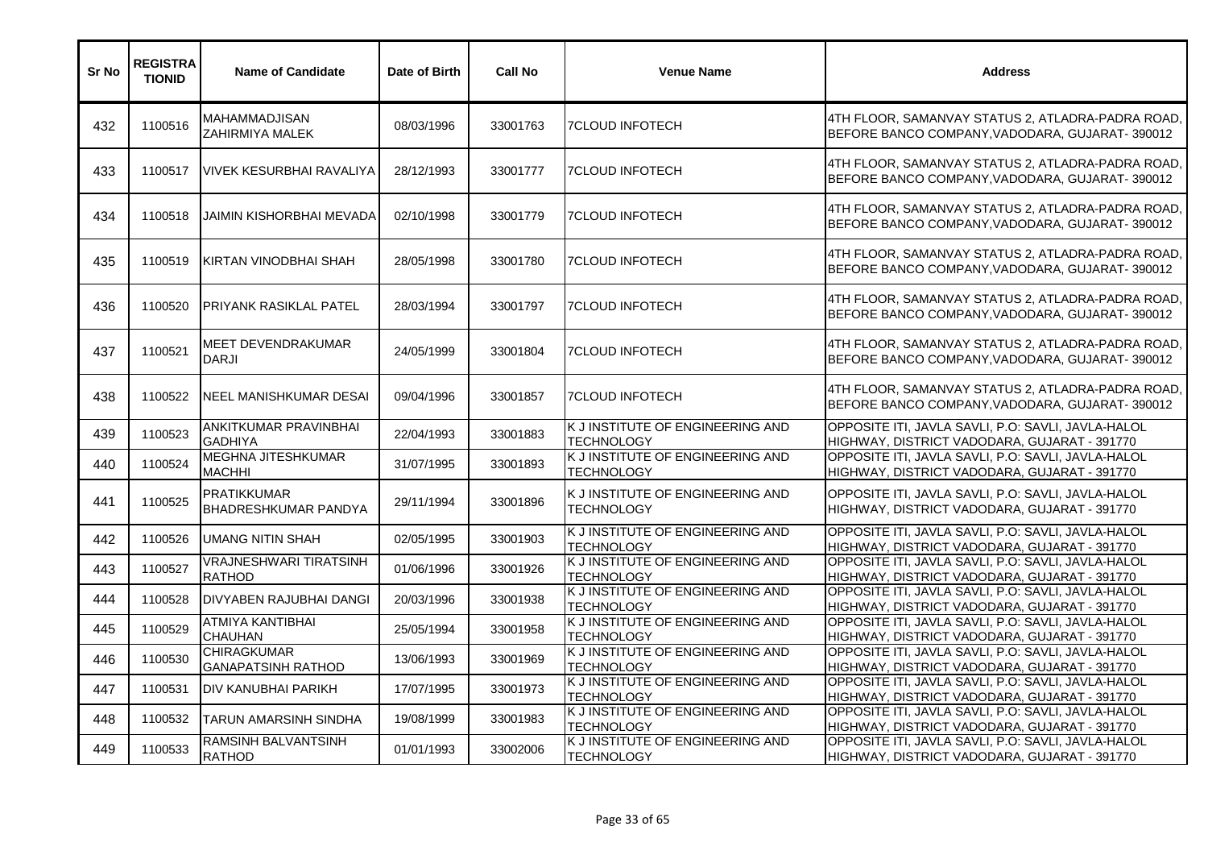| Sr No | <b>REGISTRA</b><br><b>TIONID</b> | <b>Name of Candidate</b>                          | Date of Birth | <b>Call No</b> | <b>Venue Name</b>                                     | <b>Address</b>                                                                                      |
|-------|----------------------------------|---------------------------------------------------|---------------|----------------|-------------------------------------------------------|-----------------------------------------------------------------------------------------------------|
| 432   | 1100516                          | MAHAMMADJISAN<br>ZAHIRMIYA MALEK                  | 08/03/1996    | 33001763       | <b>7CLOUD INFOTECH</b>                                | 4TH FLOOR, SAMANVAY STATUS 2, ATLADRA-PADRA ROAD,<br>BEFORE BANCO COMPANY, VADODARA, GUJARAT-390012 |
| 433   | 1100517                          | VIVEK KESURBHAI RAVALIYA                          | 28/12/1993    | 33001777       | <b>7CLOUD INFOTECH</b>                                | 4TH FLOOR, SAMANVAY STATUS 2, ATLADRA-PADRA ROAD,<br>BEFORE BANCO COMPANY.VADODARA, GUJARAT-390012  |
| 434   | 1100518                          | JAIMIN KISHORBHAI MEVADA                          | 02/10/1998    | 33001779       | <b>7CLOUD INFOTECH</b>                                | 4TH FLOOR, SAMANVAY STATUS 2, ATLADRA-PADRA ROAD,<br>BEFORE BANCO COMPANY, VADODARA, GUJARAT-390012 |
| 435   | 1100519                          | KIRTAN VINODBHAI SHAH                             | 28/05/1998    | 33001780       | <b>7CLOUD INFOTECH</b>                                | 4TH FLOOR, SAMANVAY STATUS 2, ATLADRA-PADRA ROAD,<br>BEFORE BANCO COMPANY, VADODARA, GUJARAT-390012 |
| 436   | 1100520                          | IPRIYANK RASIKLAL PATEL                           | 28/03/1994    | 33001797       | <b>7CLOUD INFOTECH</b>                                | 4TH FLOOR, SAMANVAY STATUS 2, ATLADRA-PADRA ROAD,<br>BEFORE BANCO COMPANY, VADODARA, GUJARAT-390012 |
| 437   | 1100521                          | <b>MEET DEVENDRAKUMAR</b><br><b>DARJI</b>         | 24/05/1999    | 33001804       | <b>7CLOUD INFOTECH</b>                                | 4TH FLOOR, SAMANVAY STATUS 2, ATLADRA-PADRA ROAD,<br>BEFORE BANCO COMPANY, VADODARA, GUJARAT-390012 |
| 438   | 1100522                          | <b>INEEL MANISHKUMAR DESAI</b>                    | 09/04/1996    | 33001857       | <b>7CLOUD INFOTECH</b>                                | 4TH FLOOR, SAMANVAY STATUS 2, ATLADRA-PADRA ROAD,<br>BEFORE BANCO COMPANY, VADODARA, GUJARAT-390012 |
| 439   | 1100523                          | ANKITKUMAR PRAVINBHAI<br><b>GADHIYA</b>           | 22/04/1993    | 33001883       | K J INSTITUTE OF ENGINEERING AND<br><b>TECHNOLOGY</b> | OPPOSITE ITI, JAVLA SAVLI, P.O: SAVLI, JAVLA-HALOL<br>HIGHWAY, DISTRICT VADODARA, GUJARAT - 391770  |
| 440   | 1100524                          | MEGHNA JITESHKUMAR<br><b>MACHHI</b>               | 31/07/1995    | 33001893       | K J INSTITUTE OF ENGINEERING AND<br><b>TECHNOLOGY</b> | OPPOSITE ITI, JAVLA SAVLI, P.O: SAVLI, JAVLA-HALOL<br>HIGHWAY, DISTRICT VADODARA, GUJARAT - 391770  |
| 441   | 1100525                          | <b>PRATIKKUMAR</b><br><b>BHADRESHKUMAR PANDYA</b> | 29/11/1994    | 33001896       | K J INSTITUTE OF ENGINEERING AND<br><b>TECHNOLOGY</b> | OPPOSITE ITI, JAVLA SAVLI, P.O: SAVLI, JAVLA-HALOL<br>HIGHWAY, DISTRICT VADODARA, GUJARAT - 391770  |
| 442   | 1100526                          | UMANG NITIN SHAH                                  | 02/05/1995    | 33001903       | K J INSTITUTE OF ENGINEERING AND<br><b>TECHNOLOGY</b> | OPPOSITE ITI, JAVLA SAVLI, P.O: SAVLI, JAVLA-HALOL<br>HIGHWAY, DISTRICT VADODARA, GUJARAT - 391770  |
| 443   | 1100527                          | <b>VRAJNESHWARI TIRATSINH</b><br><b>RATHOD</b>    | 01/06/1996    | 33001926       | K J INSTITUTE OF ENGINEERING AND<br><b>TECHNOLOGY</b> | OPPOSITE ITI, JAVLA SAVLI, P.O: SAVLI, JAVLA-HALOL<br>HIGHWAY, DISTRICT VADODARA, GUJARAT - 391770  |
| 444   | 1100528                          | <b>DIVYABEN RAJUBHAI DANGI</b>                    | 20/03/1996    | 33001938       | K J INSTITUTE OF ENGINEERING AND<br><b>TECHNOLOGY</b> | OPPOSITE ITI, JAVLA SAVLI, P.O: SAVLI, JAVLA-HALOL<br>HIGHWAY, DISTRICT VADODARA, GUJARAT - 391770  |
| 445   | 1100529                          | ATMIYA KANTIBHAI<br><b>CHAUHAN</b>                | 25/05/1994    | 33001958       | K J INSTITUTE OF ENGINEERING AND<br><b>TECHNOLOGY</b> | OPPOSITE ITI, JAVLA SAVLI, P.O: SAVLI, JAVLA-HALOL<br>HIGHWAY, DISTRICT VADODARA, GUJARAT - 391770  |
| 446   | 1100530                          | <b>CHIRAGKUMAR</b><br><b>GANAPATSINH RATHOD</b>   | 13/06/1993    | 33001969       | K J INSTITUTE OF ENGINEERING AND<br><b>TECHNOLOGY</b> | OPPOSITE ITI, JAVLA SAVLI, P.O: SAVLI, JAVLA-HALOL<br>HIGHWAY, DISTRICT VADODARA, GUJARAT - 391770  |
| 447   | 1100531                          | <b>DIV KANUBHAI PARIKH</b>                        | 17/07/1995    | 33001973       | K J INSTITUTE OF ENGINEERING AND<br><b>TECHNOLOGY</b> | OPPOSITE ITI, JAVLA SAVLI, P.O: SAVLI, JAVLA-HALOL<br>HIGHWAY, DISTRICT VADODARA, GUJARAT - 391770  |
| 448   | 1100532                          | <b>TARUN AMARSINH SINDHA</b>                      | 19/08/1999    | 33001983       | K J INSTITUTE OF ENGINEERING AND<br><b>TECHNOLOGY</b> | OPPOSITE ITI, JAVLA SAVLI, P.O: SAVLI, JAVLA-HALOL<br>HIGHWAY, DISTRICT VADODARA, GUJARAT - 391770  |
| 449   | 1100533                          | <b>RAMSINH BALVANTSINH</b><br><b>RATHOD</b>       | 01/01/1993    | 33002006       | K J INSTITUTE OF ENGINEERING AND<br><b>TECHNOLOGY</b> | OPPOSITE ITI, JAVLA SAVLI, P.O: SAVLI, JAVLA-HALOL<br>HIGHWAY, DISTRICT VADODARA, GUJARAT - 391770  |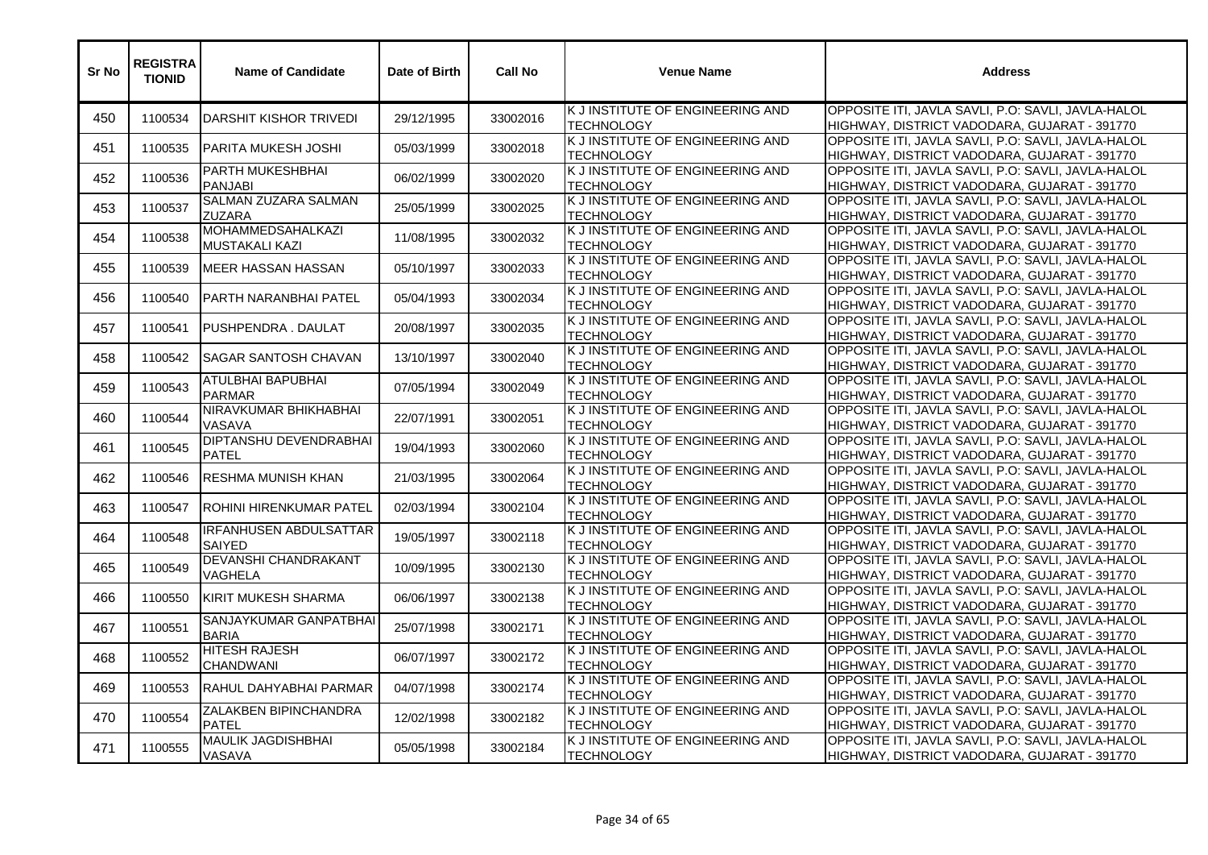| Sr No | <b>REGISTRA</b><br><b>TIONID</b> | <b>Name of Candidate</b>                          | Date of Birth | <b>Call No</b> | <b>Venue Name</b>                                     | <b>Address</b>                                                                                     |
|-------|----------------------------------|---------------------------------------------------|---------------|----------------|-------------------------------------------------------|----------------------------------------------------------------------------------------------------|
| 450   | 1100534                          | DARSHIT KISHOR TRIVEDI                            | 29/12/1995    | 33002016       | K J INSTITUTE OF ENGINEERING AND<br><b>TECHNOLOGY</b> | OPPOSITE ITI, JAVLA SAVLI, P.O: SAVLI, JAVLA-HALOL<br>HIGHWAY, DISTRICT VADODARA, GUJARAT - 391770 |
| 451   | 1100535                          | PARITA MUKESH JOSHI                               | 05/03/1999    | 33002018       | K J INSTITUTE OF ENGINEERING AND<br><b>TECHNOLOGY</b> | OPPOSITE ITI, JAVLA SAVLI, P.O: SAVLI, JAVLA-HALOL<br>HIGHWAY, DISTRICT VADODARA, GUJARAT - 391770 |
| 452   | 1100536                          | <b>PARTH MUKESHBHAI</b><br><b>PANJABI</b>         | 06/02/1999    | 33002020       | K J INSTITUTE OF ENGINEERING AND<br><b>TECHNOLOGY</b> | OPPOSITE ITI, JAVLA SAVLI, P.O: SAVLI, JAVLA-HALOL<br>HIGHWAY, DISTRICT VADODARA, GUJARAT - 391770 |
| 453   | 1100537                          | SALMAN ZUZARA SALMAN<br>ZUZARA                    | 25/05/1999    | 33002025       | K J INSTITUTE OF ENGINEERING AND<br><b>TECHNOLOGY</b> | OPPOSITE ITI, JAVLA SAVLI, P.O: SAVLI, JAVLA-HALOL<br>HIGHWAY, DISTRICT VADODARA, GUJARAT - 391770 |
| 454   | 1100538                          | <b>MOHAMMEDSAHALKAZI</b><br><b>MUSTAKALI KAZI</b> | 11/08/1995    | 33002032       | K J INSTITUTE OF ENGINEERING AND<br><b>TECHNOLOGY</b> | OPPOSITE ITI, JAVLA SAVLI, P.O: SAVLI, JAVLA-HALOL<br>HIGHWAY, DISTRICT VADODARA, GUJARAT - 391770 |
| 455   | 1100539                          | MEER HASSAN HASSAN                                | 05/10/1997    | 33002033       | K J INSTITUTE OF ENGINEERING AND<br><b>TECHNOLOGY</b> | OPPOSITE ITI, JAVLA SAVLI, P.O: SAVLI, JAVLA-HALOL<br>HIGHWAY, DISTRICT VADODARA, GUJARAT - 391770 |
| 456   | 1100540                          | PARTH NARANBHAI PATEL                             | 05/04/1993    | 33002034       | K J INSTITUTE OF ENGINEERING AND<br><b>TECHNOLOGY</b> | OPPOSITE ITI, JAVLA SAVLI, P.O: SAVLI, JAVLA-HALOL<br>HIGHWAY, DISTRICT VADODARA, GUJARAT - 391770 |
| 457   | 1100541                          | PUSHPENDRA. DAULAT                                | 20/08/1997    | 33002035       | K J INSTITUTE OF ENGINEERING AND<br><b>TECHNOLOGY</b> | OPPOSITE ITI, JAVLA SAVLI, P.O: SAVLI, JAVLA-HALOL<br>HIGHWAY, DISTRICT VADODARA, GUJARAT - 391770 |
| 458   | 1100542                          | <b>SAGAR SANTOSH CHAVAN</b>                       | 13/10/1997    | 33002040       | K J INSTITUTE OF ENGINEERING AND<br><b>TECHNOLOGY</b> | OPPOSITE ITI, JAVLA SAVLI, P.O: SAVLI, JAVLA-HALOL<br>HIGHWAY, DISTRICT VADODARA, GUJARAT - 391770 |
| 459   | 1100543                          | ATULBHAI BAPUBHAI<br><b>PARMAR</b>                | 07/05/1994    | 33002049       | K J INSTITUTE OF ENGINEERING AND<br><b>TECHNOLOGY</b> | OPPOSITE ITI, JAVLA SAVLI, P.O: SAVLI, JAVLA-HALOL<br>HIGHWAY, DISTRICT VADODARA, GUJARAT - 391770 |
| 460   | 1100544                          | NIRAVKUMAR BHIKHABHAI<br>VASAVA                   | 22/07/1991    | 33002051       | K J INSTITUTE OF ENGINEERING AND<br><b>TECHNOLOGY</b> | OPPOSITE ITI, JAVLA SAVLI, P.O: SAVLI, JAVLA-HALOL<br>HIGHWAY, DISTRICT VADODARA, GUJARAT - 391770 |
| 461   | 1100545                          | <b>DIPTANSHU DEVENDRABHAI</b><br><b>PATEL</b>     | 19/04/1993    | 33002060       | K J INSTITUTE OF ENGINEERING AND<br><b>TECHNOLOGY</b> | OPPOSITE ITI, JAVLA SAVLI, P.O: SAVLI, JAVLA-HALOL<br>HIGHWAY, DISTRICT VADODARA, GUJARAT - 391770 |
| 462   | 1100546                          | RESHMA MUNISH KHAN                                | 21/03/1995    | 33002064       | K J INSTITUTE OF ENGINEERING AND<br><b>TECHNOLOGY</b> | OPPOSITE ITI, JAVLA SAVLI, P.O: SAVLI, JAVLA-HALOL<br>HIGHWAY, DISTRICT VADODARA, GUJARAT - 391770 |
| 463   | 1100547                          | <b>ROHINI HIRENKUMAR PATEL</b>                    | 02/03/1994    | 33002104       | K J INSTITUTE OF ENGINEERING AND<br><b>TECHNOLOGY</b> | OPPOSITE ITI, JAVLA SAVLI, P.O: SAVLI, JAVLA-HALOL<br>HIGHWAY, DISTRICT VADODARA, GUJARAT - 391770 |
| 464   | 1100548                          | <b>IRFANHUSEN ABDULSATTAR</b><br><b>SAIYED</b>    | 19/05/1997    | 33002118       | K J INSTITUTE OF ENGINEERING AND<br><b>TECHNOLOGY</b> | OPPOSITE ITI, JAVLA SAVLI, P.O: SAVLI, JAVLA-HALOL<br>HIGHWAY, DISTRICT VADODARA, GUJARAT - 391770 |
| 465   | 1100549                          | DEVANSHI CHANDRAKANT<br>VAGHELA                   | 10/09/1995    | 33002130       | K J INSTITUTE OF ENGINEERING AND<br><b>TECHNOLOGY</b> | OPPOSITE ITI, JAVLA SAVLI, P.O: SAVLI, JAVLA-HALOL<br>HIGHWAY, DISTRICT VADODARA, GUJARAT - 391770 |
| 466   | 1100550                          | KIRIT MUKESH SHARMA                               | 06/06/1997    | 33002138       | K J INSTITUTE OF ENGINEERING AND<br><b>TECHNOLOGY</b> | OPPOSITE ITI. JAVLA SAVLI. P.O: SAVLI. JAVLA-HALOL<br>HIGHWAY, DISTRICT VADODARA, GUJARAT - 391770 |
| 467   | 1100551                          | SANJAYKUMAR GANPATBHAI<br><b>BARIA</b>            | 25/07/1998    | 33002171       | K J INSTITUTE OF ENGINEERING AND<br><b>TECHNOLOGY</b> | OPPOSITE ITI, JAVLA SAVLI, P.O: SAVLI, JAVLA-HALOL<br>HIGHWAY, DISTRICT VADODARA, GUJARAT - 391770 |
| 468   | 1100552                          | <b>HITESH RAJESH</b><br><b>CHANDWANI</b>          | 06/07/1997    | 33002172       | K J INSTITUTE OF ENGINEERING AND<br><b>TECHNOLOGY</b> | OPPOSITE ITI, JAVLA SAVLI, P.O: SAVLI, JAVLA-HALOL<br>HIGHWAY, DISTRICT VADODARA, GUJARAT - 391770 |
| 469   | 1100553                          | RAHUL DAHYABHAI PARMAR                            | 04/07/1998    | 33002174       | K J INSTITUTE OF ENGINEERING AND<br><b>TECHNOLOGY</b> | OPPOSITE ITI, JAVLA SAVLI, P.O: SAVLI, JAVLA-HALOL<br>HIGHWAY, DISTRICT VADODARA, GUJARAT - 391770 |
| 470   | 1100554                          | ZALAKBEN BIPINCHANDRA<br><b>PATEL</b>             | 12/02/1998    | 33002182       | K J INSTITUTE OF ENGINEERING AND<br><b>TECHNOLOGY</b> | OPPOSITE ITI, JAVLA SAVLI, P.O: SAVLI, JAVLA-HALOL<br>HIGHWAY, DISTRICT VADODARA, GUJARAT - 391770 |
| 471   | 1100555                          | <b>MAULIK JAGDISHBHAI</b><br>VASAVA               | 05/05/1998    | 33002184       | K J INSTITUTE OF ENGINEERING AND<br><b>TECHNOLOGY</b> | OPPOSITE ITI, JAVLA SAVLI, P.O: SAVLI, JAVLA-HALOL<br>HIGHWAY, DISTRICT VADODARA, GUJARAT - 391770 |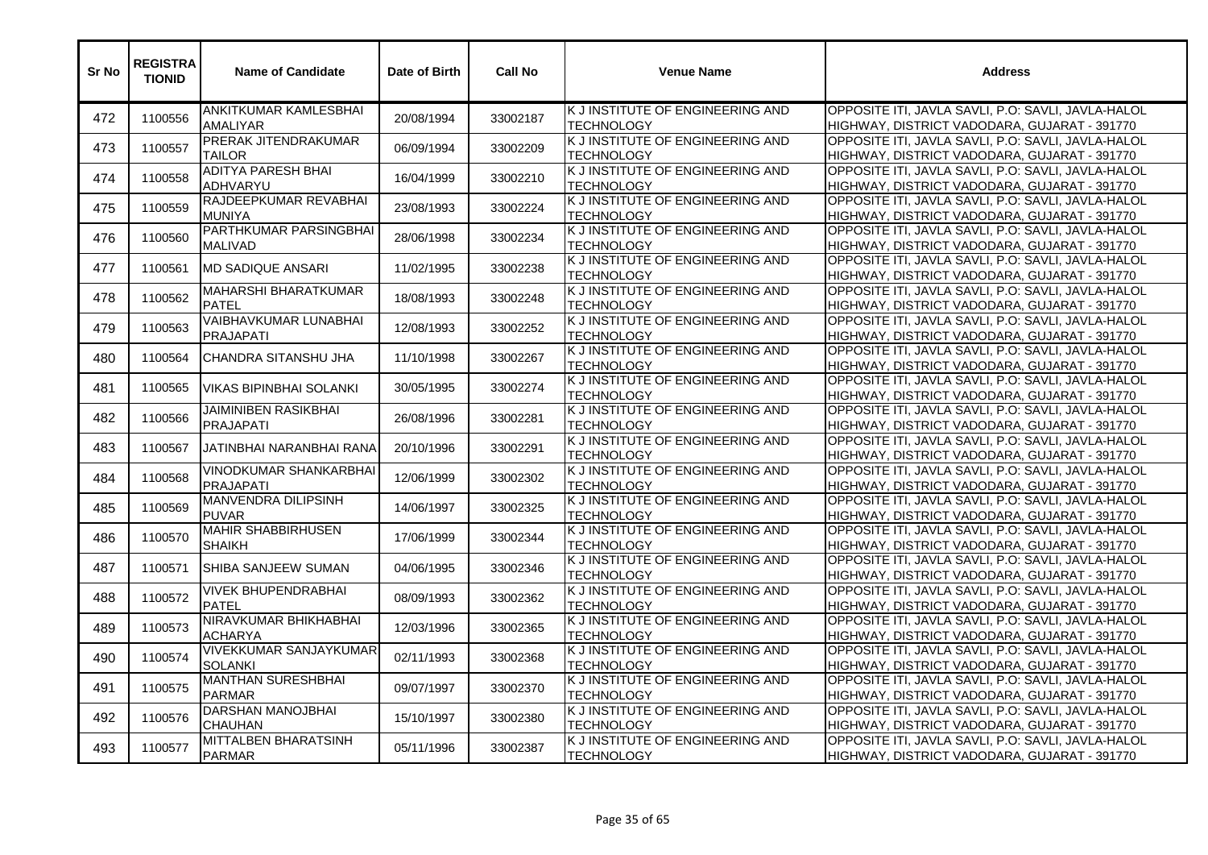| Sr No | <b>REGISTRA</b><br><b>TIONID</b> | <b>Name of Candidate</b>                        | Date of Birth | <b>Call No</b> | <b>Venue Name</b>                                     | <b>Address</b>                                                                                     |
|-------|----------------------------------|-------------------------------------------------|---------------|----------------|-------------------------------------------------------|----------------------------------------------------------------------------------------------------|
| 472   | 1100556                          | ANKITKUMAR KAMLESBHAI<br><b>AMALIYAR</b>        | 20/08/1994    | 33002187       | K J INSTITUTE OF ENGINEERING AND<br><b>TECHNOLOGY</b> | OPPOSITE ITI, JAVLA SAVLI, P.O: SAVLI, JAVLA-HALOL<br>HIGHWAY, DISTRICT VADODARA, GUJARAT - 391770 |
| 473   | 1100557                          | PRERAK JITENDRAKUMAR<br>TAILOR                  | 06/09/1994    | 33002209       | K J INSTITUTE OF ENGINEERING AND<br><b>TECHNOLOGY</b> | OPPOSITE ITI, JAVLA SAVLI, P.O: SAVLI, JAVLA-HALOL<br>HIGHWAY, DISTRICT VADODARA, GUJARAT - 391770 |
| 474   | 1100558                          | <b>ADITYA PARESH BHAI</b><br><b>ADHVARYU</b>    | 16/04/1999    | 33002210       | K J INSTITUTE OF ENGINEERING AND<br><b>TECHNOLOGY</b> | OPPOSITE ITI, JAVLA SAVLI, P.O: SAVLI, JAVLA-HALOL<br>HIGHWAY, DISTRICT VADODARA, GUJARAT - 391770 |
| 475   | 1100559                          | RAJDEEPKUMAR REVABHAI<br><b>MUNIYA</b>          | 23/08/1993    | 33002224       | K J INSTITUTE OF ENGINEERING AND<br><b>TECHNOLOGY</b> | OPPOSITE ITI, JAVLA SAVLI, P.O: SAVLI, JAVLA-HALOL<br>HIGHWAY, DISTRICT VADODARA, GUJARAT - 391770 |
| 476   | 1100560                          | PARTHKUMAR PARSINGBHAI<br><b>MALIVAD</b>        | 28/06/1998    | 33002234       | K J INSTITUTE OF ENGINEERING AND<br><b>TECHNOLOGY</b> | OPPOSITE ITI, JAVLA SAVLI, P.O: SAVLI, JAVLA-HALOL<br>HIGHWAY, DISTRICT VADODARA, GUJARAT - 391770 |
| 477   | 1100561                          | <b>MD SADIQUE ANSARI</b>                        | 11/02/1995    | 33002238       | K J INSTITUTE OF ENGINEERING AND<br><b>TECHNOLOGY</b> | OPPOSITE ITI, JAVLA SAVLI, P.O: SAVLI, JAVLA-HALOL<br>HIGHWAY, DISTRICT VADODARA, GUJARAT - 391770 |
| 478   | 1100562                          | <b>MAHARSHI BHARATKUMAR</b><br><b>PATEL</b>     | 18/08/1993    | 33002248       | K J INSTITUTE OF ENGINEERING AND<br><b>TECHNOLOGY</b> | OPPOSITE ITI, JAVLA SAVLI, P.O: SAVLI, JAVLA-HALOL<br>HIGHWAY, DISTRICT VADODARA, GUJARAT - 391770 |
| 479   | 1100563                          | VAIBHAVKUMAR LUNABHAI<br><b>PRAJAPATI</b>       | 12/08/1993    | 33002252       | K J INSTITUTE OF ENGINEERING AND<br><b>TECHNOLOGY</b> | OPPOSITE ITI, JAVLA SAVLI, P.O: SAVLI, JAVLA-HALOL<br>HIGHWAY, DISTRICT VADODARA, GUJARAT - 391770 |
| 480   | 1100564                          | CHANDRA SITANSHU JHA                            | 11/10/1998    | 33002267       | K J INSTITUTE OF ENGINEERING AND<br>TECHNOLOGY        | OPPOSITE ITI, JAVLA SAVLI, P.O: SAVLI, JAVLA-HALOL<br>HIGHWAY, DISTRICT VADODARA, GUJARAT - 391770 |
| 481   | 1100565                          | <b>VIKAS BIPINBHAI SOLANKI</b>                  | 30/05/1995    | 33002274       | K J INSTITUTE OF ENGINEERING AND<br><b>TECHNOLOGY</b> | OPPOSITE ITI, JAVLA SAVLI, P.O: SAVLI, JAVLA-HALOL<br>HIGHWAY, DISTRICT VADODARA, GUJARAT - 391770 |
| 482   | 1100566                          | JAIMINIBEN RASIKBHAI<br><b>PRAJAPATI</b>        | 26/08/1996    | 33002281       | K J INSTITUTE OF ENGINEERING AND<br><b>TECHNOLOGY</b> | OPPOSITE ITI, JAVLA SAVLI, P.O: SAVLI, JAVLA-HALOL<br>HIGHWAY, DISTRICT VADODARA, GUJARAT - 391770 |
| 483   | 1100567                          | JATINBHAI NARANBHAI RANA                        | 20/10/1996    | 33002291       | K J INSTITUTE OF ENGINEERING AND<br><b>TECHNOLOGY</b> | OPPOSITE ITI, JAVLA SAVLI, P.O: SAVLI, JAVLA-HALOL<br>HIGHWAY, DISTRICT VADODARA, GUJARAT - 391770 |
| 484   | 1100568                          | VINODKUMAR SHANKARBHAI<br><b>PRAJAPATI</b>      | 12/06/1999    | 33002302       | K J INSTITUTE OF ENGINEERING AND<br><b>TECHNOLOGY</b> | OPPOSITE ITI, JAVLA SAVLI, P.O: SAVLI, JAVLA-HALOL<br>HIGHWAY, DISTRICT VADODARA, GUJARAT - 391770 |
| 485   | 1100569                          | MANVENDRA DILIPSINH<br><b>PUVAR</b>             | 14/06/1997    | 33002325       | K J INSTITUTE OF ENGINEERING AND<br><b>TECHNOLOGY</b> | OPPOSITE ITI, JAVLA SAVLI, P.O: SAVLI, JAVLA-HALOL<br>HIGHWAY, DISTRICT VADODARA, GUJARAT - 391770 |
| 486   | 1100570                          | <b>MAHIR SHABBIRHUSEN</b><br><b>SHAIKH</b>      | 17/06/1999    | 33002344       | K J INSTITUTE OF ENGINEERING AND<br><b>TECHNOLOGY</b> | OPPOSITE ITI, JAVLA SAVLI, P.O: SAVLI, JAVLA-HALOL<br>HIGHWAY, DISTRICT VADODARA, GUJARAT - 391770 |
| 487   | 1100571                          | SHIBA SANJEEW SUMAN                             | 04/06/1995    | 33002346       | K J INSTITUTE OF ENGINEERING AND<br><b>TECHNOLOGY</b> | OPPOSITE ITI, JAVLA SAVLI, P.O: SAVLI, JAVLA-HALOL<br>HIGHWAY, DISTRICT VADODARA, GUJARAT - 391770 |
| 488   | 1100572                          | <b>VIVEK BHUPENDRABHAI</b><br><b>PATEL</b>      | 08/09/1993    | 33002362       | K J INSTITUTE OF ENGINEERING AND<br><b>TECHNOLOGY</b> | OPPOSITE ITI, JAVLA SAVLI, P.O: SAVLI, JAVLA-HALOL<br>HIGHWAY, DISTRICT VADODARA, GUJARAT - 391770 |
| 489   | 1100573                          | NIRAVKUMAR BHIKHABHAI<br><b>ACHARYA</b>         | 12/03/1996    | 33002365       | K J INSTITUTE OF ENGINEERING AND<br><b>TECHNOLOGY</b> | OPPOSITE ITI, JAVLA SAVLI, P.O: SAVLI, JAVLA-HALOL<br>HIGHWAY, DISTRICT VADODARA, GUJARAT - 391770 |
| 490   | 1100574                          | <b>VIVEKKUMAR SANJAYKUMAR</b><br><b>SOLANKI</b> | 02/11/1993    | 33002368       | K J INSTITUTE OF ENGINEERING AND<br><b>TECHNOLOGY</b> | OPPOSITE ITI, JAVLA SAVLI, P.O: SAVLI, JAVLA-HALOL<br>HIGHWAY, DISTRICT VADODARA, GUJARAT - 391770 |
| 491   | 1100575                          | <b>MANTHAN SURESHBHAI</b><br><b>PARMAR</b>      | 09/07/1997    | 33002370       | K J INSTITUTE OF ENGINEERING AND<br><b>TECHNOLOGY</b> | OPPOSITE ITI, JAVLA SAVLI, P.O: SAVLI, JAVLA-HALOL<br>HIGHWAY, DISTRICT VADODARA, GUJARAT - 391770 |
| 492   | 1100576                          | <b>DARSHAN MANOJBHAI</b><br><b>CHAUHAN</b>      | 15/10/1997    | 33002380       | K J INSTITUTE OF ENGINEERING AND<br><b>TECHNOLOGY</b> | OPPOSITE ITI, JAVLA SAVLI, P.O: SAVLI, JAVLA-HALOL<br>HIGHWAY, DISTRICT VADODARA, GUJARAT - 391770 |
| 493   | 1100577                          | MITTALBEN BHARATSINH<br><b>PARMAR</b>           | 05/11/1996    | 33002387       | K J INSTITUTE OF ENGINEERING AND<br><b>TECHNOLOGY</b> | OPPOSITE ITI, JAVLA SAVLI, P.O: SAVLI, JAVLA-HALOL<br>HIGHWAY, DISTRICT VADODARA, GUJARAT - 391770 |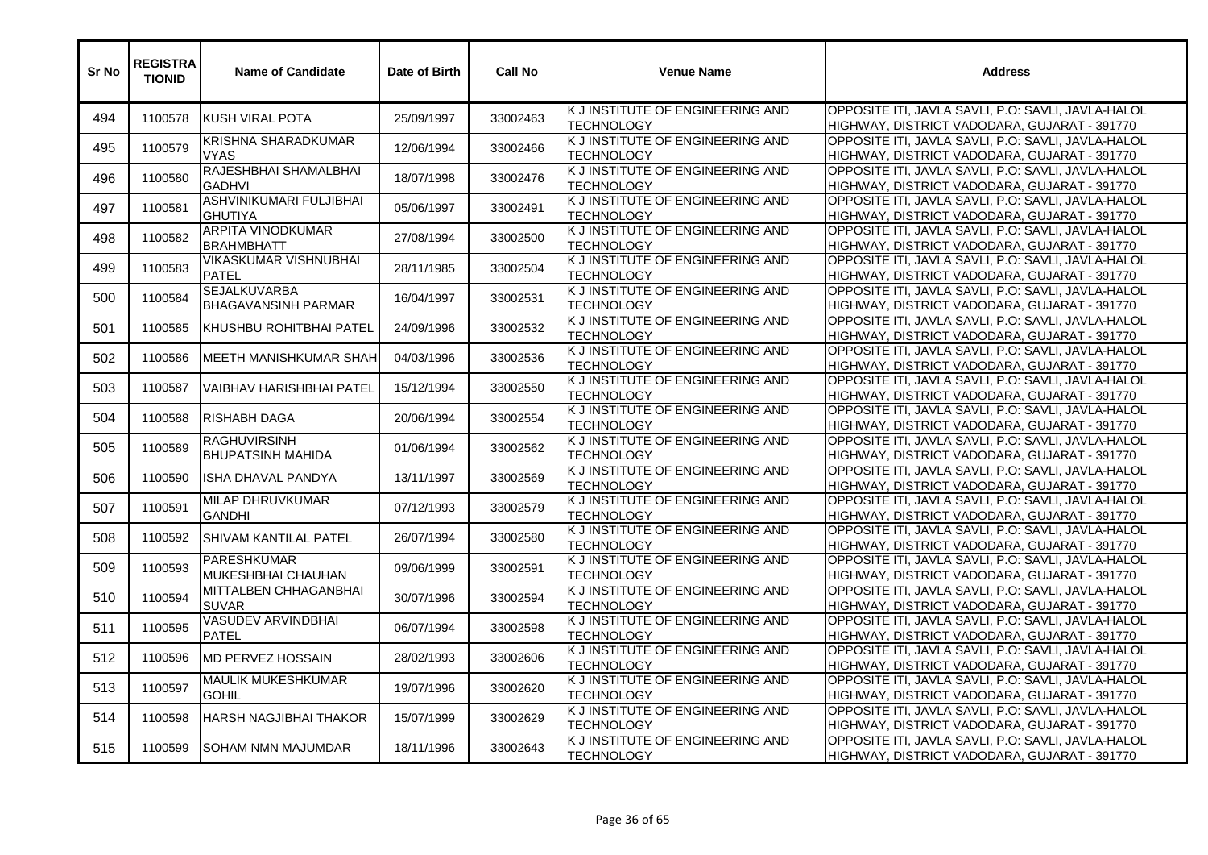| Sr No | <b>REGISTRA</b><br><b>TIONID</b> | <b>Name of Candidate</b>                          | Date of Birth | <b>Call No</b> | <b>Venue Name</b>                                     | <b>Address</b>                                                                                     |
|-------|----------------------------------|---------------------------------------------------|---------------|----------------|-------------------------------------------------------|----------------------------------------------------------------------------------------------------|
| 494   | 1100578                          | KUSH VIRAL POTA                                   | 25/09/1997    | 33002463       | K J INSTITUTE OF ENGINEERING AND<br><b>TECHNOLOGY</b> | OPPOSITE ITI, JAVLA SAVLI, P.O: SAVLI, JAVLA-HALOL<br>HIGHWAY, DISTRICT VADODARA, GUJARAT - 391770 |
| 495   | 1100579                          | KRISHNA SHARADKUMAR<br><b>VYAS</b>                | 12/06/1994    | 33002466       | K J INSTITUTE OF ENGINEERING AND<br><b>TECHNOLOGY</b> | OPPOSITE ITI, JAVLA SAVLI, P.O: SAVLI, JAVLA-HALOL<br>HIGHWAY, DISTRICT VADODARA, GUJARAT - 391770 |
| 496   | 1100580                          | RAJESHBHAI SHAMALBHAI<br><b>GADHVI</b>            | 18/07/1998    | 33002476       | K J INSTITUTE OF ENGINEERING AND<br><b>TECHNOLOGY</b> | OPPOSITE ITI, JAVLA SAVLI, P.O: SAVLI, JAVLA-HALOL<br>HIGHWAY, DISTRICT VADODARA, GUJARAT - 391770 |
| 497   | 1100581                          | ASHVINIKUMARI FULJIBHAI<br><b>GHUTIYA</b>         | 05/06/1997    | 33002491       | K J INSTITUTE OF ENGINEERING AND<br><b>TECHNOLOGY</b> | OPPOSITE ITI, JAVLA SAVLI, P.O: SAVLI, JAVLA-HALOL<br>HIGHWAY, DISTRICT VADODARA, GUJARAT - 391770 |
| 498   | 1100582                          | <b>ARPITA VINODKUMAR</b><br><b>BRAHMBHATT</b>     | 27/08/1994    | 33002500       | K J INSTITUTE OF ENGINEERING AND<br><b>TECHNOLOGY</b> | OPPOSITE ITI, JAVLA SAVLI, P.O: SAVLI, JAVLA-HALOL<br>HIGHWAY, DISTRICT VADODARA, GUJARAT - 391770 |
| 499   | 1100583                          | <b>VIKASKUMAR VISHNUBHAI</b><br><b>PATEL</b>      | 28/11/1985    | 33002504       | K J INSTITUTE OF ENGINEERING AND<br><b>TECHNOLOGY</b> | OPPOSITE ITI, JAVLA SAVLI, P.O: SAVLI, JAVLA-HALOL<br>HIGHWAY, DISTRICT VADODARA, GUJARAT - 391770 |
| 500   | 1100584                          | <b>SEJALKUVARBA</b><br><b>BHAGAVANSINH PARMAR</b> | 16/04/1997    | 33002531       | K J INSTITUTE OF ENGINEERING AND<br><b>TECHNOLOGY</b> | OPPOSITE ITI, JAVLA SAVLI, P.O: SAVLI, JAVLA-HALOL<br>HIGHWAY, DISTRICT VADODARA, GUJARAT - 391770 |
| 501   | 1100585                          | KHUSHBU ROHITBHAI PATEL                           | 24/09/1996    | 33002532       | K J INSTITUTE OF ENGINEERING AND<br><b>TECHNOLOGY</b> | OPPOSITE ITI, JAVLA SAVLI, P.O: SAVLI, JAVLA-HALOL<br>HIGHWAY, DISTRICT VADODARA, GUJARAT - 391770 |
| 502   | 1100586                          | MEETH MANISHKUMAR SHAH                            | 04/03/1996    | 33002536       | K J INSTITUTE OF ENGINEERING AND<br><b>TECHNOLOGY</b> | OPPOSITE ITI, JAVLA SAVLI, P.O: SAVLI, JAVLA-HALOL<br>HIGHWAY, DISTRICT VADODARA, GUJARAT - 391770 |
| 503   | 1100587                          | VAIBHAV HARISHBHAI PATEL                          | 15/12/1994    | 33002550       | K J INSTITUTE OF ENGINEERING AND<br><b>TECHNOLOGY</b> | OPPOSITE ITI, JAVLA SAVLI, P.O: SAVLI, JAVLA-HALOL<br>HIGHWAY, DISTRICT VADODARA, GUJARAT - 391770 |
| 504   | 1100588                          | <b>RISHABH DAGA</b>                               | 20/06/1994    | 33002554       | K J INSTITUTE OF ENGINEERING AND<br><b>TECHNOLOGY</b> | OPPOSITE ITI, JAVLA SAVLI, P.O: SAVLI, JAVLA-HALOL<br>HIGHWAY, DISTRICT VADODARA, GUJARAT - 391770 |
| 505   | 1100589                          | <b>RAGHUVIRSINH</b><br><b>BHUPATSINH MAHIDA</b>   | 01/06/1994    | 33002562       | K J INSTITUTE OF ENGINEERING AND<br><b>TECHNOLOGY</b> | OPPOSITE ITI, JAVLA SAVLI, P.O: SAVLI, JAVLA-HALOL<br>HIGHWAY, DISTRICT VADODARA, GUJARAT - 391770 |
| 506   | 1100590                          | ISHA DHAVAL PANDYA                                | 13/11/1997    | 33002569       | K J INSTITUTE OF ENGINEERING AND<br><b>TECHNOLOGY</b> | OPPOSITE ITI, JAVLA SAVLI, P.O: SAVLI, JAVLA-HALOL<br>HIGHWAY, DISTRICT VADODARA, GUJARAT - 391770 |
| 507   | 1100591                          | MILAP DHRUVKUMAR<br><b>GANDHI</b>                 | 07/12/1993    | 33002579       | K J INSTITUTE OF ENGINEERING AND<br><b>TECHNOLOGY</b> | OPPOSITE ITI, JAVLA SAVLI, P.O: SAVLI, JAVLA-HALOL<br>HIGHWAY, DISTRICT VADODARA, GUJARAT - 391770 |
| 508   | 1100592                          | SHIVAM KANTILAL PATEL                             | 26/07/1994    | 33002580       | K J INSTITUTE OF ENGINEERING AND<br><b>TECHNOLOGY</b> | OPPOSITE ITI, JAVLA SAVLI, P.O: SAVLI, JAVLA-HALOL<br>HIGHWAY, DISTRICT VADODARA, GUJARAT - 391770 |
| 509   | 1100593                          | <b>PARESHKUMAR</b><br>MUKESHBHAI CHAUHAN          | 09/06/1999    | 33002591       | K J INSTITUTE OF ENGINEERING AND<br><b>TECHNOLOGY</b> | OPPOSITE ITI, JAVLA SAVLI, P.O: SAVLI, JAVLA-HALOL<br>HIGHWAY, DISTRICT VADODARA, GUJARAT - 391770 |
| 510   | 1100594                          | MITTALBEN CHHAGANBHAI<br><b>SUVAR</b>             | 30/07/1996    | 33002594       | K J INSTITUTE OF ENGINEERING AND<br><b>TECHNOLOGY</b> | OPPOSITE ITI, JAVLA SAVLI, P.O: SAVLI, JAVLA-HALOL<br>HIGHWAY, DISTRICT VADODARA, GUJARAT - 391770 |
| 511   | 1100595                          | <b>VASUDEV ARVINDBHAI</b><br><b>PATEL</b>         | 06/07/1994    | 33002598       | K J INSTITUTE OF ENGINEERING AND<br><b>TECHNOLOGY</b> | OPPOSITE ITI, JAVLA SAVLI, P.O: SAVLI, JAVLA-HALOL<br>HIGHWAY, DISTRICT VADODARA, GUJARAT - 391770 |
| 512   | 1100596                          | <b>MD PERVEZ HOSSAIN</b>                          | 28/02/1993    | 33002606       | K J INSTITUTE OF ENGINEERING AND<br><b>TECHNOLOGY</b> | OPPOSITE ITI, JAVLA SAVLI, P.O: SAVLI, JAVLA-HALOL<br>HIGHWAY, DISTRICT VADODARA, GUJARAT - 391770 |
| 513   | 1100597                          | <b>MAULIK MUKESHKUMAR</b><br><b>GOHIL</b>         | 19/07/1996    | 33002620       | K J INSTITUTE OF ENGINEERING AND<br><b>TECHNOLOGY</b> | OPPOSITE ITI, JAVLA SAVLI, P.O: SAVLI, JAVLA-HALOL<br>HIGHWAY, DISTRICT VADODARA, GUJARAT - 391770 |
| 514   | 1100598                          | <b>HARSH NAGJIBHAI THAKOR</b>                     | 15/07/1999    | 33002629       | K J INSTITUTE OF ENGINEERING AND<br><b>TECHNOLOGY</b> | OPPOSITE ITI, JAVLA SAVLI, P.O: SAVLI, JAVLA-HALOL<br>HIGHWAY, DISTRICT VADODARA, GUJARAT - 391770 |
| 515   | 1100599                          | <b>SOHAM NMN MAJUMDAR</b>                         | 18/11/1996    | 33002643       | K J INSTITUTE OF ENGINEERING AND<br><b>TECHNOLOGY</b> | OPPOSITE ITI, JAVLA SAVLI, P.O: SAVLI, JAVLA-HALOL<br>HIGHWAY, DISTRICT VADODARA, GUJARAT - 391770 |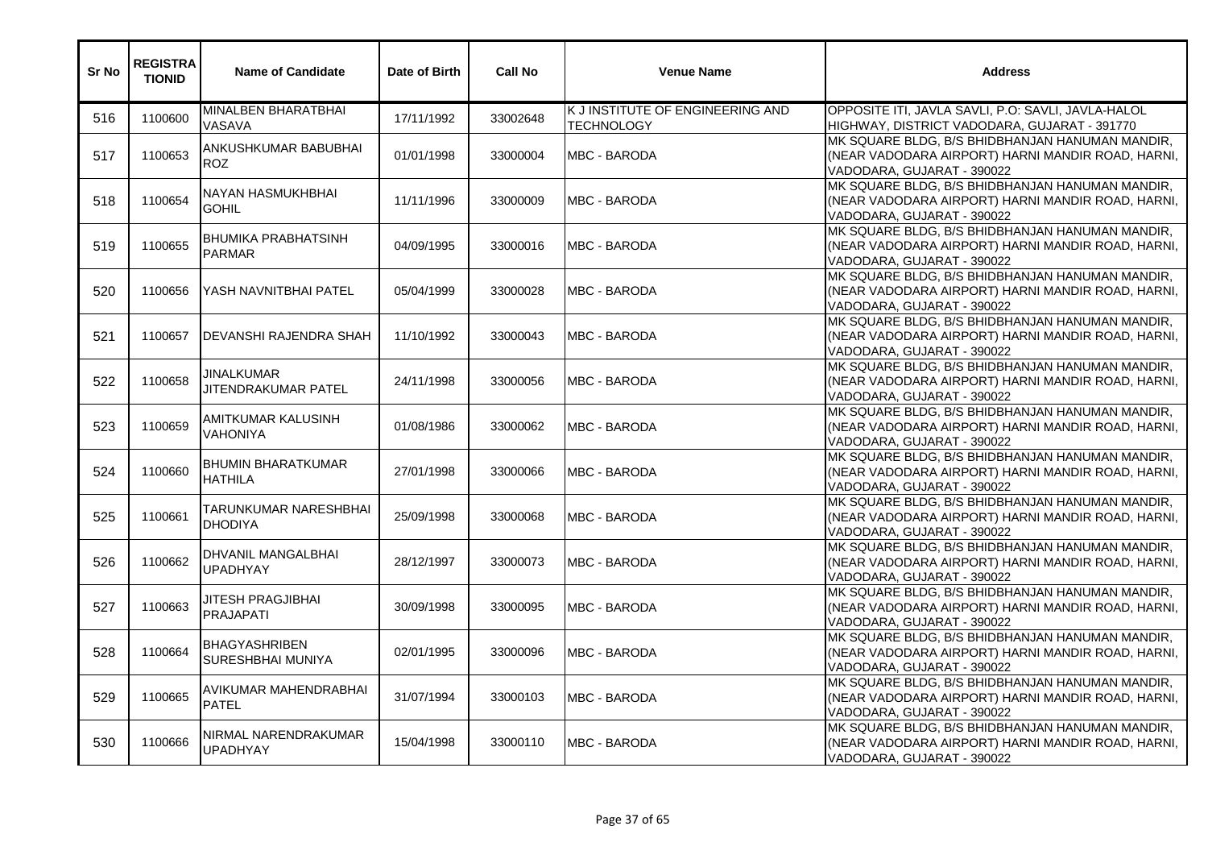| Sr No | <b>REGISTRA</b><br><b>TIONID</b> | <b>Name of Candidate</b>                    | Date of Birth | <b>Call No</b> | <b>Venue Name</b>                                     | <b>Address</b>                                                                                                                     |
|-------|----------------------------------|---------------------------------------------|---------------|----------------|-------------------------------------------------------|------------------------------------------------------------------------------------------------------------------------------------|
| 516   | 1100600                          | MINALBEN BHARATBHAI<br>VASAVA               | 17/11/1992    | 33002648       | K J INSTITUTE OF ENGINEERING AND<br><b>TECHNOLOGY</b> | OPPOSITE ITI, JAVLA SAVLI, P.O: SAVLI, JAVLA-HALOL<br>HIGHWAY, DISTRICT VADODARA, GUJARAT - 391770                                 |
| 517   | 1100653                          | ANKUSHKUMAR BABUBHAI<br><b>ROZ</b>          | 01/01/1998    | 33000004       | <b>MBC - BARODA</b>                                   | MK SQUARE BLDG, B/S BHIDBHANJAN HANUMAN MANDIR,<br>(NEAR VADODARA AIRPORT) HARNI MANDIR ROAD, HARNI,<br>VADODARA, GUJARAT - 390022 |
| 518   | 1100654                          | NAYAN HASMUKHBHAI<br><b>GOHIL</b>           | 11/11/1996    | 33000009       | <b>MBC - BARODA</b>                                   | MK SQUARE BLDG, B/S BHIDBHANJAN HANUMAN MANDIR,<br>(NEAR VADODARA AIRPORT) HARNI MANDIR ROAD, HARNI,<br>VADODARA, GUJARAT - 390022 |
| 519   | 1100655                          | <b>BHUMIKA PRABHATSINH</b><br><b>PARMAR</b> | 04/09/1995    | 33000016       | <b>MBC - BARODA</b>                                   | MK SQUARE BLDG, B/S BHIDBHANJAN HANUMAN MANDIR,<br>(NEAR VADODARA AIRPORT) HARNI MANDIR ROAD, HARNI,<br>VADODARA, GUJARAT - 390022 |
| 520   | 1100656                          | YASH NAVNITBHAI PATEL                       | 05/04/1999    | 33000028       | <b>IMBC - BARODA</b>                                  | MK SQUARE BLDG, B/S BHIDBHANJAN HANUMAN MANDIR,<br>(NEAR VADODARA AIRPORT) HARNI MANDIR ROAD, HARNI,<br>VADODARA, GUJARAT - 390022 |
| 521   | 1100657                          | <b>DEVANSHI RAJENDRA SHAH</b>               | 11/10/1992    | 33000043       | <b>MBC - BARODA</b>                                   | MK SQUARE BLDG, B/S BHIDBHANJAN HANUMAN MANDIR,<br>(NEAR VADODARA AIRPORT) HARNI MANDIR ROAD, HARNI,<br>VADODARA, GUJARAT - 390022 |
| 522   | 1100658                          | JINALKUMAR<br>JITENDRAKUMAR PATEL           | 24/11/1998    | 33000056       | <b>MBC - BARODA</b>                                   | MK SQUARE BLDG, B/S BHIDBHANJAN HANUMAN MANDIR,<br>(NEAR VADODARA AIRPORT) HARNI MANDIR ROAD, HARNI,<br>VADODARA, GUJARAT - 390022 |
| 523   | 1100659                          | AMITKUMAR KALUSINH<br><b>VAHONIYA</b>       | 01/08/1986    | 33000062       | MBC - BARODA                                          | MK SQUARE BLDG, B/S BHIDBHANJAN HANUMAN MANDIR,<br>(NEAR VADODARA AIRPORT) HARNI MANDIR ROAD, HARNI,<br>VADODARA, GUJARAT - 390022 |
| 524   | 1100660                          | <b>BHUMIN BHARATKUMAR</b><br><b>HATHILA</b> | 27/01/1998    | 33000066       | <b>MBC - BARODA</b>                                   | MK SQUARE BLDG, B/S BHIDBHANJAN HANUMAN MANDIR,<br>(NEAR VADODARA AIRPORT) HARNI MANDIR ROAD, HARNI,<br>VADODARA, GUJARAT - 390022 |
| 525   | 1100661                          | TARUNKUMAR NARESHBHAI<br><b>DHODIYA</b>     | 25/09/1998    | 33000068       | <b>MBC - BARODA</b>                                   | MK SQUARE BLDG, B/S BHIDBHANJAN HANUMAN MANDIR,<br>(NEAR VADODARA AIRPORT) HARNI MANDIR ROAD, HARNI,<br>VADODARA, GUJARAT - 390022 |
| 526   | 1100662                          | DHVANIL MANGALBHAI<br><b>UPADHYAY</b>       | 28/12/1997    | 33000073       | MBC - BARODA                                          | MK SQUARE BLDG, B/S BHIDBHANJAN HANUMAN MANDIR,<br>(NEAR VADODARA AIRPORT) HARNI MANDIR ROAD, HARNI,<br>VADODARA, GUJARAT - 390022 |
| 527   | 1100663                          | JITESH PRAGJIBHAI<br><b>PRAJAPATI</b>       | 30/09/1998    | 33000095       | <b>MBC - BARODA</b>                                   | MK SQUARE BLDG, B/S BHIDBHANJAN HANUMAN MANDIR,<br>(NEAR VADODARA AIRPORT) HARNI MANDIR ROAD, HARNI,<br>VADODARA, GUJARAT - 390022 |
| 528   | 1100664                          | <b>BHAGYASHRIBEN</b><br>SURESHBHAI MUNIYA   | 02/01/1995    | 33000096       | <b>MBC - BARODA</b>                                   | MK SQUARE BLDG, B/S BHIDBHANJAN HANUMAN MANDIR,<br>(NEAR VADODARA AIRPORT) HARNI MANDIR ROAD, HARNI,<br>VADODARA, GUJARAT - 390022 |
| 529   | 1100665                          | AVIKUMAR MAHENDRABHAI<br><b>PATEL</b>       | 31/07/1994    | 33000103       | <b>MBC - BARODA</b>                                   | MK SQUARE BLDG, B/S BHIDBHANJAN HANUMAN MANDIR,<br>(NEAR VADODARA AIRPORT) HARNI MANDIR ROAD, HARNI,<br>VADODARA, GUJARAT - 390022 |
| 530   | 1100666                          | NIRMAL NARENDRAKUMAR<br><b>UPADHYAY</b>     | 15/04/1998    | 33000110       | <b>MBC - BARODA</b>                                   | MK SQUARE BLDG, B/S BHIDBHANJAN HANUMAN MANDIR,<br>(NEAR VADODARA AIRPORT) HARNI MANDIR ROAD, HARNI,<br>VADODARA, GUJARAT - 390022 |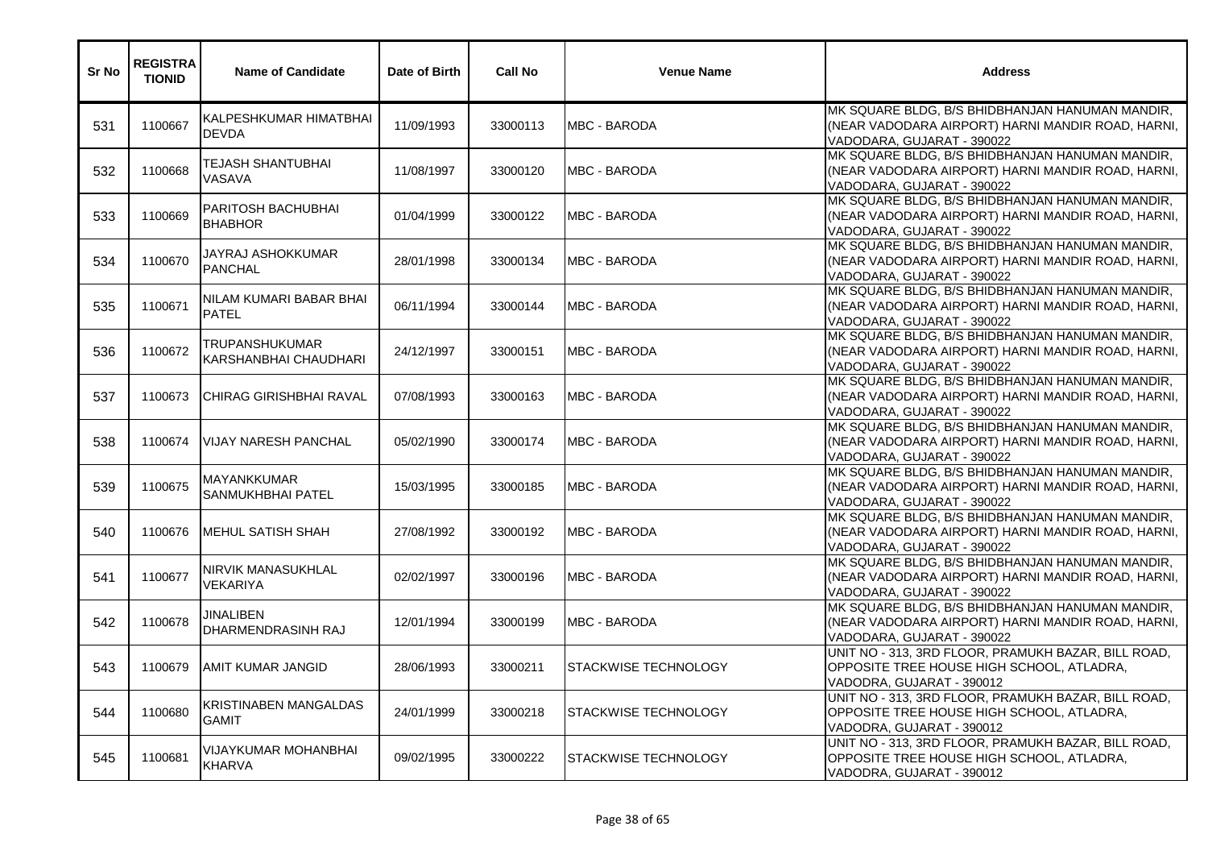| Sr No | <b>REGISTRA</b><br><b>TIONID</b> | <b>Name of Candidate</b>                | Date of Birth | <b>Call No</b> | <b>Venue Name</b>    | <b>Address</b>                                                                                                                     |
|-------|----------------------------------|-----------------------------------------|---------------|----------------|----------------------|------------------------------------------------------------------------------------------------------------------------------------|
| 531   | 1100667                          | KALPESHKUMAR HIMATBHAI<br><b>DEVDA</b>  | 11/09/1993    | 33000113       | <b>MBC - BARODA</b>  | MK SQUARE BLDG, B/S BHIDBHANJAN HANUMAN MANDIR,<br>(NEAR VADODARA AIRPORT) HARNI MANDIR ROAD, HARNI,<br>VADODARA, GUJARAT - 390022 |
| 532   | 1100668                          | TEJASH SHANTUBHAI<br>VASAVA             | 11/08/1997    | 33000120       | <b>MBC - BARODA</b>  | MK SQUARE BLDG, B/S BHIDBHANJAN HANUMAN MANDIR,<br>(NEAR VADODARA AIRPORT) HARNI MANDIR ROAD, HARNI,<br>VADODARA, GUJARAT - 390022 |
| 533   | 1100669                          | PARITOSH BACHUBHAI<br><b>BHABHOR</b>    | 01/04/1999    | 33000122       | <b>MBC - BARODA</b>  | MK SQUARE BLDG, B/S BHIDBHANJAN HANUMAN MANDIR,<br>(NEAR VADODARA AIRPORT) HARNI MANDIR ROAD, HARNI,<br>VADODARA, GUJARAT - 390022 |
| 534   | 1100670                          | JAYRAJ ASHOKKUMAR<br><b>PANCHAL</b>     | 28/01/1998    | 33000134       | <b>IMBC - BARODA</b> | MK SQUARE BLDG, B/S BHIDBHANJAN HANUMAN MANDIR,<br>(NEAR VADODARA AIRPORT) HARNI MANDIR ROAD, HARNI,<br>VADODARA, GUJARAT - 390022 |
| 535   | 1100671                          | NILAM KUMARI BABAR BHAI<br><b>PATEL</b> | 06/11/1994    | 33000144       | <b>MBC - BARODA</b>  | MK SQUARE BLDG, B/S BHIDBHANJAN HANUMAN MANDIR,<br>(NEAR VADODARA AIRPORT) HARNI MANDIR ROAD, HARNI,<br>VADODARA, GUJARAT - 390022 |
| 536   | 1100672                          | TRUPANSHUKUMAR<br>KARSHANBHAI CHAUDHARI | 24/12/1997    | 33000151       | <b>MBC - BARODA</b>  | MK SQUARE BLDG, B/S BHIDBHANJAN HANUMAN MANDIR,<br>(NEAR VADODARA AIRPORT) HARNI MANDIR ROAD, HARNI,<br>VADODARA, GUJARAT - 390022 |
| 537   | 1100673                          | <b>CHIRAG GIRISHBHAI RAVAL</b>          | 07/08/1993    | 33000163       | <b>IMBC - BARODA</b> | MK SQUARE BLDG, B/S BHIDBHANJAN HANUMAN MANDIR,<br>(NEAR VADODARA AIRPORT) HARNI MANDIR ROAD, HARNI,<br>VADODARA, GUJARAT - 390022 |
| 538   | 1100674                          | <b>VIJAY NARESH PANCHAL</b>             | 05/02/1990    | 33000174       | MBC - BARODA         | MK SQUARE BLDG, B/S BHIDBHANJAN HANUMAN MANDIR,<br>(NEAR VADODARA AIRPORT) HARNI MANDIR ROAD, HARNI,<br>VADODARA, GUJARAT - 390022 |
| 539   | 1100675                          | MAYANKKUMAR<br>SANMUKHBHAI PATEL        | 15/03/1995    | 33000185       | <b>MBC - BARODA</b>  | MK SQUARE BLDG, B/S BHIDBHANJAN HANUMAN MANDIR,<br>(NEAR VADODARA AIRPORT) HARNI MANDIR ROAD, HARNI,<br>VADODARA, GUJARAT - 390022 |
| 540   | 1100676                          | <b>MEHUL SATISH SHAH</b>                | 27/08/1992    | 33000192       | <b>MBC - BARODA</b>  | MK SQUARE BLDG, B/S BHIDBHANJAN HANUMAN MANDIR,<br>(NEAR VADODARA AIRPORT) HARNI MANDIR ROAD, HARNI,<br>VADODARA, GUJARAT - 390022 |
| 541   | 1100677                          | NIRVIK MANASUKHLAL<br>VEKARIYA          | 02/02/1997    | 33000196       | <b>MBC - BARODA</b>  | MK SQUARE BLDG, B/S BHIDBHANJAN HANUMAN MANDIR,<br>(NEAR VADODARA AIRPORT) HARNI MANDIR ROAD, HARNI,<br>VADODARA, GUJARAT - 390022 |
| 542   | 1100678                          | <b>JINALIBEN</b><br>DHARMENDRASINH RAJ  | 12/01/1994    | 33000199       | <b>MBC - BARODA</b>  | MK SQUARE BLDG, B/S BHIDBHANJAN HANUMAN MANDIR,<br>(NEAR VADODARA AIRPORT) HARNI MANDIR ROAD, HARNI,<br>VADODARA, GUJARAT - 390022 |
| 543   | 1100679                          | <b>AMIT KUMAR JANGID</b>                | 28/06/1993    | 33000211       | STACKWISE TECHNOLOGY | UNIT NO - 313, 3RD FLOOR, PRAMUKH BAZAR, BILL ROAD,<br>OPPOSITE TREE HOUSE HIGH SCHOOL, ATLADRA,<br>VADODRA, GUJARAT - 390012      |
| 544   | 1100680                          | KRISTINABEN MANGALDAS<br><b>GAMIT</b>   | 24/01/1999    | 33000218       | STACKWISE TECHNOLOGY | UNIT NO - 313, 3RD FLOOR, PRAMUKH BAZAR, BILL ROAD,<br>OPPOSITE TREE HOUSE HIGH SCHOOL, ATLADRA,<br>VADODRA, GUJARAT - 390012      |
| 545   | 1100681                          | VIJAYKUMAR MOHANBHAI<br><b>KHARVA</b>   | 09/02/1995    | 33000222       | STACKWISE TECHNOLOGY | UNIT NO - 313, 3RD FLOOR, PRAMUKH BAZAR, BILL ROAD,<br>OPPOSITE TREE HOUSE HIGH SCHOOL, ATLADRA,<br>VADODRA, GUJARAT - 390012      |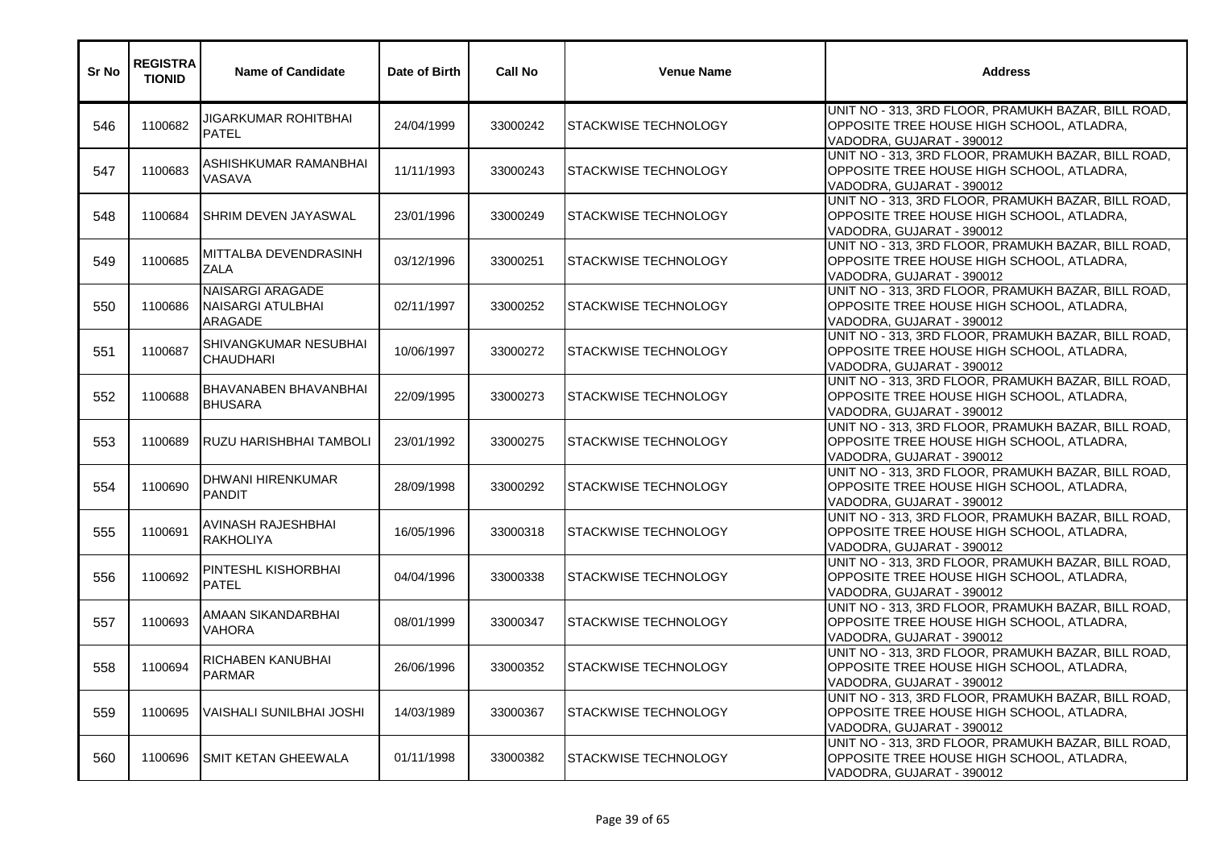| Sr No | <b>REGISTRA</b><br><b>TIONID</b> | <b>Name of Candidate</b>                         | Date of Birth | <b>Call No</b> | <b>Venue Name</b>    | <b>Address</b>                                                                                                                |
|-------|----------------------------------|--------------------------------------------------|---------------|----------------|----------------------|-------------------------------------------------------------------------------------------------------------------------------|
| 546   | 1100682                          | JIGARKUMAR ROHITBHAI<br><b>PATFI</b>             | 24/04/1999    | 33000242       | STACKWISE TECHNOLOGY | UNIT NO - 313, 3RD FLOOR, PRAMUKH BAZAR, BILL ROAD,<br>OPPOSITE TREE HOUSE HIGH SCHOOL, ATLADRA,<br>VADODRA, GUJARAT - 390012 |
| 547   | 1100683                          | ASHISHKUMAR RAMANBHAI<br>VASAVA                  | 11/11/1993    | 33000243       | STACKWISE TECHNOLOGY | UNIT NO - 313, 3RD FLOOR, PRAMUKH BAZAR, BILL ROAD,<br>OPPOSITE TREE HOUSE HIGH SCHOOL, ATLADRA,<br>VADODRA, GUJARAT - 390012 |
| 548   | 1100684                          | <b>SHRIM DEVEN JAYASWAL</b>                      | 23/01/1996    | 33000249       | STACKWISE TECHNOLOGY | UNIT NO - 313, 3RD FLOOR, PRAMUKH BAZAR, BILL ROAD,<br>OPPOSITE TREE HOUSE HIGH SCHOOL, ATLADRA,<br>VADODRA, GUJARAT - 390012 |
| 549   | 1100685                          | MITTALBA DEVENDRASINH<br><b>ZALA</b>             | 03/12/1996    | 33000251       | STACKWISE TECHNOLOGY | UNIT NO - 313, 3RD FLOOR, PRAMUKH BAZAR, BILL ROAD,<br>OPPOSITE TREE HOUSE HIGH SCHOOL, ATLADRA,<br>VADODRA, GUJARAT - 390012 |
| 550   | 1100686                          | NAISARGI ARAGADE<br>NAISARGI ATULBHAI<br>ARAGADE | 02/11/1997    | 33000252       | STACKWISE TECHNOLOGY | UNIT NO - 313, 3RD FLOOR, PRAMUKH BAZAR, BILL ROAD,<br>OPPOSITE TREE HOUSE HIGH SCHOOL, ATLADRA,<br>VADODRA, GUJARAT - 390012 |
| 551   | 1100687                          | <b>SHIVANGKUMAR NESUBHAI</b><br><b>CHAUDHARI</b> | 10/06/1997    | 33000272       | STACKWISE TECHNOLOGY | UNIT NO - 313, 3RD FLOOR, PRAMUKH BAZAR, BILL ROAD,<br>OPPOSITE TREE HOUSE HIGH SCHOOL, ATLADRA,<br>VADODRA, GUJARAT - 390012 |
| 552   | 1100688                          | <b>BHAVANABEN BHAVANBHAI</b><br><b>BHUSARA</b>   | 22/09/1995    | 33000273       | STACKWISE TECHNOLOGY | UNIT NO - 313, 3RD FLOOR, PRAMUKH BAZAR, BILL ROAD,<br>OPPOSITE TREE HOUSE HIGH SCHOOL, ATLADRA,<br>VADODRA, GUJARAT - 390012 |
| 553   | 1100689                          | RUZU HARISHBHAI TAMBOLI                          | 23/01/1992    | 33000275       | STACKWISE TECHNOLOGY | UNIT NO - 313, 3RD FLOOR, PRAMUKH BAZAR, BILL ROAD,<br>OPPOSITE TREE HOUSE HIGH SCHOOL, ATLADRA,<br>VADODRA, GUJARAT - 390012 |
| 554   | 1100690                          | DHWANI HIRENKUMAR<br><b>PANDIT</b>               | 28/09/1998    | 33000292       | STACKWISE TECHNOLOGY | UNIT NO - 313, 3RD FLOOR, PRAMUKH BAZAR, BILL ROAD,<br>OPPOSITE TREE HOUSE HIGH SCHOOL, ATLADRA,<br>VADODRA, GUJARAT - 390012 |
| 555   | 1100691                          | AVINASH RAJESHBHAI<br><b>RAKHOLIYA</b>           | 16/05/1996    | 33000318       | STACKWISE TECHNOLOGY | UNIT NO - 313, 3RD FLOOR, PRAMUKH BAZAR, BILL ROAD,<br>OPPOSITE TREE HOUSE HIGH SCHOOL, ATLADRA,<br>VADODRA, GUJARAT - 390012 |
| 556   | 1100692                          | <b>PINTESHL KISHORBHAI</b><br><b>PATEL</b>       | 04/04/1996    | 33000338       | STACKWISE TECHNOLOGY | UNIT NO - 313, 3RD FLOOR, PRAMUKH BAZAR, BILL ROAD,<br>OPPOSITE TREE HOUSE HIGH SCHOOL, ATLADRA,<br>VADODRA, GUJARAT - 390012 |
| 557   | 1100693                          | AMAAN SIKANDARBHAI<br><b>VAHORA</b>              | 08/01/1999    | 33000347       | STACKWISE TECHNOLOGY | UNIT NO - 313, 3RD FLOOR, PRAMUKH BAZAR, BILL ROAD,<br>OPPOSITE TREE HOUSE HIGH SCHOOL, ATLADRA,<br>VADODRA, GUJARAT - 390012 |
| 558   | 1100694                          | RICHABEN KANUBHAI<br><b>PARMAR</b>               | 26/06/1996    | 33000352       | STACKWISE TECHNOLOGY | UNIT NO - 313, 3RD FLOOR, PRAMUKH BAZAR, BILL ROAD,<br>OPPOSITE TREE HOUSE HIGH SCHOOL, ATLADRA,<br>VADODRA, GUJARAT - 390012 |
| 559   | 1100695                          | VAISHALI SUNILBHAI JOSHI                         | 14/03/1989    | 33000367       | STACKWISE TECHNOLOGY | UNIT NO - 313, 3RD FLOOR, PRAMUKH BAZAR, BILL ROAD,<br>OPPOSITE TREE HOUSE HIGH SCHOOL, ATLADRA,<br>VADODRA, GUJARAT - 390012 |
| 560   | 1100696                          | <b>SMIT KETAN GHEEWALA</b>                       | 01/11/1998    | 33000382       | STACKWISE TECHNOLOGY | UNIT NO - 313, 3RD FLOOR, PRAMUKH BAZAR, BILL ROAD,<br>OPPOSITE TREE HOUSE HIGH SCHOOL, ATLADRA,<br>VADODRA, GUJARAT - 390012 |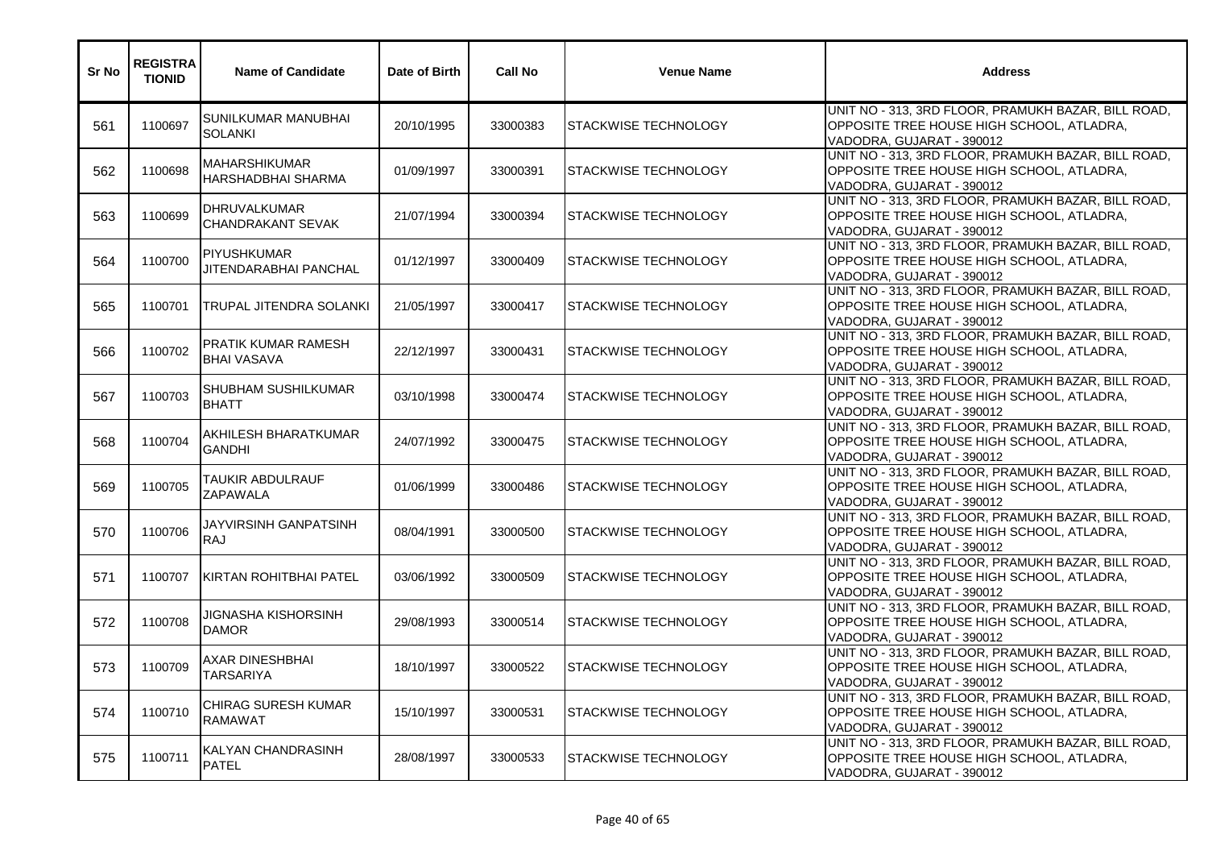| Sr No | <b>REGISTRA</b><br><b>TIONID</b> | <b>Name of Candidate</b>                         | Date of Birth | <b>Call No</b> | <b>Venue Name</b>           | <b>Address</b>                                                                                                                |
|-------|----------------------------------|--------------------------------------------------|---------------|----------------|-----------------------------|-------------------------------------------------------------------------------------------------------------------------------|
| 561   | 1100697                          | SUNILKUMAR MANUBHAI<br><b>SOLANKI</b>            | 20/10/1995    | 33000383       | STACKWISE TECHNOLOGY        | UNIT NO - 313, 3RD FLOOR, PRAMUKH BAZAR, BILL ROAD,<br>OPPOSITE TREE HOUSE HIGH SCHOOL, ATLADRA,<br>VADODRA, GUJARAT - 390012 |
| 562   | 1100698                          | <b>MAHARSHIKUMAR</b><br>HARSHADBHAI SHARMA       | 01/09/1997    | 33000391       | STACKWISE TECHNOLOGY        | UNIT NO - 313, 3RD FLOOR, PRAMUKH BAZAR, BILL ROAD,<br>OPPOSITE TREE HOUSE HIGH SCHOOL, ATLADRA,<br>VADODRA, GUJARAT - 390012 |
| 563   | 1100699                          | <b>DHRUVALKUMAR</b><br><b>CHANDRAKANT SEVAK</b>  | 21/07/1994    | 33000394       | <b>STACKWISE TECHNOLOGY</b> | UNIT NO - 313, 3RD FLOOR, PRAMUKH BAZAR, BILL ROAD,<br>OPPOSITE TREE HOUSE HIGH SCHOOL, ATLADRA,<br>VADODRA, GUJARAT - 390012 |
| 564   | 1100700                          | <b>PIYUSHKUMAR</b><br>JITENDARABHAI PANCHAL      | 01/12/1997    | 33000409       | STACKWISE TECHNOLOGY        | UNIT NO - 313, 3RD FLOOR, PRAMUKH BAZAR, BILL ROAD,<br>OPPOSITE TREE HOUSE HIGH SCHOOL, ATLADRA,<br>VADODRA, GUJARAT - 390012 |
| 565   | 1100701                          | TRUPAL JITENDRA SOLANKI                          | 21/05/1997    | 33000417       | <b>STACKWISE TECHNOLOGY</b> | UNIT NO - 313, 3RD FLOOR, PRAMUKH BAZAR, BILL ROAD,<br>OPPOSITE TREE HOUSE HIGH SCHOOL, ATLADRA,<br>VADODRA, GUJARAT - 390012 |
| 566   | 1100702                          | <b>PRATIK KUMAR RAMESH</b><br><b>BHAI VASAVA</b> | 22/12/1997    | 33000431       | STACKWISE TECHNOLOGY        | UNIT NO - 313, 3RD FLOOR, PRAMUKH BAZAR, BILL ROAD,<br>OPPOSITE TREE HOUSE HIGH SCHOOL, ATLADRA,<br>VADODRA, GUJARAT - 390012 |
| 567   | 1100703                          | <b>SHUBHAM SUSHILKUMAR</b><br><b>BHATT</b>       | 03/10/1998    | 33000474       | <b>STACKWISE TECHNOLOGY</b> | UNIT NO - 313, 3RD FLOOR, PRAMUKH BAZAR, BILL ROAD,<br>OPPOSITE TREE HOUSE HIGH SCHOOL, ATLADRA,<br>VADODRA, GUJARAT - 390012 |
| 568   | 1100704                          | AKHILESH BHARATKUMAR<br><b>GANDHI</b>            | 24/07/1992    | 33000475       | STACKWISE TECHNOLOGY        | UNIT NO - 313, 3RD FLOOR, PRAMUKH BAZAR, BILL ROAD,<br>OPPOSITE TREE HOUSE HIGH SCHOOL, ATLADRA,<br>VADODRA, GUJARAT - 390012 |
| 569   | 1100705                          | TAUKIR ABDULRAUF<br>ZAPAWALA                     | 01/06/1999    | 33000486       | <b>STACKWISE TECHNOLOGY</b> | UNIT NO - 313, 3RD FLOOR, PRAMUKH BAZAR, BILL ROAD,<br>OPPOSITE TREE HOUSE HIGH SCHOOL, ATLADRA,<br>VADODRA, GUJARAT - 390012 |
| 570   | 1100706                          | JAYVIRSINH GANPATSINH<br><b>RAJ</b>              | 08/04/1991    | 33000500       | STACKWISE TECHNOLOGY        | UNIT NO - 313, 3RD FLOOR, PRAMUKH BAZAR, BILL ROAD,<br>OPPOSITE TREE HOUSE HIGH SCHOOL, ATLADRA,<br>VADODRA, GUJARAT - 390012 |
| 571   | 1100707                          | KIRTAN ROHITBHAI PATEL                           | 03/06/1992    | 33000509       | STACKWISE TECHNOLOGY        | UNIT NO - 313, 3RD FLOOR, PRAMUKH BAZAR, BILL ROAD,<br>OPPOSITE TREE HOUSE HIGH SCHOOL, ATLADRA,<br>VADODRA, GUJARAT - 390012 |
| 572   | 1100708                          | JIGNASHA KISHORSINH<br><b>DAMOR</b>              | 29/08/1993    | 33000514       | STACKWISE TECHNOLOGY        | UNIT NO - 313, 3RD FLOOR, PRAMUKH BAZAR, BILL ROAD,<br>OPPOSITE TREE HOUSE HIGH SCHOOL, ATLADRA,<br>VADODRA, GUJARAT - 390012 |
| 573   | 1100709                          | AXAR DINESHBHAI<br>TARSARIYA                     | 18/10/1997    | 33000522       | STACKWISE TECHNOLOGY        | UNIT NO - 313, 3RD FLOOR, PRAMUKH BAZAR, BILL ROAD,<br>OPPOSITE TREE HOUSE HIGH SCHOOL, ATLADRA,<br>VADODRA, GUJARAT - 390012 |
| 574   | 1100710                          | CHIRAG SURESH KUMAR<br><b>RAMAWAT</b>            | 15/10/1997    | 33000531       | STACKWISE TECHNOLOGY        | UNIT NO - 313, 3RD FLOOR, PRAMUKH BAZAR, BILL ROAD,<br>OPPOSITE TREE HOUSE HIGH SCHOOL, ATLADRA,<br>VADODRA, GUJARAT - 390012 |
| 575   | 1100711                          | KALYAN CHANDRASINH<br><b>PATEL</b>               | 28/08/1997    | 33000533       | STACKWISE TECHNOLOGY        | UNIT NO - 313, 3RD FLOOR, PRAMUKH BAZAR, BILL ROAD,<br>OPPOSITE TREE HOUSE HIGH SCHOOL, ATLADRA,<br>VADODRA, GUJARAT - 390012 |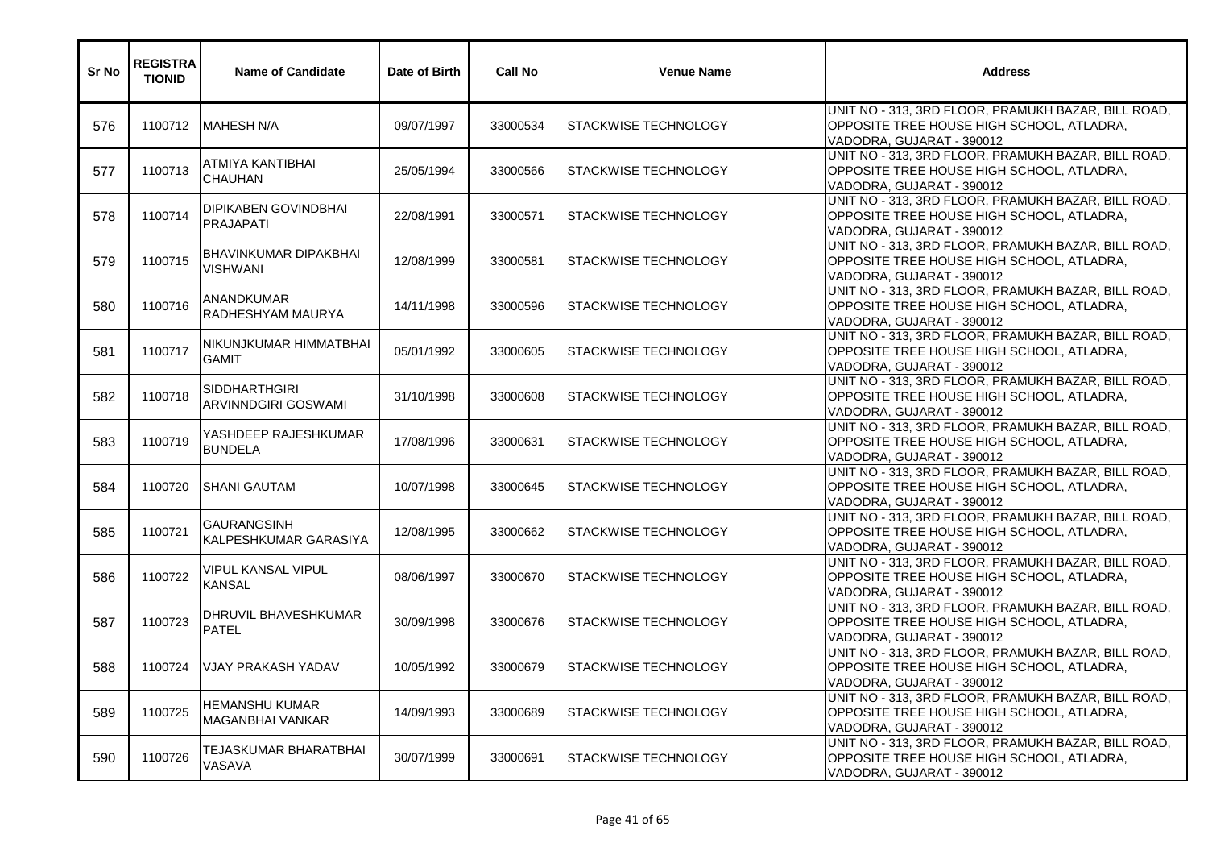| Sr No | <b>REGISTRA</b><br><b>TIONID</b> | <b>Name of Candidate</b>                        | Date of Birth | <b>Call No</b> | <b>Venue Name</b>           | <b>Address</b>                                                                                                                |
|-------|----------------------------------|-------------------------------------------------|---------------|----------------|-----------------------------|-------------------------------------------------------------------------------------------------------------------------------|
| 576   | 1100712                          | MAHESH N/A                                      | 09/07/1997    | 33000534       | STACKWISE TECHNOLOGY        | UNIT NO - 313, 3RD FLOOR, PRAMUKH BAZAR, BILL ROAD,<br>OPPOSITE TREE HOUSE HIGH SCHOOL, ATLADRA,<br>VADODRA, GUJARAT - 390012 |
| 577   | 1100713                          | ATMIYA KANTIBHAI<br><b>CHAUHAN</b>              | 25/05/1994    | 33000566       | STACKWISE TECHNOLOGY        | UNIT NO - 313, 3RD FLOOR, PRAMUKH BAZAR, BILL ROAD,<br>OPPOSITE TREE HOUSE HIGH SCHOOL, ATLADRA,<br>VADODRA, GUJARAT - 390012 |
| 578   | 1100714                          | <b>DIPIKABEN GOVINDBHAI</b><br><b>PRAJAPATI</b> | 22/08/1991    | 33000571       | STACKWISE TECHNOLOGY        | UNIT NO - 313, 3RD FLOOR, PRAMUKH BAZAR, BILL ROAD,<br>OPPOSITE TREE HOUSE HIGH SCHOOL, ATLADRA,<br>VADODRA, GUJARAT - 390012 |
| 579   | 1100715                          | BHAVINKUMAR DIPAKBHAI<br><b>VISHWANI</b>        | 12/08/1999    | 33000581       | STACKWISE TECHNOLOGY        | UNIT NO - 313, 3RD FLOOR, PRAMUKH BAZAR, BILL ROAD,<br>OPPOSITE TREE HOUSE HIGH SCHOOL, ATLADRA,<br>VADODRA, GUJARAT - 390012 |
| 580   | 1100716                          | ANANDKUMAR<br>RADHESHYAM MAURYA                 | 14/11/1998    | 33000596       | <b>STACKWISE TECHNOLOGY</b> | UNIT NO - 313, 3RD FLOOR, PRAMUKH BAZAR, BILL ROAD,<br>OPPOSITE TREE HOUSE HIGH SCHOOL, ATLADRA,<br>VADODRA, GUJARAT - 390012 |
| 581   | 1100717                          | INIKUNJKUMAR HIMMATBHAI<br><b>GAMIT</b>         | 05/01/1992    | 33000605       | STACKWISE TECHNOLOGY        | UNIT NO - 313, 3RD FLOOR, PRAMUKH BAZAR, BILL ROAD,<br>OPPOSITE TREE HOUSE HIGH SCHOOL, ATLADRA,<br>VADODRA, GUJARAT - 390012 |
| 582   | 1100718                          | <b>SIDDHARTHGIRI</b><br>ARVINNDGIRI GOSWAMI     | 31/10/1998    | 33000608       | <b>STACKWISE TECHNOLOGY</b> | UNIT NO - 313, 3RD FLOOR, PRAMUKH BAZAR, BILL ROAD,<br>OPPOSITE TREE HOUSE HIGH SCHOOL, ATLADRA,<br>VADODRA, GUJARAT - 390012 |
| 583   | 1100719                          | YASHDEEP RAJESHKUMAR<br><b>BUNDELA</b>          | 17/08/1996    | 33000631       | STACKWISE TECHNOLOGY        | UNIT NO - 313, 3RD FLOOR, PRAMUKH BAZAR, BILL ROAD,<br>OPPOSITE TREE HOUSE HIGH SCHOOL, ATLADRA,<br>VADODRA, GUJARAT - 390012 |
| 584   | 1100720                          | <b>SHANI GAUTAM</b>                             | 10/07/1998    | 33000645       | STACKWISE TECHNOLOGY        | UNIT NO - 313, 3RD FLOOR, PRAMUKH BAZAR, BILL ROAD,<br>OPPOSITE TREE HOUSE HIGH SCHOOL, ATLADRA,<br>VADODRA, GUJARAT - 390012 |
| 585   | 1100721                          | <b>GAURANGSINH</b><br>KALPESHKUMAR GARASIYA     | 12/08/1995    | 33000662       | STACKWISE TECHNOLOGY        | UNIT NO - 313, 3RD FLOOR, PRAMUKH BAZAR, BILL ROAD,<br>OPPOSITE TREE HOUSE HIGH SCHOOL, ATLADRA,<br>VADODRA, GUJARAT - 390012 |
| 586   | 1100722                          | VIPUL KANSAL VIPUL<br><b>KANSAL</b>             | 08/06/1997    | 33000670       | STACKWISE TECHNOLOGY        | UNIT NO - 313, 3RD FLOOR, PRAMUKH BAZAR, BILL ROAD,<br>OPPOSITE TREE HOUSE HIGH SCHOOL, ATLADRA,<br>VADODRA, GUJARAT - 390012 |
| 587   | 1100723                          | DHRUVIL BHAVESHKUMAR<br><b>PATEL</b>            | 30/09/1998    | 33000676       | STACKWISE TECHNOLOGY        | UNIT NO - 313, 3RD FLOOR, PRAMUKH BAZAR, BILL ROAD,<br>OPPOSITE TREE HOUSE HIGH SCHOOL, ATLADRA,<br>VADODRA, GUJARAT - 390012 |
| 588   | 1100724                          | <b>VJAY PRAKASH YADAV</b>                       | 10/05/1992    | 33000679       | STACKWISE TECHNOLOGY        | UNIT NO - 313, 3RD FLOOR, PRAMUKH BAZAR, BILL ROAD,<br>OPPOSITE TREE HOUSE HIGH SCHOOL, ATLADRA,<br>VADODRA, GUJARAT - 390012 |
| 589   | 1100725                          | HEMANSHU KUMAR<br>MAGANBHAI VANKAR              | 14/09/1993    | 33000689       | <b>STACKWISE TECHNOLOGY</b> | UNIT NO - 313, 3RD FLOOR, PRAMUKH BAZAR, BILL ROAD,<br>OPPOSITE TREE HOUSE HIGH SCHOOL, ATLADRA,<br>VADODRA, GUJARAT - 390012 |
| 590   | 1100726                          | TEJASKUMAR BHARATBHAI<br>VASAVA                 | 30/07/1999    | 33000691       | STACKWISE TECHNOLOGY        | UNIT NO - 313, 3RD FLOOR, PRAMUKH BAZAR, BILL ROAD,<br>OPPOSITE TREE HOUSE HIGH SCHOOL, ATLADRA,<br>VADODRA, GUJARAT - 390012 |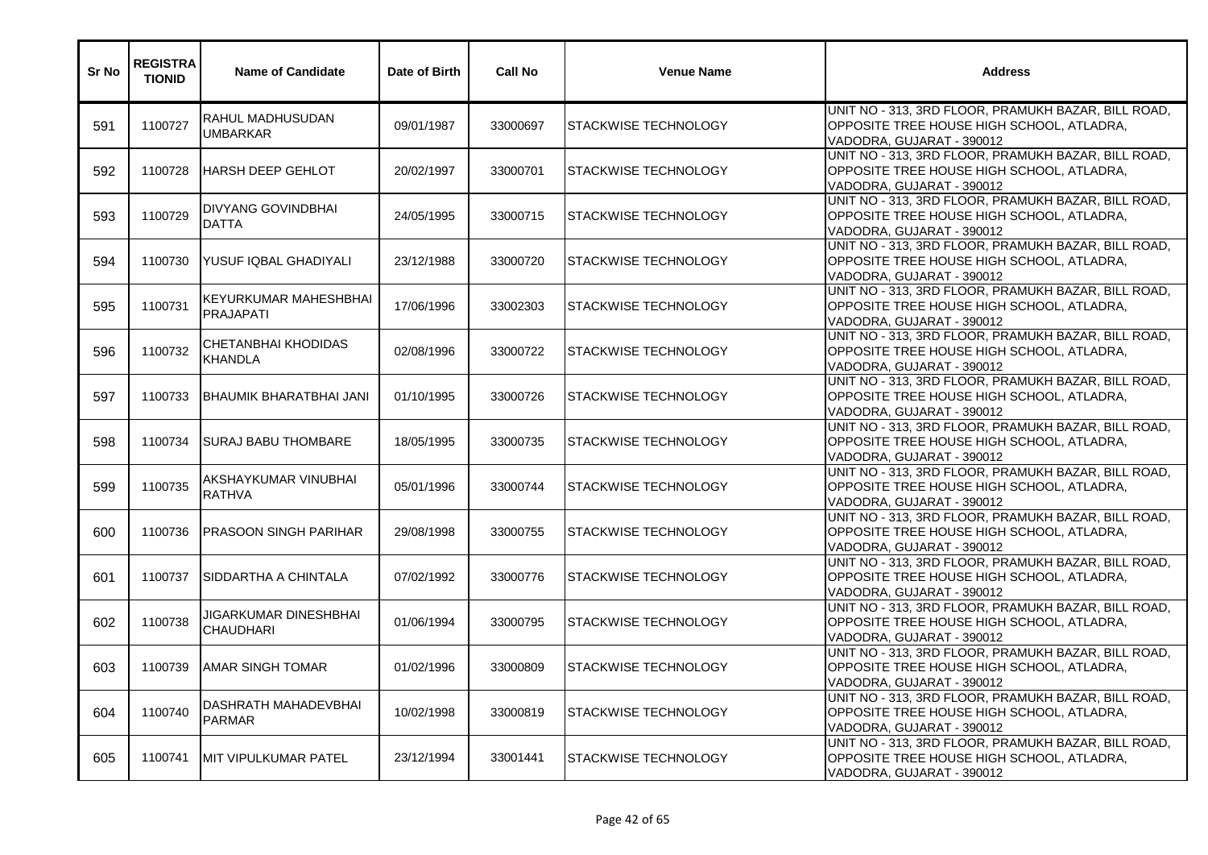| Sr No | <b>REGISTRA</b><br><b>TIONID</b> | <b>Name of Candidate</b>                         | Date of Birth | <b>Call No</b> | <b>Venue Name</b>           | <b>Address</b>                                                                                                                |
|-------|----------------------------------|--------------------------------------------------|---------------|----------------|-----------------------------|-------------------------------------------------------------------------------------------------------------------------------|
| 591   | 1100727                          | RAHUL MADHUSUDAN<br><b>UMBARKAR</b>              | 09/01/1987    | 33000697       | STACKWISE TECHNOLOGY        | UNIT NO - 313, 3RD FLOOR, PRAMUKH BAZAR, BILL ROAD,<br>OPPOSITE TREE HOUSE HIGH SCHOOL, ATLADRA,<br>VADODRA, GUJARAT - 390012 |
| 592   | 1100728                          | <b>HARSH DEEP GEHLOT</b>                         | 20/02/1997    | 33000701       | <b>STACKWISE TECHNOLOGY</b> | UNIT NO - 313, 3RD FLOOR, PRAMUKH BAZAR, BILL ROAD,<br>OPPOSITE TREE HOUSE HIGH SCHOOL, ATLADRA,<br>VADODRA, GUJARAT - 390012 |
| 593   | 1100729                          | <b>DIVYANG GOVINDBHAI</b><br><b>DATTA</b>        | 24/05/1995    | 33000715       | STACKWISE TECHNOLOGY        | UNIT NO - 313, 3RD FLOOR, PRAMUKH BAZAR, BILL ROAD,<br>OPPOSITE TREE HOUSE HIGH SCHOOL, ATLADRA,<br>VADODRA, GUJARAT - 390012 |
| 594   | 1100730                          | IYUSUF IQBAL GHADIYALI                           | 23/12/1988    | 33000720       | STACKWISE TECHNOLOGY        | UNIT NO - 313, 3RD FLOOR, PRAMUKH BAZAR, BILL ROAD,<br>OPPOSITE TREE HOUSE HIGH SCHOOL, ATLADRA,<br>VADODRA, GUJARAT - 390012 |
| 595   | 1100731                          | <b>KEYURKUMAR MAHESHBHAI</b><br><b>PRAJAPATI</b> | 17/06/1996    | 33002303       | <b>STACKWISE TECHNOLOGY</b> | UNIT NO - 313, 3RD FLOOR, PRAMUKH BAZAR, BILL ROAD,<br>OPPOSITE TREE HOUSE HIGH SCHOOL, ATLADRA,<br>VADODRA, GUJARAT - 390012 |
| 596   | 1100732                          | CHETANBHAI KHODIDAS<br><b>KHANDLA</b>            | 02/08/1996    | 33000722       | STACKWISE TECHNOLOGY        | UNIT NO - 313, 3RD FLOOR, PRAMUKH BAZAR, BILL ROAD,<br>OPPOSITE TREE HOUSE HIGH SCHOOL, ATLADRA,<br>VADODRA, GUJARAT - 390012 |
| 597   | 1100733                          | IBHAUMIK BHARATBHAI JANI                         | 01/10/1995    | 33000726       | <b>STACKWISE TECHNOLOGY</b> | UNIT NO - 313, 3RD FLOOR, PRAMUKH BAZAR, BILL ROAD,<br>OPPOSITE TREE HOUSE HIGH SCHOOL, ATLADRA,<br>VADODRA, GUJARAT - 390012 |
| 598   | 1100734                          | <b>SURAJ BABU THOMBARE</b>                       | 18/05/1995    | 33000735       | STACKWISE TECHNOLOGY        | UNIT NO - 313, 3RD FLOOR, PRAMUKH BAZAR, BILL ROAD,<br>OPPOSITE TREE HOUSE HIGH SCHOOL, ATLADRA,<br>VADODRA, GUJARAT - 390012 |
| 599   | 1100735                          | AKSHAYKUMAR VINUBHAI<br><b>RATHVA</b>            | 05/01/1996    | 33000744       | <b>STACKWISE TECHNOLOGY</b> | UNIT NO - 313, 3RD FLOOR, PRAMUKH BAZAR, BILL ROAD,<br>OPPOSITE TREE HOUSE HIGH SCHOOL, ATLADRA,<br>VADODRA, GUJARAT - 390012 |
| 600   | 1100736                          | <b>PRASOON SINGH PARIHAR</b>                     | 29/08/1998    | 33000755       | STACKWISE TECHNOLOGY        | UNIT NO - 313, 3RD FLOOR, PRAMUKH BAZAR, BILL ROAD,<br>OPPOSITE TREE HOUSE HIGH SCHOOL, ATLADRA,<br>VADODRA, GUJARAT - 390012 |
| 601   | 1100737                          | <b>SIDDARTHA A CHINTALA</b>                      | 07/02/1992    | 33000776       | STACKWISE TECHNOLOGY        | UNIT NO - 313, 3RD FLOOR, PRAMUKH BAZAR, BILL ROAD,<br>OPPOSITE TREE HOUSE HIGH SCHOOL, ATLADRA,<br>VADODRA, GUJARAT - 390012 |
| 602   | 1100738                          | JIGARKUMAR DINESHBHAI<br><b>CHAUDHARI</b>        | 01/06/1994    | 33000795       | STACKWISE TECHNOLOGY        | UNIT NO - 313, 3RD FLOOR, PRAMUKH BAZAR, BILL ROAD,<br>OPPOSITE TREE HOUSE HIGH SCHOOL, ATLADRA,<br>VADODRA, GUJARAT - 390012 |
| 603   | 1100739                          | <b>AMAR SINGH TOMAR</b>                          | 01/02/1996    | 33000809       | STACKWISE TECHNOLOGY        | UNIT NO - 313, 3RD FLOOR, PRAMUKH BAZAR, BILL ROAD,<br>OPPOSITE TREE HOUSE HIGH SCHOOL, ATLADRA,<br>VADODRA, GUJARAT - 390012 |
| 604   | 1100740                          | <b>DASHRATH MAHADEVBHAI</b><br><b>PARMAR</b>     | 10/02/1998    | 33000819       | STACKWISE TECHNOLOGY        | UNIT NO - 313, 3RD FLOOR, PRAMUKH BAZAR, BILL ROAD,<br>OPPOSITE TREE HOUSE HIGH SCHOOL, ATLADRA,<br>VADODRA, GUJARAT - 390012 |
| 605   | 1100741                          | <b>MIT VIPULKUMAR PATEL</b>                      | 23/12/1994    | 33001441       | STACKWISE TECHNOLOGY        | UNIT NO - 313, 3RD FLOOR, PRAMUKH BAZAR, BILL ROAD,<br>OPPOSITE TREE HOUSE HIGH SCHOOL, ATLADRA,<br>VADODRA, GUJARAT - 390012 |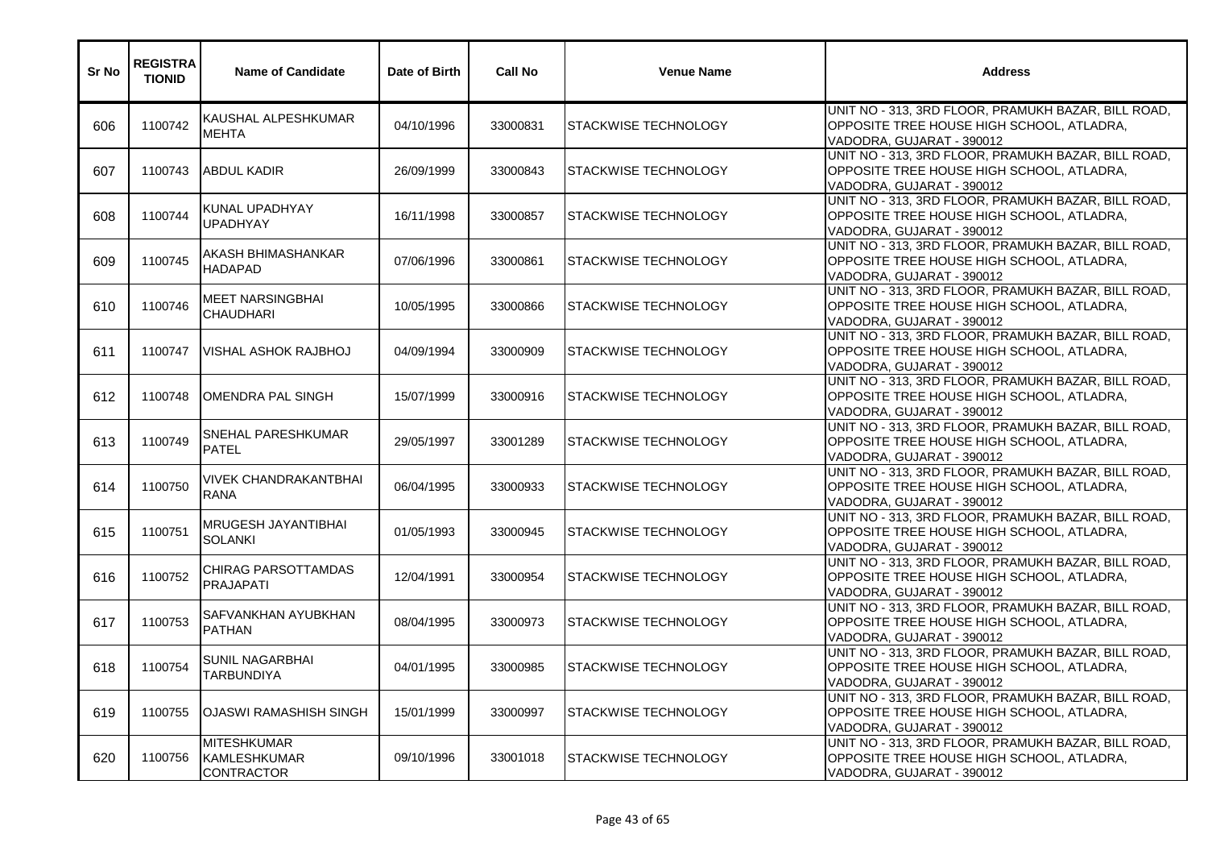| Sr No | <b>REGISTRA</b><br><b>TIONID</b> | <b>Name of Candidate</b>                                       | Date of Birth | <b>Call No</b> | <b>Venue Name</b>           | <b>Address</b>                                                                                                                |
|-------|----------------------------------|----------------------------------------------------------------|---------------|----------------|-----------------------------|-------------------------------------------------------------------------------------------------------------------------------|
| 606   | 1100742                          | KAUSHAL ALPESHKUMAR<br><b>MEHTA</b>                            | 04/10/1996    | 33000831       | <b>STACKWISE TECHNOLOGY</b> | UNIT NO - 313, 3RD FLOOR, PRAMUKH BAZAR, BILL ROAD,<br>OPPOSITE TREE HOUSE HIGH SCHOOL, ATLADRA,<br>VADODRA, GUJARAT - 390012 |
| 607   | 1100743                          | <b>ABDUL KADIR</b>                                             | 26/09/1999    | 33000843       | STACKWISE TECHNOLOGY        | UNIT NO - 313, 3RD FLOOR, PRAMUKH BAZAR, BILL ROAD,<br>OPPOSITE TREE HOUSE HIGH SCHOOL, ATLADRA,<br>VADODRA, GUJARAT - 390012 |
| 608   | 1100744                          | KUNAL UPADHYAY<br><b>UPADHYAY</b>                              | 16/11/1998    | 33000857       | STACKWISE TECHNOLOGY        | UNIT NO - 313, 3RD FLOOR, PRAMUKH BAZAR, BILL ROAD,<br>OPPOSITE TREE HOUSE HIGH SCHOOL, ATLADRA,<br>VADODRA, GUJARAT - 390012 |
| 609   | 1100745                          | AKASH BHIMASHANKAR<br><b>HADAPAD</b>                           | 07/06/1996    | 33000861       | <b>STACKWISE TECHNOLOGY</b> | UNIT NO - 313, 3RD FLOOR, PRAMUKH BAZAR, BILL ROAD,<br>OPPOSITE TREE HOUSE HIGH SCHOOL, ATLADRA,<br>VADODRA, GUJARAT - 390012 |
| 610   | 1100746                          | MEET NARSINGBHAI<br><b>CHAUDHARI</b>                           | 10/05/1995    | 33000866       | STACKWISE TECHNOLOGY        | UNIT NO - 313, 3RD FLOOR, PRAMUKH BAZAR, BILL ROAD,<br>OPPOSITE TREE HOUSE HIGH SCHOOL, ATLADRA,<br>VADODRA, GUJARAT - 390012 |
| 611   | 1100747                          | IVISHAL ASHOK RAJBHOJ                                          | 04/09/1994    | 33000909       | STACKWISE TECHNOLOGY        | UNIT NO - 313, 3RD FLOOR, PRAMUKH BAZAR, BILL ROAD,<br>OPPOSITE TREE HOUSE HIGH SCHOOL, ATLADRA,<br>VADODRA, GUJARAT - 390012 |
| 612   | 1100748                          | OMENDRA PAL SINGH                                              | 15/07/1999    | 33000916       | <b>STACKWISE TECHNOLOGY</b> | UNIT NO - 313, 3RD FLOOR, PRAMUKH BAZAR, BILL ROAD,<br>OPPOSITE TREE HOUSE HIGH SCHOOL, ATLADRA,<br>VADODRA, GUJARAT - 390012 |
| 613   | 1100749                          | SNEHAL PARESHKUMAR<br><b>PATEL</b>                             | 29/05/1997    | 33001289       | STACKWISE TECHNOLOGY        | UNIT NO - 313, 3RD FLOOR, PRAMUKH BAZAR, BILL ROAD,<br>OPPOSITE TREE HOUSE HIGH SCHOOL, ATLADRA,<br>VADODRA, GUJARAT - 390012 |
| 614   | 1100750                          | <b>VIVEK CHANDRAKANTBHAI</b><br><b>RANA</b>                    | 06/04/1995    | 33000933       | STACKWISE TECHNOLOGY        | UNIT NO - 313, 3RD FLOOR, PRAMUKH BAZAR, BILL ROAD,<br>OPPOSITE TREE HOUSE HIGH SCHOOL, ATLADRA,<br>VADODRA, GUJARAT - 390012 |
| 615   | 1100751                          | MRUGESH JAYANTIBHAI<br><b>SOLANKI</b>                          | 01/05/1993    | 33000945       | <b>STACKWISE TECHNOLOGY</b> | UNIT NO - 313, 3RD FLOOR, PRAMUKH BAZAR, BILL ROAD,<br>OPPOSITE TREE HOUSE HIGH SCHOOL, ATLADRA,<br>VADODRA, GUJARAT - 390012 |
| 616   | 1100752                          | CHIRAG PARSOTTAMDAS<br><b>PRAJAPATI</b>                        | 12/04/1991    | 33000954       | STACKWISE TECHNOLOGY        | UNIT NO - 313, 3RD FLOOR, PRAMUKH BAZAR, BILL ROAD,<br>OPPOSITE TREE HOUSE HIGH SCHOOL, ATLADRA,<br>VADODRA, GUJARAT - 390012 |
| 617   | 1100753                          | SAFVANKHAN AYUBKHAN<br><b>PATHAN</b>                           | 08/04/1995    | 33000973       | <b>STACKWISE TECHNOLOGY</b> | UNIT NO - 313, 3RD FLOOR, PRAMUKH BAZAR, BILL ROAD,<br>OPPOSITE TREE HOUSE HIGH SCHOOL, ATLADRA,<br>VADODRA, GUJARAT - 390012 |
| 618   | 1100754                          | SUNIL NAGARBHAI<br><b>TARBUNDIYA</b>                           | 04/01/1995    | 33000985       | STACKWISE TECHNOLOGY        | UNIT NO - 313, 3RD FLOOR, PRAMUKH BAZAR, BILL ROAD,<br>OPPOSITE TREE HOUSE HIGH SCHOOL, ATLADRA,<br>VADODRA, GUJARAT - 390012 |
| 619   | 1100755                          | <b>OJASWI RAMASHISH SINGH</b>                                  | 15/01/1999    | 33000997       | STACKWISE TECHNOLOGY        | UNIT NO - 313, 3RD FLOOR, PRAMUKH BAZAR, BILL ROAD,<br>OPPOSITE TREE HOUSE HIGH SCHOOL, ATLADRA,<br>VADODRA, GUJARAT - 390012 |
| 620   | 1100756                          | <b>MITESHKUMAR</b><br><b>KAMLESHKUMAR</b><br><b>CONTRACTOR</b> | 09/10/1996    | 33001018       | <b>STACKWISE TECHNOLOGY</b> | UNIT NO - 313, 3RD FLOOR, PRAMUKH BAZAR, BILL ROAD,<br>OPPOSITE TREE HOUSE HIGH SCHOOL, ATLADRA,<br>VADODRA, GUJARAT - 390012 |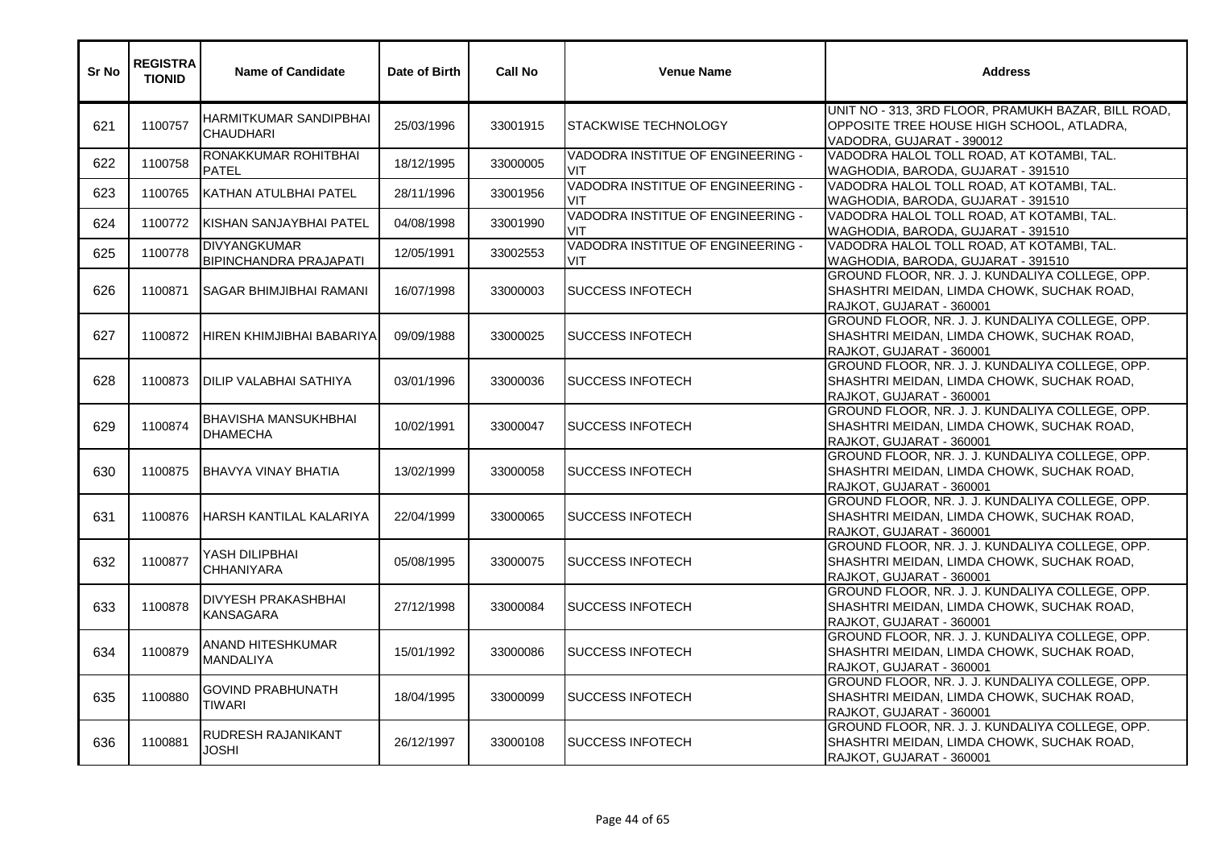| Sr No | <b>REGISTRA</b><br><b>TIONID</b> | <b>Name of Candidate</b>                             | Date of Birth | <b>Call No</b> | <b>Venue Name</b>                               | <b>Address</b>                                                                                                                |
|-------|----------------------------------|------------------------------------------------------|---------------|----------------|-------------------------------------------------|-------------------------------------------------------------------------------------------------------------------------------|
| 621   | 1100757                          | HARMITKUMAR SANDIPBHAI<br><b>CHAUDHARI</b>           | 25/03/1996    | 33001915       | <b>ISTACKWISE TECHNOLOGY</b>                    | UNIT NO - 313, 3RD FLOOR, PRAMUKH BAZAR, BILL ROAD,<br>OPPOSITE TREE HOUSE HIGH SCHOOL, ATLADRA,<br>VADODRA, GUJARAT - 390012 |
| 622   | 1100758                          | RONAKKUMAR ROHITBHAI<br><b>PATEL</b>                 | 18/12/1995    | 33000005       | VADODRA INSTITUE OF ENGINEERING -<br><b>VIT</b> | VADODRA HALOL TOLL ROAD, AT KOTAMBI, TAL.<br>WAGHODIA, BARODA, GUJARAT - 391510                                               |
| 623   | 1100765                          | KATHAN ATULBHAI PATEL                                | 28/11/1996    | 33001956       | VADODRA INSTITUE OF ENGINEERING -<br><b>VIT</b> | VADODRA HALOL TOLL ROAD, AT KOTAMBI, TAL.<br>WAGHODIA, BARODA, GUJARAT - 391510                                               |
| 624   | 1100772                          | <b>IKISHAN SANJAYBHAI PATEL</b>                      | 04/08/1998    | 33001990       | VADODRA INSTITUE OF ENGINEERING -<br>VIT        | VADODRA HALOL TOLL ROAD, AT KOTAMBI, TAL.<br>WAGHODIA, BARODA, GUJARAT - 391510                                               |
| 625   | 1100778                          | <b>DIVYANGKUMAR</b><br><b>BIPINCHANDRA PRAJAPATI</b> | 12/05/1991    | 33002553       | VADODRA INSTITUE OF ENGINEERING -<br>VIT        | VADODRA HALOL TOLL ROAD, AT KOTAMBI, TAL.<br>WAGHODIA, BARODA, GUJARAT - 391510                                               |
| 626   | 1100871                          | <b>ISAGAR BHIMJIBHAI RAMANI</b>                      | 16/07/1998    | 33000003       | <b>I</b> SUCCESS INFOTECH                       | GROUND FLOOR, NR. J. J. KUNDALIYA COLLEGE, OPP.<br>SHASHTRI MEIDAN, LIMDA CHOWK, SUCHAK ROAD,<br>RAJKOT, GUJARAT - 360001     |
| 627   | 1100872                          | HIREN KHIMJIBHAI BABARIYA                            | 09/09/1988    | 33000025       | <b>SUCCESS INFOTECH</b>                         | GROUND FLOOR, NR. J. J. KUNDALIYA COLLEGE, OPP.<br>SHASHTRI MEIDAN, LIMDA CHOWK, SUCHAK ROAD,<br>RAJKOT, GUJARAT - 360001     |
| 628   | 1100873                          | <b>DILIP VALABHAI SATHIYA</b>                        | 03/01/1996    | 33000036       | <b>SUCCESS INFOTECH</b>                         | GROUND FLOOR, NR. J. J. KUNDALIYA COLLEGE, OPP.<br>SHASHTRI MEIDAN, LIMDA CHOWK, SUCHAK ROAD,<br>RAJKOT, GUJARAT - 360001     |
| 629   | 1100874                          | <b>BHAVISHA MANSUKHBHAI</b><br><b>DHAMECHA</b>       | 10/02/1991    | 33000047       | <b>SUCCESS INFOTECH</b>                         | GROUND FLOOR, NR. J. J. KUNDALIYA COLLEGE, OPP.<br>SHASHTRI MEIDAN, LIMDA CHOWK, SUCHAK ROAD,<br>RAJKOT, GUJARAT - 360001     |
| 630   | 1100875                          | <b>BHAVYA VINAY BHATIA</b>                           | 13/02/1999    | 33000058       | <b>SUCCESS INFOTECH</b>                         | GROUND FLOOR, NR. J. J. KUNDALIYA COLLEGE, OPP.<br>SHASHTRI MEIDAN, LIMDA CHOWK, SUCHAK ROAD,<br>RAJKOT, GUJARAT - 360001     |
| 631   | 1100876                          | <b>HARSH KANTILAL KALARIYA</b>                       | 22/04/1999    | 33000065       | <b>I</b> SUCCESS INFOTECH                       | GROUND FLOOR, NR. J. J. KUNDALIYA COLLEGE, OPP.<br>SHASHTRI MEIDAN, LIMDA CHOWK, SUCHAK ROAD,<br>RAJKOT, GUJARAT - 360001     |
| 632   | 1100877                          | YASH DILIPBHAI<br><b>CHHANIYARA</b>                  | 05/08/1995    | 33000075       | <b>SUCCESS INFOTECH</b>                         | GROUND FLOOR, NR. J. J. KUNDALIYA COLLEGE, OPP.<br>SHASHTRI MEIDAN, LIMDA CHOWK, SUCHAK ROAD,<br>RAJKOT, GUJARAT - 360001     |
| 633   | 1100878                          | <b>DIVYESH PRAKASHBHAI</b><br><b>KANSAGARA</b>       | 27/12/1998    | 33000084       | <b>SUCCESS INFOTECH</b>                         | GROUND FLOOR, NR. J. J. KUNDALIYA COLLEGE, OPP.<br>SHASHTRI MEIDAN, LIMDA CHOWK, SUCHAK ROAD,<br>RAJKOT, GUJARAT - 360001     |
| 634   | 1100879                          | ANAND HITESHKUMAR<br><b>MANDALIYA</b>                | 15/01/1992    | 33000086       | <b>I</b> SUCCESS INFOTECH                       | GROUND FLOOR, NR. J. J. KUNDALIYA COLLEGE, OPP.<br>SHASHTRI MEIDAN, LIMDA CHOWK, SUCHAK ROAD,<br>RAJKOT, GUJARAT - 360001     |
| 635   | 1100880                          | <b>GOVIND PRABHUNATH</b><br><b>TIWARI</b>            | 18/04/1995    | 33000099       | <b>SUCCESS INFOTECH</b>                         | GROUND FLOOR, NR. J. J. KUNDALIYA COLLEGE, OPP.<br>SHASHTRI MEIDAN, LIMDA CHOWK, SUCHAK ROAD,<br>RAJKOT, GUJARAT - 360001     |
| 636   | 1100881                          | RUDRESH RAJANIKANT<br>JOSHI                          | 26/12/1997    | 33000108       | <b>SUCCESS INFOTECH</b>                         | GROUND FLOOR, NR. J. J. KUNDALIYA COLLEGE, OPP.<br>SHASHTRI MEIDAN, LIMDA CHOWK, SUCHAK ROAD,<br>RAJKOT, GUJARAT - 360001     |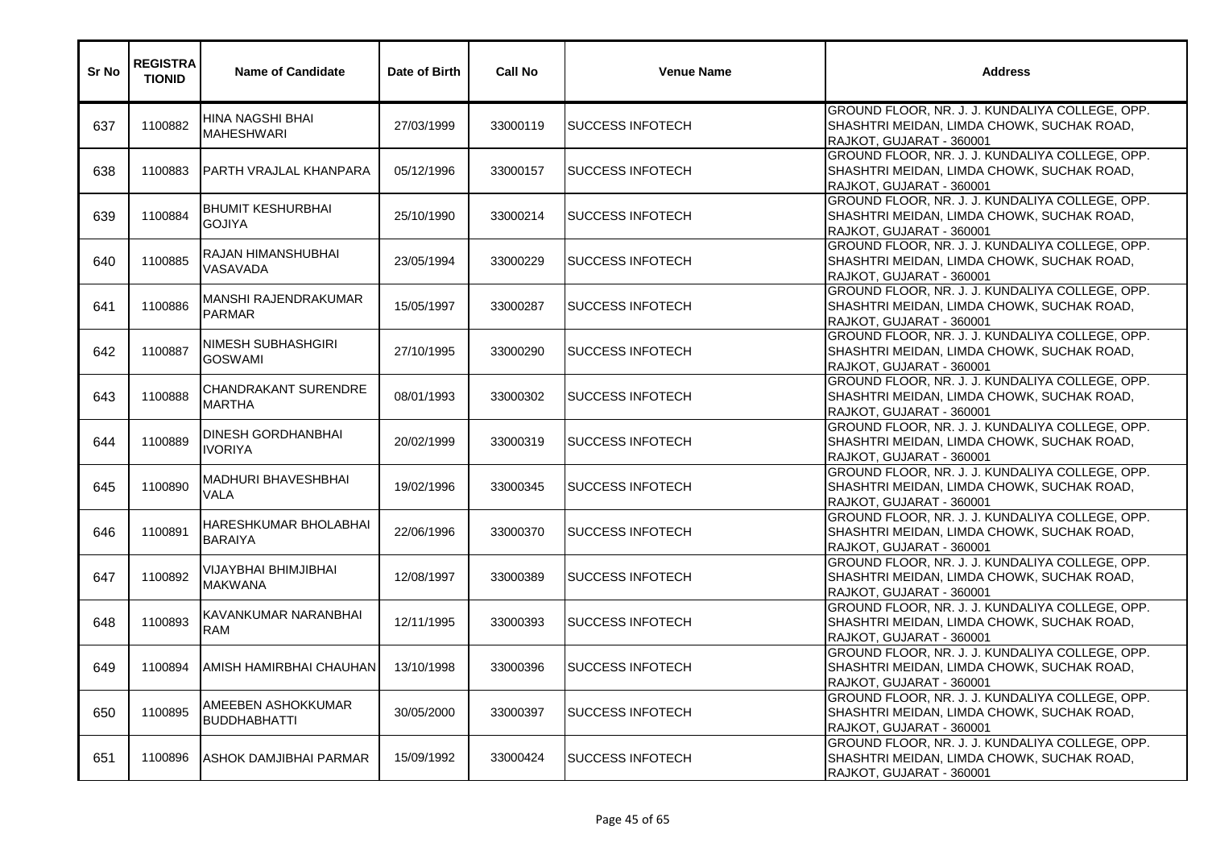| Sr No | <b>REGISTRA</b><br><b>TIONID</b> | <b>Name of Candidate</b>                     | Date of Birth | <b>Call No</b> | <b>Venue Name</b>         | <b>Address</b>                                                                                                            |
|-------|----------------------------------|----------------------------------------------|---------------|----------------|---------------------------|---------------------------------------------------------------------------------------------------------------------------|
| 637   | 1100882                          | HINA NAGSHI BHAI<br><b>MAHESHWARI</b>        | 27/03/1999    | 33000119       | <b>SUCCESS INFOTECH</b>   | GROUND FLOOR, NR. J. J. KUNDALIYA COLLEGE, OPP.<br>SHASHTRI MEIDAN, LIMDA CHOWK, SUCHAK ROAD,<br>RAJKOT, GUJARAT - 360001 |
| 638   | 1100883                          | PARTH VRAJLAL KHANPARA                       | 05/12/1996    | 33000157       | <b>SUCCESS INFOTECH</b>   | GROUND FLOOR, NR. J. J. KUNDALIYA COLLEGE, OPP.<br>SHASHTRI MEIDAN, LIMDA CHOWK, SUCHAK ROAD,<br>RAJKOT, GUJARAT - 360001 |
| 639   | 1100884                          | <b>BHUMIT KESHURBHAI</b><br><b>GOJIYA</b>    | 25/10/1990    | 33000214       | <b>SUCCESS INFOTECH</b>   | GROUND FLOOR, NR. J. J. KUNDALIYA COLLEGE, OPP.<br>SHASHTRI MEIDAN, LIMDA CHOWK, SUCHAK ROAD,<br>RAJKOT, GUJARAT - 360001 |
| 640   | 1100885                          | RAJAN HIMANSHUBHAI<br>VASAVADA               | 23/05/1994    | 33000229       | <b>SUCCESS INFOTECH</b>   | GROUND FLOOR, NR. J. J. KUNDALIYA COLLEGE, OPP.<br>SHASHTRI MEIDAN, LIMDA CHOWK, SUCHAK ROAD,<br>RAJKOT, GUJARAT - 360001 |
| 641   | 1100886                          | <b>MANSHI RAJENDRAKUMAR</b><br><b>PARMAR</b> | 15/05/1997    | 33000287       | <b>I</b> SUCCESS INFOTECH | GROUND FLOOR, NR. J. J. KUNDALIYA COLLEGE, OPP.<br>SHASHTRI MEIDAN, LIMDA CHOWK, SUCHAK ROAD,<br>RAJKOT, GUJARAT - 360001 |
| 642   | 1100887                          | <b>NIMESH SUBHASHGIRI</b><br><b>GOSWAMI</b>  | 27/10/1995    | 33000290       | <b>SUCCESS INFOTECH</b>   | GROUND FLOOR, NR. J. J. KUNDALIYA COLLEGE, OPP.<br>SHASHTRI MEIDAN, LIMDA CHOWK, SUCHAK ROAD,<br>RAJKOT, GUJARAT - 360001 |
| 643   | 1100888                          | <b>CHANDRAKANT SURENDRE</b><br><b>MARTHA</b> | 08/01/1993    | 33000302       | <b>SUCCESS INFOTECH</b>   | GROUND FLOOR, NR. J. J. KUNDALIYA COLLEGE, OPP.<br>SHASHTRI MEIDAN, LIMDA CHOWK, SUCHAK ROAD,<br>RAJKOT, GUJARAT - 360001 |
| 644   | 1100889                          | <b>DINESH GORDHANBHAI</b><br><b>IVORIYA</b>  | 20/02/1999    | 33000319       | <b>SUCCESS INFOTECH</b>   | GROUND FLOOR, NR. J. J. KUNDALIYA COLLEGE, OPP.<br>SHASHTRI MEIDAN, LIMDA CHOWK, SUCHAK ROAD,<br>RAJKOT, GUJARAT - 360001 |
| 645   | 1100890                          | <b>MADHURI BHAVESHBHAI</b><br>VALA           | 19/02/1996    | 33000345       | <b>SUCCESS INFOTECH</b>   | GROUND FLOOR, NR. J. J. KUNDALIYA COLLEGE, OPP.<br>SHASHTRI MEIDAN, LIMDA CHOWK, SUCHAK ROAD,<br>RAJKOT, GUJARAT - 360001 |
| 646   | 1100891                          | HARESHKUMAR BHOLABHAI<br><b>BARAIYA</b>      | 22/06/1996    | 33000370       | <b>SUCCESS INFOTECH</b>   | GROUND FLOOR, NR. J. J. KUNDALIYA COLLEGE, OPP.<br>SHASHTRI MEIDAN, LIMDA CHOWK, SUCHAK ROAD,<br>RAJKOT, GUJARAT - 360001 |
| 647   | 1100892                          | VIJAYBHAI BHIMJIBHAI<br><b>MAKWANA</b>       | 12/08/1997    | 33000389       | <b>SUCCESS INFOTECH</b>   | GROUND FLOOR, NR. J. J. KUNDALIYA COLLEGE, OPP.<br>SHASHTRI MEIDAN, LIMDA CHOWK, SUCHAK ROAD,<br>RAJKOT, GUJARAT - 360001 |
| 648   | 1100893                          | KAVANKUMAR NARANBHAI<br><b>RAM</b>           | 12/11/1995    | 33000393       | <b>SUCCESS INFOTECH</b>   | GROUND FLOOR, NR. J. J. KUNDALIYA COLLEGE, OPP.<br>SHASHTRI MEIDAN, LIMDA CHOWK, SUCHAK ROAD,<br>RAJKOT, GUJARAT - 360001 |
| 649   | 1100894                          | AMISH HAMIRBHAI CHAUHAN                      | 13/10/1998    | 33000396       | <b>SUCCESS INFOTECH</b>   | GROUND FLOOR, NR. J. J. KUNDALIYA COLLEGE, OPP.<br>SHASHTRI MEIDAN, LIMDA CHOWK, SUCHAK ROAD,<br>RAJKOT, GUJARAT - 360001 |
| 650   | 1100895                          | AMEEBEN ASHOKKUMAR<br><b>BUDDHABHATTI</b>    | 30/05/2000    | 33000397       | <b>SUCCESS INFOTECH</b>   | GROUND FLOOR, NR. J. J. KUNDALIYA COLLEGE, OPP.<br>SHASHTRI MEIDAN, LIMDA CHOWK, SUCHAK ROAD,<br>RAJKOT, GUJARAT - 360001 |
| 651   | 1100896                          | <b>ASHOK DAMJIBHAI PARMAR</b>                | 15/09/1992    | 33000424       | <b>SUCCESS INFOTECH</b>   | GROUND FLOOR, NR. J. J. KUNDALIYA COLLEGE, OPP.<br>SHASHTRI MEIDAN, LIMDA CHOWK, SUCHAK ROAD,<br>RAJKOT, GUJARAT - 360001 |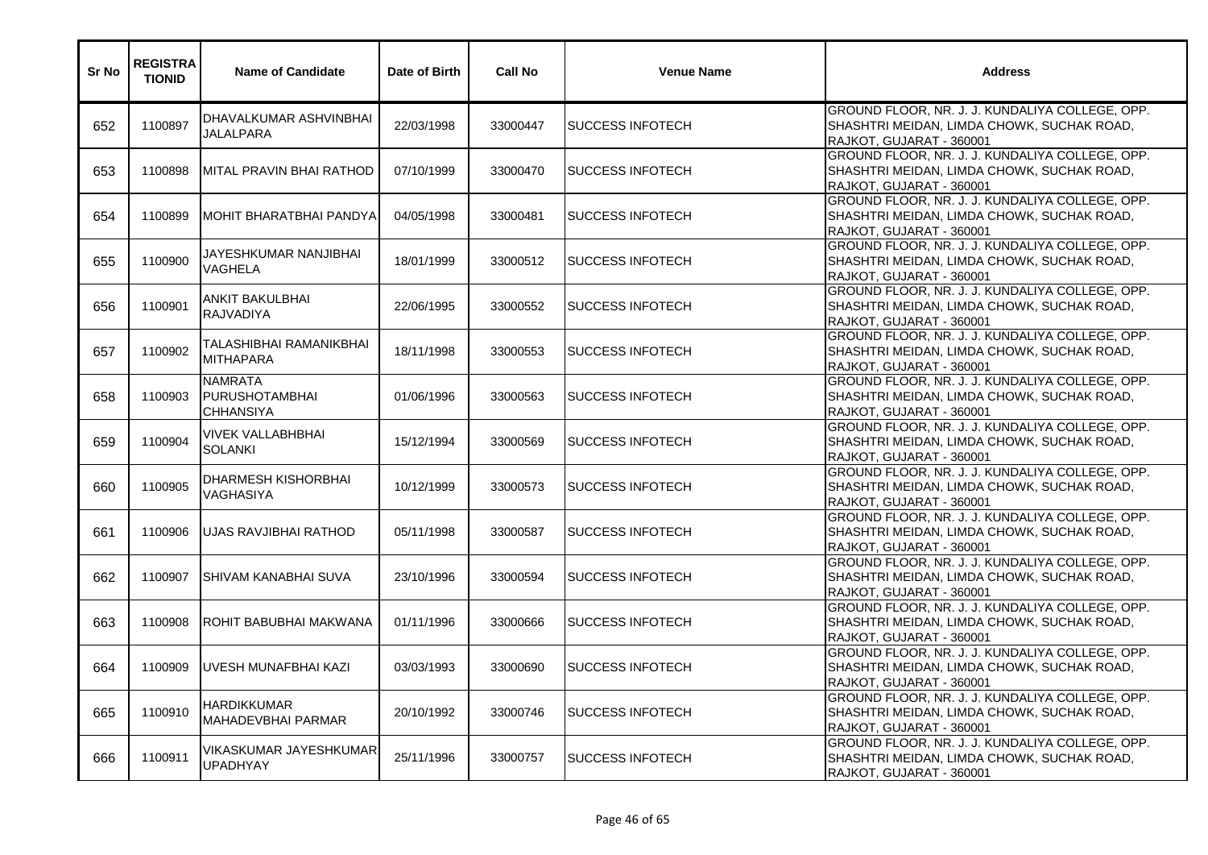| Sr No | <b>REGISTRA</b><br><b>TIONID</b> | <b>Name of Candidate</b>                                    | Date of Birth | <b>Call No</b> | <b>Venue Name</b>         | <b>Address</b>                                                                                                            |
|-------|----------------------------------|-------------------------------------------------------------|---------------|----------------|---------------------------|---------------------------------------------------------------------------------------------------------------------------|
| 652   | 1100897                          | DHAVALKUMAR ASHVINBHAI<br><b>JALALPARA</b>                  | 22/03/1998    | 33000447       | <b>SUCCESS INFOTECH</b>   | GROUND FLOOR, NR. J. J. KUNDALIYA COLLEGE, OPP.<br>SHASHTRI MEIDAN, LIMDA CHOWK, SUCHAK ROAD,<br>RAJKOT, GUJARAT - 360001 |
| 653   | 1100898                          | MITAL PRAVIN BHAI RATHOD                                    | 07/10/1999    | 33000470       | <b>I</b> SUCCESS INFOTECH | GROUND FLOOR, NR. J. J. KUNDALIYA COLLEGE, OPP.<br>SHASHTRI MEIDAN, LIMDA CHOWK, SUCHAK ROAD,<br>RAJKOT, GUJARAT - 360001 |
| 654   | 1100899                          | MOHIT BHARATBHAI PANDYA                                     | 04/05/1998    | 33000481       | <b>SUCCESS INFOTECH</b>   | GROUND FLOOR, NR. J. J. KUNDALIYA COLLEGE, OPP.<br>SHASHTRI MEIDAN, LIMDA CHOWK, SUCHAK ROAD,<br>RAJKOT, GUJARAT - 360001 |
| 655   | 1100900                          | JAYESHKUMAR NANJIBHAI<br><b>VAGHELA</b>                     | 18/01/1999    | 33000512       | <b>SUCCESS INFOTECH</b>   | GROUND FLOOR, NR. J. J. KUNDALIYA COLLEGE, OPP.<br>SHASHTRI MEIDAN, LIMDA CHOWK, SUCHAK ROAD,<br>RAJKOT, GUJARAT - 360001 |
| 656   | 1100901                          | <b>ANKIT BAKULBHAI</b><br><b>RAJVADIYA</b>                  | 22/06/1995    | 33000552       | <b>I</b> SUCCESS INFOTECH | GROUND FLOOR, NR. J. J. KUNDALIYA COLLEGE, OPP.<br>SHASHTRI MEIDAN, LIMDA CHOWK, SUCHAK ROAD,<br>RAJKOT, GUJARAT - 360001 |
| 657   | 1100902                          | TALASHIBHAI RAMANIKBHAI<br><b>MITHAPARA</b>                 | 18/11/1998    | 33000553       | <b>SUCCESS INFOTECH</b>   | GROUND FLOOR, NR. J. J. KUNDALIYA COLLEGE, OPP.<br>SHASHTRI MEIDAN, LIMDA CHOWK, SUCHAK ROAD,<br>RAJKOT, GUJARAT - 360001 |
| 658   | 1100903                          | <b>NAMRATA</b><br><b>PURUSHOTAMBHAI</b><br><b>CHHANSIYA</b> | 01/06/1996    | 33000563       | <b>ISUCCESS INFOTECH</b>  | GROUND FLOOR, NR. J. J. KUNDALIYA COLLEGE, OPP.<br>SHASHTRI MEIDAN, LIMDA CHOWK, SUCHAK ROAD,<br>RAJKOT, GUJARAT - 360001 |
| 659   | 1100904                          | <b>VIVEK VALLABHBHAI</b><br><b>SOLANKI</b>                  | 15/12/1994    | 33000569       | <b>SUCCESS INFOTECH</b>   | GROUND FLOOR, NR. J. J. KUNDALIYA COLLEGE, OPP.<br>SHASHTRI MEIDAN, LIMDA CHOWK, SUCHAK ROAD,<br>RAJKOT, GUJARAT - 360001 |
| 660   | 1100905                          | DHARMESH KISHORBHAI<br>VAGHASIYA                            | 10/12/1999    | 33000573       | <b>SUCCESS INFOTECH</b>   | GROUND FLOOR, NR. J. J. KUNDALIYA COLLEGE, OPP.<br>SHASHTRI MEIDAN, LIMDA CHOWK, SUCHAK ROAD,<br>RAJKOT, GUJARAT - 360001 |
| 661   | 1100906                          | UJAS RAVJIBHAI RATHOD                                       | 05/11/1998    | 33000587       | <b>SUCCESS INFOTECH</b>   | GROUND FLOOR, NR. J. J. KUNDALIYA COLLEGE, OPP.<br>SHASHTRI MEIDAN, LIMDA CHOWK, SUCHAK ROAD,<br>RAJKOT, GUJARAT - 360001 |
| 662   | 1100907                          | ISHIVAM KANABHAI SUVA                                       | 23/10/1996    | 33000594       | <b>SUCCESS INFOTECH</b>   | GROUND FLOOR, NR. J. J. KUNDALIYA COLLEGE, OPP.<br>SHASHTRI MEIDAN, LIMDA CHOWK, SUCHAK ROAD,<br>RAJKOT, GUJARAT - 360001 |
| 663   | 1100908                          | ROHIT BABUBHAI MAKWANA                                      | 01/11/1996    | 33000666       | <b>SUCCESS INFOTECH</b>   | GROUND FLOOR, NR. J. J. KUNDALIYA COLLEGE, OPP.<br>SHASHTRI MEIDAN, LIMDA CHOWK, SUCHAK ROAD,<br>RAJKOT, GUJARAT - 360001 |
| 664   | 1100909                          | <b>IUVESH MUNAFBHAI KAZI</b>                                | 03/03/1993    | 33000690       | <b>SUCCESS INFOTECH</b>   | GROUND FLOOR, NR. J. J. KUNDALIYA COLLEGE, OPP.<br>SHASHTRI MEIDAN, LIMDA CHOWK, SUCHAK ROAD,<br>RAJKOT, GUJARAT - 360001 |
| 665   | 1100910                          | <b>HARDIKKUMAR</b><br><b>MAHADEVBHAI PARMAR</b>             | 20/10/1992    | 33000746       | <b>SUCCESS INFOTECH</b>   | GROUND FLOOR, NR. J. J. KUNDALIYA COLLEGE, OPP.<br>SHASHTRI MEIDAN, LIMDA CHOWK, SUCHAK ROAD,<br>RAJKOT, GUJARAT - 360001 |
| 666   | 1100911                          | VIKASKUMAR JAYESHKUMAR <br><b>UPADHYAY</b>                  | 25/11/1996    | 33000757       | <b>SUCCESS INFOTECH</b>   | GROUND FLOOR, NR. J. J. KUNDALIYA COLLEGE, OPP.<br>SHASHTRI MEIDAN, LIMDA CHOWK, SUCHAK ROAD,<br>RAJKOT, GUJARAT - 360001 |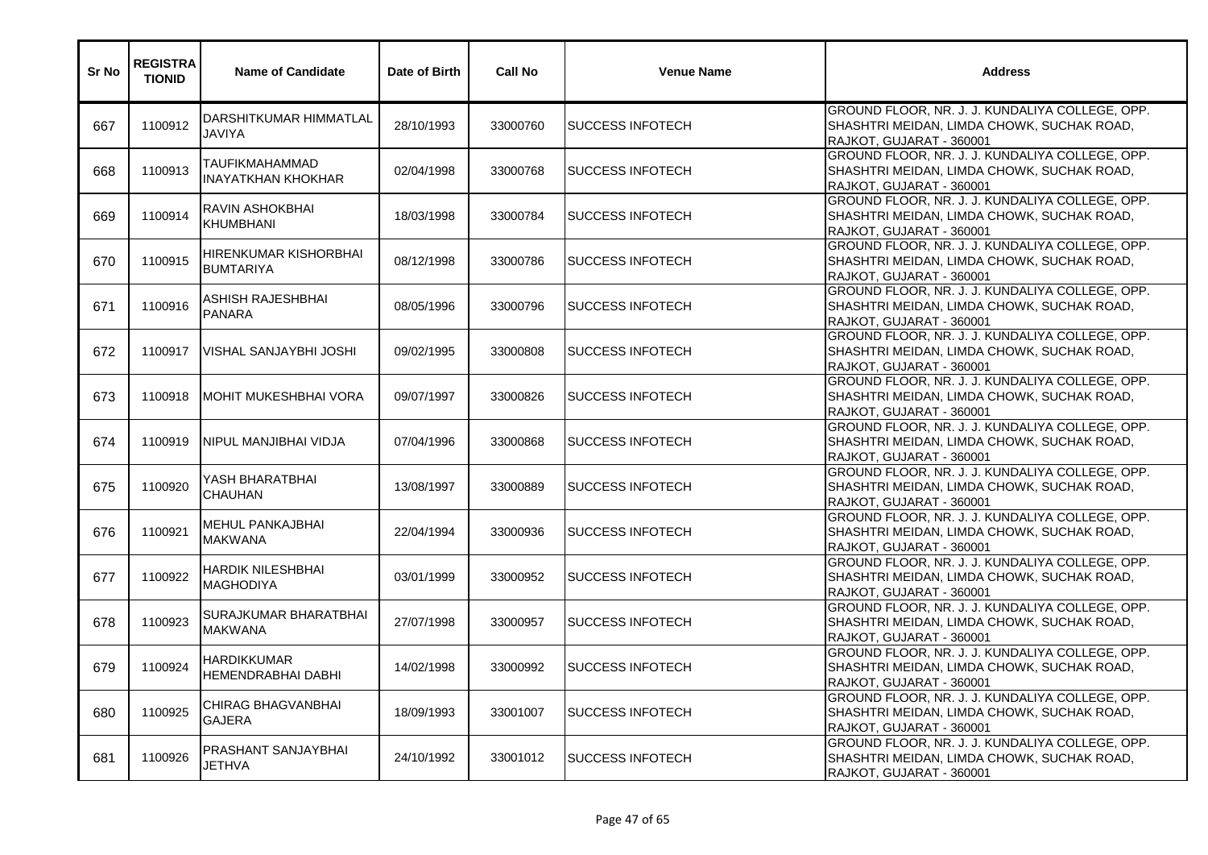| Sr No | <b>REGISTRA</b><br><b>TIONID</b> | <b>Name of Candidate</b>                           | Date of Birth | <b>Call No</b> | <b>Venue Name</b>         | <b>Address</b>                                                                                                            |
|-------|----------------------------------|----------------------------------------------------|---------------|----------------|---------------------------|---------------------------------------------------------------------------------------------------------------------------|
| 667   | 1100912                          | DARSHITKUMAR HIMMATLAL<br>JAVIYA                   | 28/10/1993    | 33000760       | <b>SUCCESS INFOTECH</b>   | GROUND FLOOR, NR. J. J. KUNDALIYA COLLEGE, OPP.<br>SHASHTRI MEIDAN, LIMDA CHOWK, SUCHAK ROAD,<br>RAJKOT, GUJARAT - 360001 |
| 668   | 1100913                          | <b>TAUFIKMAHAMMAD</b><br><b>INAYATKHAN KHOKHAR</b> | 02/04/1998    | 33000768       | <b>I</b> SUCCESS INFOTECH | GROUND FLOOR, NR. J. J. KUNDALIYA COLLEGE, OPP.<br>SHASHTRI MEIDAN, LIMDA CHOWK, SUCHAK ROAD,<br>RAJKOT, GUJARAT - 360001 |
| 669   | 1100914                          | <b>RAVIN ASHOKBHAI</b><br><b>KHUMBHANI</b>         | 18/03/1998    | 33000784       | <b>SUCCESS INFOTECH</b>   | GROUND FLOOR, NR. J. J. KUNDALIYA COLLEGE, OPP.<br>SHASHTRI MEIDAN, LIMDA CHOWK, SUCHAK ROAD,<br>RAJKOT, GUJARAT - 360001 |
| 670   | 1100915                          | HIRENKUMAR KISHORBHAI<br><b>BUMTARIYA</b>          | 08/12/1998    | 33000786       | <b>SUCCESS INFOTECH</b>   | GROUND FLOOR, NR. J. J. KUNDALIYA COLLEGE, OPP.<br>SHASHTRI MEIDAN, LIMDA CHOWK, SUCHAK ROAD,<br>RAJKOT, GUJARAT - 360001 |
| 671   | 1100916                          | ASHISH RAJESHBHAI<br><b>PANARA</b>                 | 08/05/1996    | 33000796       | <b>I</b> SUCCESS INFOTECH | GROUND FLOOR, NR. J. J. KUNDALIYA COLLEGE, OPP.<br>SHASHTRI MEIDAN, LIMDA CHOWK, SUCHAK ROAD,<br>RAJKOT, GUJARAT - 360001 |
| 672   | 1100917                          | <b>VISHAL SANJAYBHI JOSHI</b>                      | 09/02/1995    | 33000808       | <b>SUCCESS INFOTECH</b>   | GROUND FLOOR, NR. J. J. KUNDALIYA COLLEGE, OPP.<br>SHASHTRI MEIDAN, LIMDA CHOWK, SUCHAK ROAD,<br>RAJKOT, GUJARAT - 360001 |
| 673   | 1100918                          | <b>MOHIT MUKESHBHAI VORA</b>                       | 09/07/1997    | 33000826       | <b>SUCCESS INFOTECH</b>   | GROUND FLOOR, NR. J. J. KUNDALIYA COLLEGE, OPP.<br>SHASHTRI MEIDAN, LIMDA CHOWK, SUCHAK ROAD,<br>RAJKOT, GUJARAT - 360001 |
| 674   | 1100919                          | INIPUL MANJIBHAI VIDJA                             | 07/04/1996    | 33000868       | <b>SUCCESS INFOTECH</b>   | GROUND FLOOR, NR. J. J. KUNDALIYA COLLEGE, OPP.<br>SHASHTRI MEIDAN, LIMDA CHOWK, SUCHAK ROAD,<br>RAJKOT, GUJARAT - 360001 |
| 675   | 1100920                          | YASH BHARATBHAI<br><b>CHAUHAN</b>                  | 13/08/1997    | 33000889       | <b>SUCCESS INFOTECH</b>   | GROUND FLOOR, NR. J. J. KUNDALIYA COLLEGE, OPP.<br>SHASHTRI MEIDAN, LIMDA CHOWK, SUCHAK ROAD,<br>RAJKOT, GUJARAT - 360001 |
| 676   | 1100921                          | <b>MEHUL PANKAJBHAI</b><br><b>MAKWANA</b>          | 22/04/1994    | 33000936       | <b>SUCCESS INFOTECH</b>   | GROUND FLOOR, NR. J. J. KUNDALIYA COLLEGE, OPP.<br>SHASHTRI MEIDAN, LIMDA CHOWK, SUCHAK ROAD,<br>RAJKOT, GUJARAT - 360001 |
| 677   | 1100922                          | <b>HARDIK NILESHBHAI</b><br><b>MAGHODIYA</b>       | 03/01/1999    | 33000952       | <b>SUCCESS INFOTECH</b>   | GROUND FLOOR, NR. J. J. KUNDALIYA COLLEGE, OPP.<br>SHASHTRI MEIDAN, LIMDA CHOWK, SUCHAK ROAD,<br>RAJKOT, GUJARAT - 360001 |
| 678   | 1100923                          | <b>SURAJKUMAR BHARATBHAI</b><br><b>MAKWANA</b>     | 27/07/1998    | 33000957       | <b>SUCCESS INFOTECH</b>   | GROUND FLOOR, NR. J. J. KUNDALIYA COLLEGE, OPP.<br>SHASHTRI MEIDAN, LIMDA CHOWK, SUCHAK ROAD,<br>RAJKOT, GUJARAT - 360001 |
| 679   | 1100924                          | <b>HARDIKKUMAR</b><br><b>HEMENDRABHAI DABHI</b>    | 14/02/1998    | 33000992       | <b>SUCCESS INFOTECH</b>   | GROUND FLOOR, NR. J. J. KUNDALIYA COLLEGE, OPP.<br>SHASHTRI MEIDAN, LIMDA CHOWK, SUCHAK ROAD,<br>RAJKOT, GUJARAT - 360001 |
| 680   | 1100925                          | CHIRAG BHAGVANBHAI<br><b>GAJERA</b>                | 18/09/1993    | 33001007       | <b>SUCCESS INFOTECH</b>   | GROUND FLOOR, NR. J. J. KUNDALIYA COLLEGE, OPP.<br>SHASHTRI MEIDAN, LIMDA CHOWK, SUCHAK ROAD,<br>RAJKOT, GUJARAT - 360001 |
| 681   | 1100926                          | PRASHANT SANJAYBHAI<br><b>JETHVA</b>               | 24/10/1992    | 33001012       | <b>SUCCESS INFOTECH</b>   | GROUND FLOOR, NR. J. J. KUNDALIYA COLLEGE, OPP.<br>SHASHTRI MEIDAN, LIMDA CHOWK, SUCHAK ROAD,<br>RAJKOT, GUJARAT - 360001 |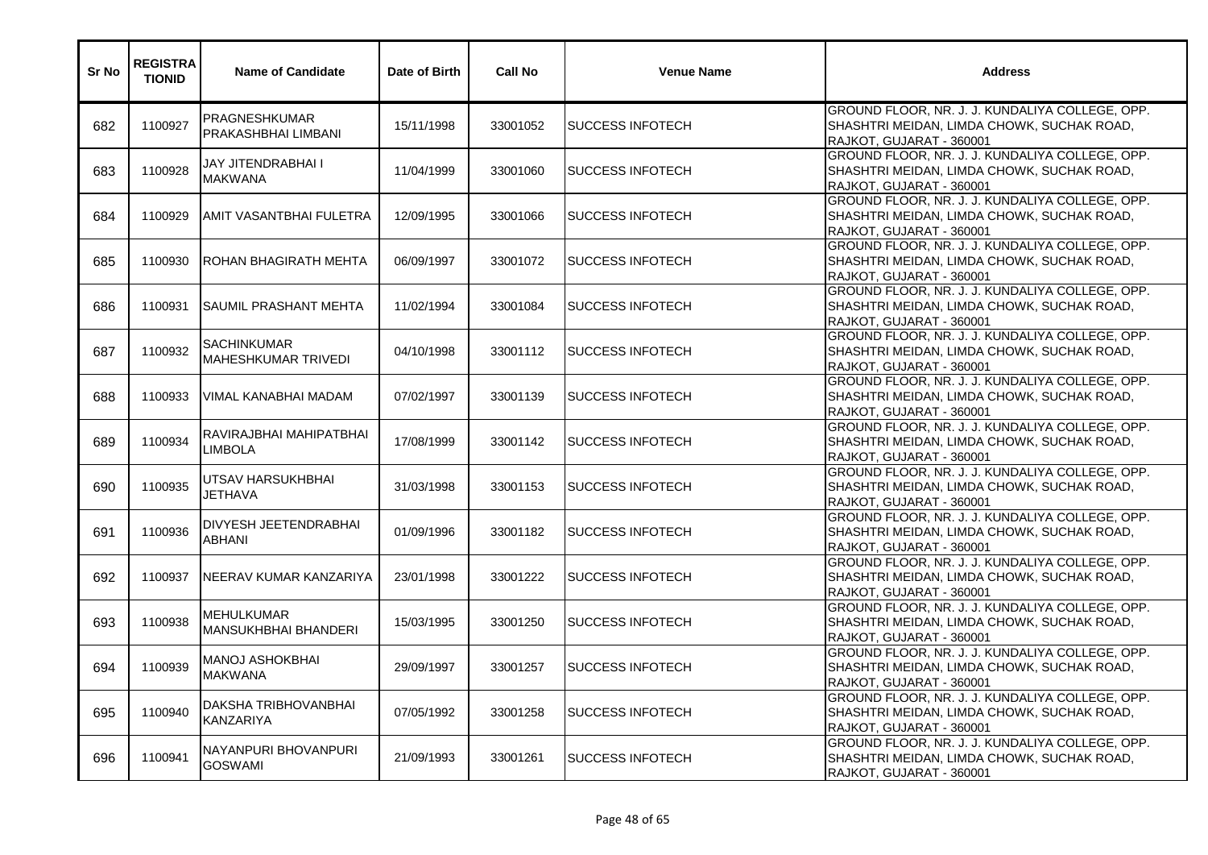| Sr No | <b>REGISTRA</b><br><b>TIONID</b> | <b>Name of Candidate</b>                         | Date of Birth | <b>Call No</b> | <b>Venue Name</b>         | <b>Address</b>                                                                                                            |
|-------|----------------------------------|--------------------------------------------------|---------------|----------------|---------------------------|---------------------------------------------------------------------------------------------------------------------------|
| 682   | 1100927                          | <b>PRAGNESHKUMAR</b><br>PRAKASHBHAI LIMBANI      | 15/11/1998    | 33001052       | <b>SUCCESS INFOTECH</b>   | GROUND FLOOR, NR. J. J. KUNDALIYA COLLEGE, OPP.<br>SHASHTRI MEIDAN, LIMDA CHOWK, SUCHAK ROAD,<br>RAJKOT, GUJARAT - 360001 |
| 683   | 1100928                          | JAY JITENDRABHAI I<br><b>MAKWANA</b>             | 11/04/1999    | 33001060       | <b>I</b> SUCCESS INFOTECH | GROUND FLOOR, NR. J. J. KUNDALIYA COLLEGE, OPP.<br>SHASHTRI MEIDAN, LIMDA CHOWK, SUCHAK ROAD,<br>RAJKOT, GUJARAT - 360001 |
| 684   | 1100929                          | <b>AMIT VASANTBHAI FULETRA</b>                   | 12/09/1995    | 33001066       | <b>SUCCESS INFOTECH</b>   | GROUND FLOOR, NR. J. J. KUNDALIYA COLLEGE, OPP.<br>SHASHTRI MEIDAN, LIMDA CHOWK, SUCHAK ROAD,<br>RAJKOT, GUJARAT - 360001 |
| 685   | 1100930                          | <b>ROHAN BHAGIRATH MEHTA</b>                     | 06/09/1997    | 33001072       | <b>SUCCESS INFOTECH</b>   | GROUND FLOOR, NR. J. J. KUNDALIYA COLLEGE, OPP.<br>SHASHTRI MEIDAN, LIMDA CHOWK, SUCHAK ROAD,<br>RAJKOT, GUJARAT - 360001 |
| 686   | 1100931                          | <b>SAUMIL PRASHANT MEHTA</b>                     | 11/02/1994    | 33001084       | <b>I</b> SUCCESS INFOTECH | GROUND FLOOR, NR. J. J. KUNDALIYA COLLEGE, OPP.<br>SHASHTRI MEIDAN, LIMDA CHOWK, SUCHAK ROAD,<br>RAJKOT, GUJARAT - 360001 |
| 687   | 1100932                          | <b>SACHINKUMAR</b><br><b>MAHESHKUMAR TRIVEDI</b> | 04/10/1998    | 33001112       | <b>SUCCESS INFOTECH</b>   | GROUND FLOOR, NR. J. J. KUNDALIYA COLLEGE, OPP.<br>SHASHTRI MEIDAN, LIMDA CHOWK, SUCHAK ROAD,<br>RAJKOT, GUJARAT - 360001 |
| 688   | 1100933                          | VIMAL KANABHAI MADAM                             | 07/02/1997    | 33001139       | <b>SUCCESS INFOTECH</b>   | GROUND FLOOR, NR. J. J. KUNDALIYA COLLEGE, OPP.<br>SHASHTRI MEIDAN, LIMDA CHOWK, SUCHAK ROAD,<br>RAJKOT, GUJARAT - 360001 |
| 689   | 1100934                          | RAVIRAJBHAI MAHIPATBHAI<br><b>LIMBOLA</b>        | 17/08/1999    | 33001142       | <b>SUCCESS INFOTECH</b>   | GROUND FLOOR, NR. J. J. KUNDALIYA COLLEGE, OPP.<br>SHASHTRI MEIDAN, LIMDA CHOWK, SUCHAK ROAD,<br>RAJKOT, GUJARAT - 360001 |
| 690   | 1100935                          | UTSAV HARSUKHBHAI<br><b>JETHAVA</b>              | 31/03/1998    | 33001153       | <b>SUCCESS INFOTECH</b>   | GROUND FLOOR, NR. J. J. KUNDALIYA COLLEGE, OPP.<br>SHASHTRI MEIDAN, LIMDA CHOWK, SUCHAK ROAD,<br>RAJKOT, GUJARAT - 360001 |
| 691   | 1100936                          | DIVYESH JEETENDRABHAI<br><b>ABHANI</b>           | 01/09/1996    | 33001182       | <b>SUCCESS INFOTECH</b>   | GROUND FLOOR, NR. J. J. KUNDALIYA COLLEGE, OPP.<br>SHASHTRI MEIDAN, LIMDA CHOWK, SUCHAK ROAD,<br>RAJKOT, GUJARAT - 360001 |
| 692   | 1100937                          | INEERAV KUMAR KANZARIYA                          | 23/01/1998    | 33001222       | <b>SUCCESS INFOTECH</b>   | GROUND FLOOR, NR. J. J. KUNDALIYA COLLEGE, OPP.<br>SHASHTRI MEIDAN, LIMDA CHOWK, SUCHAK ROAD,<br>RAJKOT, GUJARAT - 360001 |
| 693   | 1100938                          | <b>MEHULKUMAR</b><br><b>MANSUKHBHAI BHANDERI</b> | 15/03/1995    | 33001250       | <b>SUCCESS INFOTECH</b>   | GROUND FLOOR, NR. J. J. KUNDALIYA COLLEGE, OPP.<br>SHASHTRI MEIDAN, LIMDA CHOWK, SUCHAK ROAD,<br>RAJKOT, GUJARAT - 360001 |
| 694   | 1100939                          | <b>MANOJ ASHOKBHAI</b><br><b>MAKWANA</b>         | 29/09/1997    | 33001257       | <b>SUCCESS INFOTECH</b>   | GROUND FLOOR, NR. J. J. KUNDALIYA COLLEGE, OPP.<br>SHASHTRI MEIDAN, LIMDA CHOWK, SUCHAK ROAD,<br>RAJKOT, GUJARAT - 360001 |
| 695   | 1100940                          | DAKSHA TRIBHOVANBHAI<br><b>KANZARIYA</b>         | 07/05/1992    | 33001258       | <b>SUCCESS INFOTECH</b>   | GROUND FLOOR, NR. J. J. KUNDALIYA COLLEGE, OPP.<br>SHASHTRI MEIDAN, LIMDA CHOWK, SUCHAK ROAD,<br>RAJKOT, GUJARAT - 360001 |
| 696   | 1100941                          | NAYANPURI BHOVANPURI<br><b>GOSWAMI</b>           | 21/09/1993    | 33001261       | <b>SUCCESS INFOTECH</b>   | GROUND FLOOR, NR. J. J. KUNDALIYA COLLEGE, OPP.<br>SHASHTRI MEIDAN, LIMDA CHOWK, SUCHAK ROAD,<br>RAJKOT, GUJARAT - 360001 |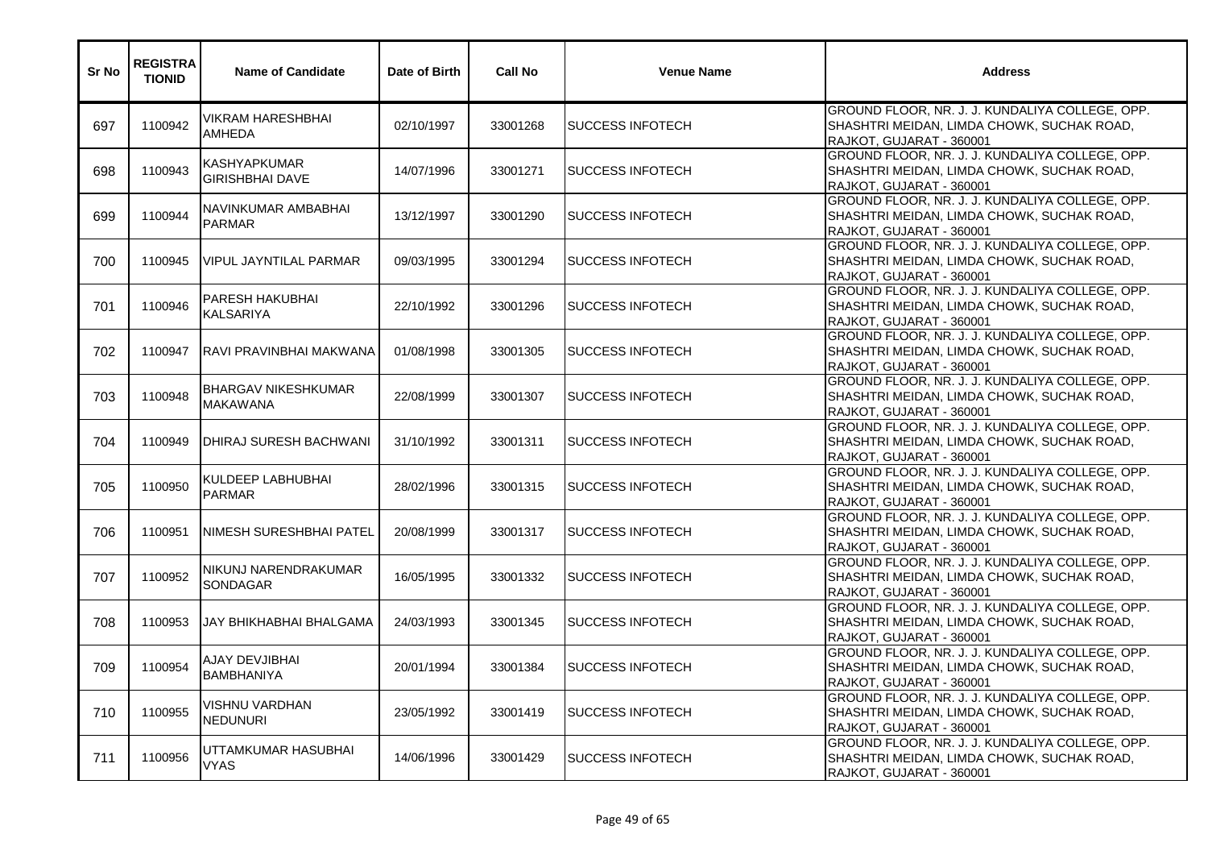| Sr No | <b>REGISTRA</b><br><b>TIONID</b> | <b>Name of Candidate</b>                      | Date of Birth | <b>Call No</b> | <b>Venue Name</b>         | <b>Address</b>                                                                                                            |
|-------|----------------------------------|-----------------------------------------------|---------------|----------------|---------------------------|---------------------------------------------------------------------------------------------------------------------------|
| 697   | 1100942                          | VIKRAM HARESHBHAI<br><b>AMHEDA</b>            | 02/10/1997    | 33001268       | <b>SUCCESS INFOTECH</b>   | GROUND FLOOR, NR. J. J. KUNDALIYA COLLEGE, OPP.<br>SHASHTRI MEIDAN, LIMDA CHOWK, SUCHAK ROAD,<br>RAJKOT, GUJARAT - 360001 |
| 698   | 1100943                          | KASHYAPKUMAR<br><b>GIRISHBHAI DAVE</b>        | 14/07/1996    | 33001271       | <b>SUCCESS INFOTECH</b>   | GROUND FLOOR, NR. J. J. KUNDALIYA COLLEGE, OPP.<br>SHASHTRI MEIDAN, LIMDA CHOWK, SUCHAK ROAD,<br>RAJKOT, GUJARAT - 360001 |
| 699   | 1100944                          | NAVINKUMAR AMBABHAI<br><b>PARMAR</b>          | 13/12/1997    | 33001290       | <b>SUCCESS INFOTECH</b>   | GROUND FLOOR, NR. J. J. KUNDALIYA COLLEGE, OPP.<br>SHASHTRI MEIDAN, LIMDA CHOWK, SUCHAK ROAD,<br>RAJKOT, GUJARAT - 360001 |
| 700   | 1100945                          | <b>VIPUL JAYNTILAL PARMAR</b>                 | 09/03/1995    | 33001294       | <b>SUCCESS INFOTECH</b>   | GROUND FLOOR, NR. J. J. KUNDALIYA COLLEGE, OPP.<br>SHASHTRI MEIDAN, LIMDA CHOWK, SUCHAK ROAD,<br>RAJKOT, GUJARAT - 360001 |
| 701   | 1100946                          | <b>PARESH HAKUBHAI</b><br><b>KALSARIYA</b>    | 22/10/1992    | 33001296       | <b>I</b> SUCCESS INFOTECH | GROUND FLOOR, NR. J. J. KUNDALIYA COLLEGE, OPP.<br>SHASHTRI MEIDAN, LIMDA CHOWK, SUCHAK ROAD,<br>RAJKOT, GUJARAT - 360001 |
| 702   | 1100947                          | RAVI PRAVINBHAI MAKWANA                       | 01/08/1998    | 33001305       | <b>SUCCESS INFOTECH</b>   | GROUND FLOOR, NR. J. J. KUNDALIYA COLLEGE, OPP.<br>SHASHTRI MEIDAN, LIMDA CHOWK, SUCHAK ROAD,<br>RAJKOT, GUJARAT - 360001 |
| 703   | 1100948                          | <b>BHARGAV NIKESHKUMAR</b><br><b>MAKAWANA</b> | 22/08/1999    | 33001307       | <b>SUCCESS INFOTECH</b>   | GROUND FLOOR, NR. J. J. KUNDALIYA COLLEGE, OPP.<br>SHASHTRI MEIDAN, LIMDA CHOWK, SUCHAK ROAD,<br>RAJKOT, GUJARAT - 360001 |
| 704   | 1100949                          | <b>DHIRAJ SURESH BACHWANI</b>                 | 31/10/1992    | 33001311       | <b>SUCCESS INFOTECH</b>   | GROUND FLOOR, NR. J. J. KUNDALIYA COLLEGE, OPP.<br>SHASHTRI MEIDAN, LIMDA CHOWK, SUCHAK ROAD,<br>RAJKOT, GUJARAT - 360001 |
| 705   | 1100950                          | KULDEEP LABHUBHAI<br><b>PARMAR</b>            | 28/02/1996    | 33001315       | <b>SUCCESS INFOTECH</b>   | GROUND FLOOR, NR. J. J. KUNDALIYA COLLEGE, OPP.<br>SHASHTRI MEIDAN, LIMDA CHOWK, SUCHAK ROAD,<br>RAJKOT, GUJARAT - 360001 |
| 706   | 1100951                          | NIMESH SURESHBHAI PATEL                       | 20/08/1999    | 33001317       | <b>SUCCESS INFOTECH</b>   | GROUND FLOOR, NR. J. J. KUNDALIYA COLLEGE, OPP.<br>SHASHTRI MEIDAN, LIMDA CHOWK, SUCHAK ROAD,<br>RAJKOT, GUJARAT - 360001 |
| 707   | 1100952                          | NIKUNJ NARENDRAKUMAR<br><b>SONDAGAR</b>       | 16/05/1995    | 33001332       | <b>SUCCESS INFOTECH</b>   | GROUND FLOOR, NR. J. J. KUNDALIYA COLLEGE, OPP.<br>SHASHTRI MEIDAN, LIMDA CHOWK, SUCHAK ROAD,<br>RAJKOT, GUJARAT - 360001 |
| 708   | 1100953                          | JAY BHIKHABHAI BHALGAMA                       | 24/03/1993    | 33001345       | <b>SUCCESS INFOTECH</b>   | GROUND FLOOR, NR. J. J. KUNDALIYA COLLEGE, OPP.<br>SHASHTRI MEIDAN, LIMDA CHOWK, SUCHAK ROAD,<br>RAJKOT, GUJARAT - 360001 |
| 709   | 1100954                          | AJAY DEVJIBHAI<br><b>BAMBHANIYA</b>           | 20/01/1994    | 33001384       | <b>SUCCESS INFOTECH</b>   | GROUND FLOOR, NR. J. J. KUNDALIYA COLLEGE, OPP.<br>SHASHTRI MEIDAN, LIMDA CHOWK, SUCHAK ROAD,<br>RAJKOT, GUJARAT - 360001 |
| 710   | 1100955                          | VISHNU VARDHAN<br><b>NEDUNURI</b>             | 23/05/1992    | 33001419       | <b>SUCCESS INFOTECH</b>   | GROUND FLOOR, NR. J. J. KUNDALIYA COLLEGE, OPP.<br>SHASHTRI MEIDAN, LIMDA CHOWK, SUCHAK ROAD,<br>RAJKOT, GUJARAT - 360001 |
| 711   | 1100956                          | UTTAMKUMAR HASUBHAI<br><b>VYAS</b>            | 14/06/1996    | 33001429       | <b>SUCCESS INFOTECH</b>   | GROUND FLOOR, NR. J. J. KUNDALIYA COLLEGE, OPP.<br>SHASHTRI MEIDAN, LIMDA CHOWK, SUCHAK ROAD,<br>RAJKOT, GUJARAT - 360001 |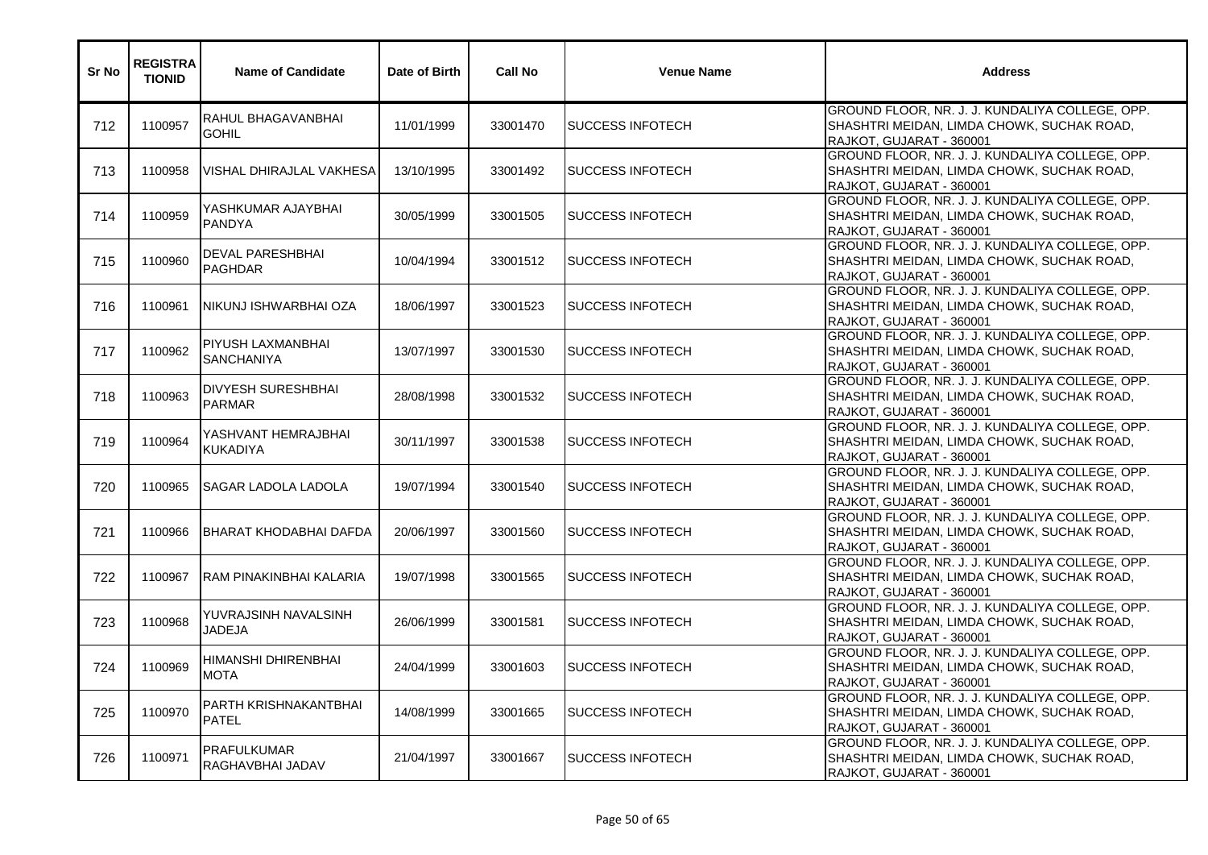| Sr No | <b>REGISTRA</b><br><b>TIONID</b> | <b>Name of Candidate</b>                   | Date of Birth | <b>Call No</b> | <b>Venue Name</b>         | <b>Address</b>                                                                                                            |
|-------|----------------------------------|--------------------------------------------|---------------|----------------|---------------------------|---------------------------------------------------------------------------------------------------------------------------|
| 712   | 1100957                          | <b>RAHUL BHAGAVANBHAI</b><br><b>GOHIL</b>  | 11/01/1999    | 33001470       | <b>SUCCESS INFOTECH</b>   | GROUND FLOOR, NR. J. J. KUNDALIYA COLLEGE, OPP.<br>SHASHTRI MEIDAN, LIMDA CHOWK, SUCHAK ROAD,<br>RAJKOT, GUJARAT - 360001 |
| 713   | 1100958                          | VISHAL DHIRAJLAL VAKHESA                   | 13/10/1995    | 33001492       | <b>SUCCESS INFOTECH</b>   | GROUND FLOOR, NR. J. J. KUNDALIYA COLLEGE, OPP.<br>SHASHTRI MEIDAN, LIMDA CHOWK, SUCHAK ROAD,<br>RAJKOT, GUJARAT - 360001 |
| 714   | 1100959                          | YASHKUMAR AJAYBHAI<br><b>PANDYA</b>        | 30/05/1999    | 33001505       | <b>SUCCESS INFOTECH</b>   | GROUND FLOOR, NR. J. J. KUNDALIYA COLLEGE, OPP.<br>SHASHTRI MEIDAN, LIMDA CHOWK, SUCHAK ROAD,<br>RAJKOT, GUJARAT - 360001 |
| 715   | 1100960                          | <b>DEVAL PARESHBHAI</b><br><b>PAGHDAR</b>  | 10/04/1994    | 33001512       | <b>SUCCESS INFOTECH</b>   | GROUND FLOOR, NR. J. J. KUNDALIYA COLLEGE, OPP.<br>SHASHTRI MEIDAN, LIMDA CHOWK, SUCHAK ROAD,<br>RAJKOT, GUJARAT - 360001 |
| 716   | 1100961                          | NIKUNJ ISHWARBHAI OZA                      | 18/06/1997    | 33001523       | <b>I</b> SUCCESS INFOTECH | GROUND FLOOR, NR. J. J. KUNDALIYA COLLEGE, OPP.<br>SHASHTRI MEIDAN, LIMDA CHOWK, SUCHAK ROAD,<br>RAJKOT, GUJARAT - 360001 |
| 717   | 1100962                          | PIYUSH LAXMANBHAI<br><b>SANCHANIYA</b>     | 13/07/1997    | 33001530       | <b>SUCCESS INFOTECH</b>   | GROUND FLOOR, NR. J. J. KUNDALIYA COLLEGE, OPP.<br>SHASHTRI MEIDAN, LIMDA CHOWK, SUCHAK ROAD,<br>RAJKOT, GUJARAT - 360001 |
| 718   | 1100963                          | <b>DIVYESH SURESHBHAI</b><br><b>PARMAR</b> | 28/08/1998    | 33001532       | <b>I</b> SUCCESS INFOTECH | GROUND FLOOR, NR. J. J. KUNDALIYA COLLEGE, OPP.<br>SHASHTRI MEIDAN, LIMDA CHOWK, SUCHAK ROAD,<br>RAJKOT, GUJARAT - 360001 |
| 719   | 1100964                          | YASHVANT HEMRAJBHAI<br><b>KUKADIYA</b>     | 30/11/1997    | 33001538       | <b>SUCCESS INFOTECH</b>   | GROUND FLOOR, NR. J. J. KUNDALIYA COLLEGE, OPP.<br>SHASHTRI MEIDAN, LIMDA CHOWK, SUCHAK ROAD,<br>RAJKOT, GUJARAT - 360001 |
| 720   | 1100965                          | ISAGAR LADOLA LADOLA                       | 19/07/1994    | 33001540       | <b>I</b> SUCCESS INFOTECH | GROUND FLOOR, NR. J. J. KUNDALIYA COLLEGE, OPP.<br>SHASHTRI MEIDAN, LIMDA CHOWK, SUCHAK ROAD,<br>RAJKOT, GUJARAT - 360001 |
| 721   | 1100966                          | <b>BHARAT KHODABHAI DAFDA</b>              | 20/06/1997    | 33001560       | <b>SUCCESS INFOTECH</b>   | GROUND FLOOR, NR. J. J. KUNDALIYA COLLEGE, OPP.<br>SHASHTRI MEIDAN, LIMDA CHOWK, SUCHAK ROAD,<br>RAJKOT, GUJARAT - 360001 |
| 722   | 1100967                          | <b>IRAM PINAKINBHAI KALARIA</b>            | 19/07/1998    | 33001565       | <b>SUCCESS INFOTECH</b>   | GROUND FLOOR, NR. J. J. KUNDALIYA COLLEGE, OPP.<br>SHASHTRI MEIDAN, LIMDA CHOWK, SUCHAK ROAD,<br>RAJKOT, GUJARAT - 360001 |
| 723   | 1100968                          | YUVRAJSINH NAVALSINH<br>JADEJA             | 26/06/1999    | 33001581       | <b>SUCCESS INFOTECH</b>   | GROUND FLOOR, NR. J. J. KUNDALIYA COLLEGE, OPP.<br>SHASHTRI MEIDAN, LIMDA CHOWK, SUCHAK ROAD,<br>RAJKOT, GUJARAT - 360001 |
| 724   | 1100969                          | HIMANSHI DHIRENBHAI<br><b>MOTA</b>         | 24/04/1999    | 33001603       | <b>SUCCESS INFOTECH</b>   | GROUND FLOOR, NR. J. J. KUNDALIYA COLLEGE, OPP.<br>SHASHTRI MEIDAN, LIMDA CHOWK, SUCHAK ROAD,<br>RAJKOT, GUJARAT - 360001 |
| 725   | 1100970                          | PARTH KRISHNAKANTBHAI<br><b>PATEL</b>      | 14/08/1999    | 33001665       | <b>SUCCESS INFOTECH</b>   | GROUND FLOOR, NR. J. J. KUNDALIYA COLLEGE, OPP.<br>SHASHTRI MEIDAN, LIMDA CHOWK, SUCHAK ROAD,<br>RAJKOT, GUJARAT - 360001 |
| 726   | 1100971                          | <b>PRAFULKUMAR</b><br>RAGHAVBHAI JADAV     | 21/04/1997    | 33001667       | <b>SUCCESS INFOTECH</b>   | GROUND FLOOR, NR. J. J. KUNDALIYA COLLEGE, OPP.<br>SHASHTRI MEIDAN, LIMDA CHOWK, SUCHAK ROAD,<br>RAJKOT, GUJARAT - 360001 |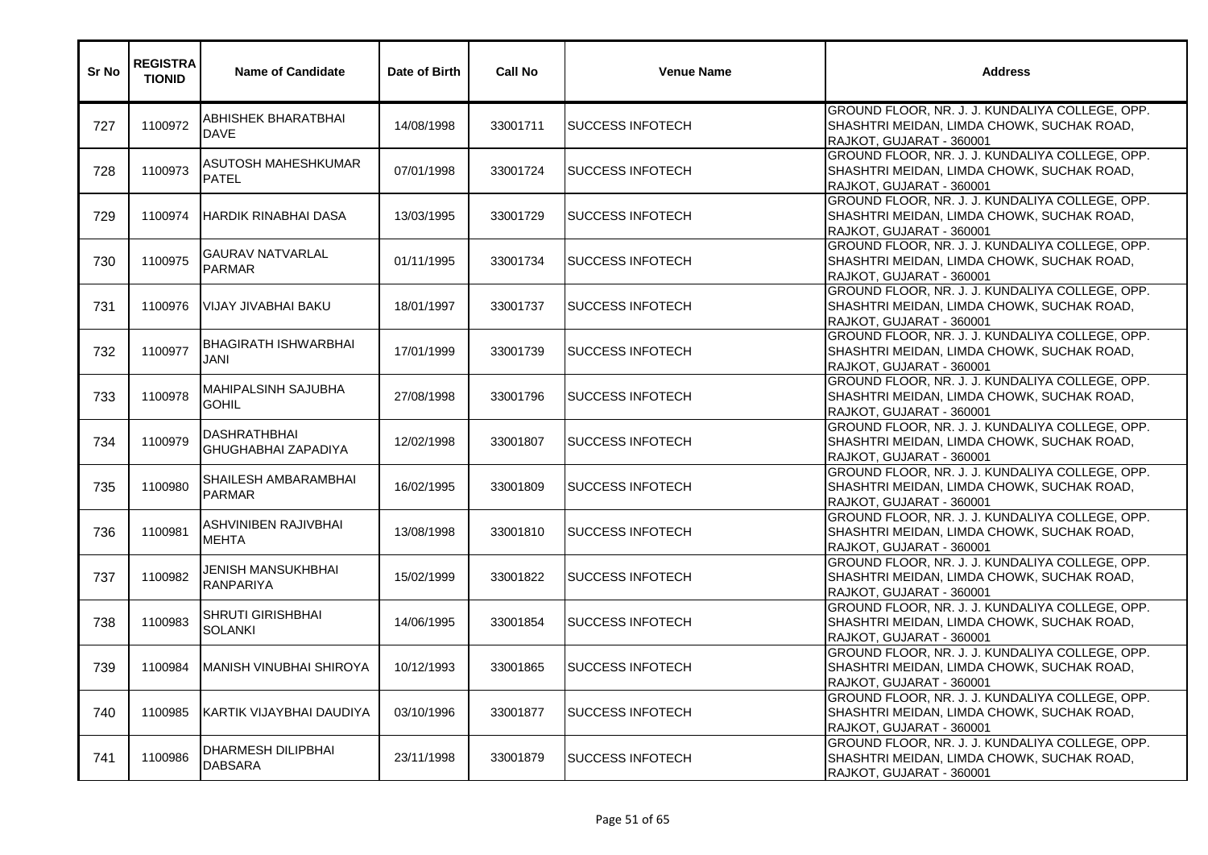| Sr No | <b>REGISTRA</b><br><b>TIONID</b> | <b>Name of Candidate</b>                    | Date of Birth | <b>Call No</b> | <b>Venue Name</b>         | <b>Address</b>                                                                                                            |
|-------|----------------------------------|---------------------------------------------|---------------|----------------|---------------------------|---------------------------------------------------------------------------------------------------------------------------|
| 727   | 1100972                          | ABHISHEK BHARATBHAI<br><b>DAVE</b>          | 14/08/1998    | 33001711       | <b>SUCCESS INFOTECH</b>   | GROUND FLOOR, NR. J. J. KUNDALIYA COLLEGE, OPP.<br>SHASHTRI MEIDAN, LIMDA CHOWK, SUCHAK ROAD,<br>RAJKOT, GUJARAT - 360001 |
| 728   | 1100973                          | ASUTOSH MAHESHKUMAR<br>PATEL                | 07/01/1998    | 33001724       | <b>I</b> SUCCESS INFOTECH | GROUND FLOOR, NR. J. J. KUNDALIYA COLLEGE, OPP.<br>SHASHTRI MEIDAN, LIMDA CHOWK, SUCHAK ROAD,<br>RAJKOT, GUJARAT - 360001 |
| 729   | 1100974                          | <b>IHARDIK RINABHAI DASA</b>                | 13/03/1995    | 33001729       | <b>SUCCESS INFOTECH</b>   | GROUND FLOOR, NR. J. J. KUNDALIYA COLLEGE, OPP.<br>SHASHTRI MEIDAN, LIMDA CHOWK, SUCHAK ROAD,<br>RAJKOT, GUJARAT - 360001 |
| 730   | 1100975                          | <b>GAURAV NATVARLAL</b><br><b>PARMAR</b>    | 01/11/1995    | 33001734       | <b>SUCCESS INFOTECH</b>   | GROUND FLOOR, NR. J. J. KUNDALIYA COLLEGE, OPP.<br>SHASHTRI MEIDAN, LIMDA CHOWK, SUCHAK ROAD,<br>RAJKOT, GUJARAT - 360001 |
| 731   | 1100976                          | VIJAY JIVABHAI BAKU                         | 18/01/1997    | 33001737       | <b>I</b> SUCCESS INFOTECH | GROUND FLOOR, NR. J. J. KUNDALIYA COLLEGE, OPP.<br>SHASHTRI MEIDAN, LIMDA CHOWK, SUCHAK ROAD,<br>RAJKOT, GUJARAT - 360001 |
| 732   | 1100977                          | <b>BHAGIRATH ISHWARBHAI</b><br>JANI         | 17/01/1999    | 33001739       | ISUCCESS INFOTECH         | GROUND FLOOR, NR. J. J. KUNDALIYA COLLEGE, OPP.<br>SHASHTRI MEIDAN, LIMDA CHOWK, SUCHAK ROAD,<br>RAJKOT, GUJARAT - 360001 |
| 733   | 1100978                          | <b>MAHIPALSINH SAJUBHA</b><br><b>GOHIL</b>  | 27/08/1998    | 33001796       | <b>SUCCESS INFOTECH</b>   | GROUND FLOOR, NR. J. J. KUNDALIYA COLLEGE, OPP.<br>SHASHTRI MEIDAN, LIMDA CHOWK, SUCHAK ROAD,<br>RAJKOT, GUJARAT - 360001 |
| 734   | 1100979                          | DASHRATHBHAI<br>GHUGHABHAI ZAPADIYA         | 12/02/1998    | 33001807       | <b>SUCCESS INFOTECH</b>   | GROUND FLOOR, NR. J. J. KUNDALIYA COLLEGE, OPP.<br>SHASHTRI MEIDAN, LIMDA CHOWK, SUCHAK ROAD,<br>RAJKOT, GUJARAT - 360001 |
| 735   | 1100980                          | SHAILESH AMBARAMBHAI<br><b>PARMAR</b>       | 16/02/1995    | 33001809       | <b>SUCCESS INFOTECH</b>   | GROUND FLOOR, NR. J. J. KUNDALIYA COLLEGE, OPP.<br>SHASHTRI MEIDAN, LIMDA CHOWK, SUCHAK ROAD,<br>RAJKOT, GUJARAT - 360001 |
| 736   | 1100981                          | ASHVINIBEN RAJIVBHAI<br><b>MEHTA</b>        | 13/08/1998    | 33001810       | <b>SUCCESS INFOTECH</b>   | GROUND FLOOR, NR. J. J. KUNDALIYA COLLEGE, OPP.<br>SHASHTRI MEIDAN, LIMDA CHOWK, SUCHAK ROAD,<br>RAJKOT, GUJARAT - 360001 |
| 737   | 1100982                          | JENISH MANSUKHBHAI<br><b>RANPARIYA</b>      | 15/02/1999    | 33001822       | <b>SUCCESS INFOTECH</b>   | GROUND FLOOR, NR. J. J. KUNDALIYA COLLEGE, OPP.<br>SHASHTRI MEIDAN, LIMDA CHOWK, SUCHAK ROAD,<br>RAJKOT, GUJARAT - 360001 |
| 738   | 1100983                          | SHRUTI GIRISHBHAI<br><b>SOLANKI</b>         | 14/06/1995    | 33001854       | <b>SUCCESS INFOTECH</b>   | GROUND FLOOR, NR. J. J. KUNDALIYA COLLEGE, OPP.<br>SHASHTRI MEIDAN, LIMDA CHOWK, SUCHAK ROAD,<br>RAJKOT, GUJARAT - 360001 |
| 739   | 1100984                          | MANISH VINUBHAI SHIROYA                     | 10/12/1993    | 33001865       | <b>SUCCESS INFOTECH</b>   | GROUND FLOOR, NR. J. J. KUNDALIYA COLLEGE, OPP.<br>SHASHTRI MEIDAN, LIMDA CHOWK, SUCHAK ROAD,<br>RAJKOT, GUJARAT - 360001 |
| 740   | 1100985                          | <b>IKARTIK VIJAYBHAI DAUDIYA</b>            | 03/10/1996    | 33001877       | <b>SUCCESS INFOTECH</b>   | GROUND FLOOR, NR. J. J. KUNDALIYA COLLEGE, OPP.<br>SHASHTRI MEIDAN, LIMDA CHOWK, SUCHAK ROAD,<br>RAJKOT, GUJARAT - 360001 |
| 741   | 1100986                          | <b>DHARMESH DILIPBHAI</b><br><b>DABSARA</b> | 23/11/1998    | 33001879       | <b>SUCCESS INFOTECH</b>   | GROUND FLOOR, NR. J. J. KUNDALIYA COLLEGE, OPP.<br>SHASHTRI MEIDAN, LIMDA CHOWK, SUCHAK ROAD,<br>RAJKOT, GUJARAT - 360001 |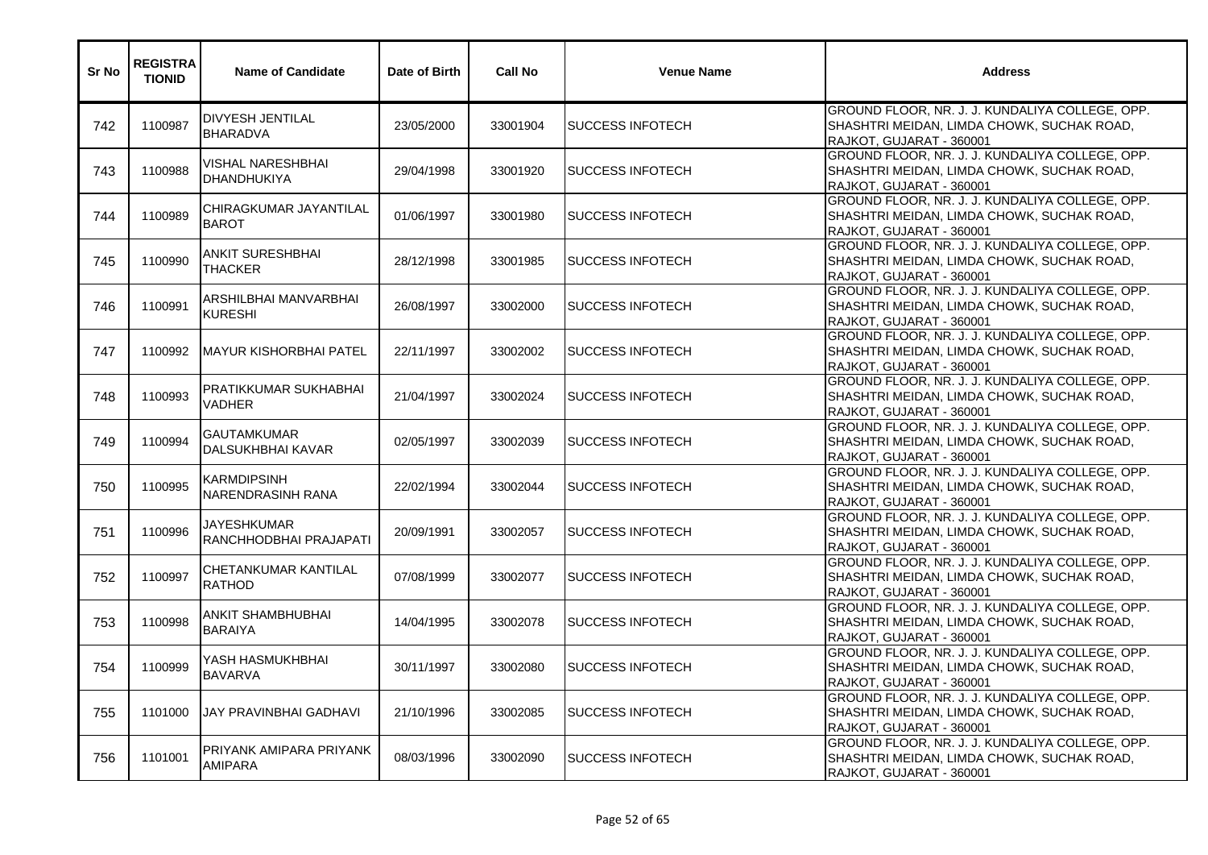| Sr No | <b>REGISTRA</b><br><b>TIONID</b> | <b>Name of Candidate</b>                       | Date of Birth | <b>Call No</b> | <b>Venue Name</b>         | <b>Address</b>                                                                                                            |
|-------|----------------------------------|------------------------------------------------|---------------|----------------|---------------------------|---------------------------------------------------------------------------------------------------------------------------|
| 742   | 1100987                          | <b>DIVYESH JENTILAL</b><br><b>BHARADVA</b>     | 23/05/2000    | 33001904       | <b>SUCCESS INFOTECH</b>   | GROUND FLOOR, NR. J. J. KUNDALIYA COLLEGE, OPP.<br>SHASHTRI MEIDAN, LIMDA CHOWK, SUCHAK ROAD,<br>RAJKOT, GUJARAT - 360001 |
| 743   | 1100988                          | VISHAL NARESHBHAI<br><b>DHANDHUKIYA</b>        | 29/04/1998    | 33001920       | <b>SUCCESS INFOTECH</b>   | GROUND FLOOR, NR. J. J. KUNDALIYA COLLEGE, OPP.<br>SHASHTRI MEIDAN, LIMDA CHOWK, SUCHAK ROAD,<br>RAJKOT, GUJARAT - 360001 |
| 744   | 1100989                          | CHIRAGKUMAR JAYANTILAL<br><b>BAROT</b>         | 01/06/1997    | 33001980       | <b>SUCCESS INFOTECH</b>   | GROUND FLOOR, NR. J. J. KUNDALIYA COLLEGE, OPP.<br>SHASHTRI MEIDAN, LIMDA CHOWK, SUCHAK ROAD,<br>RAJKOT, GUJARAT - 360001 |
| 745   | 1100990                          | <b>ANKIT SURESHBHAI</b><br>THACKER             | 28/12/1998    | 33001985       | <b>SUCCESS INFOTECH</b>   | GROUND FLOOR, NR. J. J. KUNDALIYA COLLEGE, OPP.<br>SHASHTRI MEIDAN, LIMDA CHOWK, SUCHAK ROAD,<br>RAJKOT, GUJARAT - 360001 |
| 746   | 1100991                          | ARSHILBHAI MANVARBHAI<br><b>KURESHI</b>        | 26/08/1997    | 33002000       | <b>SUCCESS INFOTECH</b>   | GROUND FLOOR, NR. J. J. KUNDALIYA COLLEGE, OPP.<br>SHASHTRI MEIDAN, LIMDA CHOWK, SUCHAK ROAD,<br>RAJKOT, GUJARAT - 360001 |
| 747   | 1100992                          | MAYUR KISHORBHAI PATEL                         | 22/11/1997    | 33002002       | <b>SUCCESS INFOTECH</b>   | GROUND FLOOR, NR. J. J. KUNDALIYA COLLEGE, OPP.<br>SHASHTRI MEIDAN, LIMDA CHOWK, SUCHAK ROAD,<br>RAJKOT, GUJARAT - 360001 |
| 748   | 1100993                          | PRATIKKUMAR SUKHABHAI<br>VADHER                | 21/04/1997    | 33002024       | <b>SUCCESS INFOTECH</b>   | GROUND FLOOR, NR. J. J. KUNDALIYA COLLEGE, OPP.<br>SHASHTRI MEIDAN, LIMDA CHOWK, SUCHAK ROAD,<br>RAJKOT, GUJARAT - 360001 |
| 749   | 1100994                          | <b>GAUTAMKUMAR</b><br><b>DALSUKHBHAI KAVAR</b> | 02/05/1997    | 33002039       | <b>SUCCESS INFOTECH</b>   | GROUND FLOOR, NR. J. J. KUNDALIYA COLLEGE, OPP.<br>SHASHTRI MEIDAN, LIMDA CHOWK, SUCHAK ROAD,<br>RAJKOT, GUJARAT - 360001 |
| 750   | 1100995                          | <b>KARMDIPSINH</b><br>NARENDRASINH RANA        | 22/02/1994    | 33002044       | <b>I</b> SUCCESS INFOTECH | GROUND FLOOR, NR. J. J. KUNDALIYA COLLEGE, OPP.<br>SHASHTRI MEIDAN, LIMDA CHOWK, SUCHAK ROAD,<br>RAJKOT, GUJARAT - 360001 |
| 751   | 1100996                          | JAYESHKUMAR<br>RANCHHODBHAI PRAJAPATI          | 20/09/1991    | 33002057       | <b>SUCCESS INFOTECH</b>   | GROUND FLOOR, NR. J. J. KUNDALIYA COLLEGE, OPP.<br>SHASHTRI MEIDAN, LIMDA CHOWK, SUCHAK ROAD,<br>RAJKOT, GUJARAT - 360001 |
| 752   | 1100997                          | CHETANKUMAR KANTILAL<br><b>RATHOD</b>          | 07/08/1999    | 33002077       | <b>SUCCESS INFOTECH</b>   | GROUND FLOOR, NR. J. J. KUNDALIYA COLLEGE, OPP.<br>SHASHTRI MEIDAN, LIMDA CHOWK, SUCHAK ROAD,<br>RAJKOT, GUJARAT - 360001 |
| 753   | 1100998                          | <b>ANKIT SHAMBHUBHAI</b><br><b>BARAIYA</b>     | 14/04/1995    | 33002078       | <b>SUCCESS INFOTECH</b>   | GROUND FLOOR, NR. J. J. KUNDALIYA COLLEGE, OPP.<br>SHASHTRI MEIDAN, LIMDA CHOWK, SUCHAK ROAD,<br>RAJKOT, GUJARAT - 360001 |
| 754   | 1100999                          | YASH HASMUKHBHAI<br><b>BAVARVA</b>             | 30/11/1997    | 33002080       | <b>SUCCESS INFOTECH</b>   | GROUND FLOOR, NR. J. J. KUNDALIYA COLLEGE, OPP.<br>SHASHTRI MEIDAN, LIMDA CHOWK, SUCHAK ROAD,<br>RAJKOT, GUJARAT - 360001 |
| 755   | 1101000                          | JAY PRAVINBHAI GADHAVI                         | 21/10/1996    | 33002085       | <b>SUCCESS INFOTECH</b>   | GROUND FLOOR, NR. J. J. KUNDALIYA COLLEGE, OPP.<br>SHASHTRI MEIDAN, LIMDA CHOWK, SUCHAK ROAD,<br>RAJKOT, GUJARAT - 360001 |
| 756   | 1101001                          | PRIYANK AMIPARA PRIYANK<br><b>AMIPARA</b>      | 08/03/1996    | 33002090       | <b>SUCCESS INFOTECH</b>   | GROUND FLOOR, NR. J. J. KUNDALIYA COLLEGE, OPP.<br>SHASHTRI MEIDAN, LIMDA CHOWK, SUCHAK ROAD,<br>RAJKOT, GUJARAT - 360001 |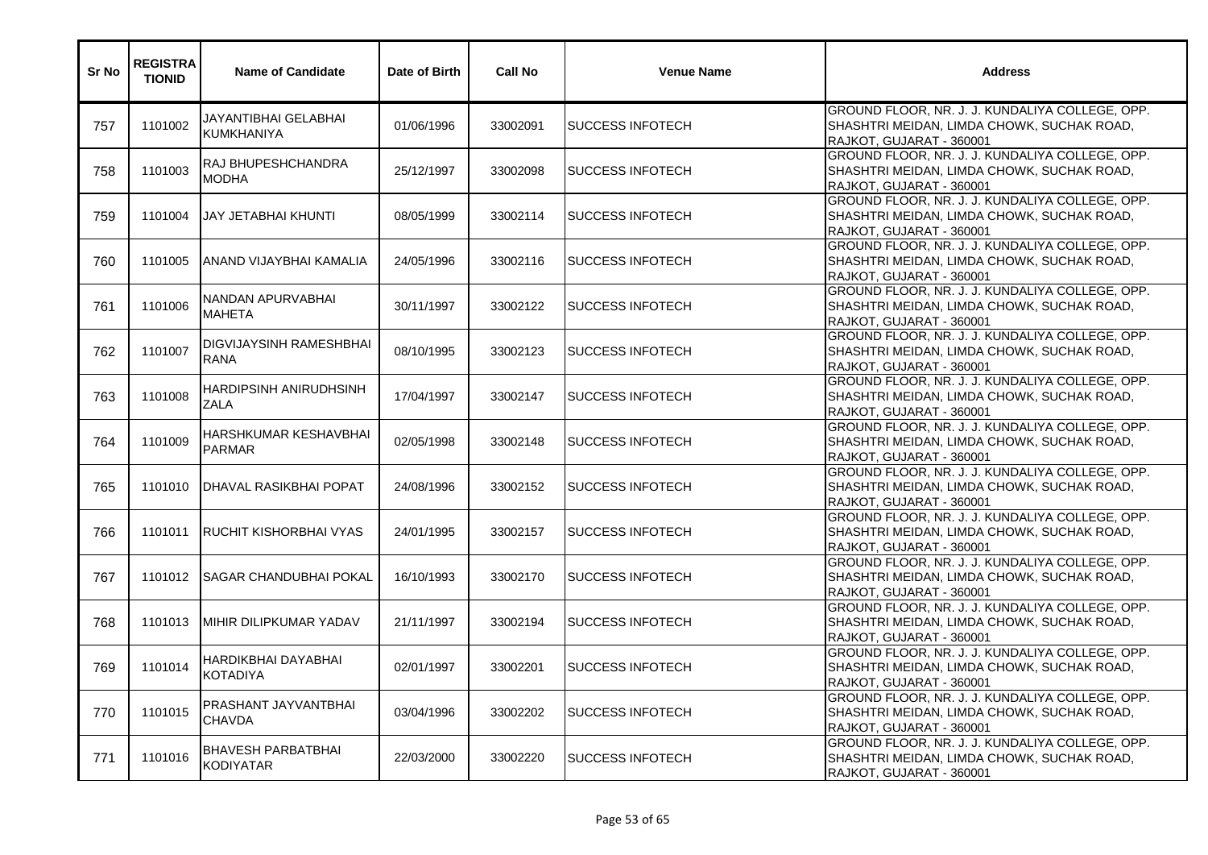| Sr No | <b>REGISTRA</b><br><b>TIONID</b> | <b>Name of Candidate</b>                      | Date of Birth | <b>Call No</b> | <b>Venue Name</b>         | <b>Address</b>                                                                                                            |
|-------|----------------------------------|-----------------------------------------------|---------------|----------------|---------------------------|---------------------------------------------------------------------------------------------------------------------------|
| 757   | 1101002                          | JAYANTIBHAI GELABHAI<br><b>KUMKHANIYA</b>     | 01/06/1996    | 33002091       | <b>SUCCESS INFOTECH</b>   | GROUND FLOOR, NR. J. J. KUNDALIYA COLLEGE, OPP.<br>SHASHTRI MEIDAN, LIMDA CHOWK, SUCHAK ROAD,<br>RAJKOT, GUJARAT - 360001 |
| 758   | 1101003                          | RAJ BHUPESHCHANDRA<br><b>MODHA</b>            | 25/12/1997    | 33002098       | <b>I</b> SUCCESS INFOTECH | GROUND FLOOR, NR. J. J. KUNDALIYA COLLEGE, OPP.<br>SHASHTRI MEIDAN, LIMDA CHOWK, SUCHAK ROAD,<br>RAJKOT, GUJARAT - 360001 |
| 759   | 1101004                          | <b>JAY JETABHAI KHUNTI</b>                    | 08/05/1999    | 33002114       | <b>SUCCESS INFOTECH</b>   | GROUND FLOOR, NR. J. J. KUNDALIYA COLLEGE, OPP.<br>SHASHTRI MEIDAN, LIMDA CHOWK, SUCHAK ROAD,<br>RAJKOT, GUJARAT - 360001 |
| 760   | 1101005                          | ANAND VIJAYBHAI KAMALIA                       | 24/05/1996    | 33002116       | <b>SUCCESS INFOTECH</b>   | GROUND FLOOR, NR. J. J. KUNDALIYA COLLEGE, OPP.<br>SHASHTRI MEIDAN, LIMDA CHOWK, SUCHAK ROAD,<br>RAJKOT, GUJARAT - 360001 |
| 761   | 1101006                          | NANDAN APURVABHAI<br><b>MAHETA</b>            | 30/11/1997    | 33002122       | <b>I</b> SUCCESS INFOTECH | GROUND FLOOR, NR. J. J. KUNDALIYA COLLEGE, OPP.<br>SHASHTRI MEIDAN, LIMDA CHOWK, SUCHAK ROAD,<br>RAJKOT, GUJARAT - 360001 |
| 762   | 1101007                          | <b>DIGVIJAYSINH RAMESHBHAI</b><br><b>RANA</b> | 08/10/1995    | 33002123       | <b>SUCCESS INFOTECH</b>   | GROUND FLOOR, NR. J. J. KUNDALIYA COLLEGE, OPP.<br>SHASHTRI MEIDAN, LIMDA CHOWK, SUCHAK ROAD,<br>RAJKOT, GUJARAT - 360001 |
| 763   | 1101008                          | HARDIPSINH ANIRUDHSINH<br><b>ZALA</b>         | 17/04/1997    | 33002147       | <b>SUCCESS INFOTECH</b>   | GROUND FLOOR, NR. J. J. KUNDALIYA COLLEGE, OPP.<br>SHASHTRI MEIDAN, LIMDA CHOWK, SUCHAK ROAD,<br>RAJKOT, GUJARAT - 360001 |
| 764   | 1101009                          | <b>HARSHKUMAR KESHAVBHAI</b><br><b>PARMAR</b> | 02/05/1998    | 33002148       | <b>SUCCESS INFOTECH</b>   | GROUND FLOOR, NR. J. J. KUNDALIYA COLLEGE, OPP.<br>SHASHTRI MEIDAN, LIMDA CHOWK, SUCHAK ROAD,<br>RAJKOT, GUJARAT - 360001 |
| 765   | 1101010                          | <b>DHAVAL RASIKBHAI POPAT</b>                 | 24/08/1996    | 33002152       | <b>SUCCESS INFOTECH</b>   | GROUND FLOOR, NR. J. J. KUNDALIYA COLLEGE, OPP.<br>SHASHTRI MEIDAN, LIMDA CHOWK, SUCHAK ROAD,<br>RAJKOT, GUJARAT - 360001 |
| 766   | 1101011                          | RUCHIT KISHORBHAI VYAS                        | 24/01/1995    | 33002157       | <b>SUCCESS INFOTECH</b>   | GROUND FLOOR, NR. J. J. KUNDALIYA COLLEGE, OPP.<br>SHASHTRI MEIDAN, LIMDA CHOWK, SUCHAK ROAD,<br>RAJKOT, GUJARAT - 360001 |
| 767   | 1101012                          | ISAGAR CHANDUBHAI POKAL                       | 16/10/1993    | 33002170       | ISUCCESS INFOTECH         | GROUND FLOOR, NR. J. J. KUNDALIYA COLLEGE, OPP.<br>SHASHTRI MEIDAN, LIMDA CHOWK, SUCHAK ROAD,<br>RAJKOT, GUJARAT - 360001 |
| 768   | 1101013                          | MIHIR DILIPKUMAR YADAV                        | 21/11/1997    | 33002194       | <b>SUCCESS INFOTECH</b>   | GROUND FLOOR, NR. J. J. KUNDALIYA COLLEGE, OPP.<br>SHASHTRI MEIDAN, LIMDA CHOWK, SUCHAK ROAD,<br>RAJKOT, GUJARAT - 360001 |
| 769   | 1101014                          | <b>HARDIKBHAI DAYABHAI</b><br><b>KOTADIYA</b> | 02/01/1997    | 33002201       | <b>SUCCESS INFOTECH</b>   | GROUND FLOOR, NR. J. J. KUNDALIYA COLLEGE, OPP.<br>SHASHTRI MEIDAN, LIMDA CHOWK, SUCHAK ROAD,<br>RAJKOT, GUJARAT - 360001 |
| 770   | 1101015                          | PRASHANT JAYVANTBHAI<br><b>CHAVDA</b>         | 03/04/1996    | 33002202       | <b>SUCCESS INFOTECH</b>   | GROUND FLOOR, NR. J. J. KUNDALIYA COLLEGE, OPP.<br>SHASHTRI MEIDAN, LIMDA CHOWK, SUCHAK ROAD,<br>RAJKOT, GUJARAT - 360001 |
| 771   | 1101016                          | <b>BHAVESH PARBATBHAI</b><br><b>KODIYATAR</b> | 22/03/2000    | 33002220       | <b>SUCCESS INFOTECH</b>   | GROUND FLOOR, NR. J. J. KUNDALIYA COLLEGE, OPP.<br>SHASHTRI MEIDAN, LIMDA CHOWK, SUCHAK ROAD,<br>RAJKOT, GUJARAT - 360001 |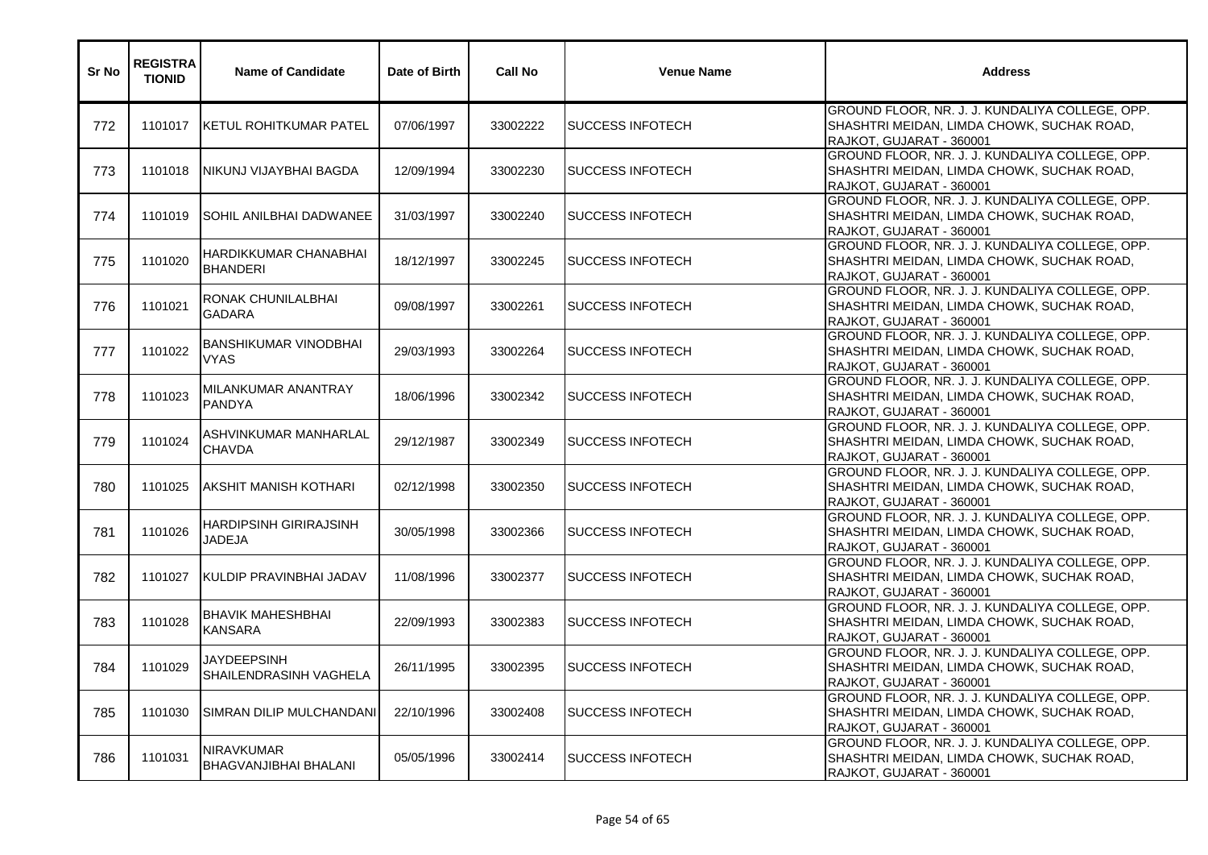| Sr No | <b>REGISTRA</b><br><b>TIONID</b> | <b>Name of Candidate</b>                    | Date of Birth | <b>Call No</b> | <b>Venue Name</b>        | <b>Address</b>                                                                                                            |
|-------|----------------------------------|---------------------------------------------|---------------|----------------|--------------------------|---------------------------------------------------------------------------------------------------------------------------|
| 772   | 1101017                          | KETUL ROHITKUMAR PATEL                      | 07/06/1997    | 33002222       | <b>SUCCESS INFOTECH</b>  | GROUND FLOOR, NR. J. J. KUNDALIYA COLLEGE, OPP.<br>SHASHTRI MEIDAN, LIMDA CHOWK, SUCHAK ROAD,<br>RAJKOT, GUJARAT - 360001 |
| 773   | 1101018                          | NIKUNJ VIJAYBHAI BAGDA                      | 12/09/1994    | 33002230       | <b>SUCCESS INFOTECH</b>  | GROUND FLOOR, NR. J. J. KUNDALIYA COLLEGE, OPP.<br>SHASHTRI MEIDAN, LIMDA CHOWK, SUCHAK ROAD,<br>RAJKOT, GUJARAT - 360001 |
| 774   | 1101019                          | SOHIL ANILBHAI DADWANEE                     | 31/03/1997    | 33002240       | <b>SUCCESS INFOTECH</b>  | GROUND FLOOR, NR. J. J. KUNDALIYA COLLEGE, OPP.<br>SHASHTRI MEIDAN, LIMDA CHOWK, SUCHAK ROAD,<br>RAJKOT, GUJARAT - 360001 |
| 775   | 1101020                          | HARDIKKUMAR CHANABHAI<br><b>BHANDERI</b>    | 18/12/1997    | 33002245       | <b>SUCCESS INFOTECH</b>  | GROUND FLOOR, NR. J. J. KUNDALIYA COLLEGE, OPP.<br>SHASHTRI MEIDAN, LIMDA CHOWK, SUCHAK ROAD,<br>RAJKOT, GUJARAT - 360001 |
| 776   | 1101021                          | RONAK CHUNILALBHAI<br><b>GADARA</b>         | 09/08/1997    | 33002261       | <b>SUCCESS INFOTECH</b>  | GROUND FLOOR, NR. J. J. KUNDALIYA COLLEGE, OPP.<br>SHASHTRI MEIDAN, LIMDA CHOWK, SUCHAK ROAD,<br>RAJKOT, GUJARAT - 360001 |
| 777   | 1101022                          | <b>BANSHIKUMAR VINODBHAI</b><br><b>VYAS</b> | 29/03/1993    | 33002264       | <b>SUCCESS INFOTECH</b>  | GROUND FLOOR, NR. J. J. KUNDALIYA COLLEGE, OPP.<br>SHASHTRI MEIDAN, LIMDA CHOWK, SUCHAK ROAD,<br>RAJKOT, GUJARAT - 360001 |
| 778   | 1101023                          | MILANKUMAR ANANTRAY<br><b>PANDYA</b>        | 18/06/1996    | 33002342       | <b>SUCCESS INFOTECH</b>  | GROUND FLOOR, NR. J. J. KUNDALIYA COLLEGE, OPP.<br>SHASHTRI MEIDAN, LIMDA CHOWK, SUCHAK ROAD,<br>RAJKOT, GUJARAT - 360001 |
| 779   | 1101024                          | ASHVINKUMAR MANHARLAL<br><b>CHAVDA</b>      | 29/12/1987    | 33002349       | <b>SUCCESS INFOTECH</b>  | GROUND FLOOR, NR. J. J. KUNDALIYA COLLEGE, OPP.<br>SHASHTRI MEIDAN, LIMDA CHOWK, SUCHAK ROAD,<br>RAJKOT, GUJARAT - 360001 |
| 780   | 1101025                          | AKSHIT MANISH KOTHARI                       | 02/12/1998    | 33002350       | <b>ISUCCESS INFOTECH</b> | GROUND FLOOR, NR. J. J. KUNDALIYA COLLEGE, OPP.<br>SHASHTRI MEIDAN, LIMDA CHOWK, SUCHAK ROAD,<br>RAJKOT, GUJARAT - 360001 |
| 781   | 1101026                          | HARDIPSINH GIRIRAJSINH<br>JADEJA            | 30/05/1998    | 33002366       | <b>SUCCESS INFOTECH</b>  | GROUND FLOOR, NR. J. J. KUNDALIYA COLLEGE, OPP.<br>SHASHTRI MEIDAN, LIMDA CHOWK, SUCHAK ROAD,<br>RAJKOT, GUJARAT - 360001 |
| 782   | 1101027                          | KULDIP PRAVINBHAI JADAV                     | 11/08/1996    | 33002377       | <b>SUCCESS INFOTECH</b>  | GROUND FLOOR, NR. J. J. KUNDALIYA COLLEGE, OPP.<br>SHASHTRI MEIDAN, LIMDA CHOWK, SUCHAK ROAD,<br>RAJKOT, GUJARAT - 360001 |
| 783   | 1101028                          | BHAVIK MAHESHBHAI<br>KANSARA                | 22/09/1993    | 33002383       | ISUCCESS INFOTECH        | GROUND FLOOR, NR. J. J. KUNDALIYA COLLEGE, OPP.<br>SHASHTRI MEIDAN, LIMDA CHOWK, SUCHAK ROAD,<br>RAJKOT, GUJARAT - 360001 |
| 784   | 1101029                          | JAYDEEPSINH<br>SHAILENDRASINH VAGHELA       | 26/11/1995    | 33002395       | <b>SUCCESS INFOTECH</b>  | GROUND FLOOR, NR. J. J. KUNDALIYA COLLEGE, OPP.<br>SHASHTRI MEIDAN, LIMDA CHOWK, SUCHAK ROAD,<br>RAJKOT, GUJARAT - 360001 |
| 785   | 1101030                          | SIMRAN DILIP MULCHANDANI                    | 22/10/1996    | 33002408       | <b>SUCCESS INFOTECH</b>  | GROUND FLOOR, NR. J. J. KUNDALIYA COLLEGE, OPP.<br>SHASHTRI MEIDAN, LIMDA CHOWK, SUCHAK ROAD,<br>RAJKOT, GUJARAT - 360001 |
| 786   | 1101031                          | NIRAVKUMAR<br>BHAGVANJIBHAI BHALANI         | 05/05/1996    | 33002414       | <b>SUCCESS INFOTECH</b>  | GROUND FLOOR, NR. J. J. KUNDALIYA COLLEGE, OPP.<br>SHASHTRI MEIDAN, LIMDA CHOWK, SUCHAK ROAD,<br>RAJKOT, GUJARAT - 360001 |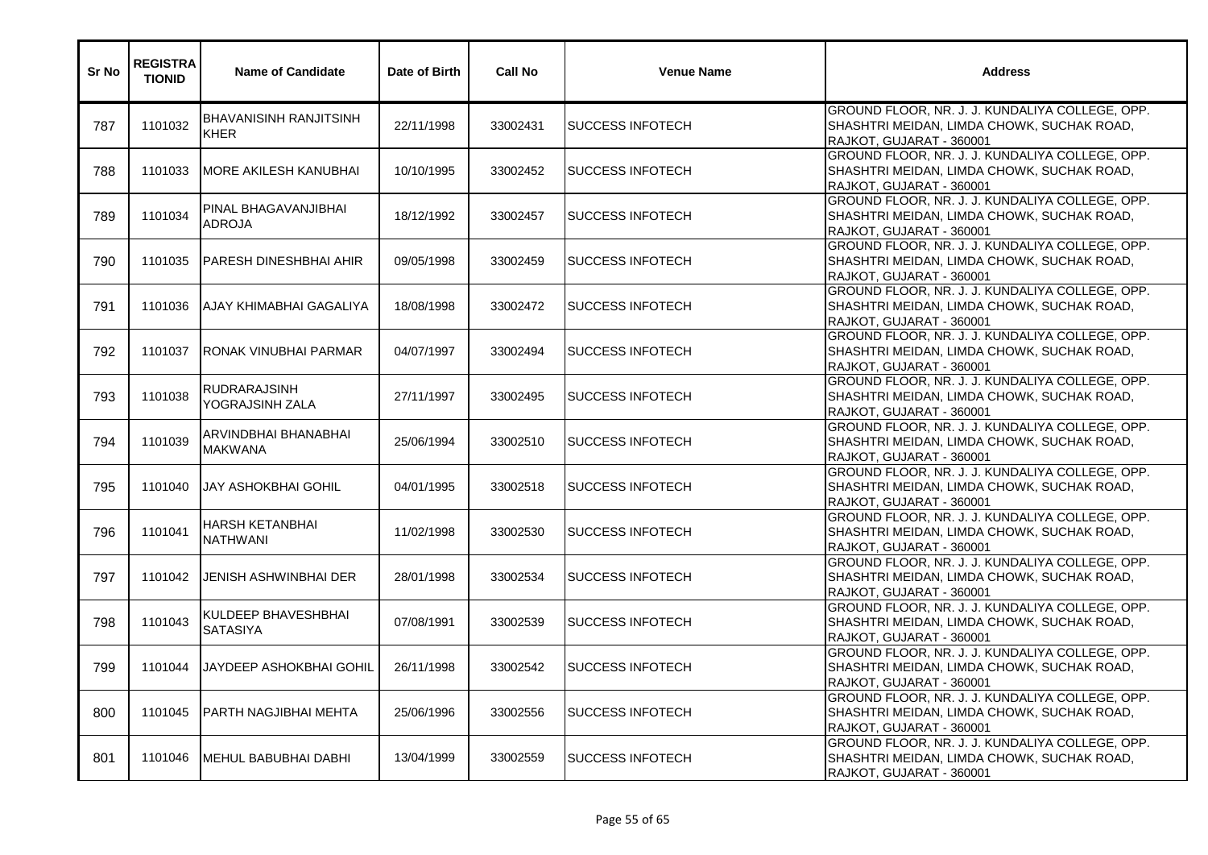| Sr No | <b>REGISTRA</b><br><b>TIONID</b> | <b>Name of Candidate</b>                     | Date of Birth | <b>Call No</b> | <b>Venue Name</b>         | <b>Address</b>                                                                                                            |
|-------|----------------------------------|----------------------------------------------|---------------|----------------|---------------------------|---------------------------------------------------------------------------------------------------------------------------|
| 787   | 1101032                          | <b>BHAVANISINH RANJITSINH</b><br><b>KHER</b> | 22/11/1998    | 33002431       | <b>SUCCESS INFOTECH</b>   | GROUND FLOOR, NR. J. J. KUNDALIYA COLLEGE, OPP.<br>SHASHTRI MEIDAN, LIMDA CHOWK, SUCHAK ROAD,<br>RAJKOT, GUJARAT - 360001 |
| 788   | 1101033                          | <b>MORE AKILESH KANUBHAI</b>                 | 10/10/1995    | 33002452       | <b>SUCCESS INFOTECH</b>   | GROUND FLOOR, NR. J. J. KUNDALIYA COLLEGE, OPP.<br>SHASHTRI MEIDAN, LIMDA CHOWK, SUCHAK ROAD,<br>RAJKOT, GUJARAT - 360001 |
| 789   | 1101034                          | PINAL BHAGAVANJIBHAI<br><b>ADROJA</b>        | 18/12/1992    | 33002457       | <b>I</b> SUCCESS INFOTECH | GROUND FLOOR, NR. J. J. KUNDALIYA COLLEGE, OPP.<br>SHASHTRI MEIDAN, LIMDA CHOWK, SUCHAK ROAD,<br>RAJKOT, GUJARAT - 360001 |
| 790   | 1101035                          | <b>PARESH DINESHBHAI AHIR</b>                | 09/05/1998    | 33002459       | <b>SUCCESS INFOTECH</b>   | GROUND FLOOR, NR. J. J. KUNDALIYA COLLEGE, OPP.<br>SHASHTRI MEIDAN, LIMDA CHOWK, SUCHAK ROAD,<br>RAJKOT, GUJARAT - 360001 |
| 791   | 1101036                          | AJAY KHIMABHAI GAGALIYA                      | 18/08/1998    | 33002472       | <b>SUCCESS INFOTECH</b>   | GROUND FLOOR, NR. J. J. KUNDALIYA COLLEGE, OPP.<br>SHASHTRI MEIDAN, LIMDA CHOWK, SUCHAK ROAD,<br>RAJKOT, GUJARAT - 360001 |
| 792   | 1101037                          | IRONAK VINUBHAI PARMAR                       | 04/07/1997    | 33002494       | <b>SUCCESS INFOTECH</b>   | GROUND FLOOR, NR. J. J. KUNDALIYA COLLEGE, OPP.<br>SHASHTRI MEIDAN, LIMDA CHOWK, SUCHAK ROAD,<br>RAJKOT, GUJARAT - 360001 |
| 793   | 1101038                          | RUDRARAJSINH<br>YOGRAJSINH ZALA              | 27/11/1997    | 33002495       | <b>I</b> SUCCESS INFOTECH | GROUND FLOOR, NR. J. J. KUNDALIYA COLLEGE, OPP.<br>SHASHTRI MEIDAN, LIMDA CHOWK, SUCHAK ROAD,<br>RAJKOT, GUJARAT - 360001 |
| 794   | 1101039                          | ARVINDBHAI BHANABHAI<br><b>MAKWANA</b>       | 25/06/1994    | 33002510       | <b>SUCCESS INFOTECH</b>   | GROUND FLOOR, NR. J. J. KUNDALIYA COLLEGE, OPP.<br>SHASHTRI MEIDAN, LIMDA CHOWK, SUCHAK ROAD,<br>RAJKOT, GUJARAT - 360001 |
| 795   | 1101040                          | IJAY ASHOKBHAI GOHIL                         | 04/01/1995    | 33002518       | <b>I</b> SUCCESS INFOTECH | GROUND FLOOR, NR. J. J. KUNDALIYA COLLEGE, OPP.<br>SHASHTRI MEIDAN, LIMDA CHOWK, SUCHAK ROAD,<br>RAJKOT, GUJARAT - 360001 |
| 796   | 1101041                          | <b>HARSH KETANBHAI</b><br><b>NATHWANI</b>    | 11/02/1998    | 33002530       | <b>SUCCESS INFOTECH</b>   | GROUND FLOOR, NR. J. J. KUNDALIYA COLLEGE, OPP.<br>SHASHTRI MEIDAN, LIMDA CHOWK, SUCHAK ROAD,<br>RAJKOT, GUJARAT - 360001 |
| 797   | 1101042                          | <b>JENISH ASHWINBHAI DER</b>                 | 28/01/1998    | 33002534       | <b>SUCCESS INFOTECH</b>   | GROUND FLOOR, NR. J. J. KUNDALIYA COLLEGE, OPP.<br>SHASHTRI MEIDAN, LIMDA CHOWK, SUCHAK ROAD,<br>RAJKOT, GUJARAT - 360001 |
| 798   | 1101043                          | KULDEEP BHAVESHBHAI<br><b>SATASIYA</b>       | 07/08/1991    | 33002539       | <b>SUCCESS INFOTECH</b>   | GROUND FLOOR, NR. J. J. KUNDALIYA COLLEGE, OPP.<br>SHASHTRI MEIDAN, LIMDA CHOWK, SUCHAK ROAD,<br>RAJKOT, GUJARAT - 360001 |
| 799   | 1101044                          | IJAYDEEP ASHOKBHAI GOHIL                     | 26/11/1998    | 33002542       | <b>SUCCESS INFOTECH</b>   | GROUND FLOOR, NR. J. J. KUNDALIYA COLLEGE, OPP.<br>SHASHTRI MEIDAN, LIMDA CHOWK, SUCHAK ROAD,<br>RAJKOT, GUJARAT - 360001 |
| 800   | 1101045                          | <b>PARTH NAGJIBHAI MEHTA</b>                 | 25/06/1996    | 33002556       | <b>SUCCESS INFOTECH</b>   | GROUND FLOOR, NR. J. J. KUNDALIYA COLLEGE, OPP.<br>SHASHTRI MEIDAN, LIMDA CHOWK, SUCHAK ROAD,<br>RAJKOT, GUJARAT - 360001 |
| 801   | 1101046                          | MEHUL BABUBHAI DABHI                         | 13/04/1999    | 33002559       | <b>SUCCESS INFOTECH</b>   | GROUND FLOOR, NR. J. J. KUNDALIYA COLLEGE, OPP.<br>SHASHTRI MEIDAN, LIMDA CHOWK, SUCHAK ROAD,<br>RAJKOT, GUJARAT - 360001 |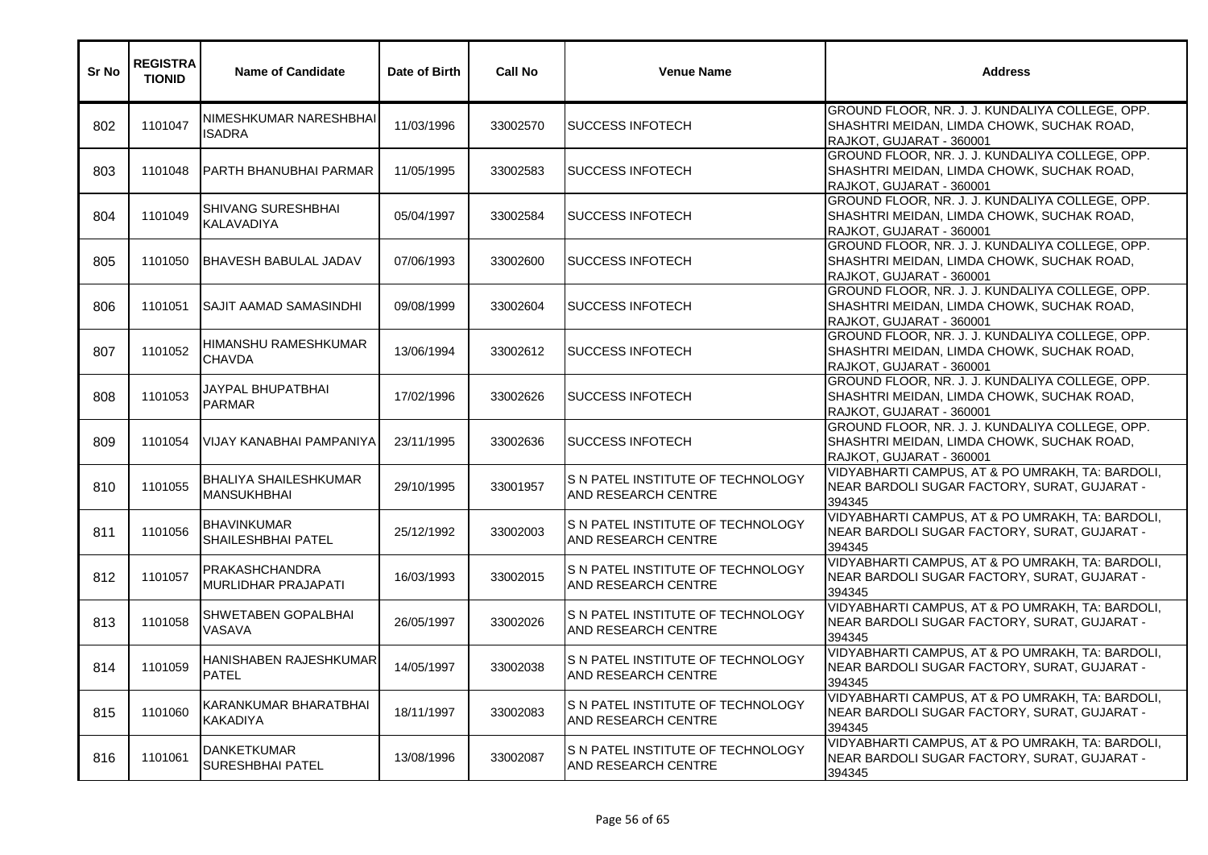| Sr No | <b>REGISTRA</b><br><b>TIONID</b> | <b>Name of Candidate</b>                           | Date of Birth | <b>Call No</b> | <b>Venue Name</b>                                                | <b>Address</b>                                                                                                            |
|-------|----------------------------------|----------------------------------------------------|---------------|----------------|------------------------------------------------------------------|---------------------------------------------------------------------------------------------------------------------------|
| 802   | 1101047                          | NIMESHKUMAR NARESHBHAI<br><b>ISADRA</b>            | 11/03/1996    | 33002570       | <b>SUCCESS INFOTECH</b>                                          | GROUND FLOOR, NR. J. J. KUNDALIYA COLLEGE, OPP.<br>SHASHTRI MEIDAN, LIMDA CHOWK, SUCHAK ROAD,<br>RAJKOT, GUJARAT - 360001 |
| 803   | 1101048                          | PARTH BHANUBHAI PARMAR                             | 11/05/1995    | 33002583       | <b>I</b> SUCCESS INFOTECH                                        | GROUND FLOOR, NR. J. J. KUNDALIYA COLLEGE, OPP.<br>SHASHTRI MEIDAN, LIMDA CHOWK, SUCHAK ROAD,<br>RAJKOT, GUJARAT - 360001 |
| 804   | 1101049                          | <b>SHIVANG SURESHBHAI</b><br><b>KALAVADIYA</b>     | 05/04/1997    | 33002584       | ISUCCESS INFOTECH                                                | GROUND FLOOR, NR. J. J. KUNDALIYA COLLEGE, OPP.<br>SHASHTRI MEIDAN, LIMDA CHOWK, SUCHAK ROAD,<br>RAJKOT, GUJARAT - 360001 |
| 805   | 1101050                          | <b>IBHAVESH BABULAL JADAV</b>                      | 07/06/1993    | 33002600       | <b>SUCCESS INFOTECH</b>                                          | GROUND FLOOR, NR. J. J. KUNDALIYA COLLEGE, OPP.<br>SHASHTRI MEIDAN, LIMDA CHOWK, SUCHAK ROAD,<br>RAJKOT, GUJARAT - 360001 |
| 806   | 1101051                          | <b>SAJIT AAMAD SAMASINDHI</b>                      | 09/08/1999    | 33002604       | <b>SUCCESS INFOTECH</b>                                          | GROUND FLOOR, NR. J. J. KUNDALIYA COLLEGE, OPP.<br>SHASHTRI MEIDAN, LIMDA CHOWK, SUCHAK ROAD,<br>RAJKOT, GUJARAT - 360001 |
| 807   | 1101052                          | HIMANSHU RAMESHKUMAR<br><b>CHAVDA</b>              | 13/06/1994    | 33002612       | <b>SUCCESS INFOTECH</b>                                          | GROUND FLOOR, NR. J. J. KUNDALIYA COLLEGE, OPP.<br>SHASHTRI MEIDAN, LIMDA CHOWK, SUCHAK ROAD,<br>RAJKOT, GUJARAT - 360001 |
| 808   | 1101053                          | JAYPAL BHUPATBHAI<br><b>PARMAR</b>                 | 17/02/1996    | 33002626       | <b>I</b> SUCCESS INFOTECH                                        | GROUND FLOOR, NR. J. J. KUNDALIYA COLLEGE, OPP.<br>SHASHTRI MEIDAN, LIMDA CHOWK, SUCHAK ROAD,<br>RAJKOT, GUJARAT - 360001 |
| 809   | 1101054                          | VIJAY KANABHAI PAMPANIYA                           | 23/11/1995    | 33002636       | <b>SUCCESS INFOTECH</b>                                          | GROUND FLOOR, NR. J. J. KUNDALIYA COLLEGE, OPP.<br>SHASHTRI MEIDAN, LIMDA CHOWK, SUCHAK ROAD,<br>RAJKOT, GUJARAT - 360001 |
| 810   | 1101055                          | <b>BHALIYA SHAILESHKUMAR</b><br><b>MANSUKHBHAI</b> | 29/10/1995    | 33001957       | S N PATEL INSTITUTE OF TECHNOLOGY<br>AND RESEARCH CENTRE         | VIDYABHARTI CAMPUS, AT & PO UMRAKH, TA: BARDOLI,<br>NEAR BARDOLI SUGAR FACTORY, SURAT, GUJARAT -<br>394345                |
| 811   | 1101056                          | <b>BHAVINKUMAR</b><br><b>SHAILESHBHAI PATEL</b>    | 25/12/1992    | 33002003       | IS N PATEL INSTITUTE OF TECHNOLOGY<br><b>AND RESEARCH CENTRE</b> | VIDYABHARTI CAMPUS, AT & PO UMRAKH, TA: BARDOLI,<br>NEAR BARDOLI SUGAR FACTORY, SURAT, GUJARAT -<br>394345                |
| 812   | 1101057                          | PRAKASHCHANDRA<br>MURLIDHAR PRAJAPATI              | 16/03/1993    | 33002015       | S N PATEL INSTITUTE OF TECHNOLOGY<br>AND RESEARCH CENTRE         | VIDYABHARTI CAMPUS, AT & PO UMRAKH, TA: BARDOLI,<br>NEAR BARDOLI SUGAR FACTORY, SURAT, GUJARAT -<br>394345                |
| 813   | 1101058                          | SHWETABEN GOPALBHAI<br><b>VASAVA</b>               | 26/05/1997    | 33002026       | S N PATEL INSTITUTE OF TECHNOLOGY<br><b>AND RESEARCH CENTRE</b>  | VIDYABHARTI CAMPUS, AT & PO UMRAKH, TA: BARDOLI,<br>NEAR BARDOLI SUGAR FACTORY, SURAT, GUJARAT -<br>394345                |
| 814   | 1101059                          | <b>HANISHABEN RAJESHKUMAR</b><br><b>PATEL</b>      | 14/05/1997    | 33002038       | S N PATEL INSTITUTE OF TECHNOLOGY<br><b>AND RESEARCH CENTRE</b>  | VIDYABHARTI CAMPUS, AT & PO UMRAKH, TA: BARDOLI,<br>NEAR BARDOLI SUGAR FACTORY, SURAT, GUJARAT -<br>394345                |
| 815   | 1101060                          | KARANKUMAR BHARATBHAI<br><b>KAKADIYA</b>           | 18/11/1997    | 33002083       | S N PATEL INSTITUTE OF TECHNOLOGY<br><b>AND RESEARCH CENTRE</b>  | VIDYABHARTI CAMPUS, AT & PO UMRAKH, TA: BARDOLI,<br>NEAR BARDOLI SUGAR FACTORY, SURAT, GUJARAT -<br>394345                |
| 816   | 1101061                          | <b>DANKETKUMAR</b><br><b>SURESHBHAI PATEL</b>      | 13/08/1996    | 33002087       | S N PATEL INSTITUTE OF TECHNOLOGY<br><b>AND RESEARCH CENTRE</b>  | VIDYABHARTI CAMPUS, AT & PO UMRAKH, TA: BARDOLI,<br>NEAR BARDOLI SUGAR FACTORY, SURAT, GUJARAT -<br>394345                |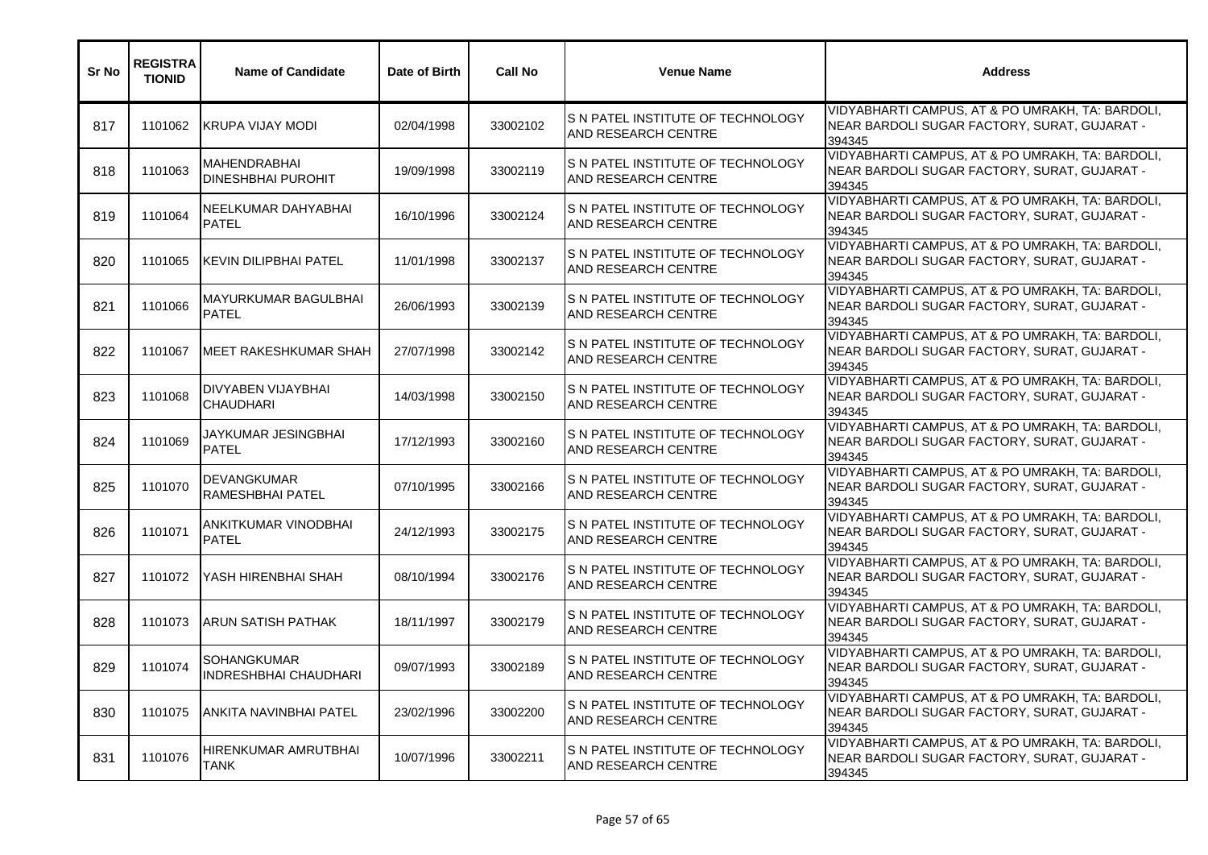| Sr No | <b>REGISTRA</b><br><b>TIONID</b> | <b>Name of Candidate</b>                           | Date of Birth | <b>Call No</b> | <b>Venue Name</b>                                                | <b>Address</b>                                                                                             |
|-------|----------------------------------|----------------------------------------------------|---------------|----------------|------------------------------------------------------------------|------------------------------------------------------------------------------------------------------------|
| 817   | 1101062                          | <b>IKRUPA VIJAY MODI</b>                           | 02/04/1998    | 33002102       | S N PATEL INSTITUTE OF TECHNOLOGY<br><b>JAND RESEARCH CENTRE</b> | VIDYABHARTI CAMPUS, AT & PO UMRAKH, TA: BARDOLI,<br>NEAR BARDOLI SUGAR FACTORY, SURAT, GUJARAT -<br>394345 |
| 818   | 1101063                          | <b>MAHENDRABHAI</b><br><b>DINESHBHAI PUROHIT</b>   | 19/09/1998    | 33002119       | IS N PATEL INSTITUTE OF TECHNOLOGY<br>AND RESEARCH CENTRE        | VIDYABHARTI CAMPUS, AT & PO UMRAKH, TA: BARDOLI,<br>NEAR BARDOLI SUGAR FACTORY, SURAT, GUJARAT -<br>394345 |
| 819   | 1101064                          | NEELKUMAR DAHYABHAI<br><b>PATEL</b>                | 16/10/1996    | 33002124       | S N PATEL INSTITUTE OF TECHNOLOGY<br><b>AND RESEARCH CENTRE</b>  | VIDYABHARTI CAMPUS, AT & PO UMRAKH, TA: BARDOLI,<br>NEAR BARDOLI SUGAR FACTORY, SURAT, GUJARAT -<br>394345 |
| 820   | 1101065                          | <b>I</b> KEVIN DILIPBHAI PATEL                     | 11/01/1998    | 33002137       | S N PATEL INSTITUTE OF TECHNOLOGY<br><b>AND RESEARCH CENTRE</b>  | VIDYABHARTI CAMPUS, AT & PO UMRAKH, TA: BARDOLI,<br>NEAR BARDOLI SUGAR FACTORY, SURAT, GUJARAT -<br>394345 |
| 821   | 1101066                          | MAYURKUMAR BAGULBHAI<br><b>PATEL</b>               | 26/06/1993    | 33002139       | S N PATEL INSTITUTE OF TECHNOLOGY<br><b>AND RESEARCH CENTRE</b>  | VIDYABHARTI CAMPUS, AT & PO UMRAKH, TA: BARDOLI,<br>NEAR BARDOLI SUGAR FACTORY, SURAT, GUJARAT -<br>394345 |
| 822   | 1101067                          | <b>MEET RAKESHKUMAR SHAH</b>                       | 27/07/1998    | 33002142       | S N PATEL INSTITUTE OF TECHNOLOGY<br>AND RESEARCH CENTRE         | VIDYABHARTI CAMPUS, AT & PO UMRAKH, TA: BARDOLI,<br>NEAR BARDOLI SUGAR FACTORY, SURAT, GUJARAT -<br>394345 |
| 823   | 1101068                          | DIVYABEN VIJAYBHAI<br><b>CHAUDHARI</b>             | 14/03/1998    | 33002150       | S N PATEL INSTITUTE OF TECHNOLOGY<br>AND RESEARCH CENTRE         | VIDYABHARTI CAMPUS, AT & PO UMRAKH, TA: BARDOLI,<br>NEAR BARDOLI SUGAR FACTORY, SURAT, GUJARAT -<br>394345 |
| 824   | 1101069                          | JAYKUMAR JESINGBHAI<br><b>PATEL</b>                | 17/12/1993    | 33002160       | IS N PATEL INSTITUTE OF TECHNOLOGY<br><b>AND RESEARCH CENTRE</b> | VIDYABHARTI CAMPUS, AT & PO UMRAKH, TA: BARDOLI,<br>NEAR BARDOLI SUGAR FACTORY, SURAT, GUJARAT -<br>394345 |
| 825   | 1101070                          | DEVANGKUMAR<br>RAMESHBHAI PATEL                    | 07/10/1995    | 33002166       | S N PATEL INSTITUTE OF TECHNOLOGY<br><b>AND RESEARCH CENTRE</b>  | VIDYABHARTI CAMPUS, AT & PO UMRAKH, TA: BARDOLI,<br>NEAR BARDOLI SUGAR FACTORY, SURAT, GUJARAT -<br>394345 |
| 826   | 1101071                          | ANKITKUMAR VINODBHAI<br><b>PATEL</b>               | 24/12/1993    | 33002175       | S N PATEL INSTITUTE OF TECHNOLOGY<br><b>AND RESEARCH CENTRE</b>  | VIDYABHARTI CAMPUS, AT & PO UMRAKH, TA: BARDOLI,<br>NEAR BARDOLI SUGAR FACTORY, SURAT, GUJARAT -<br>394345 |
| 827   | 1101072                          | YASH HIRENBHAI SHAH                                | 08/10/1994    | 33002176       | IS N PATEL INSTITUTE OF TECHNOLOGY<br><b>AND RESEARCH CENTRE</b> | VIDYABHARTI CAMPUS, AT & PO UMRAKH, TA: BARDOLI,<br>NEAR BARDOLI SUGAR FACTORY, SURAT, GUJARAT -<br>394345 |
| 828   | 1101073                          | <b>ARUN SATISH PATHAK</b>                          | 18/11/1997    | 33002179       | S N PATEL INSTITUTE OF TECHNOLOGY<br><b>AND RESEARCH CENTRE</b>  | VIDYABHARTI CAMPUS, AT & PO UMRAKH, TA: BARDOLI,<br>NEAR BARDOLI SUGAR FACTORY, SURAT, GUJARAT -<br>394345 |
| 829   | 1101074                          | <b>SOHANGKUMAR</b><br><b>INDRESHBHAI CHAUDHARI</b> | 09/07/1993    | 33002189       | IS N PATEL INSTITUTE OF TECHNOLOGY<br>AND RESEARCH CENTRE        | VIDYABHARTI CAMPUS, AT & PO UMRAKH, TA: BARDOLI,<br>NEAR BARDOLI SUGAR FACTORY, SURAT, GUJARAT -<br>394345 |
| 830   | 1101075                          | ANKITA NAVINBHAI PATEL                             | 23/02/1996    | 33002200       | IS N PATEL INSTITUTE OF TECHNOLOGY<br><b>AND RESEARCH CENTRE</b> | VIDYABHARTI CAMPUS, AT & PO UMRAKH, TA: BARDOLI,<br>NEAR BARDOLI SUGAR FACTORY, SURAT, GUJARAT -<br>394345 |
| 831   | 1101076                          | HIRENKUMAR AMRUTBHAI<br>TANK                       | 10/07/1996    | 33002211       | IS N PATEL INSTITUTE OF TECHNOLOGY<br><b>AND RESEARCH CENTRE</b> | VIDYABHARTI CAMPUS, AT & PO UMRAKH, TA: BARDOLI,<br>NEAR BARDOLI SUGAR FACTORY, SURAT, GUJARAT -<br>394345 |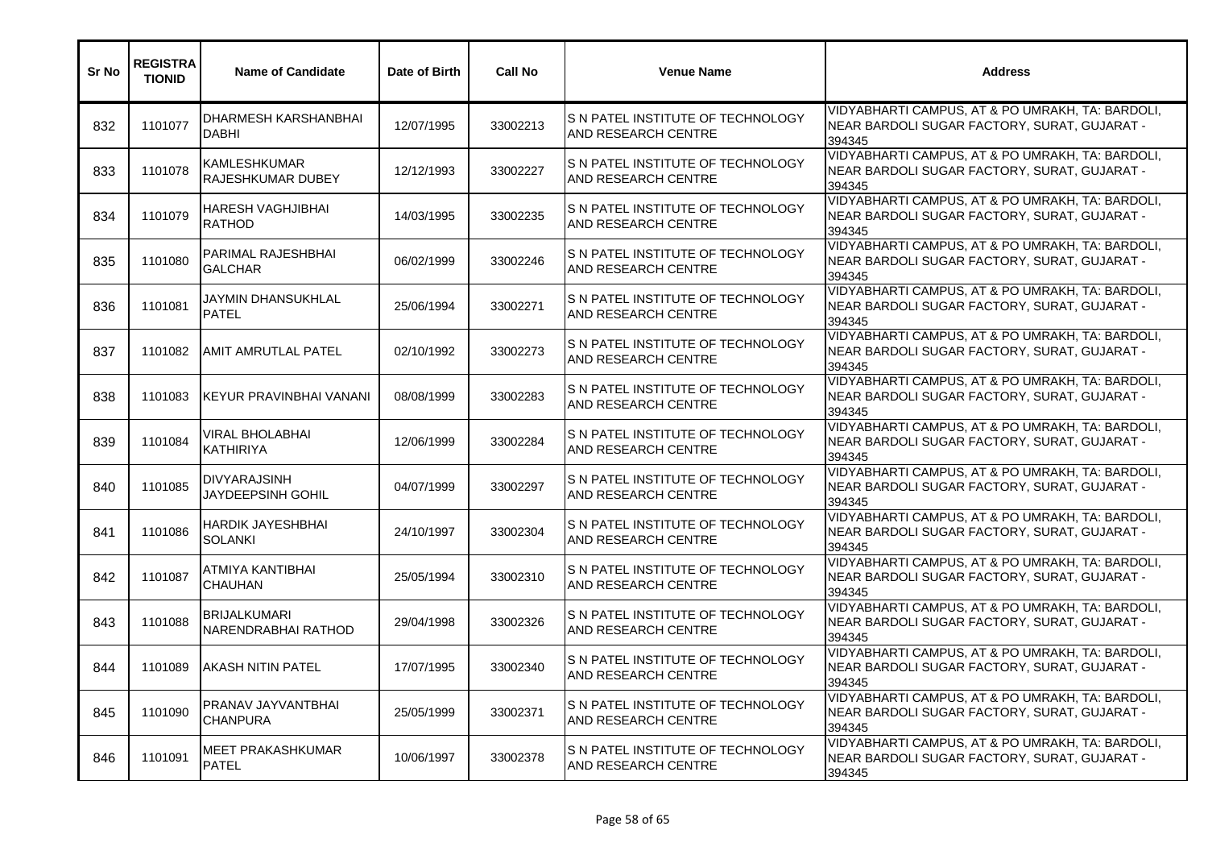| <b>Sr No</b> | <b>REGISTRA</b><br><b>TIONID</b> | <b>Name of Candidate</b>                    | Date of Birth | <b>Call No</b> | <b>Venue Name</b>                                                 | <b>Address</b>                                                                                             |
|--------------|----------------------------------|---------------------------------------------|---------------|----------------|-------------------------------------------------------------------|------------------------------------------------------------------------------------------------------------|
| 832          | 1101077                          | DHARMESH KARSHANBHAI<br><b>DABHI</b>        | 12/07/1995    | 33002213       | S N PATEL INSTITUTE OF TECHNOLOGY<br><b>AND RESEARCH CENTRE</b>   | VIDYABHARTI CAMPUS, AT & PO UMRAKH, TA: BARDOLI,<br>NEAR BARDOLI SUGAR FACTORY, SURAT, GUJARAT -<br>394345 |
| 833          | 1101078                          | KAMLESHKUMAR<br>RAJESHKUMAR DUBEY           | 12/12/1993    | 33002227       | IS N PATEL INSTITUTE OF TECHNOLOGY<br>AND RESEARCH CENTRE         | VIDYABHARTI CAMPUS, AT & PO UMRAKH, TA: BARDOLI,<br>NEAR BARDOLI SUGAR FACTORY, SURAT, GUJARAT -<br>394345 |
| 834          | 1101079                          | <b>HARESH VAGHJIBHAI</b><br><b>RATHOD</b>   | 14/03/1995    | 33002235       | IS N PATEL INSTITUTE OF TECHNOLOGY<br><b>JAND RESEARCH CENTRE</b> | VIDYABHARTI CAMPUS, AT & PO UMRAKH, TA: BARDOLI,<br>NEAR BARDOLI SUGAR FACTORY, SURAT, GUJARAT -<br>394345 |
| 835          | 1101080                          | <b>PARIMAL RAJESHBHAI</b><br><b>GALCHAR</b> | 06/02/1999    | 33002246       | S N PATEL INSTITUTE OF TECHNOLOGY<br><b>AND RESEARCH CENTRE</b>   | VIDYABHARTI CAMPUS, AT & PO UMRAKH, TA: BARDOLI,<br>NEAR BARDOLI SUGAR FACTORY, SURAT, GUJARAT -<br>394345 |
| 836          | 1101081                          | JAYMIN DHANSUKHLAL<br><b>PATEL</b>          | 25/06/1994    | 33002271       | IS N PATEL INSTITUTE OF TECHNOLOGY<br>AND RESEARCH CENTRE         | VIDYABHARTI CAMPUS, AT & PO UMRAKH, TA: BARDOLI,<br>NEAR BARDOLI SUGAR FACTORY, SURAT, GUJARAT -<br>394345 |
| 837          | 1101082                          | <b>AMIT AMRUTLAL PATEL</b>                  | 02/10/1992    | 33002273       | IS N PATEL INSTITUTE OF TECHNOLOGY<br>AND RESEARCH CENTRE         | VIDYABHARTI CAMPUS, AT & PO UMRAKH, TA: BARDOLI,<br>NEAR BARDOLI SUGAR FACTORY, SURAT, GUJARAT -<br>394345 |
| 838          | 1101083                          | <b>IKEYUR PRAVINBHAI VANANI</b>             | 08/08/1999    | 33002283       | S N PATEL INSTITUTE OF TECHNOLOGY<br><b>AND RESEARCH CENTRE</b>   | VIDYABHARTI CAMPUS, AT & PO UMRAKH, TA: BARDOLI,<br>NEAR BARDOLI SUGAR FACTORY, SURAT, GUJARAT -<br>394345 |
| 839          | 1101084                          | <b>VIRAL BHOLABHAI</b><br><b>KATHIRIYA</b>  | 12/06/1999    | 33002284       | S N PATEL INSTITUTE OF TECHNOLOGY<br><b>AND RESEARCH CENTRE</b>   | VIDYABHARTI CAMPUS, AT & PO UMRAKH, TA: BARDOLI,<br>NEAR BARDOLI SUGAR FACTORY, SURAT, GUJARAT -<br>394345 |
| 840          | 1101085                          | <b>DIVYARAJSINH</b><br>JAYDEEPSINH GOHIL    | 04/07/1999    | 33002297       | S N PATEL INSTITUTE OF TECHNOLOGY<br><b>AND RESEARCH CENTRE</b>   | VIDYABHARTI CAMPUS, AT & PO UMRAKH, TA: BARDOLI,<br>NEAR BARDOLI SUGAR FACTORY, SURAT, GUJARAT -<br>394345 |
| 841          | 1101086                          | <b>HARDIK JAYESHBHAI</b><br><b>SOLANKI</b>  | 24/10/1997    | 33002304       | S N PATEL INSTITUTE OF TECHNOLOGY<br><b>AND RESEARCH CENTRE</b>   | VIDYABHARTI CAMPUS, AT & PO UMRAKH, TA: BARDOLI,<br>NEAR BARDOLI SUGAR FACTORY, SURAT, GUJARAT -<br>394345 |
| 842          | 1101087                          | ATMIYA KANTIBHAI<br><b>CHAUHAN</b>          | 25/05/1994    | 33002310       | S N PATEL INSTITUTE OF TECHNOLOGY<br>AND RESEARCH CENTRE          | VIDYABHARTI CAMPUS, AT & PO UMRAKH, TA: BARDOLI,<br>NEAR BARDOLI SUGAR FACTORY, SURAT, GUJARAT -<br>394345 |
| 843          | 1101088                          | <b>BRIJALKUMARI</b><br>NARENDRABHAI RATHOD  | 29/04/1998    | 33002326       | IS N PATEL INSTITUTE OF TECHNOLOGY<br><b>AND RESEARCH CENTRE</b>  | VIDYABHARTI CAMPUS, AT & PO UMRAKH, TA: BARDOLI,<br>NEAR BARDOLI SUGAR FACTORY, SURAT, GUJARAT -<br>394345 |
| 844          | 1101089                          | <b>AKASH NITIN PATEL</b>                    | 17/07/1995    | 33002340       | IS N PATEL INSTITUTE OF TECHNOLOGY<br><b>AND RESEARCH CENTRE</b>  | VIDYABHARTI CAMPUS, AT & PO UMRAKH, TA: BARDOLI,<br>NEAR BARDOLI SUGAR FACTORY, SURAT, GUJARAT -<br>394345 |
| 845          | 1101090                          | PRANAV JAYVANTBHAI<br><b>CHANPURA</b>       | 25/05/1999    | 33002371       | S N PATEL INSTITUTE OF TECHNOLOGY<br><b>AND RESEARCH CENTRE</b>   | VIDYABHARTI CAMPUS, AT & PO UMRAKH, TA: BARDOLI,<br>NEAR BARDOLI SUGAR FACTORY, SURAT, GUJARAT -<br>394345 |
| 846          | 1101091                          | <b>MEET PRAKASHKUMAR</b><br><b>PATEL</b>    | 10/06/1997    | 33002378       | IS N PATEL INSTITUTE OF TECHNOLOGY<br>AND RESEARCH CENTRE         | VIDYABHARTI CAMPUS, AT & PO UMRAKH, TA: BARDOLI,<br>NEAR BARDOLI SUGAR FACTORY, SURAT, GUJARAT -<br>394345 |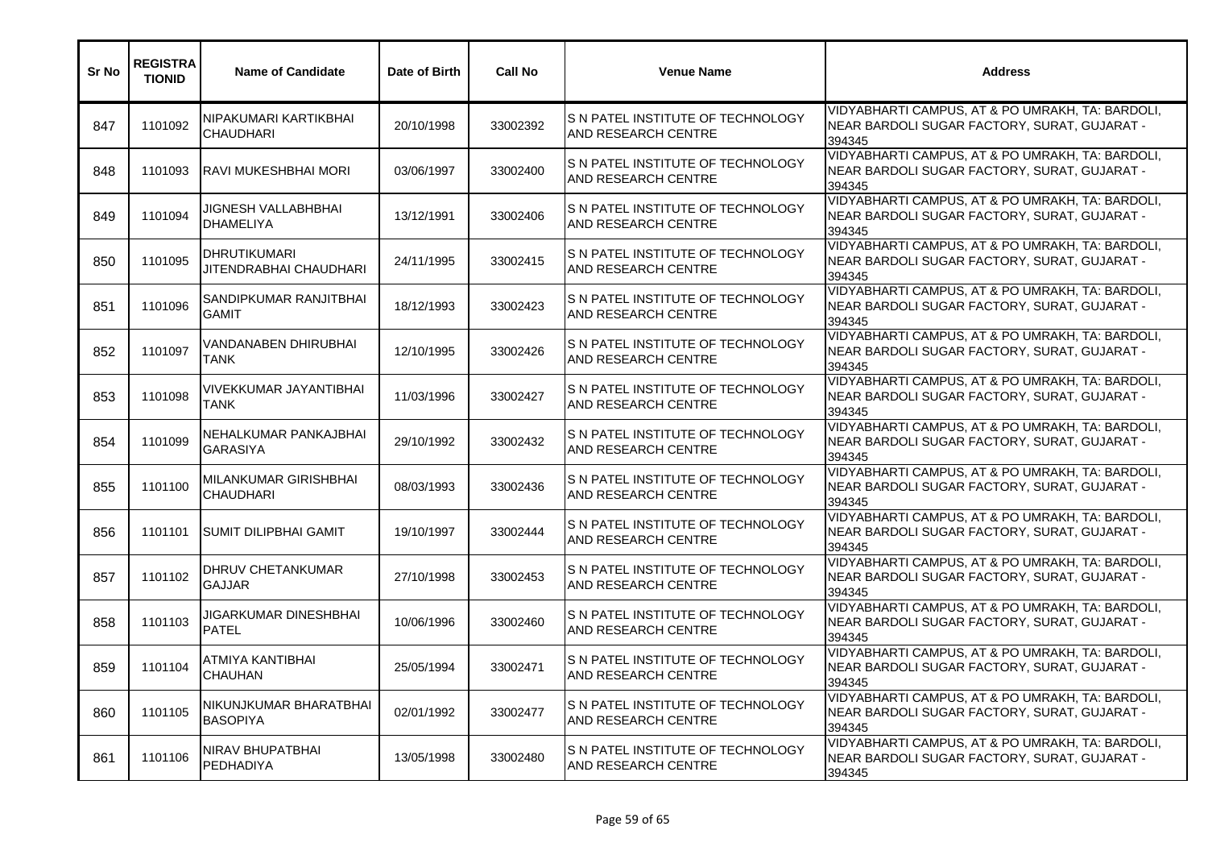| <b>Sr No</b> | <b>REGISTRA</b><br><b>TIONID</b> | <b>Name of Candidate</b>                      | Date of Birth | <b>Call No</b> | <b>Venue Name</b>                                                      | <b>Address</b>                                                                                             |
|--------------|----------------------------------|-----------------------------------------------|---------------|----------------|------------------------------------------------------------------------|------------------------------------------------------------------------------------------------------------|
| 847          | 1101092                          | NIPAKUMARI KARTIKBHAI<br><b>CHAUDHARI</b>     | 20/10/1998    | 33002392       | S N PATEL INSTITUTE OF TECHNOLOGY<br><b>AND RESEARCH CENTRE</b>        | VIDYABHARTI CAMPUS, AT & PO UMRAKH, TA: BARDOLI,<br>NEAR BARDOLI SUGAR FACTORY, SURAT, GUJARAT -<br>394345 |
| 848          | 1101093                          | RAVI MUKESHBHAI MORI                          | 03/06/1997    | 33002400       | IS N PATEL INSTITUTE OF TECHNOLOGY<br>AND RESEARCH CENTRE              | VIDYABHARTI CAMPUS, AT & PO UMRAKH, TA: BARDOLI,<br>NEAR BARDOLI SUGAR FACTORY, SURAT, GUJARAT -<br>394345 |
| 849          | 1101094                          | JIGNESH VALLABHBHAI<br><b>DHAMELIYA</b>       | 13/12/1991    | 33002406       | IS N PATEL INSTITUTE OF TECHNOLOGY<br><b>JAND RESEARCH CENTRE</b>      | VIDYABHARTI CAMPUS, AT & PO UMRAKH, TA: BARDOLI,<br>NEAR BARDOLI SUGAR FACTORY, SURAT, GUJARAT -<br>394345 |
| 850          | 1101095                          | <b>DHRUTIKUMARI</b><br>JITENDRABHAI CHAUDHARI | 24/11/1995    | 33002415       | S N PATEL INSTITUTE OF TECHNOLOGY<br><b>AND RESEARCH CENTRE</b>        | VIDYABHARTI CAMPUS, AT & PO UMRAKH, TA: BARDOLI,<br>NEAR BARDOLI SUGAR FACTORY, SURAT, GUJARAT -<br>394345 |
| 851          | 1101096                          | SANDIPKUMAR RANJITBHAI<br><b>GAMIT</b>        | 18/12/1993    | 33002423       | IS N PATEL INSTITUTE OF TECHNOLOGY<br><b>JAND RESEARCH CENTRE</b>      | VIDYABHARTI CAMPUS, AT & PO UMRAKH, TA: BARDOLI,<br>NEAR BARDOLI SUGAR FACTORY, SURAT, GUJARAT -<br>394345 |
| 852          | 1101097                          | VANDANABEN DHIRUBHAI<br>TANK                  | 12/10/1995    | 33002426       | S N PATEL INSTITUTE OF TECHNOLOGY<br>AND RESEARCH CENTRE               | VIDYABHARTI CAMPUS, AT & PO UMRAKH, TA: BARDOLI,<br>NEAR BARDOLI SUGAR FACTORY, SURAT, GUJARAT -<br>394345 |
| 853          | 1101098                          | VIVEKKUMAR JAYANTIBHAI<br><b>TANK</b>         | 11/03/1996    | 33002427       | S N PATEL INSTITUTE OF TECHNOLOGY<br><b>AND RESEARCH CENTRE</b>        | VIDYABHARTI CAMPUS, AT & PO UMRAKH, TA: BARDOLI,<br>NEAR BARDOLI SUGAR FACTORY, SURAT, GUJARAT -<br>394345 |
| 854          | 1101099                          | NEHALKUMAR PANKAJBHAI<br><b>GARASIYA</b>      | 29/10/1992    | 33002432       | S N PATEL INSTITUTE OF TECHNOLOGY<br><b>AND RESEARCH CENTRE</b>        | VIDYABHARTI CAMPUS, AT & PO UMRAKH, TA: BARDOLI,<br>NEAR BARDOLI SUGAR FACTORY, SURAT, GUJARAT -<br>394345 |
| 855          | 1101100                          | MILANKUMAR GIRISHBHAI<br><b>CHAUDHARI</b>     | 08/03/1993    | 33002436       | S N PATEL INSTITUTE OF TECHNOLOGY<br>AND RESEARCH CENTRE               | VIDYABHARTI CAMPUS, AT & PO UMRAKH, TA: BARDOLI,<br>NEAR BARDOLI SUGAR FACTORY, SURAT, GUJARAT -<br>394345 |
| 856          | 1101101                          | SUMIT DILIPBHAI GAMIT                         | 19/10/1997    | 33002444       | S N PATEL INSTITUTE OF TECHNOLOGY<br>AND RESEARCH CENTRE               | VIDYABHARTI CAMPUS, AT & PO UMRAKH, TA: BARDOLI,<br>NEAR BARDOLI SUGAR FACTORY, SURAT, GUJARAT -<br>394345 |
| 857          | 1101102                          | DHRUV CHETANKUMAR<br><b>GAJJAR</b>            | 27/10/1998    | 33002453       | S N PATEL INSTITUTE OF TECHNOLOGY<br><b>AND RESEARCH CENTRE</b>        | VIDYABHARTI CAMPUS, AT & PO UMRAKH, TA: BARDOLI,<br>NEAR BARDOLI SUGAR FACTORY, SURAT, GUJARAT -<br>394345 |
| 858          | 1101103                          | JIGARKUMAR DINESHBHAI<br><b>PATEL</b>         | 10/06/1996    | 33002460       | S N PATEL INSTITUTE OF TECHNOLOGY<br><b>AND RESEARCH CENTRE</b>        | VIDYABHARTI CAMPUS, AT & PO UMRAKH, TA: BARDOLI,<br>NEAR BARDOLI SUGAR FACTORY, SURAT, GUJARAT -<br>394345 |
| 859          | 1101104                          | ATMIYA KANTIBHAI<br><b>CHAUHAN</b>            | 25/05/1994    | 33002471       | IS N PATEL INSTITUTE OF TECHNOLOGY<br><b>AND RESEARCH CENTRE</b>       | VIDYABHARTI CAMPUS, AT & PO UMRAKH, TA: BARDOLI,<br>NEAR BARDOLI SUGAR FACTORY, SURAT, GUJARAT -<br>394345 |
| 860          | 1101105                          | NIKUNJKUMAR BHARATBHAI<br><b>BASOPIYA</b>     | 02/01/1992    | 33002477       | S N PATEL INSTITUTE OF TECHNOLOGY<br><b>AND RESEARCH CENTRE</b>        | VIDYABHARTI CAMPUS, AT & PO UMRAKH, TA: BARDOLI,<br>NEAR BARDOLI SUGAR FACTORY, SURAT, GUJARAT -<br>394345 |
| 861          | 1101106                          | NIRAV BHUPATBHAI<br><b>PEDHADIYA</b>          | 13/05/1998    | 33002480       | <b>S N PATEL INSTITUTE OF TECHNOLOGY</b><br><b>AND RESEARCH CENTRE</b> | VIDYABHARTI CAMPUS, AT & PO UMRAKH, TA: BARDOLI,<br>NEAR BARDOLI SUGAR FACTORY, SURAT, GUJARAT -<br>394345 |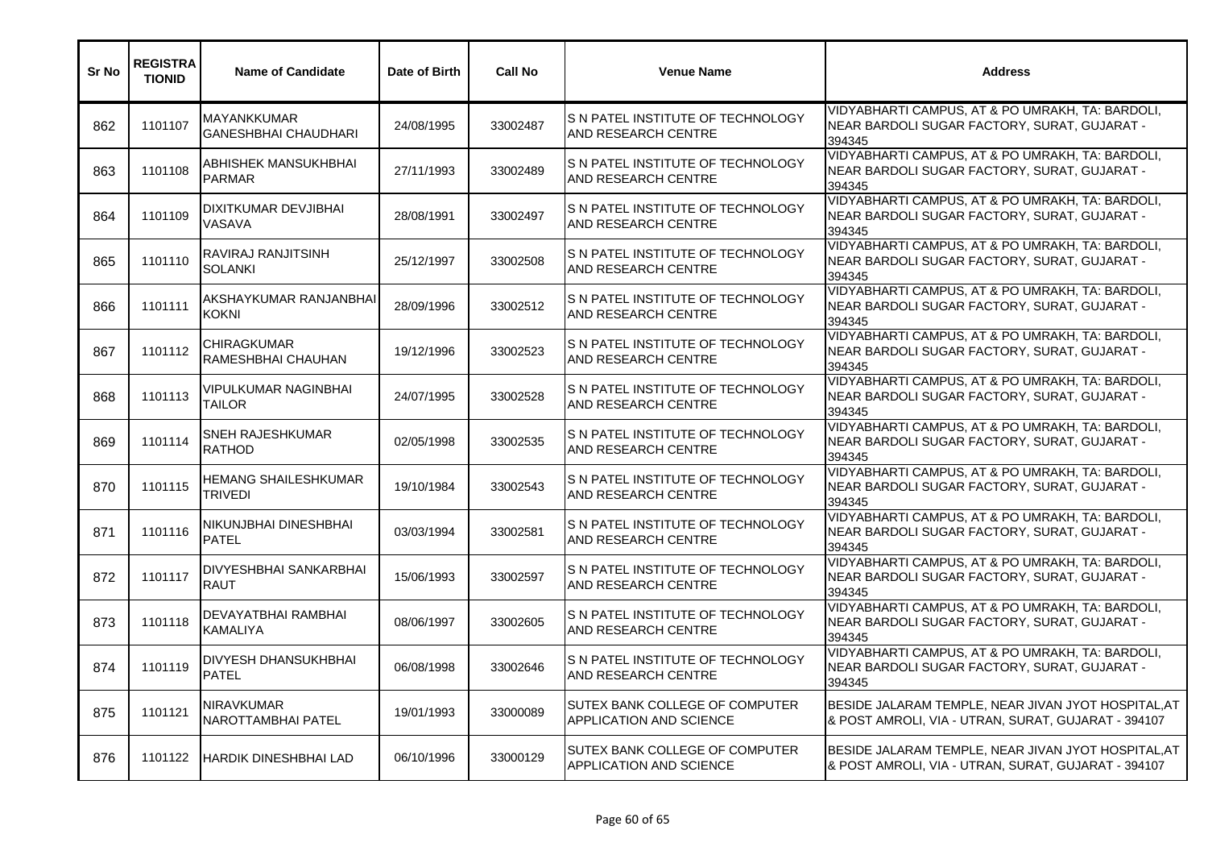| Sr No | <b>REGISTRA</b><br><b>TIONID</b> | <b>Name of Candidate</b>                     | Date of Birth | <b>Call No</b> | <b>Venue Name</b>                                                       | <b>Address</b>                                                                                             |
|-------|----------------------------------|----------------------------------------------|---------------|----------------|-------------------------------------------------------------------------|------------------------------------------------------------------------------------------------------------|
| 862   | 1101107                          | MAYANKKUMAR<br><b>GANESHBHAI CHAUDHARI</b>   | 24/08/1995    | 33002487       | S N PATEL INSTITUTE OF TECHNOLOGY<br><b>AND RESEARCH CENTRE</b>         | VIDYABHARTI CAMPUS, AT & PO UMRAKH, TA: BARDOLI,<br>NEAR BARDOLI SUGAR FACTORY, SURAT, GUJARAT -<br>394345 |
| 863   | 1101108                          | ABHISHEK MANSUKHBHAI<br><b>PARMAR</b>        | 27/11/1993    | 33002489       | S N PATEL INSTITUTE OF TECHNOLOGY<br><b>AND RESEARCH CENTRE</b>         | VIDYABHARTI CAMPUS, AT & PO UMRAKH, TA: BARDOLI,<br>NEAR BARDOLI SUGAR FACTORY, SURAT, GUJARAT -<br>394345 |
| 864   | 1101109                          | DIXITKUMAR DEVJIBHAI<br><b>VASAVA</b>        | 28/08/1991    | 33002497       | S N PATEL INSTITUTE OF TECHNOLOGY<br>AND RESEARCH CENTRE                | VIDYABHARTI CAMPUS, AT & PO UMRAKH, TA: BARDOLI,<br>NEAR BARDOLI SUGAR FACTORY, SURAT, GUJARAT -<br>394345 |
| 865   | 1101110                          | RAVIRAJ RANJITSINH<br>SOLANKI                | 25/12/1997    | 33002508       | S N PATEL INSTITUTE OF TECHNOLOGY<br><b>AND RESEARCH CENTRE</b>         | VIDYABHARTI CAMPUS, AT & PO UMRAKH, TA: BARDOLI,<br>NEAR BARDOLI SUGAR FACTORY, SURAT, GUJARAT -<br>394345 |
| 866   | 1101111                          | AKSHAYKUMAR RANJANBHAI<br><b>KOKNI</b>       | 28/09/1996    | 33002512       | S N PATEL INSTITUTE OF TECHNOLOGY<br><b>AND RESEARCH CENTRE</b>         | VIDYABHARTI CAMPUS, AT & PO UMRAKH, TA: BARDOLI,<br>NEAR BARDOLI SUGAR FACTORY, SURAT, GUJARAT -<br>394345 |
| 867   | 1101112                          | <b>CHIRAGKUMAR</b><br>RAMESHBHAI CHAUHAN     | 19/12/1996    | 33002523       | S N PATEL INSTITUTE OF TECHNOLOGY<br><b>AND RESEARCH CENTRE</b>         | VIDYABHARTI CAMPUS, AT & PO UMRAKH, TA: BARDOLI,<br>NEAR BARDOLI SUGAR FACTORY, SURAT, GUJARAT -<br>394345 |
| 868   | 1101113                          | VIPULKUMAR NAGINBHAI<br><b>TAILOR</b>        | 24/07/1995    | 33002528       | S N PATEL INSTITUTE OF TECHNOLOGY<br><b>AND RESEARCH CENTRE</b>         | VIDYABHARTI CAMPUS, AT & PO UMRAKH, TA: BARDOLI,<br>NEAR BARDOLI SUGAR FACTORY, SURAT, GUJARAT -<br>394345 |
| 869   | 1101114                          | SNEH RAJESHKUMAR<br><b>RATHOD</b>            | 02/05/1998    | 33002535       | S N PATEL INSTITUTE OF TECHNOLOGY<br><b>AND RESEARCH CENTRE</b>         | VIDYABHARTI CAMPUS, AT & PO UMRAKH, TA: BARDOLI,<br>NEAR BARDOLI SUGAR FACTORY, SURAT, GUJARAT -<br>394345 |
| 870   | 1101115                          | <b>HEMANG SHAILESHKUMAR</b><br>TRIVEDI       | 19/10/1984    | 33002543       | S N PATEL INSTITUTE OF TECHNOLOGY<br>AND RESEARCH CENTRE                | VIDYABHARTI CAMPUS, AT & PO UMRAKH, TA: BARDOLI,<br>NEAR BARDOLI SUGAR FACTORY, SURAT, GUJARAT -<br>394345 |
| 871   | 1101116                          | NIKUNJBHAI DINESHBHAI<br><b>PATEL</b>        | 03/03/1994    | 33002581       | S N PATEL INSTITUTE OF TECHNOLOGY<br>AND RESEARCH CENTRE                | VIDYABHARTI CAMPUS, AT & PO UMRAKH, TA: BARDOLI,<br>NEAR BARDOLI SUGAR FACTORY, SURAT, GUJARAT -<br>394345 |
| 872   | 1101117                          | <b>DIVYESHBHAI SANKARBHAI</b><br><b>RAUT</b> | 15/06/1993    | 33002597       | S N PATEL INSTITUTE OF TECHNOLOGY<br>AND RESEARCH CENTRE                | VIDYABHARTI CAMPUS, AT & PO UMRAKH, TA: BARDOLI,<br>NEAR BARDOLI SUGAR FACTORY, SURAT, GUJARAT -<br>394345 |
| 873   | 1101118                          | DEVAYATBHAI RAMBHAI<br><b>KAMALIYA</b>       | 08/06/1997    | 33002605       | IS N PATEL INSTITUTE OF TECHNOLOGY<br><b>AND RESEARCH CENTRE</b>        | VIDYABHARTI CAMPUS. AT & PO UMRAKH. TA: BARDOLI.<br>NEAR BARDOLI SUGAR FACTORY, SURAT, GUJARAT -<br>394345 |
| 874   | 1101119                          | <b>DIVYESH DHANSUKHBHAI</b><br><b>PATEL</b>  | 06/08/1998    | 33002646       | S N PATEL INSTITUTE OF TECHNOLOGY<br><b>AND RESEARCH CENTRE</b>         | VIDYABHARTI CAMPUS, AT & PO UMRAKH, TA: BARDOLI,<br>NEAR BARDOLI SUGAR FACTORY, SURAT, GUJARAT -<br>394345 |
| 875   | 1101121                          | <b>NIRAVKUMAR</b><br>NAROTTAMBHAI PATEL      | 19/01/1993    | 33000089       | SUTEX BANK COLLEGE OF COMPUTER<br><b>APPLICATION AND SCIENCE</b>        | BESIDE JALARAM TEMPLE, NEAR JIVAN JYOT HOSPITAL,AT<br>& POST AMROLI, VIA - UTRAN, SURAT, GUJARAT - 394107  |
| 876   | 1101122                          | <b>HARDIK DINESHBHAI LAD</b>                 | 06/10/1996    | 33000129       | <b>SUTEX BANK COLLEGE OF COMPUTER</b><br><b>APPLICATION AND SCIENCE</b> | BESIDE JALARAM TEMPLE, NEAR JIVAN JYOT HOSPITAL,AT<br>& POST AMROLI, VIA - UTRAN, SURAT, GUJARAT - 394107  |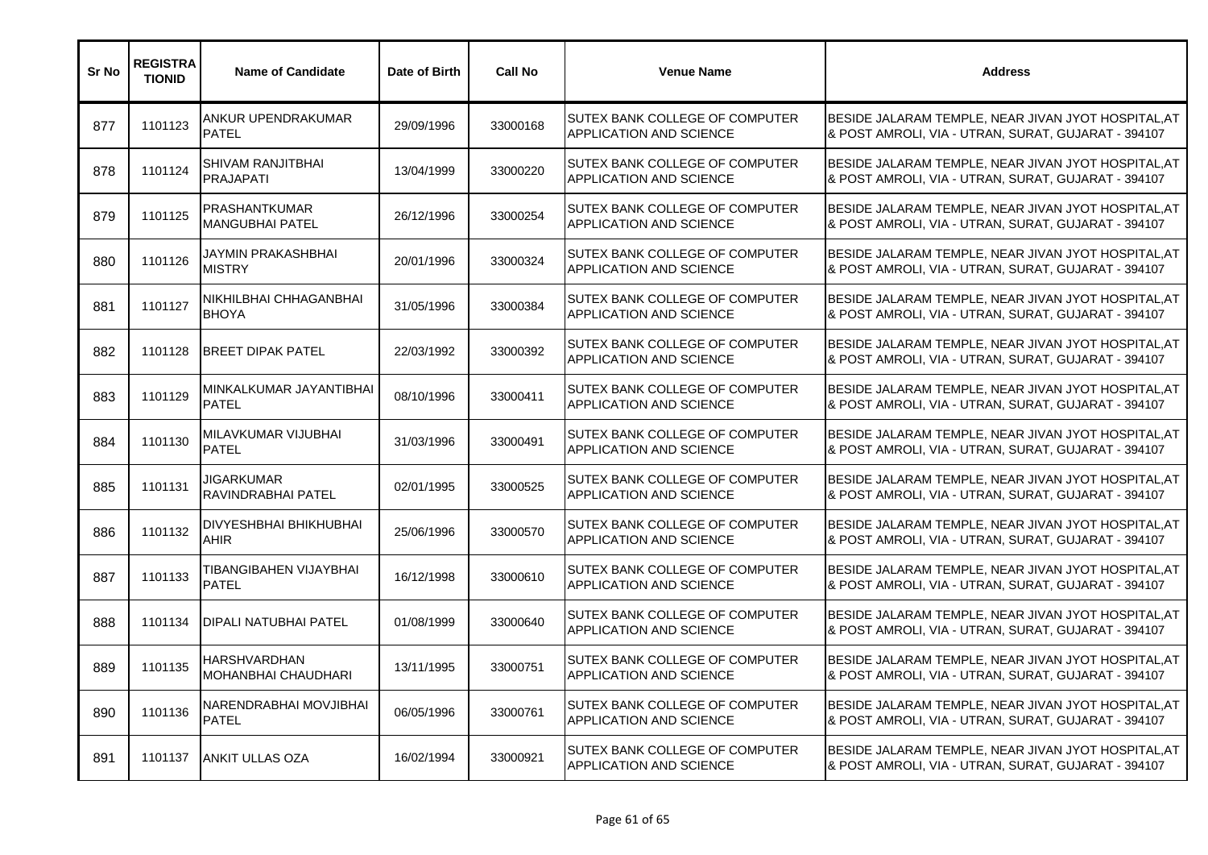| Sr No | <b>REGISTRA</b><br><b>TIONID</b> | <b>Name of Candidate</b>                     | Date of Birth | <b>Call No</b> | <b>Venue Name</b>                                                | <b>Address</b>                                                                                             |
|-------|----------------------------------|----------------------------------------------|---------------|----------------|------------------------------------------------------------------|------------------------------------------------------------------------------------------------------------|
| 877   | 1101123                          | ANKUR UPENDRAKUMAR<br><b>PATEL</b>           | 29/09/1996    | 33000168       | SUTEX BANK COLLEGE OF COMPUTER<br>APPLICATION AND SCIENCE        | BESIDE JALARAM TEMPLE, NEAR JIVAN JYOT HOSPITAL, AT<br>& POST AMROLI, VIA - UTRAN, SURAT, GUJARAT - 394107 |
| 878   | 1101124                          | SHIVAM RANJITBHAI<br><b>PRAJAPATI</b>        | 13/04/1999    | 33000220       | SUTEX BANK COLLEGE OF COMPUTER<br>APPLICATION AND SCIENCE        | BESIDE JALARAM TEMPLE, NEAR JIVAN JYOT HOSPITAL, AT<br>& POST AMROLI, VIA - UTRAN, SURAT, GUJARAT - 394107 |
| 879   | 1101125                          | PRASHANTKUMAR<br><b>MANGUBHAI PATEL</b>      | 26/12/1996    | 33000254       | SUTEX BANK COLLEGE OF COMPUTER<br>APPLICATION AND SCIENCE        | BESIDE JALARAM TEMPLE, NEAR JIVAN JYOT HOSPITAL, AT<br>& POST AMROLI, VIA - UTRAN, SURAT, GUJARAT - 394107 |
| 880   | 1101126                          | JAYMIN PRAKASHBHAI<br><b>MISTRY</b>          | 20/01/1996    | 33000324       | SUTEX BANK COLLEGE OF COMPUTER<br>APPLICATION AND SCIENCE        | BESIDE JALARAM TEMPLE, NEAR JIVAN JYOT HOSPITAL, AT<br>& POST AMROLI, VIA - UTRAN, SURAT, GUJARAT - 394107 |
| 881   | 1101127                          | NIKHILBHAI CHHAGANBHAI<br><b>BHOYA</b>       | 31/05/1996    | 33000384       | SUTEX BANK COLLEGE OF COMPUTER<br>APPLICATION AND SCIENCE        | BESIDE JALARAM TEMPLE, NEAR JIVAN JYOT HOSPITAL, AT<br>& POST AMROLI, VIA - UTRAN, SURAT, GUJARAT - 394107 |
| 882   | 1101128                          | <b>BREET DIPAK PATEL</b>                     | 22/03/1992    | 33000392       | SUTEX BANK COLLEGE OF COMPUTER<br>APPLICATION AND SCIENCE        | BESIDE JALARAM TEMPLE, NEAR JIVAN JYOT HOSPITAL, AT<br>& POST AMROLI, VIA - UTRAN, SURAT, GUJARAT - 394107 |
| 883   | 1101129                          | MINKALKUMAR JAYANTIBHAI<br><b>PATEL</b>      | 08/10/1996    | 33000411       | SUTEX BANK COLLEGE OF COMPUTER<br>APPLICATION AND SCIENCE        | BESIDE JALARAM TEMPLE, NEAR JIVAN JYOT HOSPITAL, AT<br>& POST AMROLI, VIA - UTRAN, SURAT, GUJARAT - 394107 |
| 884   | 1101130                          | MILAVKUMAR VIJUBHAI<br><b>PATEL</b>          | 31/03/1996    | 33000491       | SUTEX BANK COLLEGE OF COMPUTER<br>APPLICATION AND SCIENCE        | BESIDE JALARAM TEMPLE, NEAR JIVAN JYOT HOSPITAL, AT<br>& POST AMROLI, VIA - UTRAN, SURAT, GUJARAT - 394107 |
| 885   | 1101131                          | JIGARKUMAR<br>RAVINDRABHAI PATEL             | 02/01/1995    | 33000525       | SUTEX BANK COLLEGE OF COMPUTER<br>APPLICATION AND SCIENCE        | BESIDE JALARAM TEMPLE, NEAR JIVAN JYOT HOSPITAL, AT<br>& POST AMROLI, VIA - UTRAN, SURAT, GUJARAT - 394107 |
| 886   | 1101132                          | <b>DIVYESHBHAI BHIKHUBHAI</b><br><b>AHIR</b> | 25/06/1996    | 33000570       | SUTEX BANK COLLEGE OF COMPUTER<br>APPLICATION AND SCIENCE        | BESIDE JALARAM TEMPLE, NEAR JIVAN JYOT HOSPITAL, AT<br>& POST AMROLI, VIA - UTRAN, SURAT, GUJARAT - 394107 |
| 887   | 1101133                          | TIBANGIBAHEN VIJAYBHAI<br><b>PATEL</b>       | 16/12/1998    | 33000610       | SUTEX BANK COLLEGE OF COMPUTER<br>APPLICATION AND SCIENCE        | BESIDE JALARAM TEMPLE, NEAR JIVAN JYOT HOSPITAL, AT<br>& POST AMROLI, VIA - UTRAN, SURAT, GUJARAT - 394107 |
| 888   | 1101134                          | <b>DIPALI NATUBHAI PATEL</b>                 | 01/08/1999    | 33000640       | SUTEX BANK COLLEGE OF COMPUTER<br>APPLICATION AND SCIENCE        | BESIDE JALARAM TEMPLE, NEAR JIVAN JYOT HOSPITAL, AT<br>& POST AMROLI, VIA - UTRAN, SURAT, GUJARAT - 394107 |
| 889   | 1101135                          | <b>HARSHVARDHAN</b><br>MOHANBHAI CHAUDHARI   | 13/11/1995    | 33000751       | SUTEX BANK COLLEGE OF COMPUTER<br>APPLICATION AND SCIENCE        | BESIDE JALARAM TEMPLE, NEAR JIVAN JYOT HOSPITAL, AT<br>& POST AMROLI, VIA - UTRAN, SURAT, GUJARAT - 394107 |
| 890   | 1101136                          | NARENDRABHAI MOVJIBHAI<br><b>PATEL</b>       | 06/05/1996    | 33000761       | SUTEX BANK COLLEGE OF COMPUTER<br>APPLICATION AND SCIENCE        | BESIDE JALARAM TEMPLE, NEAR JIVAN JYOT HOSPITAL, AT<br>& POST AMROLI, VIA - UTRAN, SURAT, GUJARAT - 394107 |
| 891   | 1101137                          | <b>ANKIT ULLAS OZA</b>                       | 16/02/1994    | 33000921       | <b>SUTEX BANK COLLEGE OF COMPUTER</b><br>APPLICATION AND SCIENCE | BESIDE JALARAM TEMPLE, NEAR JIVAN JYOT HOSPITAL, AT<br>& POST AMROLI, VIA - UTRAN, SURAT, GUJARAT - 394107 |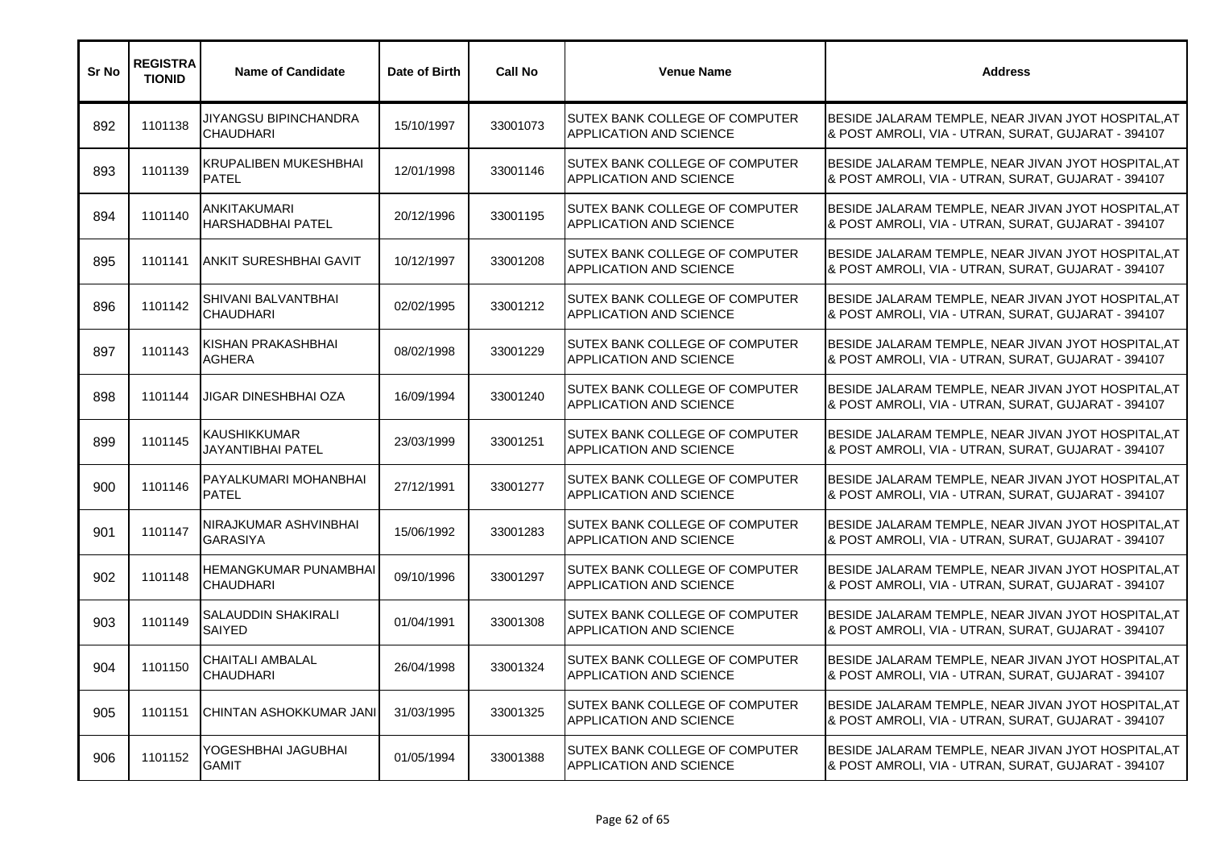| Sr No | <b>REGISTRA</b><br><b>TIONID</b> | <b>Name of Candidate</b>                     | Date of Birth | <b>Call No</b> | <b>Venue Name</b>                                                | <b>Address</b>                                                                                             |
|-------|----------------------------------|----------------------------------------------|---------------|----------------|------------------------------------------------------------------|------------------------------------------------------------------------------------------------------------|
| 892   | 1101138                          | JIYANGSU BIPINCHANDRA<br><b>CHAUDHARI</b>    | 15/10/1997    | 33001073       | SUTEX BANK COLLEGE OF COMPUTER<br>APPLICATION AND SCIENCE        | BESIDE JALARAM TEMPLE, NEAR JIVAN JYOT HOSPITAL, AT<br>& POST AMROLI, VIA - UTRAN, SURAT, GUJARAT - 394107 |
| 893   | 1101139                          | <b>KRUPALIBEN MUKESHBHAI</b><br><b>PATEL</b> | 12/01/1998    | 33001146       | SUTEX BANK COLLEGE OF COMPUTER<br>APPLICATION AND SCIENCE        | BESIDE JALARAM TEMPLE, NEAR JIVAN JYOT HOSPITAL, AT<br>& POST AMROLI, VIA - UTRAN, SURAT, GUJARAT - 394107 |
| 894   | 1101140                          | ANKITAKUMARI<br><b>HARSHADBHAI PATEL</b>     | 20/12/1996    | 33001195       | SUTEX BANK COLLEGE OF COMPUTER<br>APPLICATION AND SCIENCE        | BESIDE JALARAM TEMPLE, NEAR JIVAN JYOT HOSPITAL, AT<br>& POST AMROLI, VIA - UTRAN, SURAT, GUJARAT - 394107 |
| 895   | 1101141                          | <b>ANKIT SURESHBHAI GAVIT</b>                | 10/12/1997    | 33001208       | SUTEX BANK COLLEGE OF COMPUTER<br>APPLICATION AND SCIENCE        | BESIDE JALARAM TEMPLE, NEAR JIVAN JYOT HOSPITAL, AT<br>& POST AMROLI, VIA - UTRAN, SURAT, GUJARAT - 394107 |
| 896   | 1101142                          | SHIVANI BALVANTBHAI<br><b>CHAUDHARI</b>      | 02/02/1995    | 33001212       | SUTEX BANK COLLEGE OF COMPUTER<br>APPLICATION AND SCIENCE        | BESIDE JALARAM TEMPLE, NEAR JIVAN JYOT HOSPITAL, AT<br>& POST AMROLI, VIA - UTRAN, SURAT, GUJARAT - 394107 |
| 897   | 1101143                          | KISHAN PRAKASHBHAI<br>AGHERA                 | 08/02/1998    | 33001229       | SUTEX BANK COLLEGE OF COMPUTER<br><b>APPLICATION AND SCIENCE</b> | BESIDE JALARAM TEMPLE, NEAR JIVAN JYOT HOSPITAL, AT<br>& POST AMROLI, VIA - UTRAN, SURAT, GUJARAT - 394107 |
| 898   | 1101144                          | JIGAR DINESHBHAI OZA                         | 16/09/1994    | 33001240       | SUTEX BANK COLLEGE OF COMPUTER<br><b>APPLICATION AND SCIENCE</b> | BESIDE JALARAM TEMPLE, NEAR JIVAN JYOT HOSPITAL, AT<br>& POST AMROLI, VIA - UTRAN, SURAT, GUJARAT - 394107 |
| 899   | 1101145                          | <b>KAUSHIKKUMAR</b><br>JAYANTIBHAI PATEL     | 23/03/1999    | 33001251       | SUTEX BANK COLLEGE OF COMPUTER<br>APPLICATION AND SCIENCE        | BESIDE JALARAM TEMPLE, NEAR JIVAN JYOT HOSPITAL, AT<br>& POST AMROLI, VIA - UTRAN, SURAT, GUJARAT - 394107 |
| 900   | 1101146                          | PAYALKUMARI MOHANBHAI<br><b>PATEL</b>        | 27/12/1991    | 33001277       | SUTEX BANK COLLEGE OF COMPUTER<br><b>APPLICATION AND SCIENCE</b> | BESIDE JALARAM TEMPLE, NEAR JIVAN JYOT HOSPITAL, AT<br>& POST AMROLI, VIA - UTRAN, SURAT, GUJARAT - 394107 |
| 901   | 1101147                          | NIRAJKUMAR ASHVINBHAI<br><b>GARASIYA</b>     | 15/06/1992    | 33001283       | SUTEX BANK COLLEGE OF COMPUTER<br><b>APPLICATION AND SCIENCE</b> | BESIDE JALARAM TEMPLE, NEAR JIVAN JYOT HOSPITAL, AT<br>& POST AMROLI, VIA - UTRAN, SURAT, GUJARAT - 394107 |
| 902   | 1101148                          | HEMANGKUMAR PUNAMBHAI<br><b>CHAUDHARI</b>    | 09/10/1996    | 33001297       | SUTEX BANK COLLEGE OF COMPUTER<br>APPLICATION AND SCIENCE        | BESIDE JALARAM TEMPLE, NEAR JIVAN JYOT HOSPITAL, AT<br>& POST AMROLI, VIA - UTRAN, SURAT, GUJARAT - 394107 |
| 903   | 1101149                          | SALAUDDIN SHAKIRALI<br>SAIYED                | 01/04/1991    | 33001308       | SUTEX BANK COLLEGE OF COMPUTER<br>APPLICATION AND SCIENCE        | BESIDE JALARAM TEMPLE, NEAR JIVAN JYOT HOSPITAL, AT<br>& POST AMROLI, VIA - UTRAN, SURAT, GUJARAT - 394107 |
| 904   | 1101150                          | <b>CHAITALI AMBALAL</b><br><b>CHAUDHARI</b>  | 26/04/1998    | 33001324       | SUTEX BANK COLLEGE OF COMPUTER<br>APPLICATION AND SCIENCE        | BESIDE JALARAM TEMPLE, NEAR JIVAN JYOT HOSPITAL, AT<br>& POST AMROLI, VIA - UTRAN, SURAT, GUJARAT - 394107 |
| 905   | 1101151                          | ICHINTAN ASHOKKUMAR JANI                     | 31/03/1995    | 33001325       | SUTEX BANK COLLEGE OF COMPUTER<br>APPLICATION AND SCIENCE        | BESIDE JALARAM TEMPLE, NEAR JIVAN JYOT HOSPITAL, AT<br>& POST AMROLI, VIA - UTRAN, SURAT, GUJARAT - 394107 |
| 906   | 1101152                          | YOGESHBHAI JAGUBHAI<br><b>GAMIT</b>          | 01/05/1994    | 33001388       | SUTEX BANK COLLEGE OF COMPUTER<br><b>APPLICATION AND SCIENCE</b> | BESIDE JALARAM TEMPLE, NEAR JIVAN JYOT HOSPITAL, AT<br>& POST AMROLI, VIA - UTRAN, SURAT, GUJARAT - 394107 |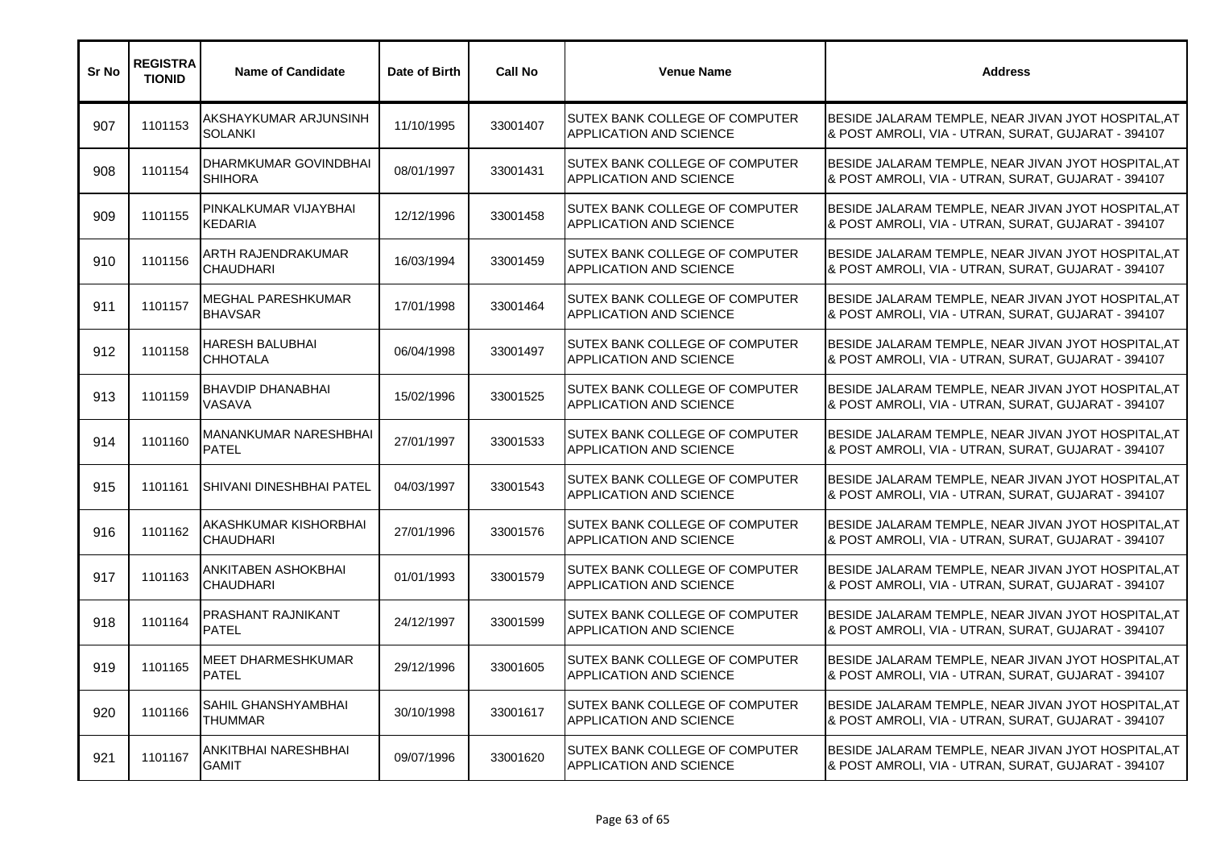| Sr No | <b>REGISTRA</b><br><b>TIONID</b> | <b>Name of Candidate</b>                     | Date of Birth | <b>Call No</b> | <b>Venue Name</b>                                                | <b>Address</b>                                                                                             |
|-------|----------------------------------|----------------------------------------------|---------------|----------------|------------------------------------------------------------------|------------------------------------------------------------------------------------------------------------|
| 907   | 1101153                          | AKSHAYKUMAR ARJUNSINH<br><b>SOLANKI</b>      | 11/10/1995    | 33001407       | SUTEX BANK COLLEGE OF COMPUTER<br><b>APPLICATION AND SCIENCE</b> | BESIDE JALARAM TEMPLE, NEAR JIVAN JYOT HOSPITAL, AT<br>& POST AMROLI, VIA - UTRAN, SURAT, GUJARAT - 394107 |
| 908   | 1101154                          | DHARMKUMAR GOVINDBHAI<br><b>SHIHORA</b>      | 08/01/1997    | 33001431       | <b>SUTEX BANK COLLEGE OF COMPUTER</b><br>APPLICATION AND SCIENCE | BESIDE JALARAM TEMPLE, NEAR JIVAN JYOT HOSPITAL, AT<br>& POST AMROLI, VIA - UTRAN, SURAT, GUJARAT - 394107 |
| 909   | 1101155                          | PINKALKUMAR VIJAYBHAI<br><b>KEDARIA</b>      | 12/12/1996    | 33001458       | SUTEX BANK COLLEGE OF COMPUTER<br><b>APPLICATION AND SCIENCE</b> | BESIDE JALARAM TEMPLE, NEAR JIVAN JYOT HOSPITAL, AT<br>& POST AMROLI, VIA - UTRAN, SURAT, GUJARAT - 394107 |
| 910   | 1101156                          | ARTH RAJENDRAKUMAR<br><b>CHAUDHARI</b>       | 16/03/1994    | 33001459       | SUTEX BANK COLLEGE OF COMPUTER<br>APPLICATION AND SCIENCE        | BESIDE JALARAM TEMPLE, NEAR JIVAN JYOT HOSPITAL, AT<br>& POST AMROLI, VIA - UTRAN, SURAT, GUJARAT - 394107 |
| 911   | 1101157                          | MEGHAL PARESHKUMAR<br><b>BHAVSAR</b>         | 17/01/1998    | 33001464       | SUTEX BANK COLLEGE OF COMPUTER<br>APPLICATION AND SCIENCE        | BESIDE JALARAM TEMPLE, NEAR JIVAN JYOT HOSPITAL, AT<br>& POST AMROLI, VIA - UTRAN, SURAT, GUJARAT - 394107 |
| 912   | 1101158                          | <b>HARESH BALUBHAI</b><br><b>CHHOTALA</b>    | 06/04/1998    | 33001497       | SUTEX BANK COLLEGE OF COMPUTER<br>APPLICATION AND SCIENCE        | BESIDE JALARAM TEMPLE, NEAR JIVAN JYOT HOSPITAL, AT<br>& POST AMROLI, VIA - UTRAN, SURAT, GUJARAT - 394107 |
| 913   | 1101159                          | BHAVDIP DHANABHAI<br>VASAVA                  | 15/02/1996    | 33001525       | SUTEX BANK COLLEGE OF COMPUTER<br><b>APPLICATION AND SCIENCE</b> | BESIDE JALARAM TEMPLE, NEAR JIVAN JYOT HOSPITAL, AT<br>& POST AMROLI, VIA - UTRAN, SURAT, GUJARAT - 394107 |
| 914   | 1101160                          | <b>MANANKUMAR NARESHBHAI</b><br><b>PATEL</b> | 27/01/1997    | 33001533       | SUTEX BANK COLLEGE OF COMPUTER<br>APPLICATION AND SCIENCE        | BESIDE JALARAM TEMPLE, NEAR JIVAN JYOT HOSPITAL, AT<br>& POST AMROLI, VIA - UTRAN, SURAT, GUJARAT - 394107 |
| 915   | 1101161                          | <b>SHIVANI DINESHBHAI PATEL</b>              | 04/03/1997    | 33001543       | SUTEX BANK COLLEGE OF COMPUTER<br><b>APPLICATION AND SCIENCE</b> | BESIDE JALARAM TEMPLE, NEAR JIVAN JYOT HOSPITAL, AT<br>& POST AMROLI, VIA - UTRAN, SURAT, GUJARAT - 394107 |
| 916   | 1101162                          | AKASHKUMAR KISHORBHAI<br><b>CHAUDHARI</b>    | 27/01/1996    | 33001576       | SUTEX BANK COLLEGE OF COMPUTER<br>APPLICATION AND SCIENCE        | BESIDE JALARAM TEMPLE, NEAR JIVAN JYOT HOSPITAL, AT<br>& POST AMROLI, VIA - UTRAN, SURAT, GUJARAT - 394107 |
| 917   | 1101163                          | ANKITABEN ASHOKBHAI<br><b>CHAUDHARI</b>      | 01/01/1993    | 33001579       | SUTEX BANK COLLEGE OF COMPUTER<br>APPLICATION AND SCIENCE        | BESIDE JALARAM TEMPLE, NEAR JIVAN JYOT HOSPITAL, AT<br>& POST AMROLI, VIA - UTRAN, SURAT, GUJARAT - 394107 |
| 918   | 1101164                          | PRASHANT RAJNIKANT<br><b>PATEL</b>           | 24/12/1997    | 33001599       | SUTEX BANK COLLEGE OF COMPUTER<br>APPLICATION AND SCIENCE        | BESIDE JALARAM TEMPLE, NEAR JIVAN JYOT HOSPITAL, AT<br>& POST AMROLI, VIA - UTRAN, SURAT, GUJARAT - 394107 |
| 919   | 1101165                          | <b>MEET DHARMESHKUMAR</b><br><b>PATEL</b>    | 29/12/1996    | 33001605       | SUTEX BANK COLLEGE OF COMPUTER<br>APPLICATION AND SCIENCE        | BESIDE JALARAM TEMPLE, NEAR JIVAN JYOT HOSPITAL, AT<br>& POST AMROLI, VIA - UTRAN, SURAT, GUJARAT - 394107 |
| 920   | 1101166                          | SAHIL GHANSHYAMBHAI<br>THUMMAR               | 30/10/1998    | 33001617       | SUTEX BANK COLLEGE OF COMPUTER<br>APPLICATION AND SCIENCE        | BESIDE JALARAM TEMPLE, NEAR JIVAN JYOT HOSPITAL, AT<br>& POST AMROLI, VIA - UTRAN, SURAT, GUJARAT - 394107 |
| 921   | 1101167                          | ANKITBHAI NARESHBHAI<br><b>GAMIT</b>         | 09/07/1996    | 33001620       | SUTEX BANK COLLEGE OF COMPUTER<br>APPLICATION AND SCIENCE        | BESIDE JALARAM TEMPLE, NEAR JIVAN JYOT HOSPITAL, AT<br>& POST AMROLI, VIA - UTRAN, SURAT, GUJARAT - 394107 |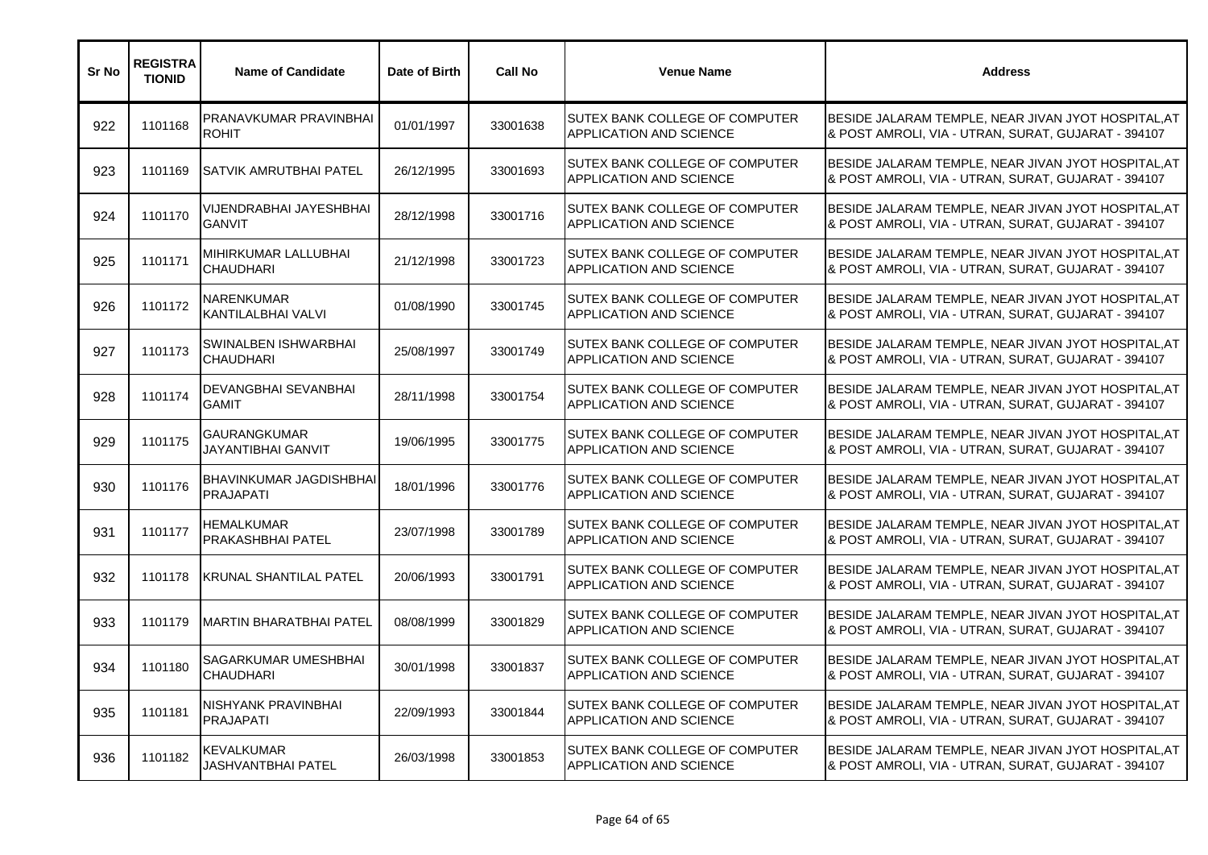| Sr No | <b>REGISTRA</b><br><b>TIONID</b> | <b>Name of Candidate</b>                         | Date of Birth | <b>Call No</b> | <b>Venue Name</b>                                                | <b>Address</b>                                                                                             |
|-------|----------------------------------|--------------------------------------------------|---------------|----------------|------------------------------------------------------------------|------------------------------------------------------------------------------------------------------------|
| 922   | 1101168                          | PRANAVKUMAR PRAVINBHAI<br><b>ROHIT</b>           | 01/01/1997    | 33001638       | SUTEX BANK COLLEGE OF COMPUTER<br>APPLICATION AND SCIENCE        | BESIDE JALARAM TEMPLE, NEAR JIVAN JYOT HOSPITAL, AT<br>& POST AMROLI, VIA - UTRAN, SURAT, GUJARAT - 394107 |
| 923   | 1101169                          | ISATVIK AMRUTBHAI PATEL                          | 26/12/1995    | 33001693       | SUTEX BANK COLLEGE OF COMPUTER<br><b>APPLICATION AND SCIENCE</b> | BESIDE JALARAM TEMPLE, NEAR JIVAN JYOT HOSPITAL, AT<br>& POST AMROLI, VIA - UTRAN, SURAT, GUJARAT - 394107 |
| 924   | 1101170                          | VIJENDRABHAI JAYESHBHAI<br><b>GANVIT</b>         | 28/12/1998    | 33001716       | SUTEX BANK COLLEGE OF COMPUTER<br>APPLICATION AND SCIENCE        | BESIDE JALARAM TEMPLE, NEAR JIVAN JYOT HOSPITAL, AT<br>& POST AMROLI, VIA - UTRAN, SURAT, GUJARAT - 394107 |
| 925   | 1101171                          | MIHIRKUMAR LALLUBHAI<br><b>CHAUDHARI</b>         | 21/12/1998    | 33001723       | SUTEX BANK COLLEGE OF COMPUTER<br>APPLICATION AND SCIENCE        | BESIDE JALARAM TEMPLE, NEAR JIVAN JYOT HOSPITAL, AT<br>& POST AMROLI, VIA - UTRAN, SURAT, GUJARAT - 394107 |
| 926   | 1101172                          | NARENKUMAR<br>KANTILALBHAI VALVI                 | 01/08/1990    | 33001745       | SUTEX BANK COLLEGE OF COMPUTER<br>APPLICATION AND SCIENCE        | BESIDE JALARAM TEMPLE, NEAR JIVAN JYOT HOSPITAL, AT<br>& POST AMROLI, VIA - UTRAN, SURAT, GUJARAT - 394107 |
| 927   | 1101173                          | SWINALBEN ISHWARBHAI<br><b>CHAUDHARI</b>         | 25/08/1997    | 33001749       | SUTEX BANK COLLEGE OF COMPUTER<br>APPLICATION AND SCIENCE        | BESIDE JALARAM TEMPLE, NEAR JIVAN JYOT HOSPITAL, AT<br>& POST AMROLI, VIA - UTRAN, SURAT, GUJARAT - 394107 |
| 928   | 1101174                          | DEVANGBHAI SEVANBHAI<br><b>GAMIT</b>             | 28/11/1998    | 33001754       | SUTEX BANK COLLEGE OF COMPUTER<br><b>APPLICATION AND SCIENCE</b> | BESIDE JALARAM TEMPLE, NEAR JIVAN JYOT HOSPITAL, AT<br>& POST AMROLI, VIA - UTRAN, SURAT, GUJARAT - 394107 |
| 929   | 1101175                          | <b>GAURANGKUMAR</b><br><b>JAYANTIBHAI GANVIT</b> | 19/06/1995    | 33001775       | SUTEX BANK COLLEGE OF COMPUTER<br>APPLICATION AND SCIENCE        | BESIDE JALARAM TEMPLE, NEAR JIVAN JYOT HOSPITAL, AT<br>& POST AMROLI, VIA - UTRAN, SURAT, GUJARAT - 394107 |
| 930   | 1101176                          | BHAVINKUMAR JAGDISHBHAI<br><b>PRAJAPATI</b>      | 18/01/1996    | 33001776       | SUTEX BANK COLLEGE OF COMPUTER<br><b>APPLICATION AND SCIENCE</b> | BESIDE JALARAM TEMPLE, NEAR JIVAN JYOT HOSPITAL, AT<br>& POST AMROLI, VIA - UTRAN, SURAT, GUJARAT - 394107 |
| 931   | 1101177                          | <b>HEMALKUMAR</b><br><b>PRAKASHBHAI PATEL</b>    | 23/07/1998    | 33001789       | SUTEX BANK COLLEGE OF COMPUTER<br>APPLICATION AND SCIENCE        | BESIDE JALARAM TEMPLE, NEAR JIVAN JYOT HOSPITAL, AT<br>& POST AMROLI, VIA - UTRAN, SURAT, GUJARAT - 394107 |
| 932   | 1101178                          | <b>KRUNAL SHANTILAL PATEL</b>                    | 20/06/1993    | 33001791       | <b>SUTEX BANK COLLEGE OF COMPUTER</b><br>APPLICATION AND SCIENCE | BESIDE JALARAM TEMPLE, NEAR JIVAN JYOT HOSPITAL, AT<br>& POST AMROLI, VIA - UTRAN, SURAT, GUJARAT - 394107 |
| 933   | 1101179                          | <b>IMARTIN BHARATBHAI PATEL</b>                  | 08/08/1999    | 33001829       | SUTEX BANK COLLEGE OF COMPUTER<br>APPLICATION AND SCIENCE        | BESIDE JALARAM TEMPLE, NEAR JIVAN JYOT HOSPITAL, AT<br>& POST AMROLI, VIA - UTRAN, SURAT, GUJARAT - 394107 |
| 934   | 1101180                          | <b>SAGARKUMAR UMESHBHAI</b><br><b>CHAUDHARI</b>  | 30/01/1998    | 33001837       | SUTEX BANK COLLEGE OF COMPUTER<br>APPLICATION AND SCIENCE        | BESIDE JALARAM TEMPLE, NEAR JIVAN JYOT HOSPITAL, AT<br>& POST AMROLI, VIA - UTRAN, SURAT, GUJARAT - 394107 |
| 935   | 1101181                          | NISHYANK PRAVINBHAI<br>PRAJAPATI                 | 22/09/1993    | 33001844       | SUTEX BANK COLLEGE OF COMPUTER<br>APPLICATION AND SCIENCE        | BESIDE JALARAM TEMPLE, NEAR JIVAN JYOT HOSPITAL, AT<br>& POST AMROLI, VIA - UTRAN, SURAT, GUJARAT - 394107 |
| 936   | 1101182                          | <b>KEVALKUMAR</b><br>JASHVANTBHAI PATEL          | 26/03/1998    | 33001853       | SUTEX BANK COLLEGE OF COMPUTER<br>APPLICATION AND SCIENCE        | BESIDE JALARAM TEMPLE, NEAR JIVAN JYOT HOSPITAL, AT<br>& POST AMROLI, VIA - UTRAN, SURAT, GUJARAT - 394107 |